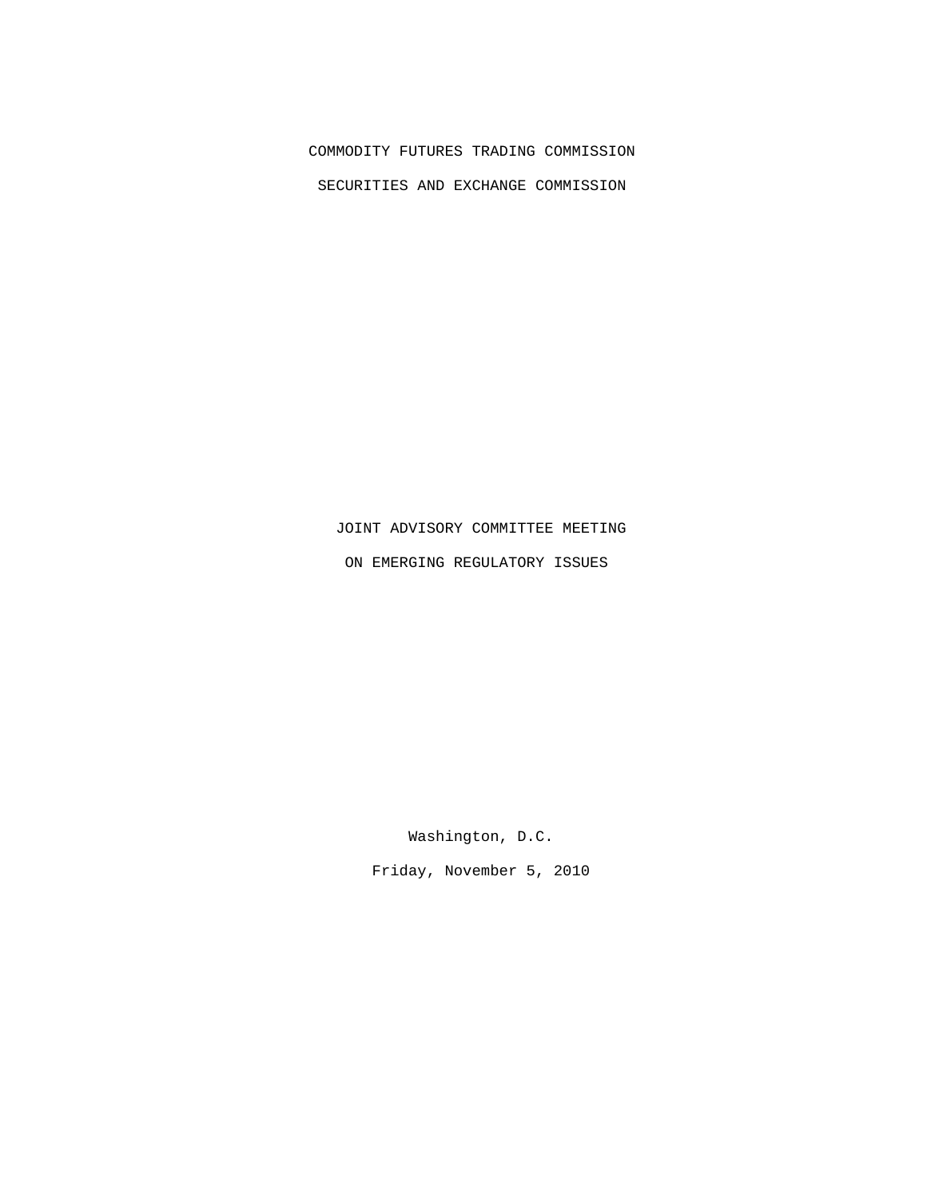## COMMODITY FUTURES TRADING COMMISSION

SECURITIES AND EXCHANGE COMMISSION

## JOINT ADVISORY COMMITTEE MEETING

ON EMERGING REGULATORY ISSUES

Washington, D.C.

Friday, November 5, 2010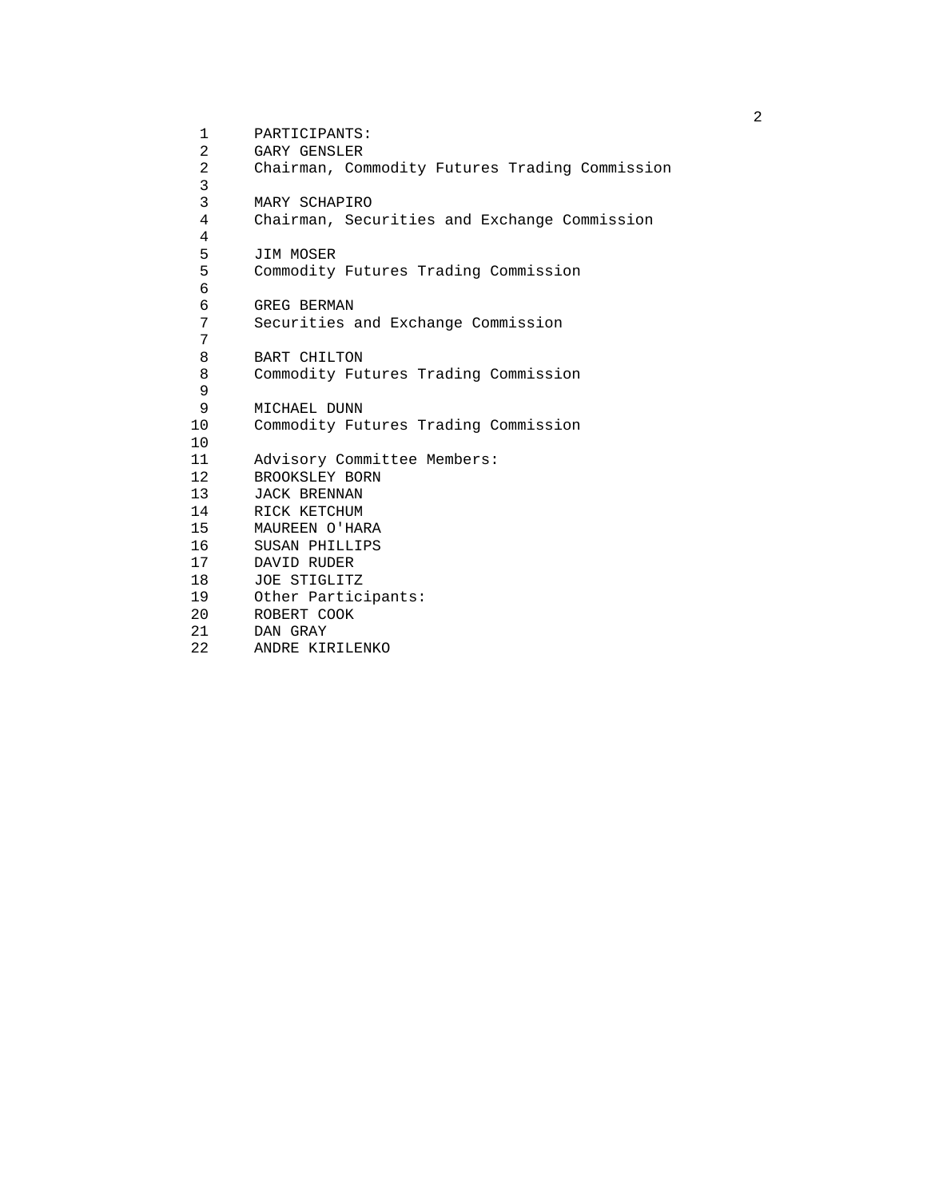1 PARTICIPANTS:<br>2 GARY GENSLER 2 GARY GENSLER<br>2 Chairman, Cor Chairman, Commodity Futures Trading Commission 3 3 MARY SCHAPIRO<br>4 Chairman, Secu 4 Chairman, Securities and Exchange Commission 4 5 JIM MOSER<br>5 Commodity 5 Commodity Futures Trading Commission 6 6 GREG BERMAN<br>7 Securities 7 Securities and Exchange Commission 7 8 BART CHILTON<br>8 Commodity Fut 8 Commodity Futures Trading Commission 9 9 MICHAEL DUNN<br>10 Commodity Fut 10 Commodity Futures Trading Commission 10<br>11 11 Advisory Committee Members:<br>12 BROOKSLEY BORN 12 BROOKSLEY BORN<br>13 JACK BRENNAN 13 JACK BRENNAN<br>14 RICK KETCHUM 14 RICK KETCHUM<br>15 MAUREEN O'HAI 15 MAUREEN O'HARA<br>16 SUSAN PHILLIPS 16 SUSAN PHILLIPS<br>17 DAVID RUDER 17 DAVID RUDER<br>18 JOE STIGLITZ 18 JOE STIGLITZ<br>19 Other Partic: 19 Other Participants:<br>20 ROBERT COOK 20 ROBERT COOK<br>21 DAN GRAY 21 DAN GRAY<br>22 ANDRE KIP 22 ANDRE KIRILENKO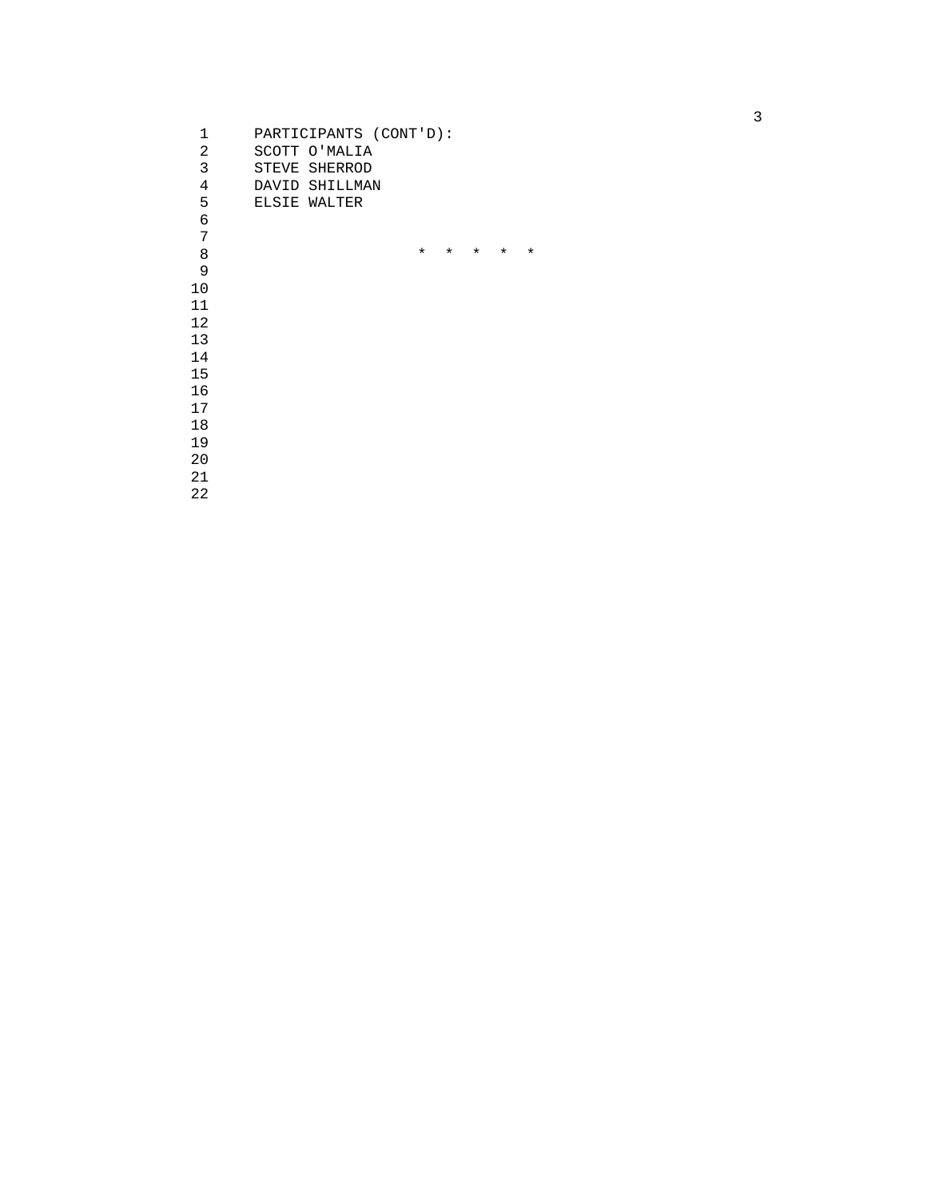| 1  | PARTICIPANTS (CONT'D): |         |         |          |          |         |
|----|------------------------|---------|---------|----------|----------|---------|
| 2  | SCOTT O'MALIA          |         |         |          |          |         |
| 3  | STEVE SHERROD          |         |         |          |          |         |
| 4  | DAVID SHILLMAN         |         |         |          |          |         |
| 5  | ELSIE WALTER           |         |         |          |          |         |
| 6  |                        |         |         |          |          |         |
| 7  |                        |         |         |          |          |         |
| 8  |                        | $\star$ | $\star$ | $^\star$ | $^\star$ | $\star$ |
| 9  |                        |         |         |          |          |         |
| 10 |                        |         |         |          |          |         |
| 11 |                        |         |         |          |          |         |
| 12 |                        |         |         |          |          |         |
| 13 |                        |         |         |          |          |         |
| 14 |                        |         |         |          |          |         |
| 15 |                        |         |         |          |          |         |
| 16 |                        |         |         |          |          |         |
| 17 |                        |         |         |          |          |         |
| 18 |                        |         |         |          |          |         |
| 19 |                        |         |         |          |          |         |
| 20 |                        |         |         |          |          |         |
| 21 |                        |         |         |          |          |         |
| 22 |                        |         |         |          |          |         |
|    |                        |         |         |          |          |         |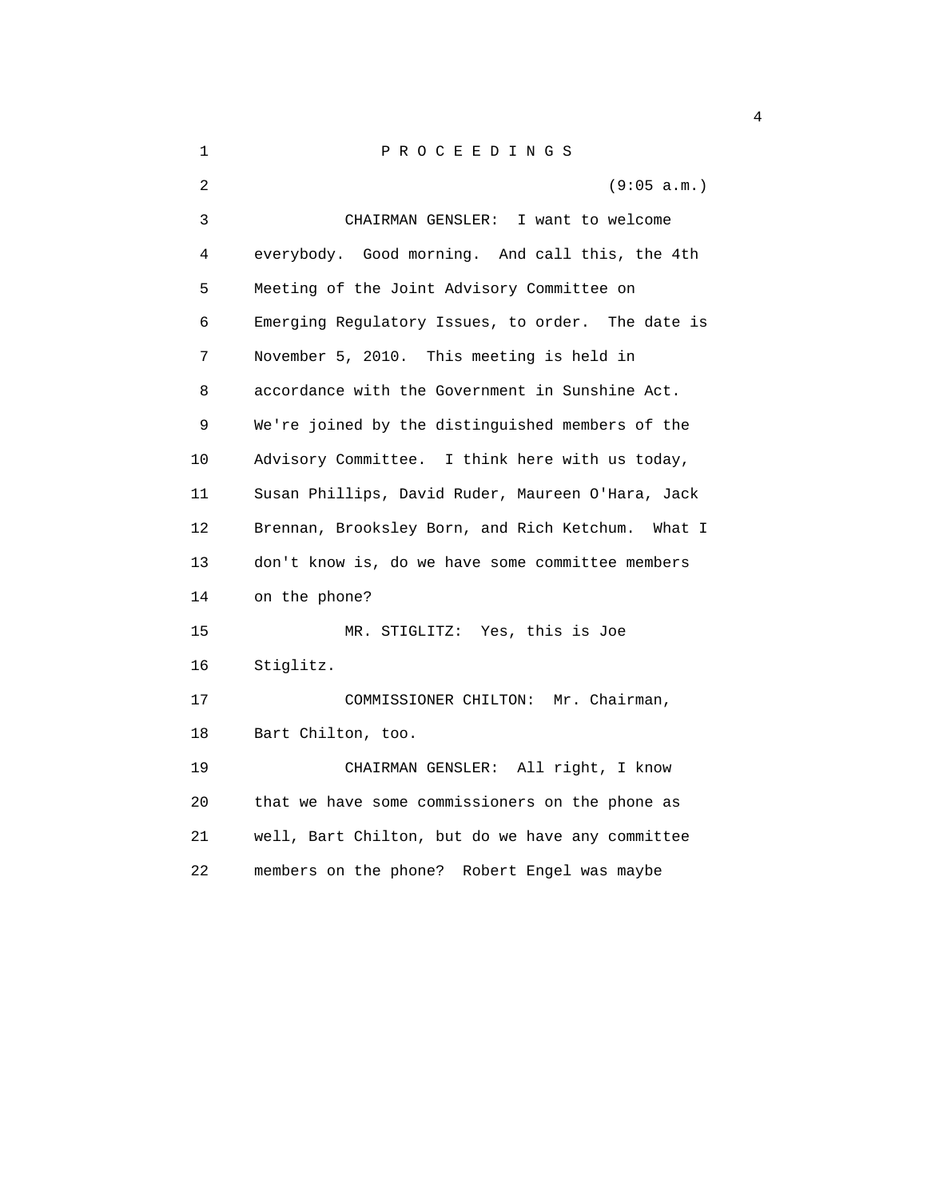1 P R O C E E D I N G S 2 (9:05 a.m.) 3 CHAIRMAN GENSLER: I want to welcome 4 everybody. Good morning. And call this, the 4th 5 Meeting of the Joint Advisory Committee on 6 Emerging Regulatory Issues, to order. The date is 7 November 5, 2010. This meeting is held in 8 accordance with the Government in Sunshine Act. 9 We're joined by the distinguished members of the 10 Advisory Committee. I think here with us today, 11 Susan Phillips, David Ruder, Maureen O'Hara, Jack 12 Brennan, Brooksley Born, and Rich Ketchum. What I 13 don't know is, do we have some committee members 14 on the phone? 15 MR. STIGLITZ: Yes, this is Joe 16 Stiglitz. 17 COMMISSIONER CHILTON: Mr. Chairman, 18 Bart Chilton, too. 19 CHAIRMAN GENSLER: All right, I know 20 that we have some commissioners on the phone as 21 well, Bart Chilton, but do we have any committee 22 members on the phone? Robert Engel was maybe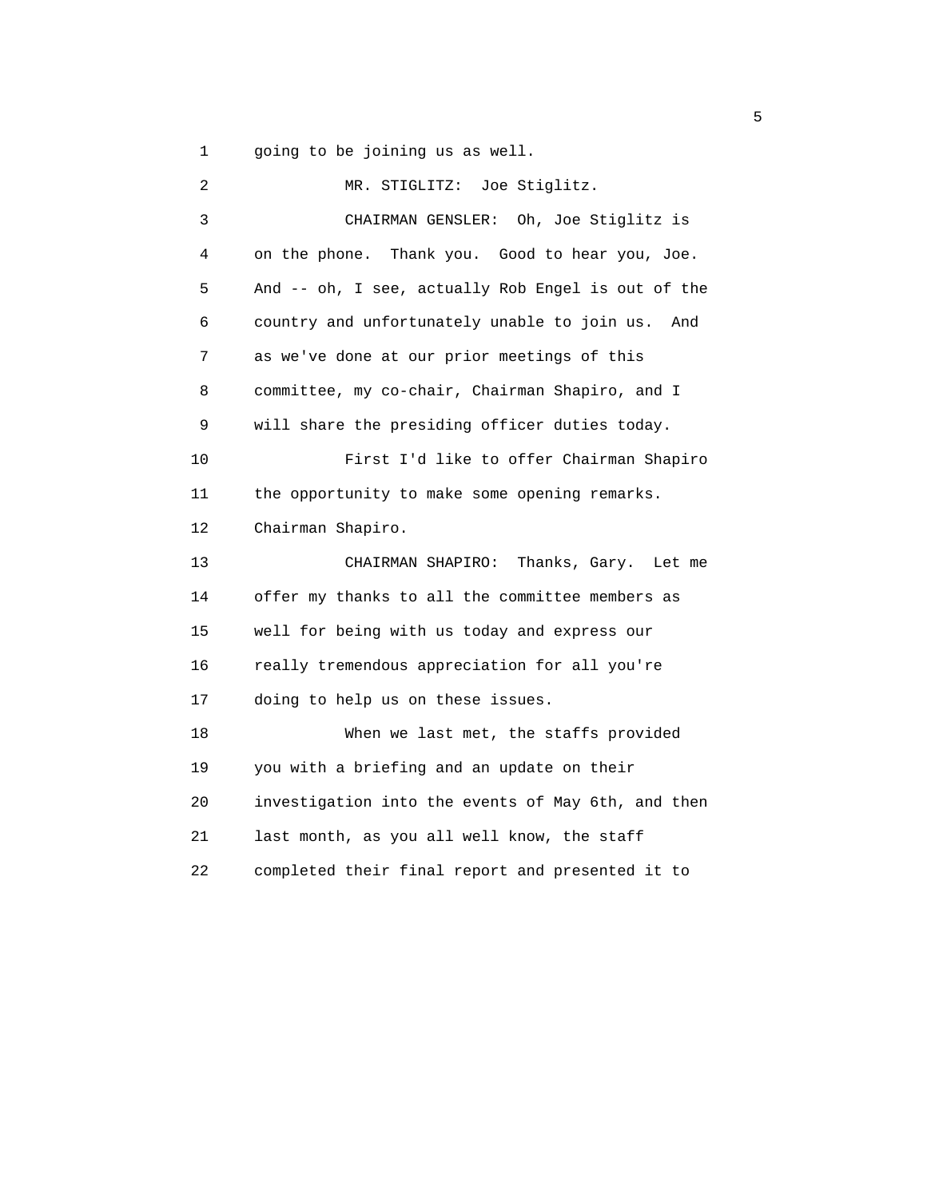1 going to be joining us as well.

 2 MR. STIGLITZ: Joe Stiglitz. 3 CHAIRMAN GENSLER: Oh, Joe Stiglitz is 4 on the phone. Thank you. Good to hear you, Joe. 5 And -- oh, I see, actually Rob Engel is out of the 6 country and unfortunately unable to join us. And 7 as we've done at our prior meetings of this 8 committee, my co-chair, Chairman Shapiro, and I 9 will share the presiding officer duties today. 10 First I'd like to offer Chairman Shapiro 11 the opportunity to make some opening remarks. 12 Chairman Shapiro. 13 CHAIRMAN SHAPIRO: Thanks, Gary. Let me 14 offer my thanks to all the committee members as 15 well for being with us today and express our 16 really tremendous appreciation for all you're 17 doing to help us on these issues. 18 When we last met, the staffs provided 19 you with a briefing and an update on their 20 investigation into the events of May 6th, and then 21 last month, as you all well know, the staff 22 completed their final report and presented it to

 $\sim$  5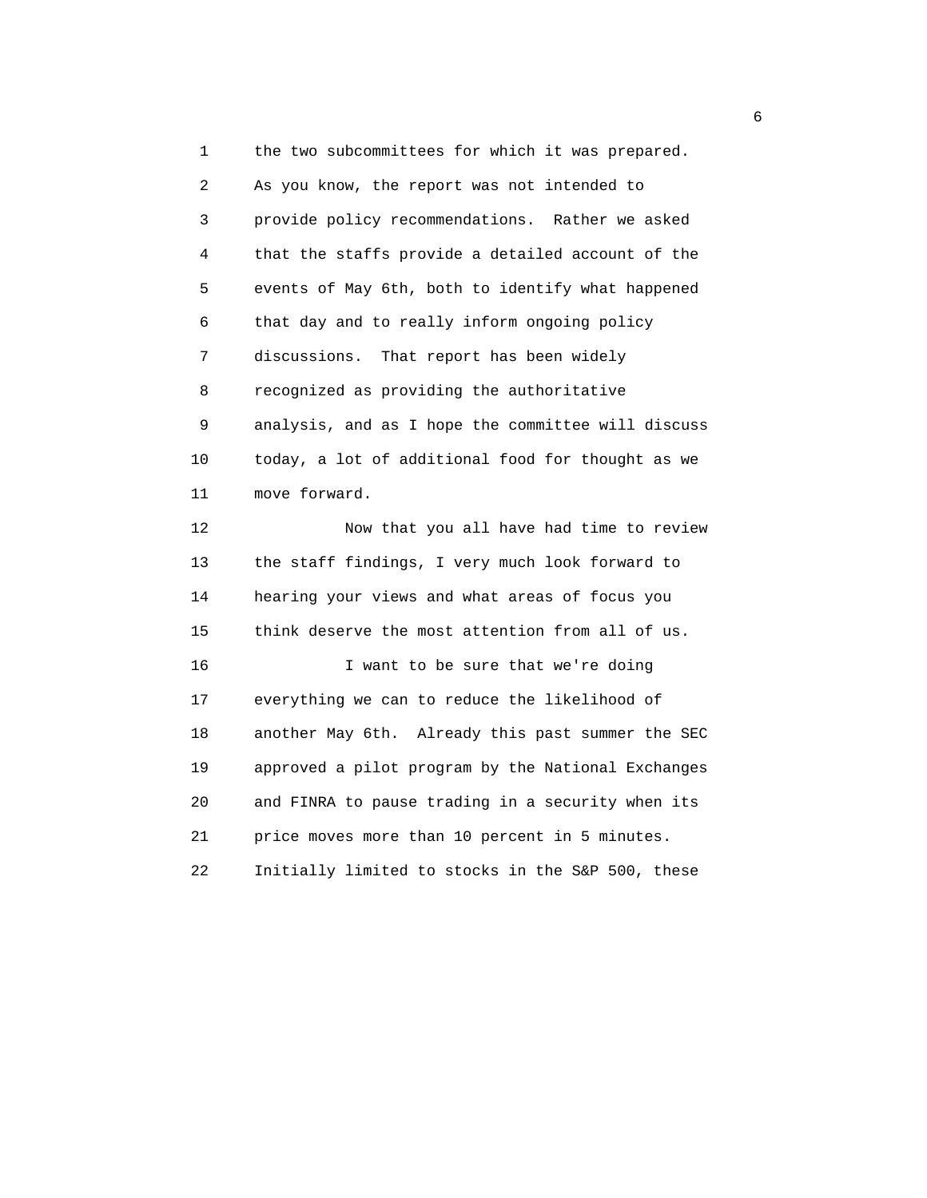1 the two subcommittees for which it was prepared. 2 As you know, the report was not intended to 3 provide policy recommendations. Rather we asked 4 that the staffs provide a detailed account of the 5 events of May 6th, both to identify what happened 6 that day and to really inform ongoing policy 7 discussions. That report has been widely 8 recognized as providing the authoritative 9 analysis, and as I hope the committee will discuss 10 today, a lot of additional food for thought as we 11 move forward. 12 Now that you all have had time to review 13 the staff findings, I very much look forward to 14 hearing your views and what areas of focus you 15 think deserve the most attention from all of us. 16 I want to be sure that we're doing 17 everything we can to reduce the likelihood of 18 another May 6th. Already this past summer the SEC 19 approved a pilot program by the National Exchanges 20 and FINRA to pause trading in a security when its 21 price moves more than 10 percent in 5 minutes.

22 Initially limited to stocks in the S&P 500, these

 $\sim$  6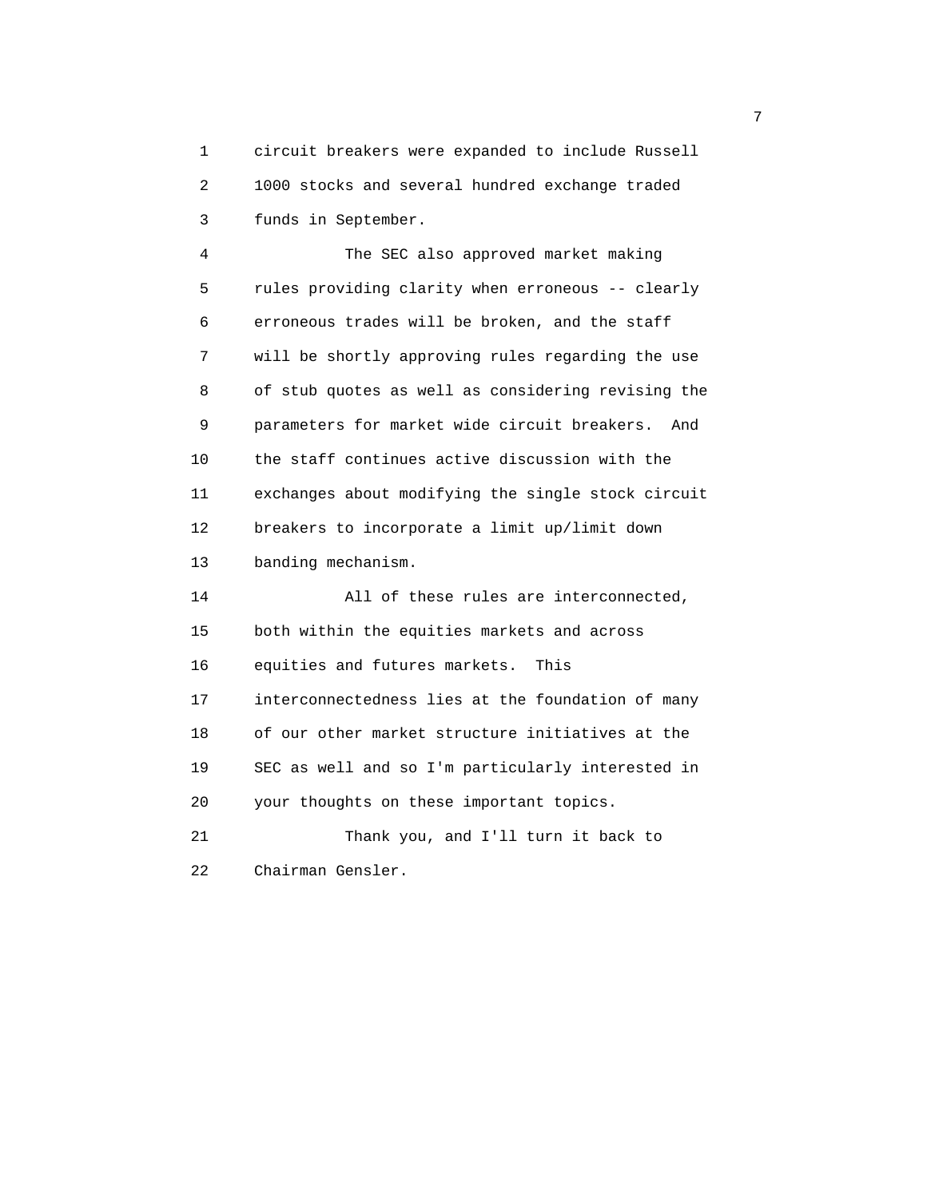1 circuit breakers were expanded to include Russell 2 1000 stocks and several hundred exchange traded 3 funds in September.

 4 The SEC also approved market making 5 rules providing clarity when erroneous -- clearly 6 erroneous trades will be broken, and the staff 7 will be shortly approving rules regarding the use 8 of stub quotes as well as considering revising the 9 parameters for market wide circuit breakers. And 10 the staff continues active discussion with the 11 exchanges about modifying the single stock circuit 12 breakers to incorporate a limit up/limit down 13 banding mechanism.

 14 All of these rules are interconnected, 15 both within the equities markets and across 16 equities and futures markets. This 17 interconnectedness lies at the foundation of many 18 of our other market structure initiatives at the 19 SEC as well and so I'm particularly interested in 20 your thoughts on these important topics. 21 Thank you, and I'll turn it back to

22 Chairman Gensler.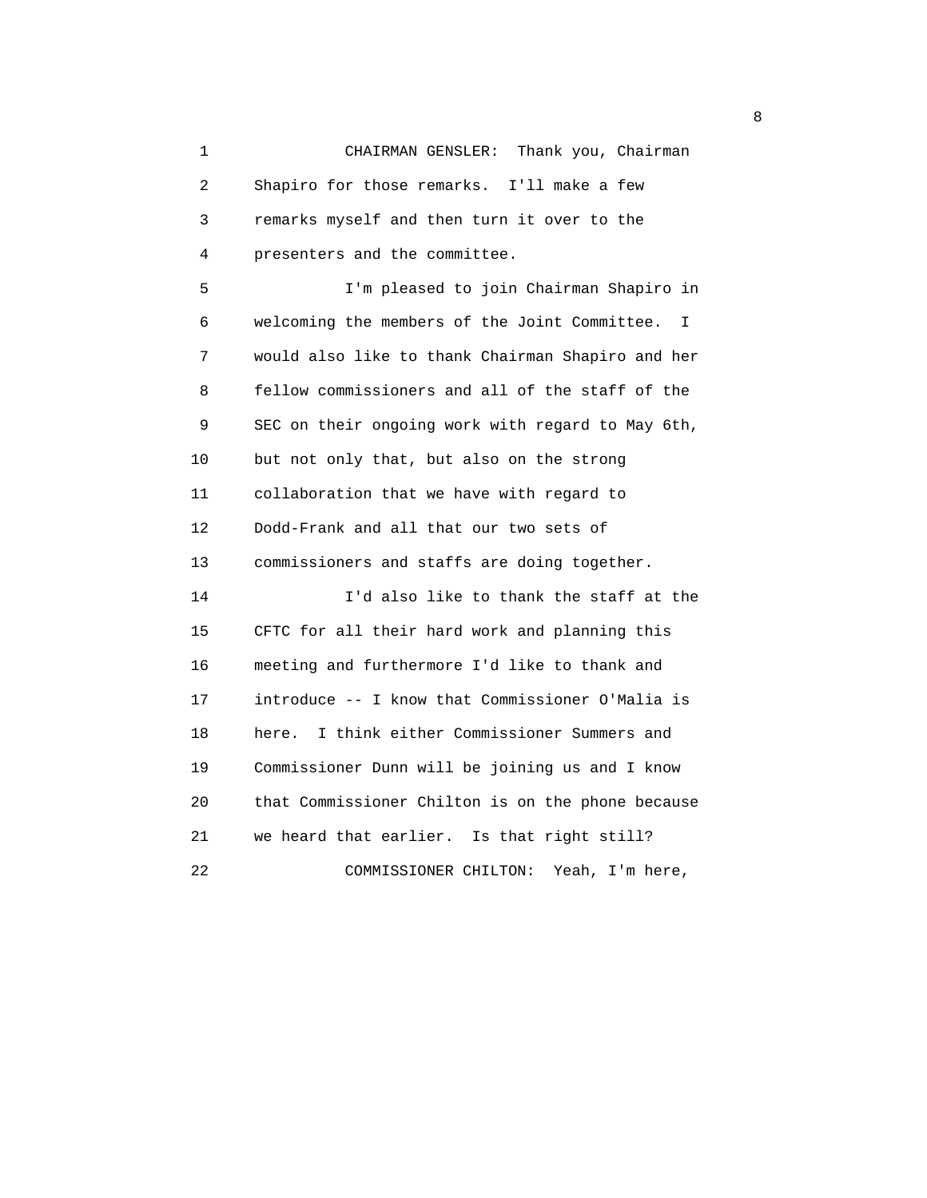1 CHAIRMAN GENSLER: Thank you, Chairman 2 Shapiro for those remarks. I'll make a few 3 remarks myself and then turn it over to the 4 presenters and the committee.

 5 I'm pleased to join Chairman Shapiro in 6 welcoming the members of the Joint Committee. I 7 would also like to thank Chairman Shapiro and her 8 fellow commissioners and all of the staff of the 9 SEC on their ongoing work with regard to May 6th, 10 but not only that, but also on the strong 11 collaboration that we have with regard to 12 Dodd-Frank and all that our two sets of 13 commissioners and staffs are doing together. 14 I'd also like to thank the staff at the 15 CFTC for all their hard work and planning this 16 meeting and furthermore I'd like to thank and 17 introduce -- I know that Commissioner O'Malia is 18 here. I think either Commissioner Summers and 19 Commissioner Dunn will be joining us and I know 20 that Commissioner Chilton is on the phone because 21 we heard that earlier. Is that right still?

22 COMMISSIONER CHILTON: Yeah, I'm here,

en andere de la provincia de la provincia de la provincia de la provincia de la provincia de la provincia del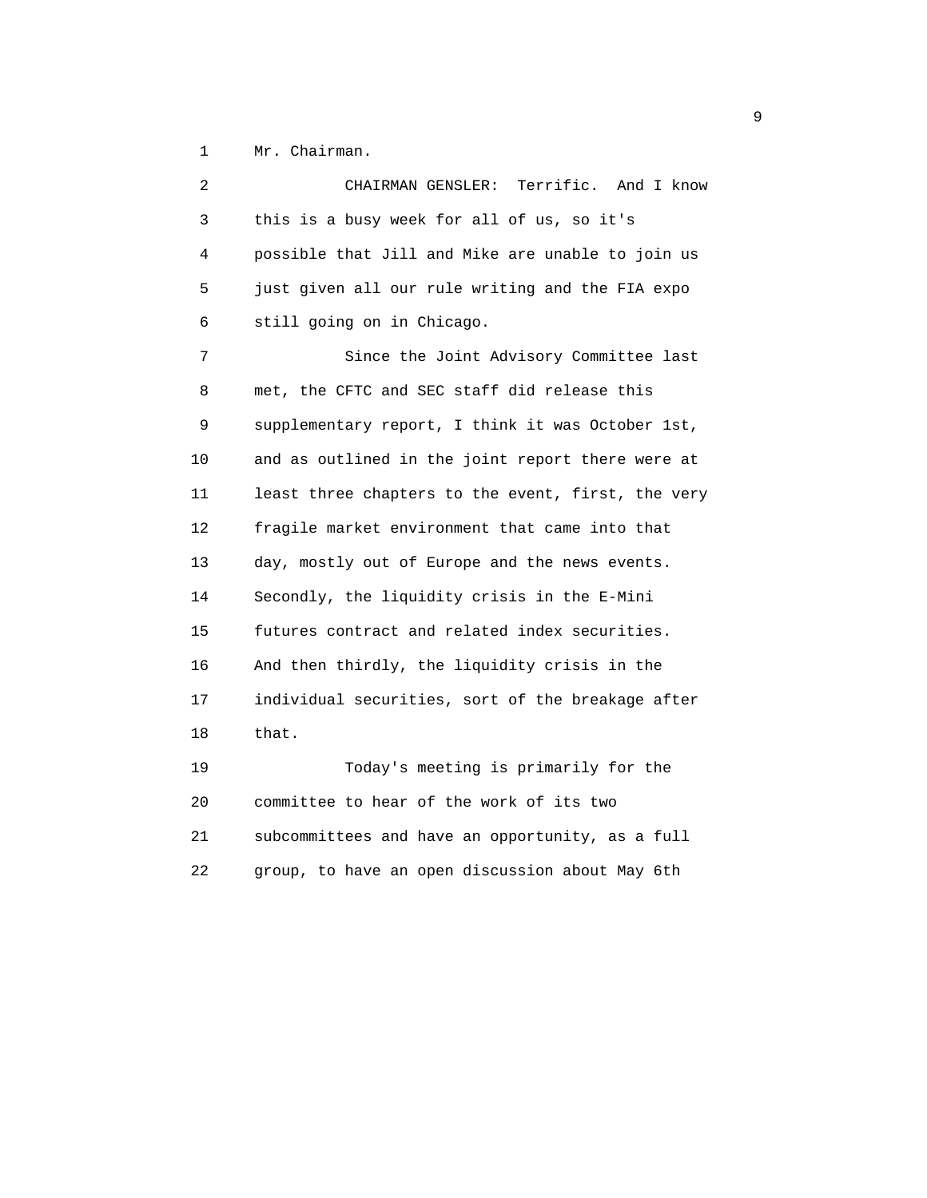1 Mr. Chairman.

| 2  | Terrific. And I know<br>CHAIRMAN GENSLER:          |
|----|----------------------------------------------------|
| 3  | this is a busy week for all of us, so it's         |
| 4  | possible that Jill and Mike are unable to join us  |
| 5  | just given all our rule writing and the FIA expo   |
| 6  | still going on in Chicago.                         |
| 7  | Since the Joint Advisory Committee last            |
| 8  | met, the CFTC and SEC staff did release this       |
| 9  | supplementary report, I think it was October 1st,  |
| 10 | and as outlined in the joint report there were at  |
| 11 | least three chapters to the event, first, the very |
| 12 | fragile market environment that came into that     |
| 13 | day, mostly out of Europe and the news events.     |
| 14 | Secondly, the liquidity crisis in the E-Mini       |
| 15 | futures contract and related index securities.     |
| 16 | And then thirdly, the liquidity crisis in the      |
| 17 | individual securities, sort of the breakage after  |
| 18 | that.                                              |
| 19 | Today's meeting is primarily for the               |
| 20 | committee to hear of the work of its two           |
| 21 | subcommittees and have an opportunity, as a full   |
| 22 | group, to have an open discussion about May 6th    |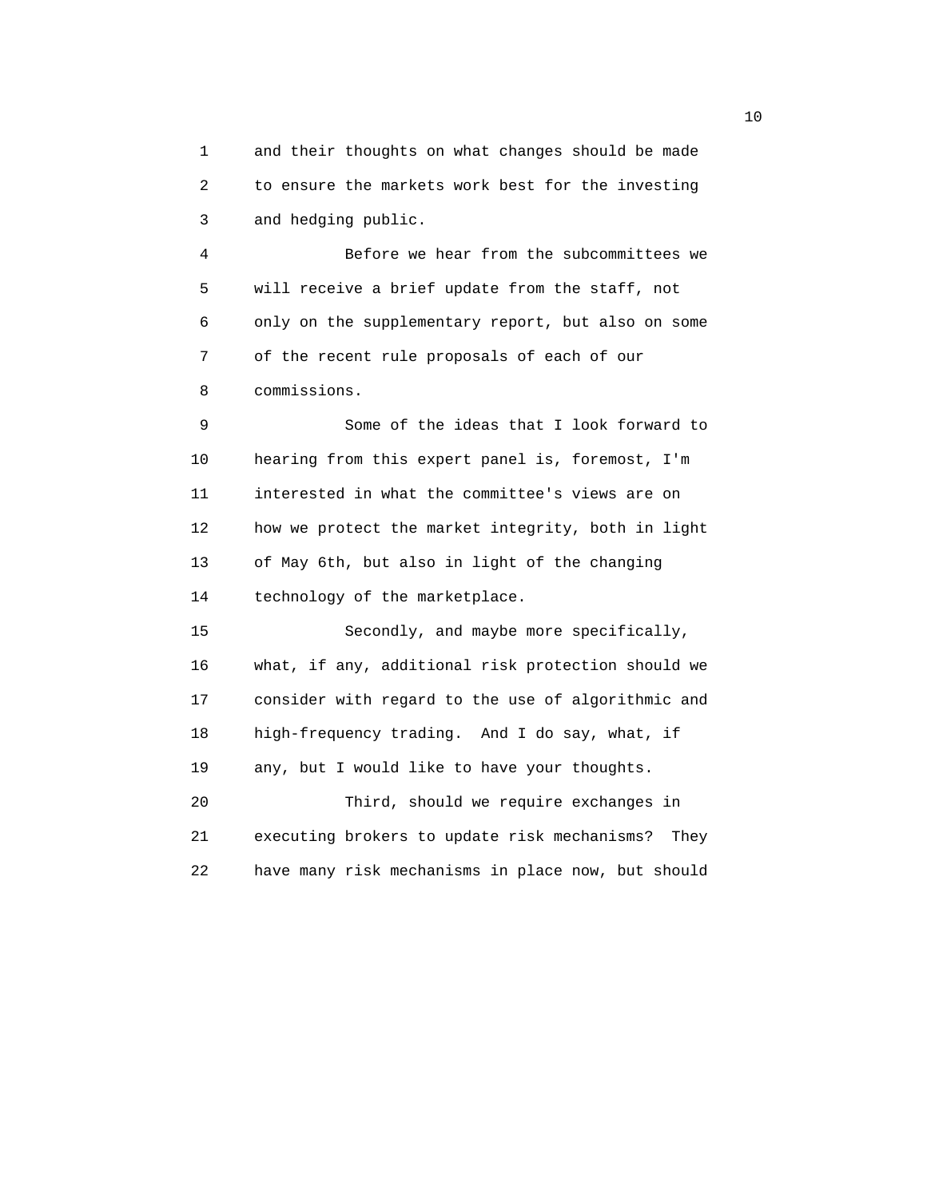1 and their thoughts on what changes should be made 2 to ensure the markets work best for the investing 3 and hedging public.

 4 Before we hear from the subcommittees we 5 will receive a brief update from the staff, not 6 only on the supplementary report, but also on some 7 of the recent rule proposals of each of our 8 commissions.

 9 Some of the ideas that I look forward to 10 hearing from this expert panel is, foremost, I'm 11 interested in what the committee's views are on 12 how we protect the market integrity, both in light 13 of May 6th, but also in light of the changing 14 technology of the marketplace.

 15 Secondly, and maybe more specifically, 16 what, if any, additional risk protection should we 17 consider with regard to the use of algorithmic and 18 high-frequency trading. And I do say, what, if 19 any, but I would like to have your thoughts. 20 Third, should we require exchanges in 21 executing brokers to update risk mechanisms? They 22 have many risk mechanisms in place now, but should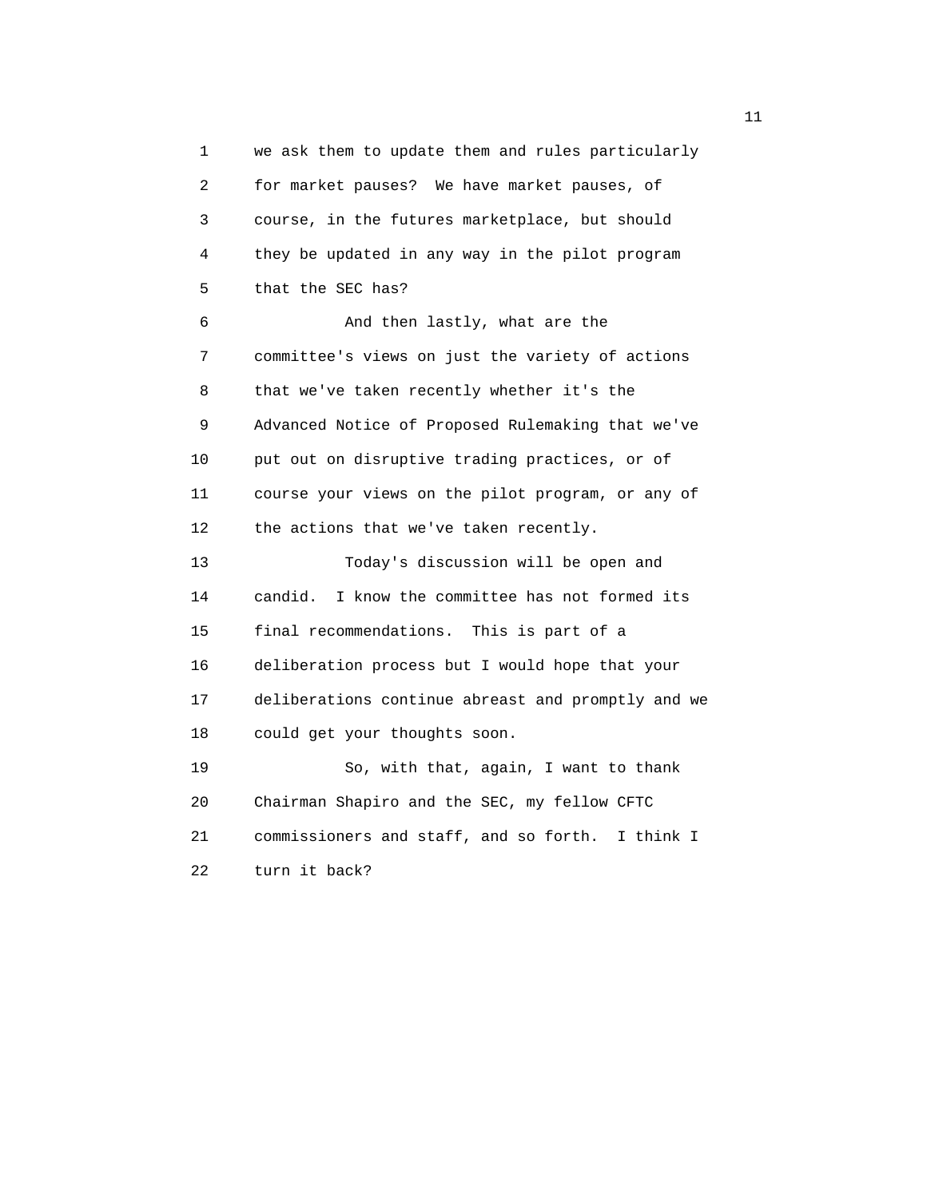1 we ask them to update them and rules particularly 2 for market pauses? We have market pauses, of 3 course, in the futures marketplace, but should 4 they be updated in any way in the pilot program 5 that the SEC has? 6 And then lastly, what are the 7 committee's views on just the variety of actions 8 that we've taken recently whether it's the 9 Advanced Notice of Proposed Rulemaking that we've 10 put out on disruptive trading practices, or of 11 course your views on the pilot program, or any of 12 the actions that we've taken recently. 13 Today's discussion will be open and 14 candid. I know the committee has not formed its 15 final recommendations. This is part of a 16 deliberation process but I would hope that your 17 deliberations continue abreast and promptly and we 18 could get your thoughts soon. 19 So, with that, again, I want to thank 20 Chairman Shapiro and the SEC, my fellow CFTC 21 commissioners and staff, and so forth. I think I 22 turn it back?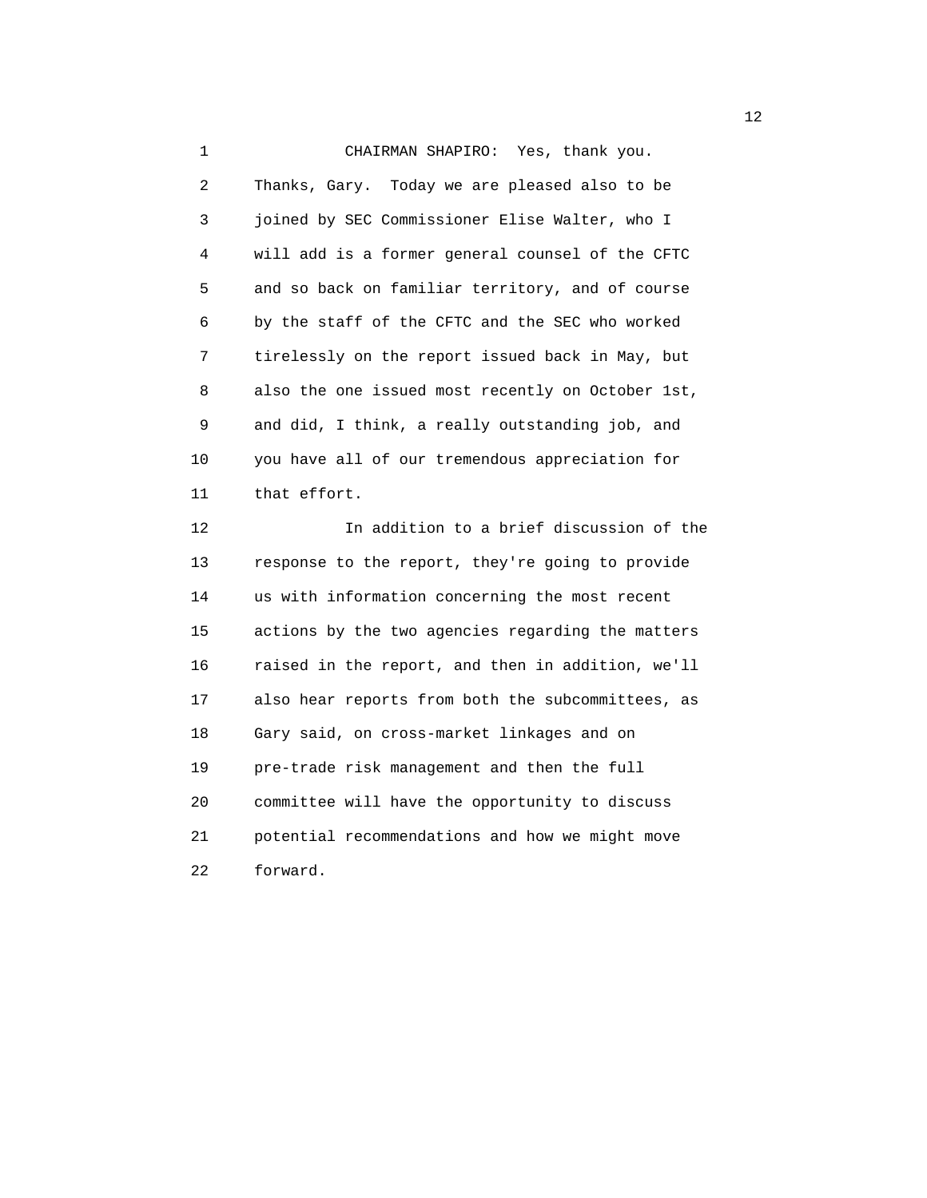1 CHAIRMAN SHAPIRO: Yes, thank you. 2 Thanks, Gary. Today we are pleased also to be 3 joined by SEC Commissioner Elise Walter, who I 4 will add is a former general counsel of the CFTC 5 and so back on familiar territory, and of course 6 by the staff of the CFTC and the SEC who worked 7 tirelessly on the report issued back in May, but 8 also the one issued most recently on October 1st, 9 and did, I think, a really outstanding job, and 10 you have all of our tremendous appreciation for 11 that effort.

 12 In addition to a brief discussion of the 13 response to the report, they're going to provide 14 us with information concerning the most recent 15 actions by the two agencies regarding the matters 16 raised in the report, and then in addition, we'll 17 also hear reports from both the subcommittees, as 18 Gary said, on cross-market linkages and on 19 pre-trade risk management and then the full 20 committee will have the opportunity to discuss 21 potential recommendations and how we might move 22 forward.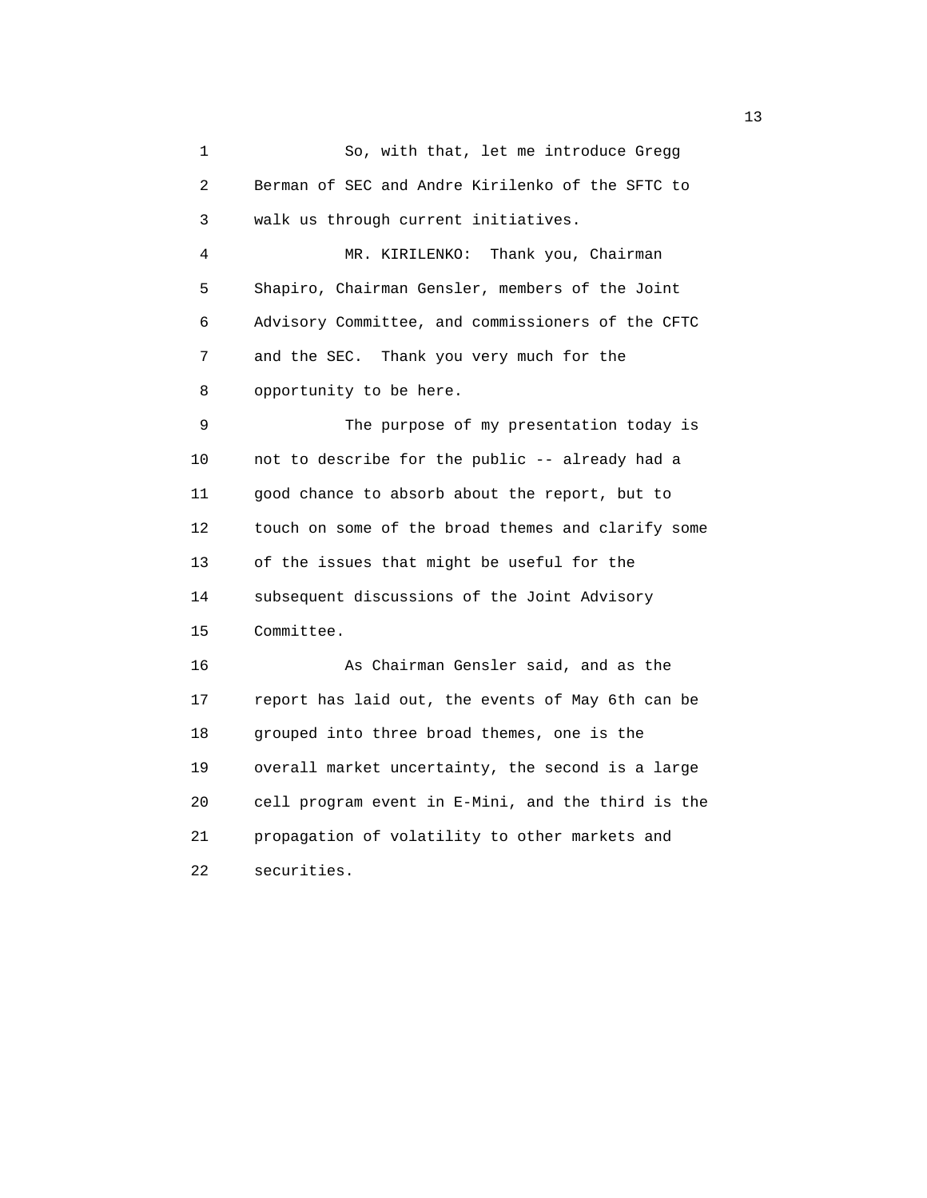1 So, with that, let me introduce Gregg 2 Berman of SEC and Andre Kirilenko of the SFTC to 3 walk us through current initiatives. 4 MR. KIRILENKO: Thank you, Chairman 5 Shapiro, Chairman Gensler, members of the Joint 6 Advisory Committee, and commissioners of the CFTC 7 and the SEC. Thank you very much for the 8 opportunity to be here. 9 The purpose of my presentation today is 10 not to describe for the public -- already had a 11 good chance to absorb about the report, but to 12 touch on some of the broad themes and clarify some 13 of the issues that might be useful for the 14 subsequent discussions of the Joint Advisory 15 Committee. 16 As Chairman Gensler said, and as the 17 report has laid out, the events of May 6th can be 18 grouped into three broad themes, one is the 19 overall market uncertainty, the second is a large 20 cell program event in E-Mini, and the third is the 21 propagation of volatility to other markets and 22 securities.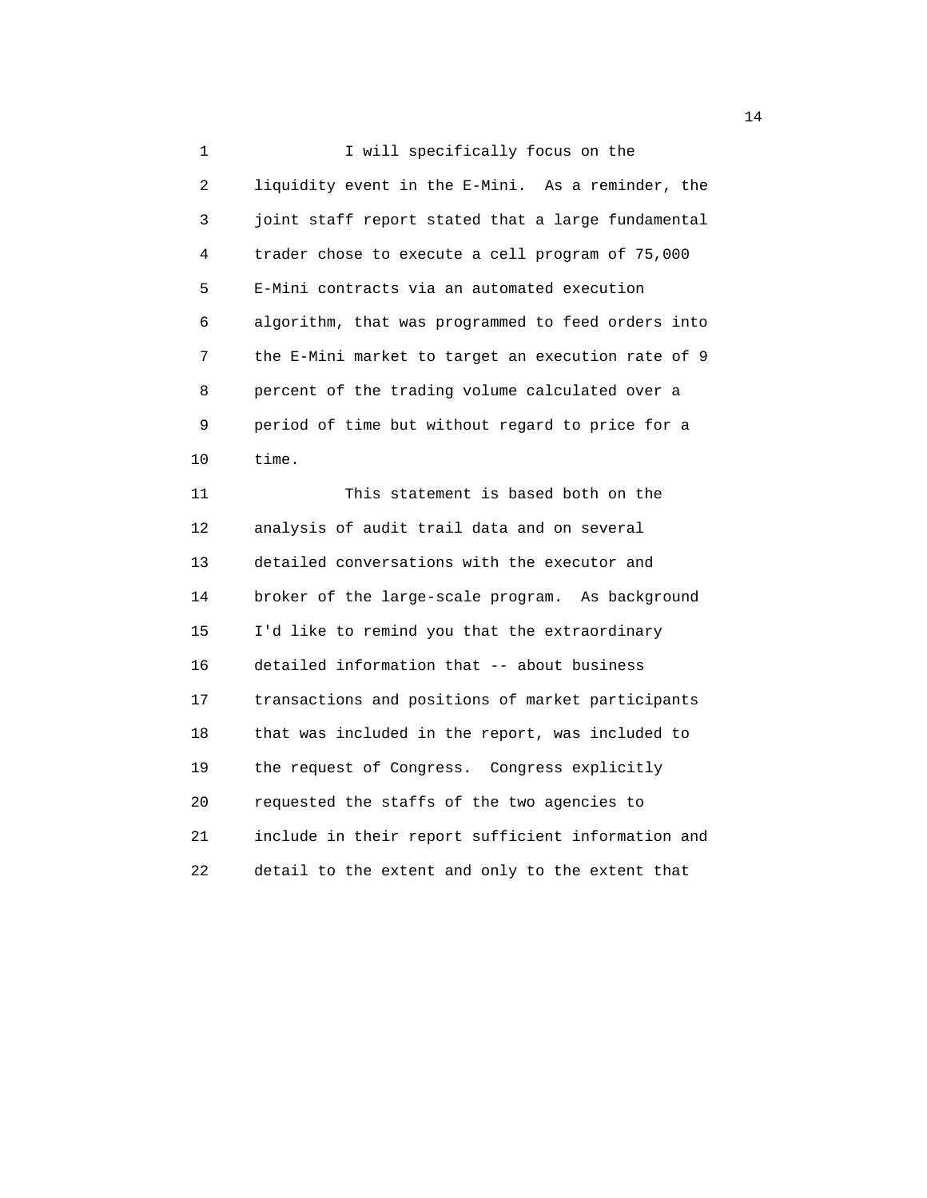1 I will specifically focus on the 2 liquidity event in the E-Mini. As a reminder, the 3 joint staff report stated that a large fundamental 4 trader chose to execute a cell program of 75,000 5 E-Mini contracts via an automated execution 6 algorithm, that was programmed to feed orders into 7 the E-Mini market to target an execution rate of 9 8 percent of the trading volume calculated over a 9 period of time but without regard to price for a 10 time.

 11 This statement is based both on the 12 analysis of audit trail data and on several 13 detailed conversations with the executor and 14 broker of the large-scale program. As background 15 I'd like to remind you that the extraordinary 16 detailed information that -- about business 17 transactions and positions of market participants 18 that was included in the report, was included to 19 the request of Congress. Congress explicitly 20 requested the staffs of the two agencies to 21 include in their report sufficient information and 22 detail to the extent and only to the extent that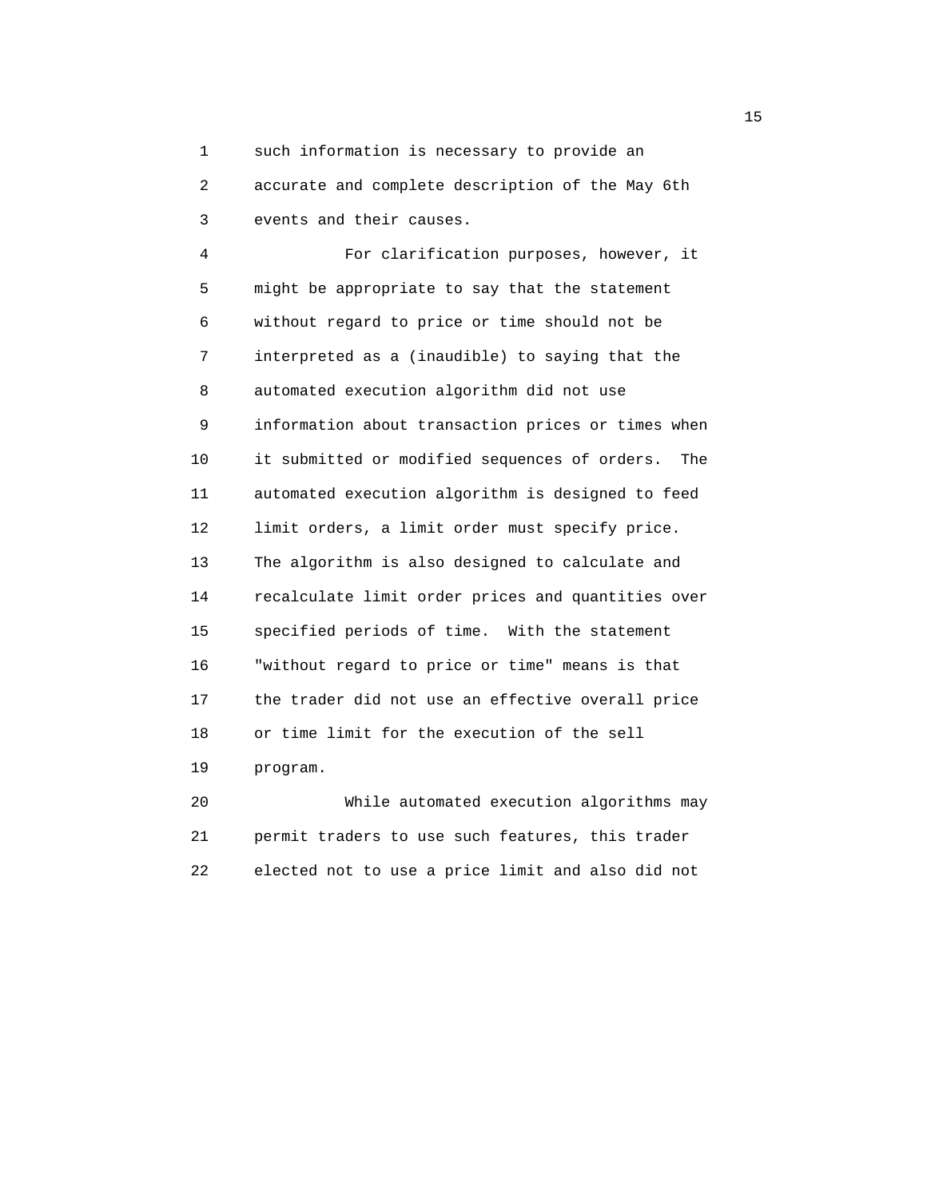1 such information is necessary to provide an 2 accurate and complete description of the May 6th 3 events and their causes.

 4 For clarification purposes, however, it 5 might be appropriate to say that the statement 6 without regard to price or time should not be 7 interpreted as a (inaudible) to saying that the 8 automated execution algorithm did not use 9 information about transaction prices or times when 10 it submitted or modified sequences of orders. The 11 automated execution algorithm is designed to feed 12 limit orders, a limit order must specify price. 13 The algorithm is also designed to calculate and 14 recalculate limit order prices and quantities over 15 specified periods of time. With the statement 16 "without regard to price or time" means is that 17 the trader did not use an effective overall price 18 or time limit for the execution of the sell 19 program.

 20 While automated execution algorithms may 21 permit traders to use such features, this trader 22 elected not to use a price limit and also did not

the contract of the contract of the contract of the contract of the contract of the contract of the contract of the contract of the contract of the contract of the contract of the contract of the contract of the contract o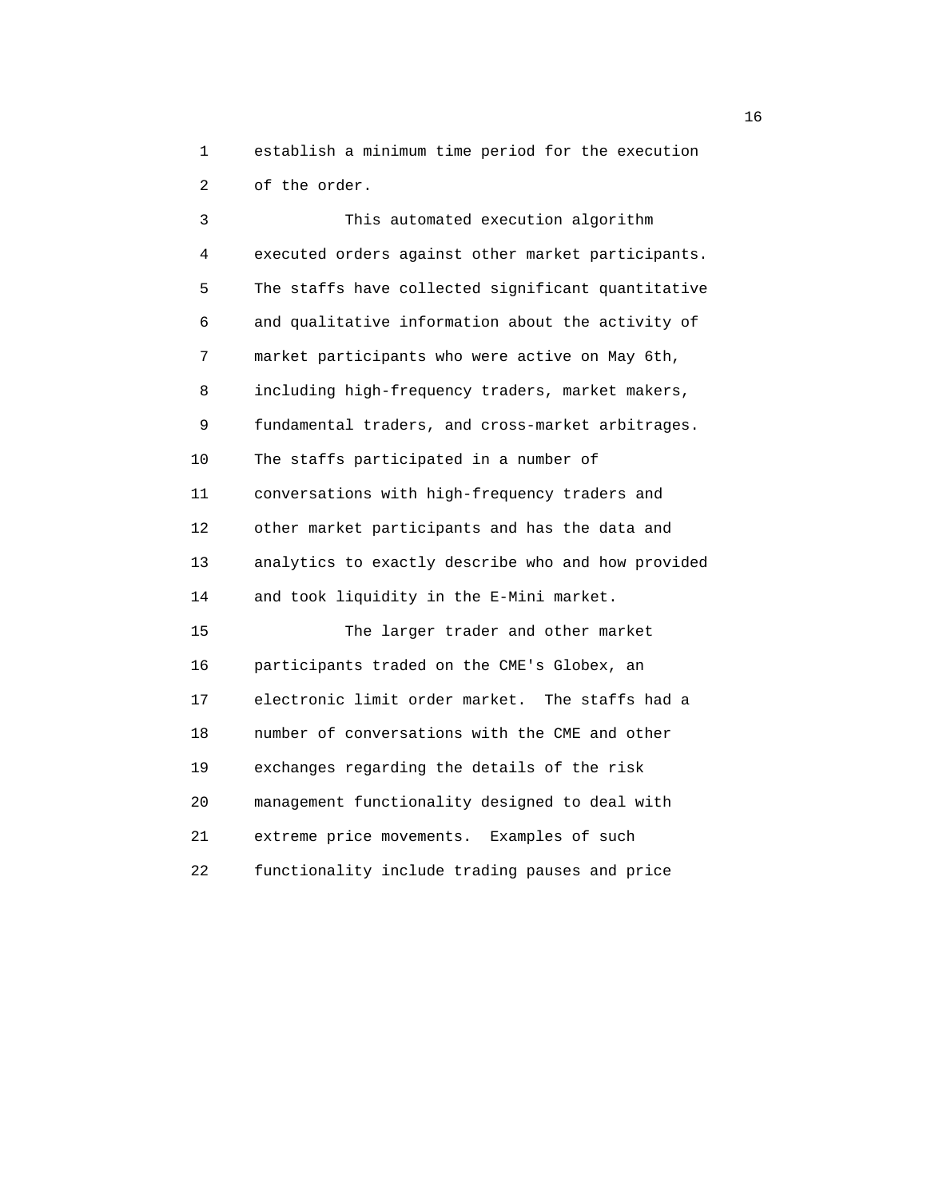1 establish a minimum time period for the execution 2 of the order.

 3 This automated execution algorithm 4 executed orders against other market participants. 5 The staffs have collected significant quantitative 6 and qualitative information about the activity of 7 market participants who were active on May 6th, 8 including high-frequency traders, market makers, 9 fundamental traders, and cross-market arbitrages. 10 The staffs participated in a number of 11 conversations with high-frequency traders and 12 other market participants and has the data and 13 analytics to exactly describe who and how provided 14 and took liquidity in the E-Mini market. 15 The larger trader and other market 16 participants traded on the CME's Globex, an 17 electronic limit order market. The staffs had a 18 number of conversations with the CME and other 19 exchanges regarding the details of the risk 20 management functionality designed to deal with 21 extreme price movements. Examples of such 22 functionality include trading pauses and price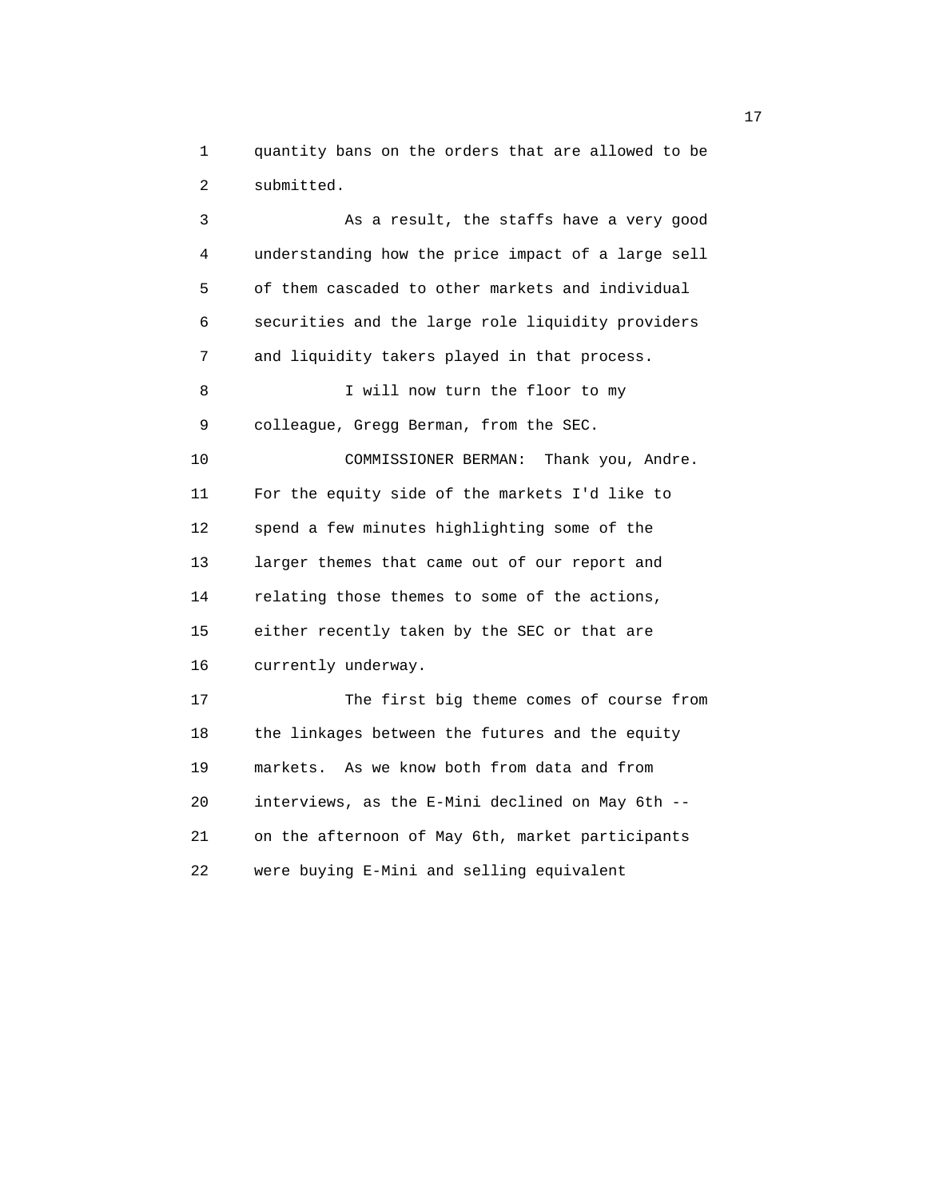1 quantity bans on the orders that are allowed to be 2 submitted.

 3 As a result, the staffs have a very good 4 understanding how the price impact of a large sell 5 of them cascaded to other markets and individual 6 securities and the large role liquidity providers 7 and liquidity takers played in that process. 8 I will now turn the floor to my 9 colleague, Gregg Berman, from the SEC. 10 COMMISSIONER BERMAN: Thank you, Andre. 11 For the equity side of the markets I'd like to 12 spend a few minutes highlighting some of the 13 larger themes that came out of our report and 14 relating those themes to some of the actions, 15 either recently taken by the SEC or that are 16 currently underway. 17 The first big theme comes of course from 18 the linkages between the futures and the equity 19 markets. As we know both from data and from 20 interviews, as the E-Mini declined on May 6th -- 21 on the afternoon of May 6th, market participants 22 were buying E-Mini and selling equivalent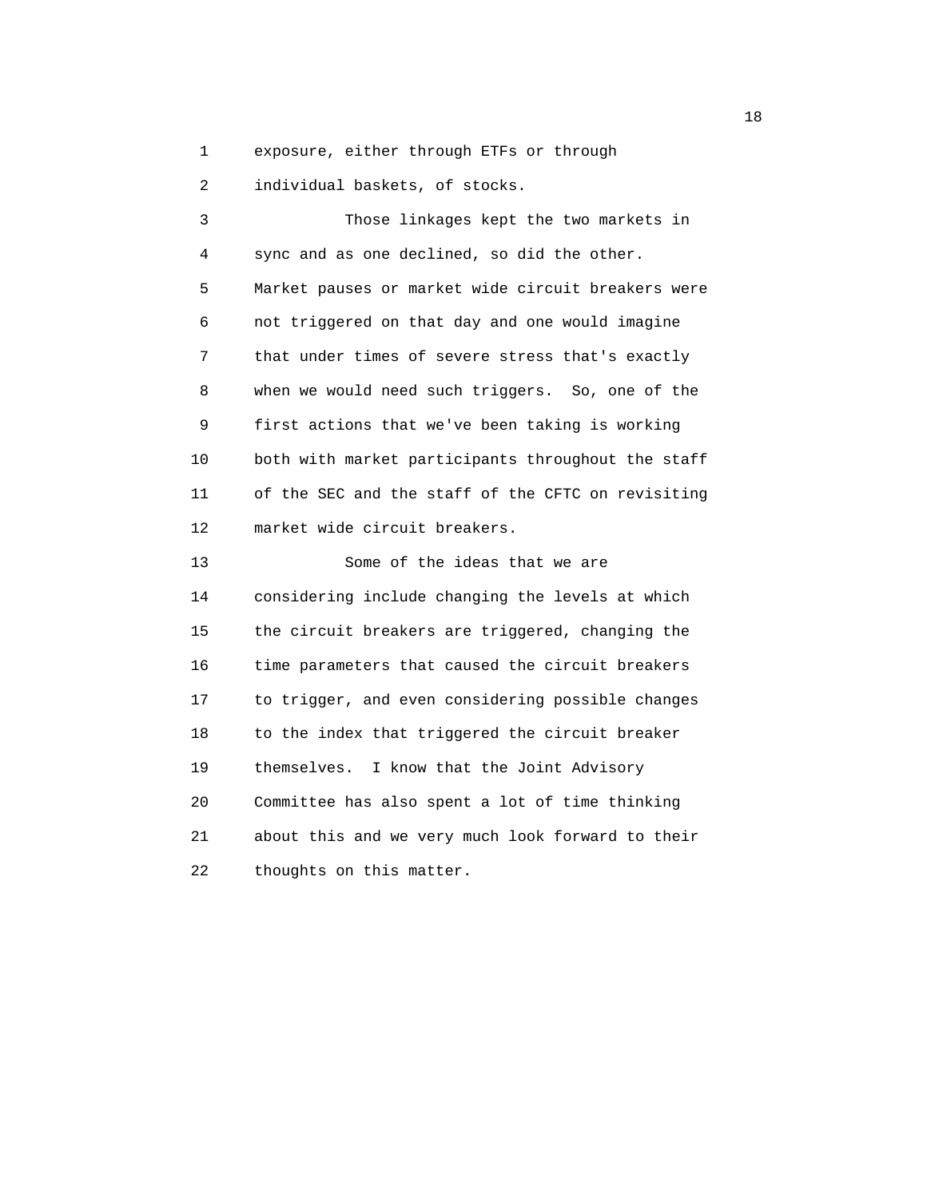1 exposure, either through ETFs or through

2 individual baskets, of stocks.

 3 Those linkages kept the two markets in 4 sync and as one declined, so did the other. 5 Market pauses or market wide circuit breakers were 6 not triggered on that day and one would imagine 7 that under times of severe stress that's exactly 8 when we would need such triggers. So, one of the 9 first actions that we've been taking is working 10 both with market participants throughout the staff 11 of the SEC and the staff of the CFTC on revisiting 12 market wide circuit breakers. 13 Some of the ideas that we are 14 considering include changing the levels at which 15 the circuit breakers are triggered, changing the 16 time parameters that caused the circuit breakers 17 to trigger, and even considering possible changes

18 to the index that triggered the circuit breaker

20 Committee has also spent a lot of time thinking

21 about this and we very much look forward to their

19 themselves. I know that the Joint Advisory

22 thoughts on this matter.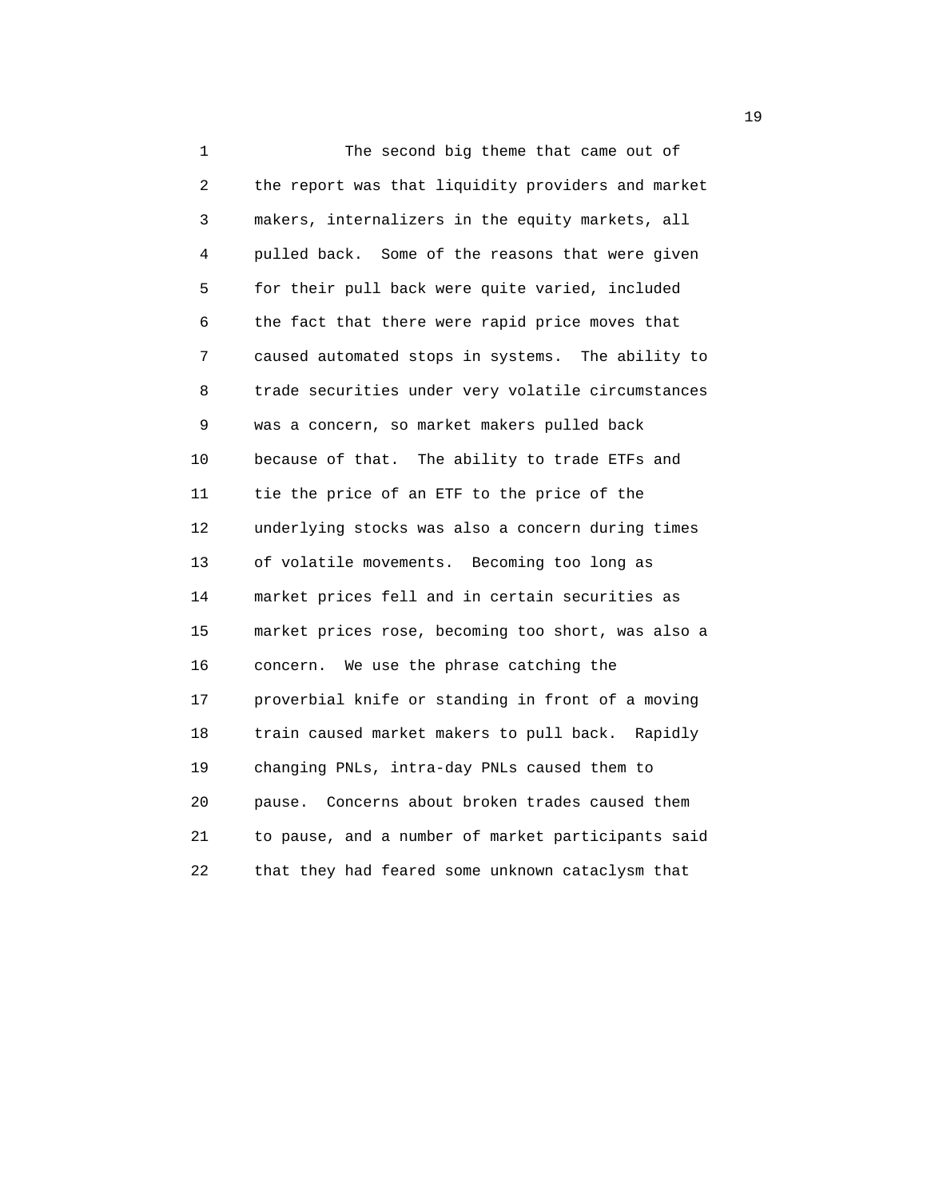1 The second big theme that came out of 2 the report was that liquidity providers and market 3 makers, internalizers in the equity markets, all 4 pulled back. Some of the reasons that were given 5 for their pull back were quite varied, included 6 the fact that there were rapid price moves that 7 caused automated stops in systems. The ability to 8 trade securities under very volatile circumstances 9 was a concern, so market makers pulled back 10 because of that. The ability to trade ETFs and 11 tie the price of an ETF to the price of the 12 underlying stocks was also a concern during times 13 of volatile movements. Becoming too long as 14 market prices fell and in certain securities as 15 market prices rose, becoming too short, was also a 16 concern. We use the phrase catching the 17 proverbial knife or standing in front of a moving 18 train caused market makers to pull back. Rapidly 19 changing PNLs, intra-day PNLs caused them to 20 pause. Concerns about broken trades caused them 21 to pause, and a number of market participants said 22 that they had feared some unknown cataclysm that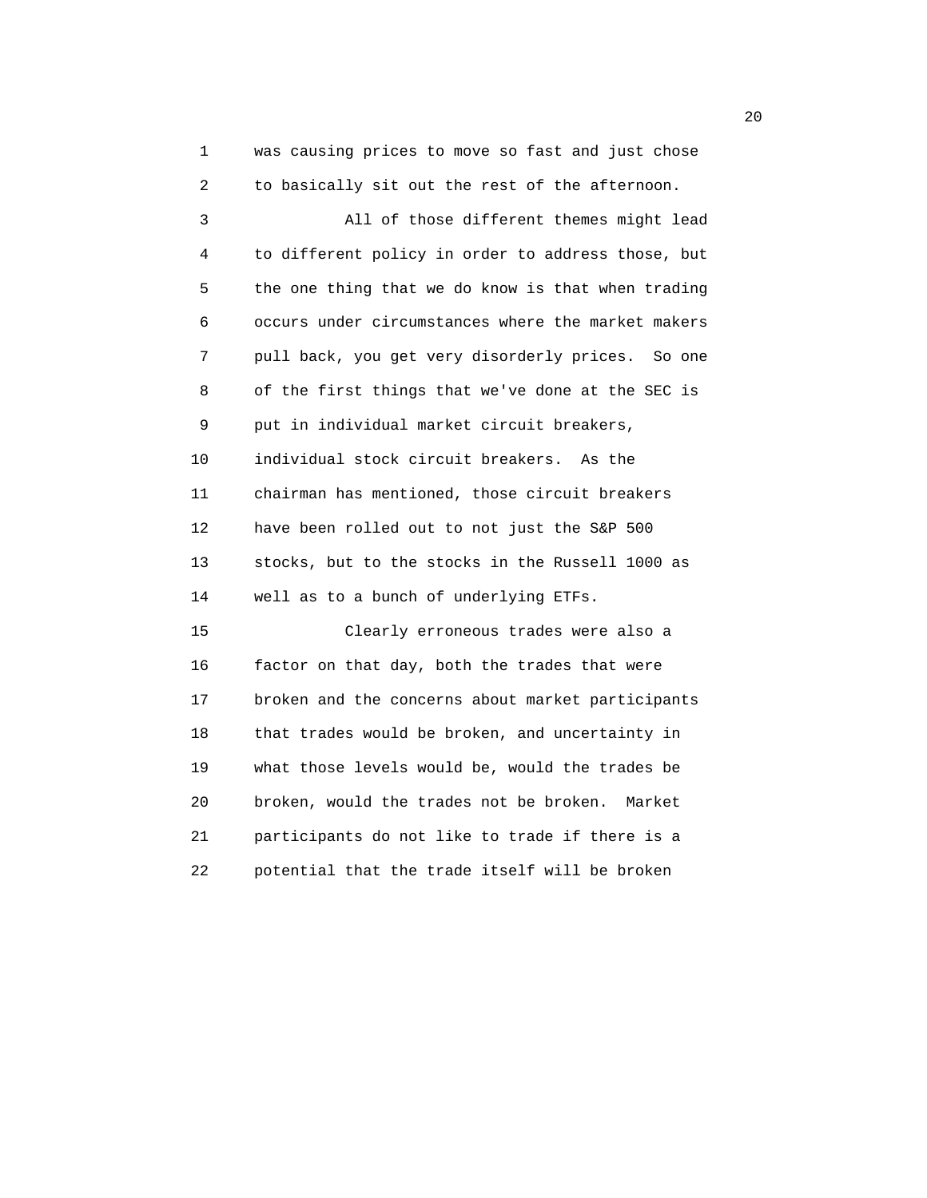1 was causing prices to move so fast and just chose 2 to basically sit out the rest of the afternoon.

 3 All of those different themes might lead 4 to different policy in order to address those, but 5 the one thing that we do know is that when trading 6 occurs under circumstances where the market makers 7 pull back, you get very disorderly prices. So one 8 of the first things that we've done at the SEC is 9 put in individual market circuit breakers, 10 individual stock circuit breakers. As the 11 chairman has mentioned, those circuit breakers 12 have been rolled out to not just the S&P 500 13 stocks, but to the stocks in the Russell 1000 as 14 well as to a bunch of underlying ETFs. 15 Clearly erroneous trades were also a

 16 factor on that day, both the trades that were 17 broken and the concerns about market participants 18 that trades would be broken, and uncertainty in 19 what those levels would be, would the trades be 20 broken, would the trades not be broken. Market 21 participants do not like to trade if there is a 22 potential that the trade itself will be broken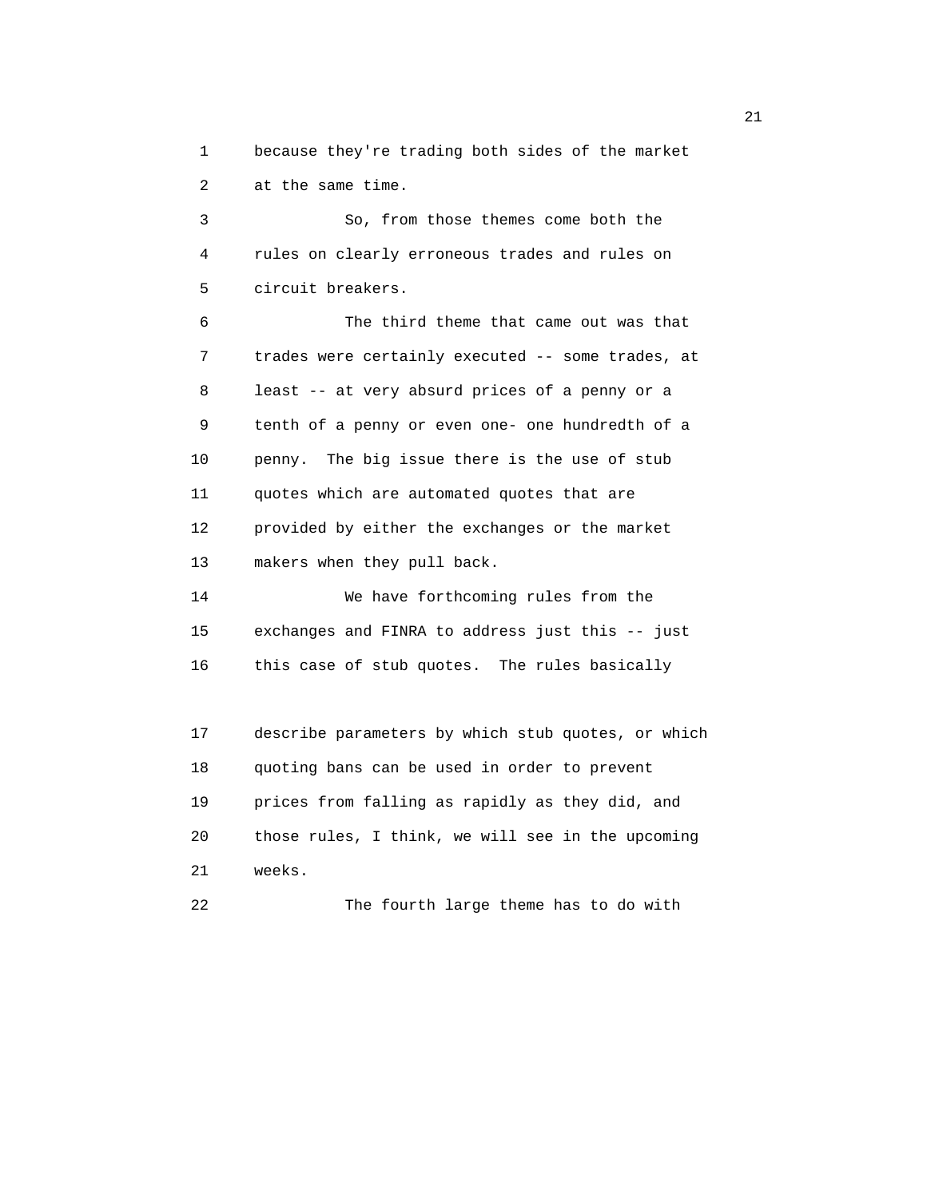1 because they're trading both sides of the market 2 at the same time.

 3 So, from those themes come both the 4 rules on clearly erroneous trades and rules on 5 circuit breakers.

 6 The third theme that came out was that 7 trades were certainly executed -- some trades, at 8 least -- at very absurd prices of a penny or a 9 tenth of a penny or even one- one hundredth of a 10 penny. The big issue there is the use of stub 11 quotes which are automated quotes that are 12 provided by either the exchanges or the market 13 makers when they pull back.

 14 We have forthcoming rules from the 15 exchanges and FINRA to address just this -- just 16 this case of stub quotes. The rules basically

 17 describe parameters by which stub quotes, or which 18 quoting bans can be used in order to prevent 19 prices from falling as rapidly as they did, and 20 those rules, I think, we will see in the upcoming 21 weeks. 22 The fourth large theme has to do with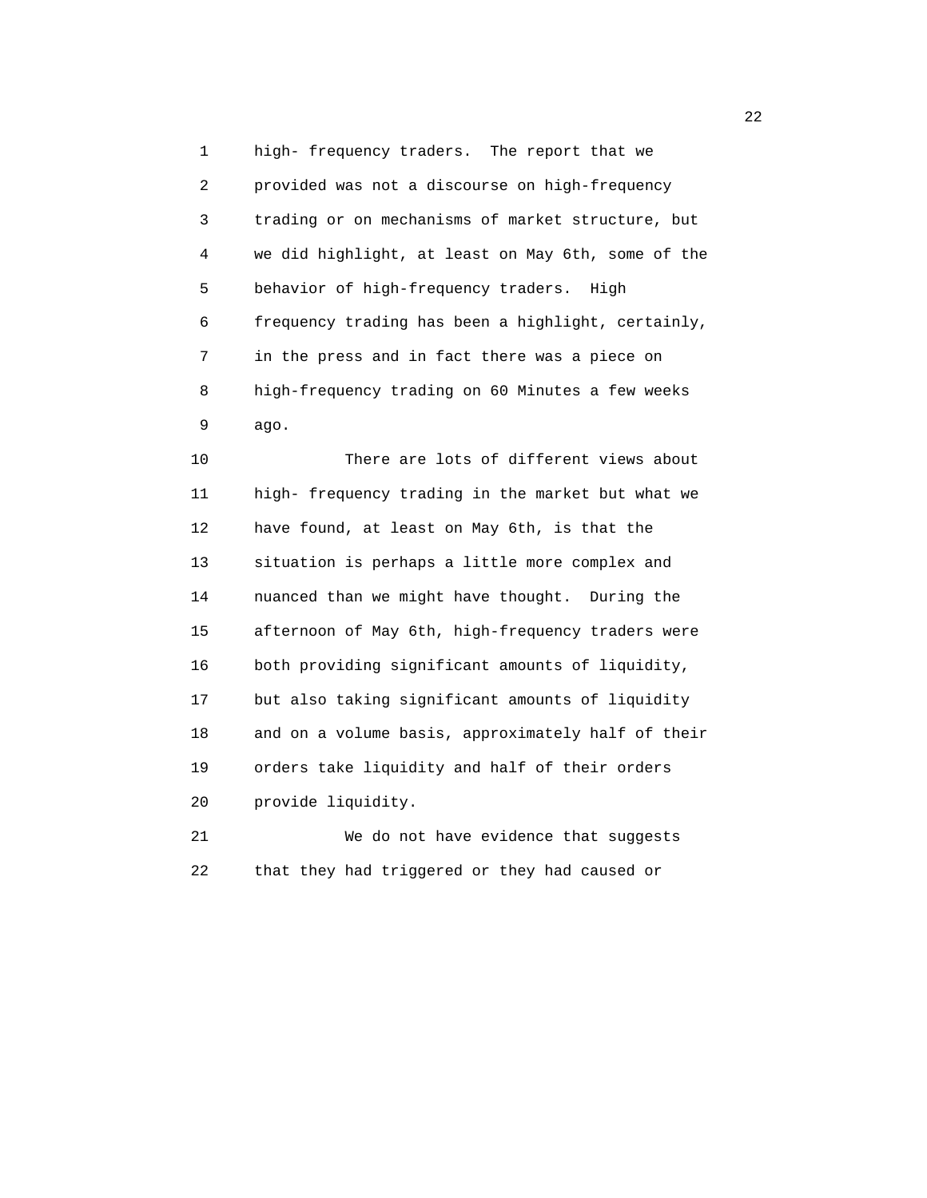1 high- frequency traders. The report that we 2 provided was not a discourse on high-frequency 3 trading or on mechanisms of market structure, but 4 we did highlight, at least on May 6th, some of the 5 behavior of high-frequency traders. High 6 frequency trading has been a highlight, certainly, 7 in the press and in fact there was a piece on 8 high-frequency trading on 60 Minutes a few weeks 9 ago.

 10 There are lots of different views about 11 high- frequency trading in the market but what we 12 have found, at least on May 6th, is that the 13 situation is perhaps a little more complex and 14 nuanced than we might have thought. During the 15 afternoon of May 6th, high-frequency traders were 16 both providing significant amounts of liquidity, 17 but also taking significant amounts of liquidity 18 and on a volume basis, approximately half of their 19 orders take liquidity and half of their orders 20 provide liquidity.

 21 We do not have evidence that suggests 22 that they had triggered or they had caused or

22 and 22 and 23 and 23 and 23 and 23 and 23 and 23 and 23 and 23 and 23 and 23 and 23 and 23 and 23 and 24 and 25 and 25 and 26 and 26 and 26 and 26 and 26 and 26 and 26 and 26 and 26 and 26 and 26 and 26 and 26 and 26 an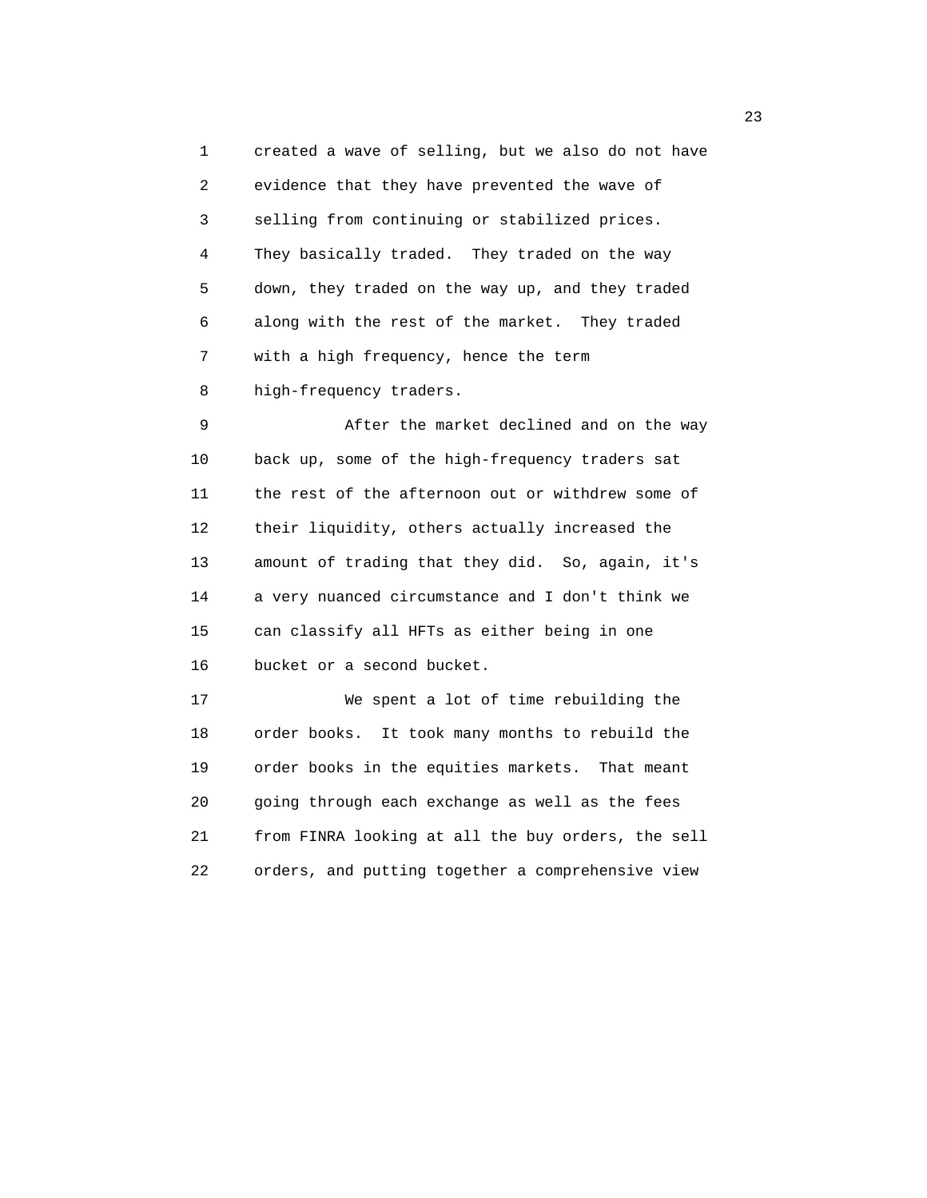1 created a wave of selling, but we also do not have 2 evidence that they have prevented the wave of 3 selling from continuing or stabilized prices. 4 They basically traded. They traded on the way 5 down, they traded on the way up, and they traded 6 along with the rest of the market. They traded 7 with a high frequency, hence the term 8 high-frequency traders.

 9 After the market declined and on the way 10 back up, some of the high-frequency traders sat 11 the rest of the afternoon out or withdrew some of 12 their liquidity, others actually increased the 13 amount of trading that they did. So, again, it's 14 a very nuanced circumstance and I don't think we 15 can classify all HFTs as either being in one 16 bucket or a second bucket.

 17 We spent a lot of time rebuilding the 18 order books. It took many months to rebuild the 19 order books in the equities markets. That meant 20 going through each exchange as well as the fees 21 from FINRA looking at all the buy orders, the sell 22 orders, and putting together a comprehensive view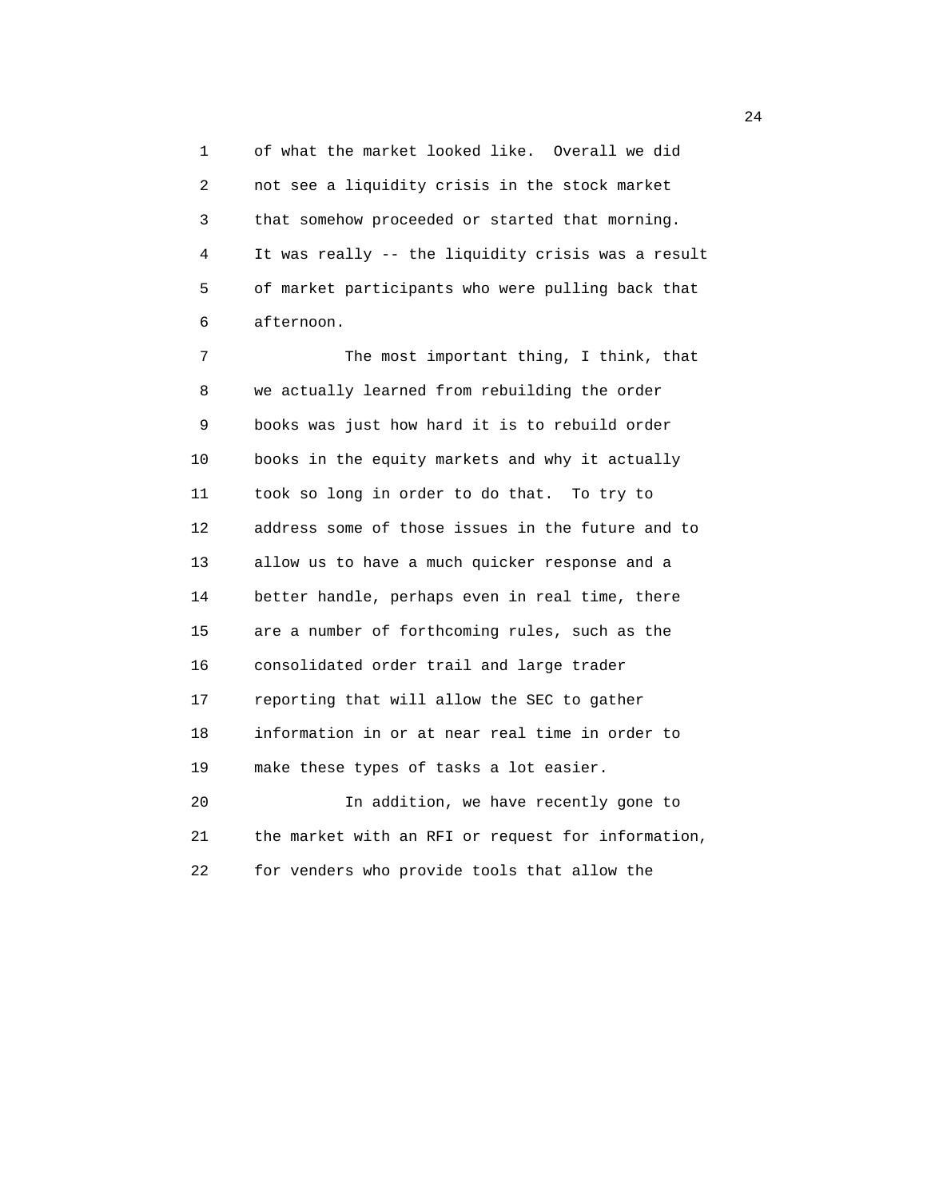1 of what the market looked like. Overall we did 2 not see a liquidity crisis in the stock market 3 that somehow proceeded or started that morning. 4 It was really -- the liquidity crisis was a result 5 of market participants who were pulling back that 6 afternoon.

 7 The most important thing, I think, that 8 we actually learned from rebuilding the order 9 books was just how hard it is to rebuild order 10 books in the equity markets and why it actually 11 took so long in order to do that. To try to 12 address some of those issues in the future and to 13 allow us to have a much quicker response and a 14 better handle, perhaps even in real time, there 15 are a number of forthcoming rules, such as the 16 consolidated order trail and large trader 17 reporting that will allow the SEC to gather 18 information in or at near real time in order to 19 make these types of tasks a lot easier. 20 In addition, we have recently gone to 21 the market with an RFI or request for information, 22 for venders who provide tools that allow the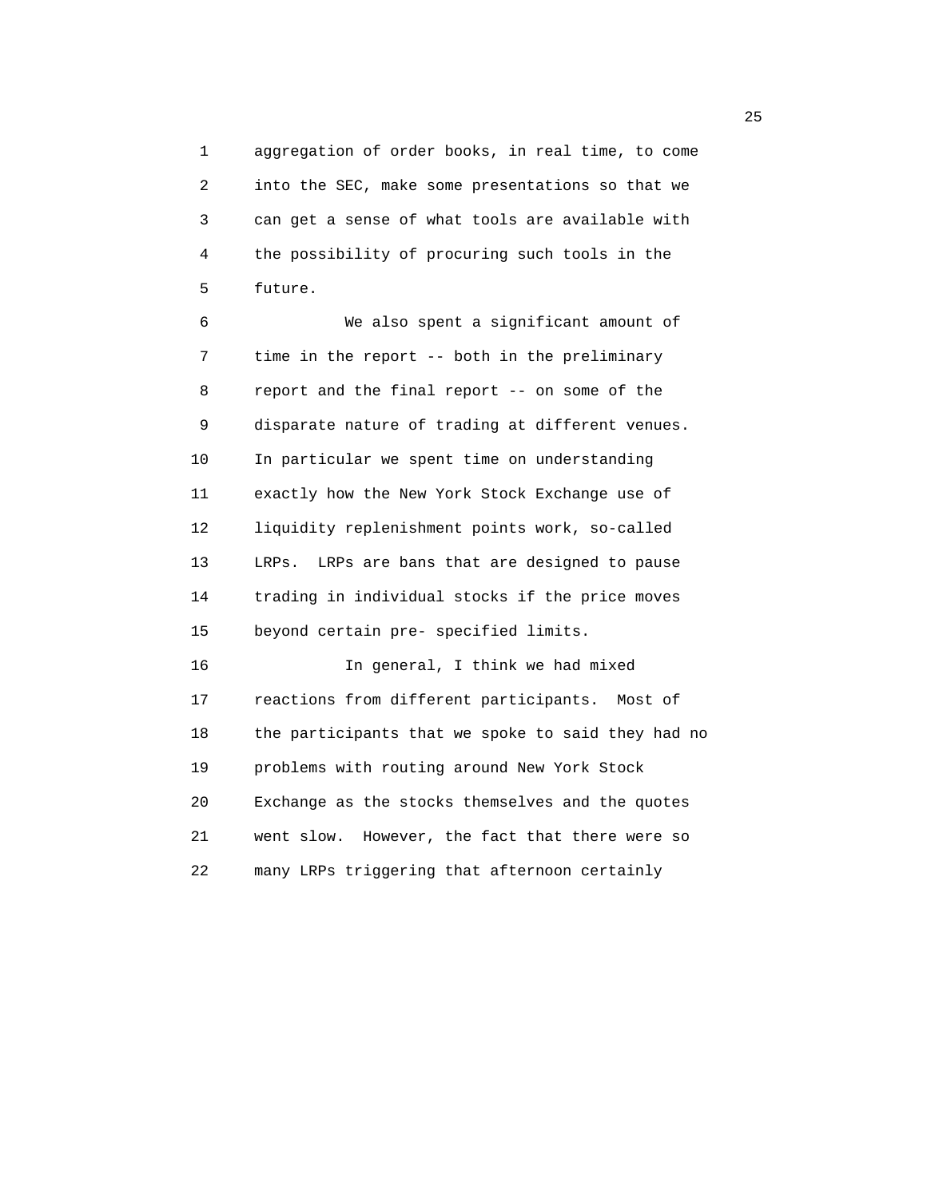1 aggregation of order books, in real time, to come 2 into the SEC, make some presentations so that we 3 can get a sense of what tools are available with 4 the possibility of procuring such tools in the 5 future.

 6 We also spent a significant amount of 7 time in the report -- both in the preliminary 8 report and the final report -- on some of the 9 disparate nature of trading at different venues. 10 In particular we spent time on understanding 11 exactly how the New York Stock Exchange use of 12 liquidity replenishment points work, so-called 13 LRPs. LRPs are bans that are designed to pause 14 trading in individual stocks if the price moves 15 beyond certain pre- specified limits.

 16 In general, I think we had mixed 17 reactions from different participants. Most of 18 the participants that we spoke to said they had no 19 problems with routing around New York Stock 20 Exchange as the stocks themselves and the quotes 21 went slow. However, the fact that there were so 22 many LRPs triggering that afternoon certainly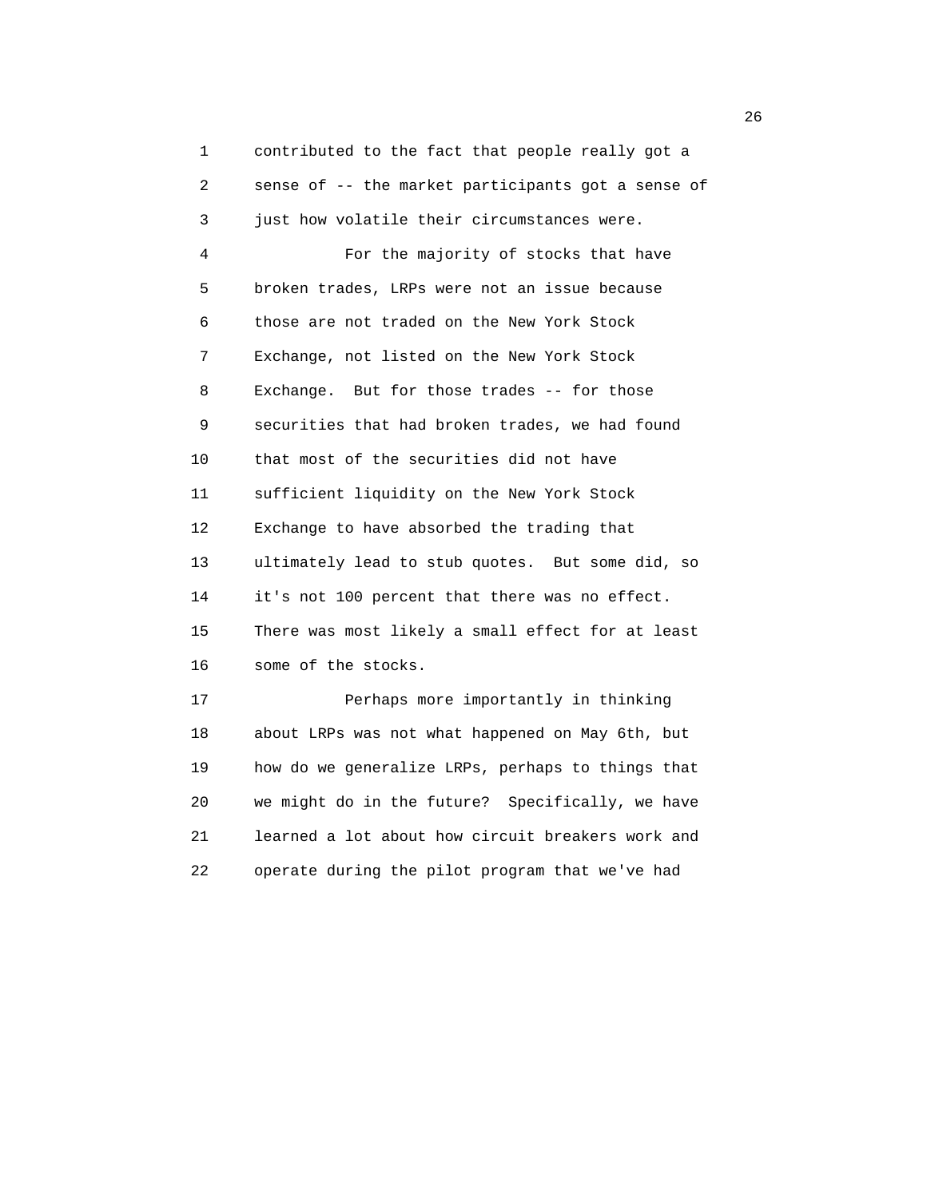1 contributed to the fact that people really got a 2 sense of -- the market participants got a sense of 3 just how volatile their circumstances were. 4 For the majority of stocks that have 5 broken trades, LRPs were not an issue because 6 those are not traded on the New York Stock 7 Exchange, not listed on the New York Stock 8 Exchange. But for those trades -- for those 9 securities that had broken trades, we had found 10 that most of the securities did not have 11 sufficient liquidity on the New York Stock 12 Exchange to have absorbed the trading that 13 ultimately lead to stub quotes. But some did, so 14 it's not 100 percent that there was no effect. 15 There was most likely a small effect for at least 16 some of the stocks. 17 Perhaps more importantly in thinking 18 about LRPs was not what happened on May 6th, but 19 how do we generalize LRPs, perhaps to things that 20 we might do in the future? Specifically, we have 21 learned a lot about how circuit breakers work and

22 operate during the pilot program that we've had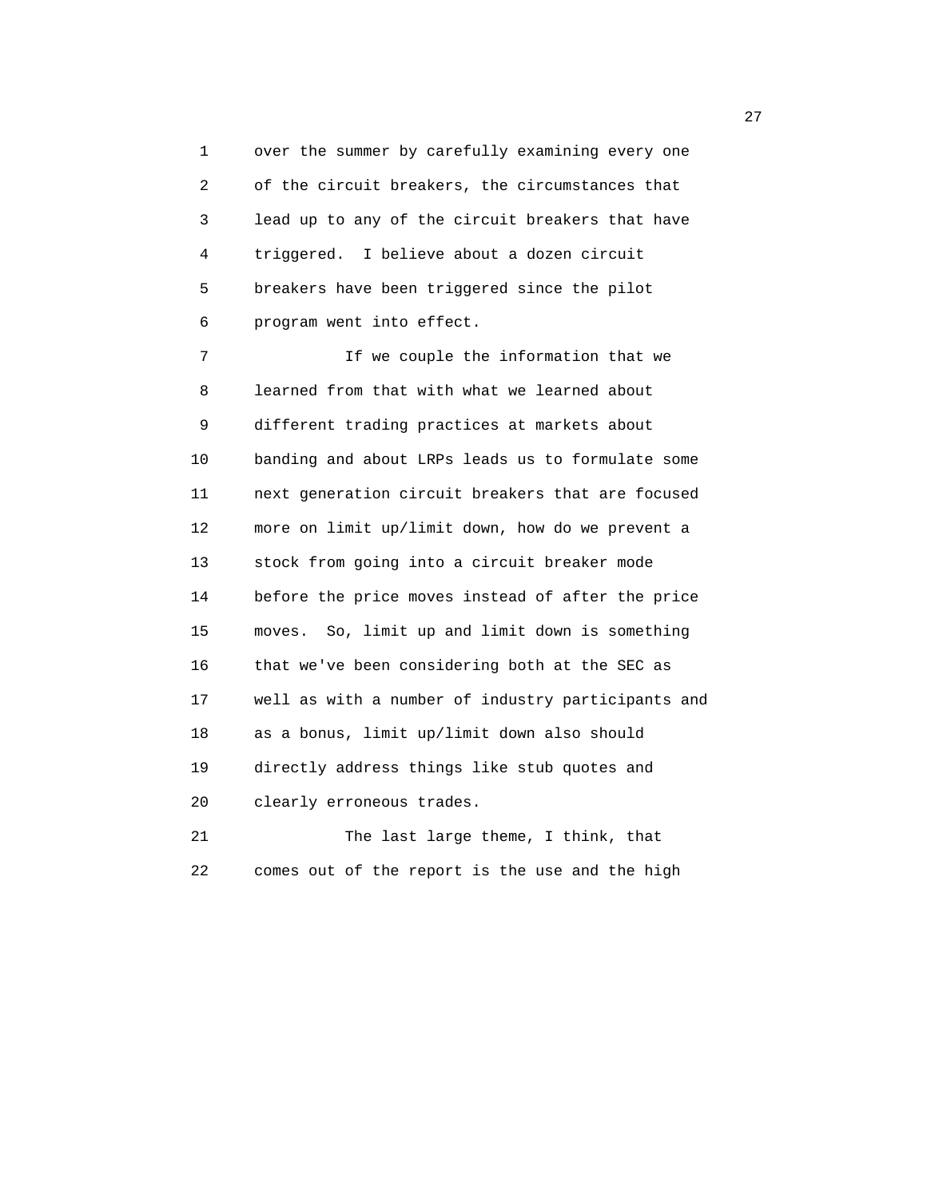1 over the summer by carefully examining every one 2 of the circuit breakers, the circumstances that 3 lead up to any of the circuit breakers that have 4 triggered. I believe about a dozen circuit 5 breakers have been triggered since the pilot 6 program went into effect.

 7 If we couple the information that we 8 learned from that with what we learned about 9 different trading practices at markets about 10 banding and about LRPs leads us to formulate some 11 next generation circuit breakers that are focused 12 more on limit up/limit down, how do we prevent a 13 stock from going into a circuit breaker mode 14 before the price moves instead of after the price 15 moves. So, limit up and limit down is something 16 that we've been considering both at the SEC as 17 well as with a number of industry participants and 18 as a bonus, limit up/limit down also should 19 directly address things like stub quotes and 20 clearly erroneous trades.

 21 The last large theme, I think, that 22 comes out of the report is the use and the high

27 and 27 and 27 and 27 and 27 and 27 and 27 and 27 and 27 and 27 and 27 and 27 and 27 and 27 and 27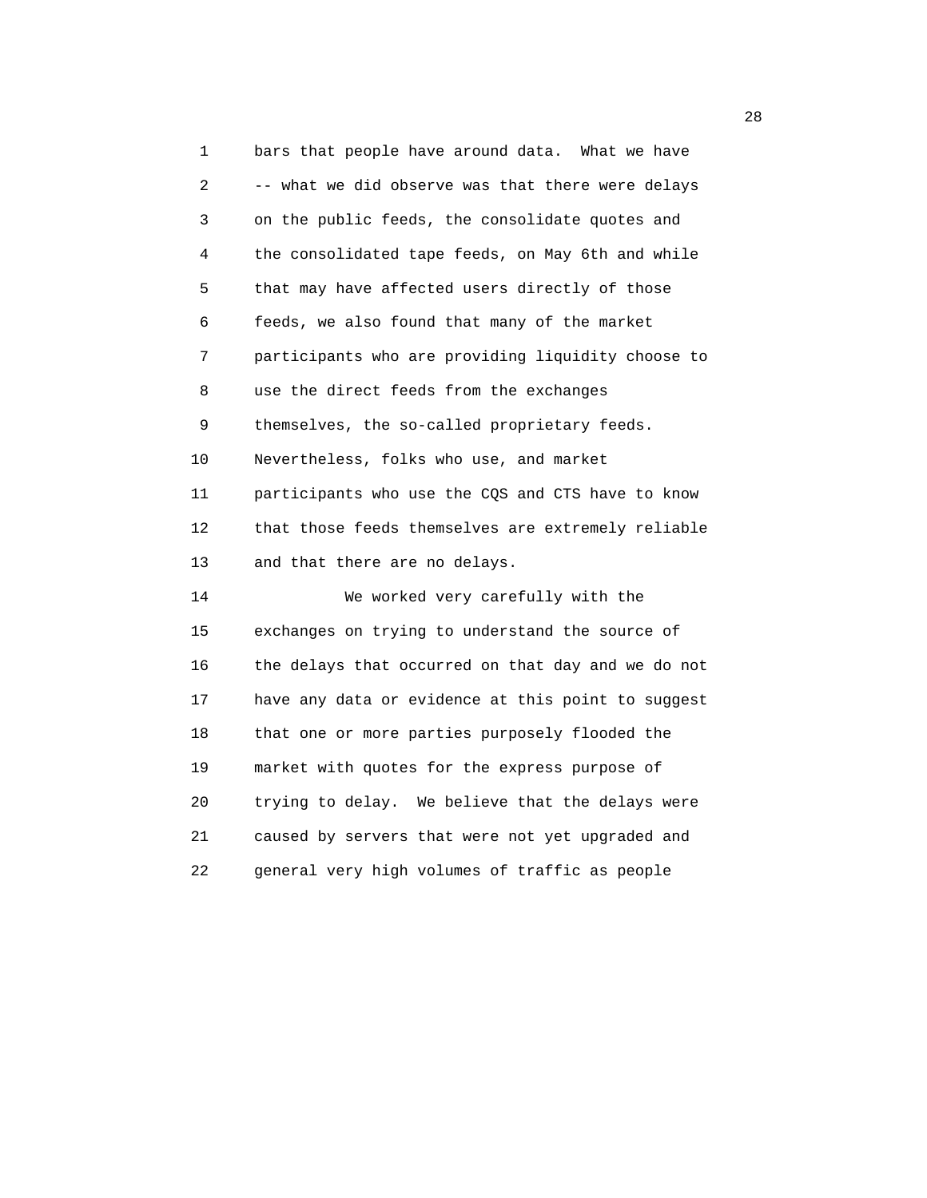1 bars that people have around data. What we have 2 -- what we did observe was that there were delays 3 on the public feeds, the consolidate quotes and 4 the consolidated tape feeds, on May 6th and while 5 that may have affected users directly of those 6 feeds, we also found that many of the market 7 participants who are providing liquidity choose to 8 use the direct feeds from the exchanges 9 themselves, the so-called proprietary feeds. 10 Nevertheless, folks who use, and market 11 participants who use the CQS and CTS have to know 12 that those feeds themselves are extremely reliable 13 and that there are no delays. 14 We worked very carefully with the 15 exchanges on trying to understand the source of 16 the delays that occurred on that day and we do not 17 have any data or evidence at this point to suggest 18 that one or more parties purposely flooded the 19 market with quotes for the express purpose of 20 trying to delay. We believe that the delays were 21 caused by servers that were not yet upgraded and 22 general very high volumes of traffic as people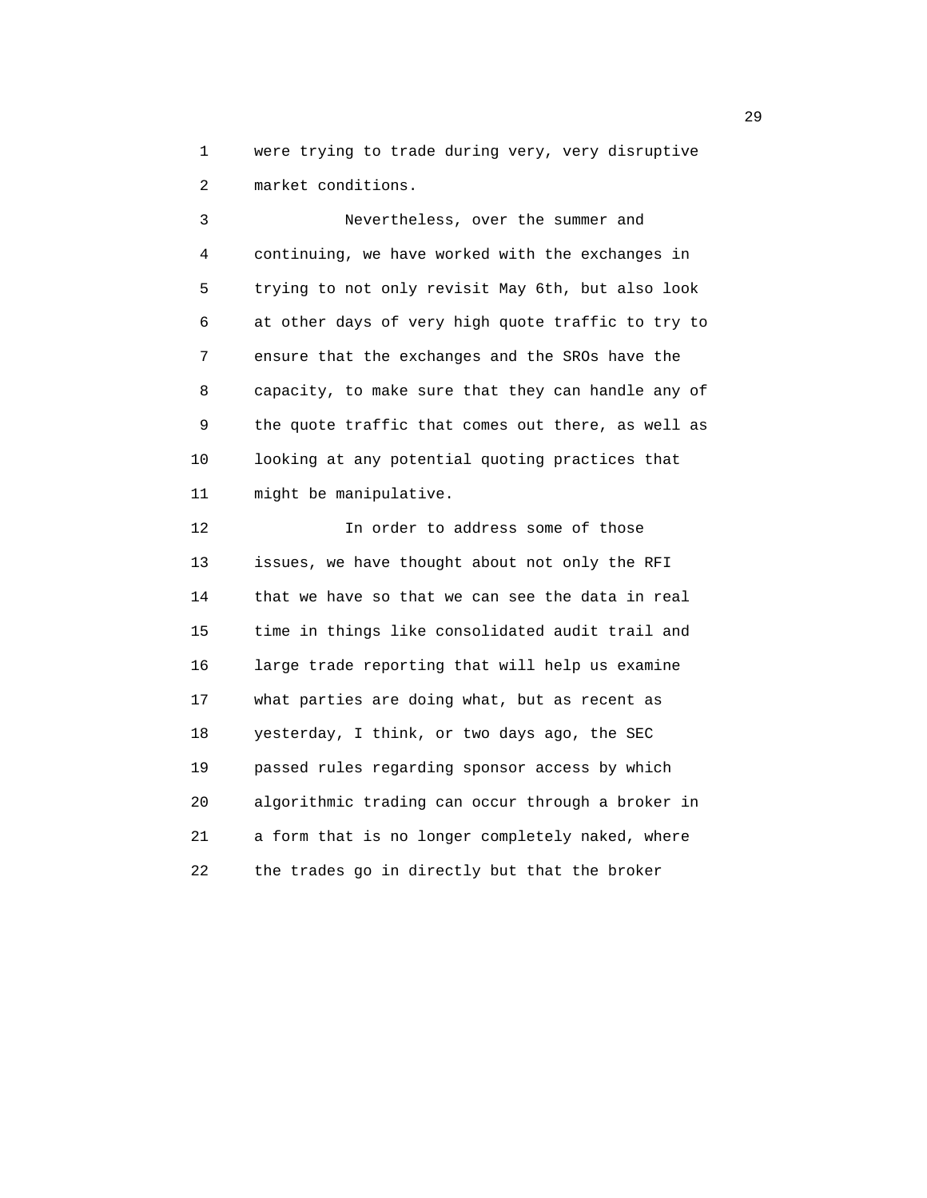1 were trying to trade during very, very disruptive 2 market conditions.

 3 Nevertheless, over the summer and 4 continuing, we have worked with the exchanges in 5 trying to not only revisit May 6th, but also look 6 at other days of very high quote traffic to try to 7 ensure that the exchanges and the SROs have the 8 capacity, to make sure that they can handle any of 9 the quote traffic that comes out there, as well as 10 looking at any potential quoting practices that 11 might be manipulative.

12 **In order to address some of those**  13 issues, we have thought about not only the RFI 14 that we have so that we can see the data in real 15 time in things like consolidated audit trail and 16 large trade reporting that will help us examine 17 what parties are doing what, but as recent as 18 yesterday, I think, or two days ago, the SEC 19 passed rules regarding sponsor access by which 20 algorithmic trading can occur through a broker in 21 a form that is no longer completely naked, where 22 the trades go in directly but that the broker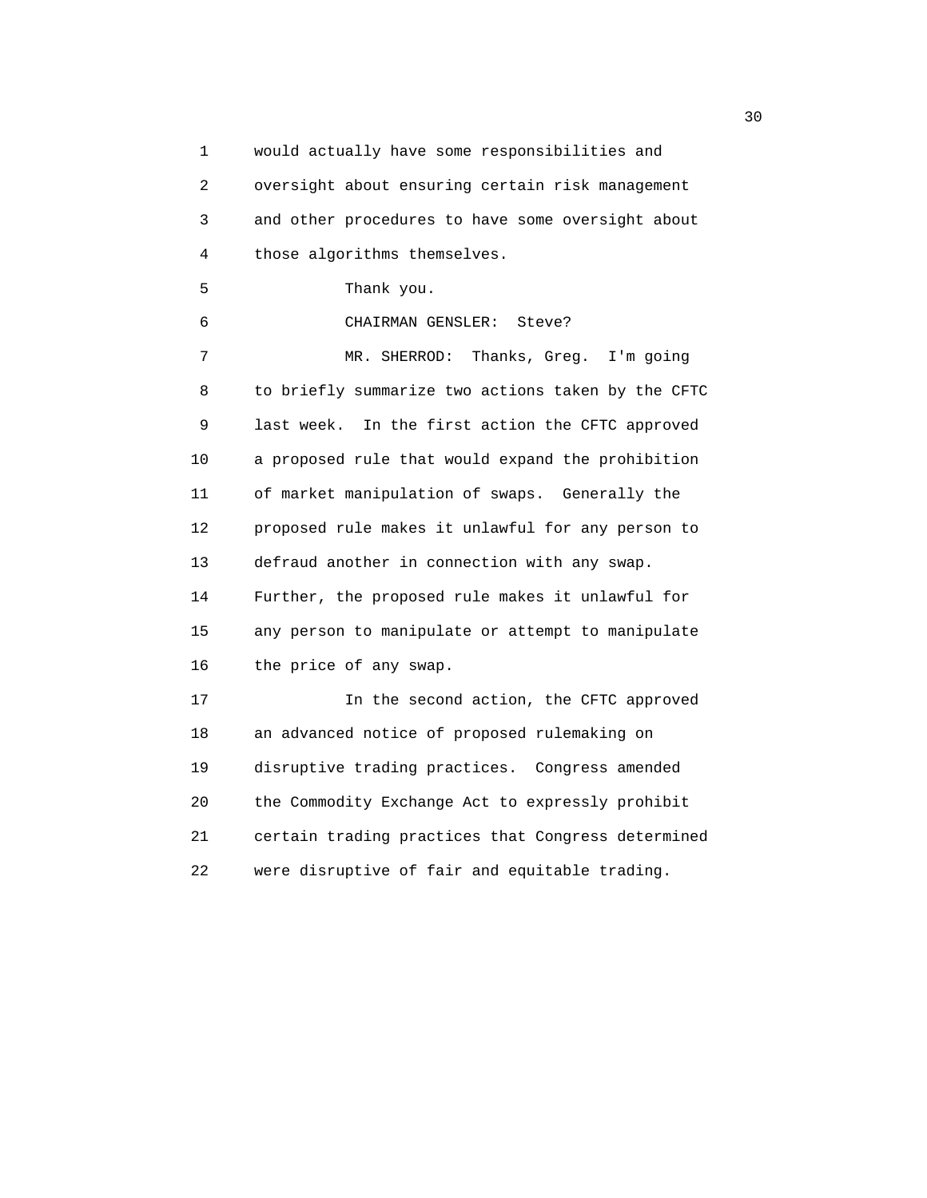1 would actually have some responsibilities and 2 oversight about ensuring certain risk management 3 and other procedures to have some oversight about 4 those algorithms themselves. 5 Thank you. 6 CHAIRMAN GENSLER: Steve? 7 MR. SHERROD: Thanks, Greg. I'm going 8 to briefly summarize two actions taken by the CFTC 9 last week. In the first action the CFTC approved 10 a proposed rule that would expand the prohibition 11 of market manipulation of swaps. Generally the 12 proposed rule makes it unlawful for any person to 13 defraud another in connection with any swap. 14 Further, the proposed rule makes it unlawful for 15 any person to manipulate or attempt to manipulate 16 the price of any swap. 17 In the second action, the CFTC approved 18 an advanced notice of proposed rulemaking on 19 disruptive trading practices. Congress amended 20 the Commodity Exchange Act to expressly prohibit 21 certain trading practices that Congress determined 22 were disruptive of fair and equitable trading.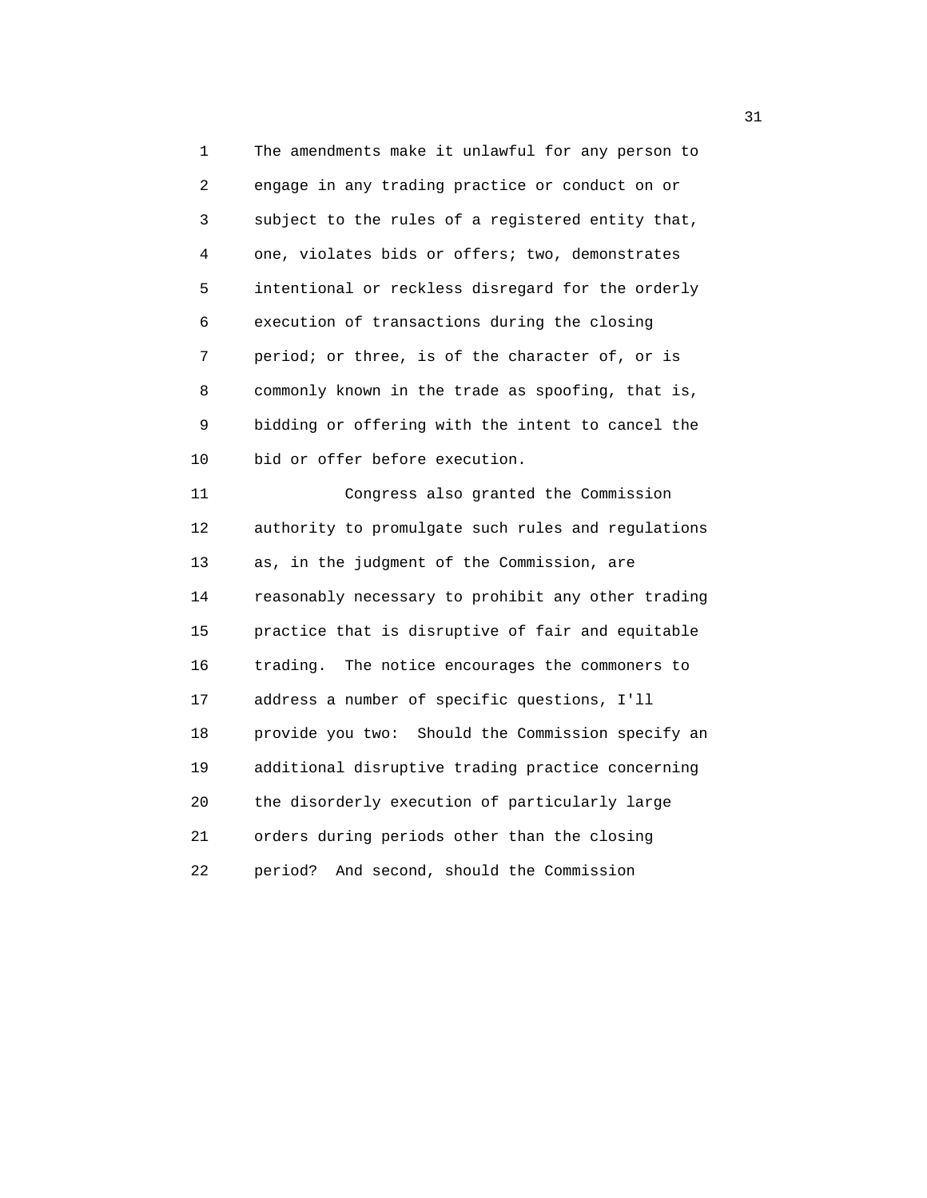1 The amendments make it unlawful for any person to 2 engage in any trading practice or conduct on or 3 subject to the rules of a registered entity that, 4 one, violates bids or offers; two, demonstrates 5 intentional or reckless disregard for the orderly 6 execution of transactions during the closing 7 period; or three, is of the character of, or is 8 commonly known in the trade as spoofing, that is, 9 bidding or offering with the intent to cancel the 10 bid or offer before execution.

 11 Congress also granted the Commission 12 authority to promulgate such rules and regulations 13 as, in the judgment of the Commission, are 14 reasonably necessary to prohibit any other trading 15 practice that is disruptive of fair and equitable 16 trading. The notice encourages the commoners to 17 address a number of specific questions, I'll 18 provide you two: Should the Commission specify an 19 additional disruptive trading practice concerning 20 the disorderly execution of particularly large 21 orders during periods other than the closing 22 period? And second, should the Commission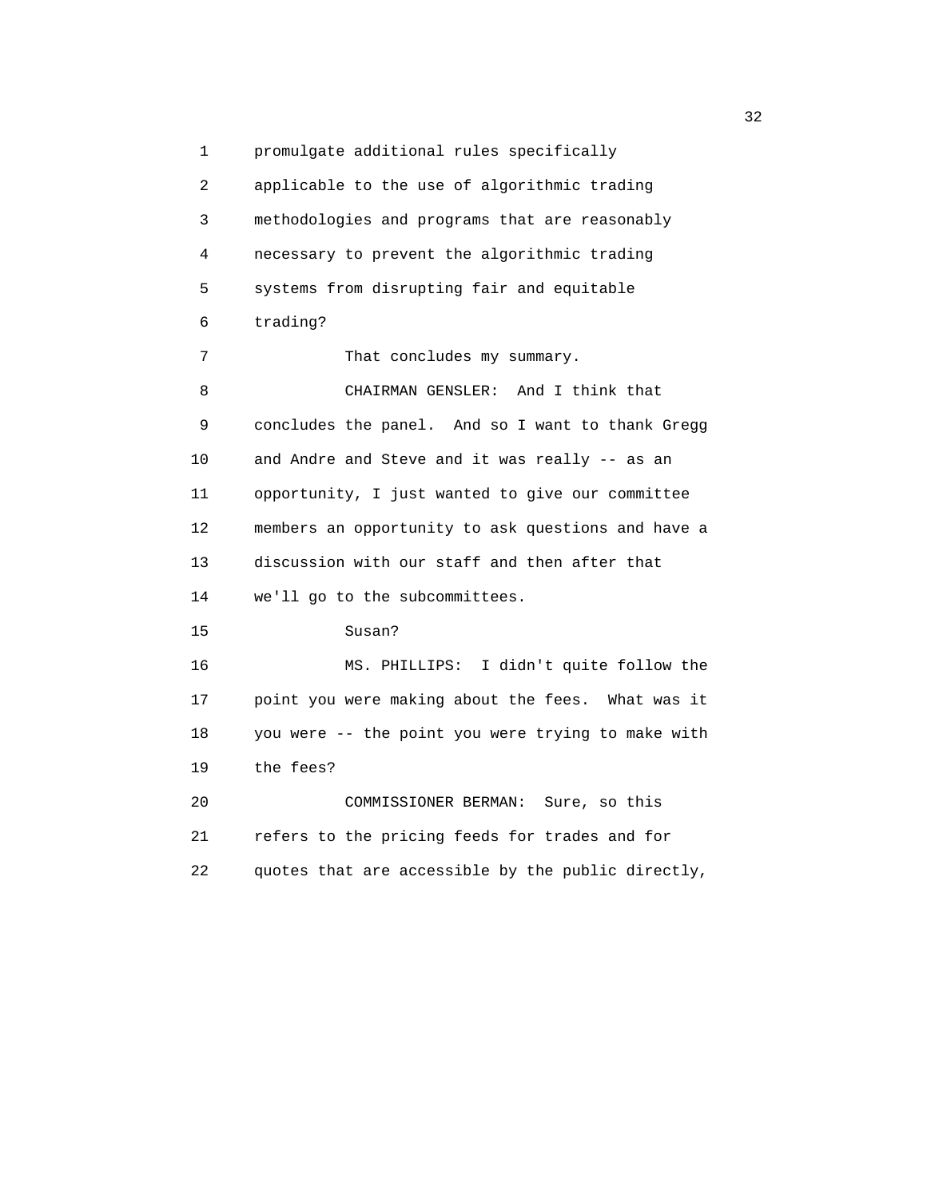1 promulgate additional rules specifically 2 applicable to the use of algorithmic trading 3 methodologies and programs that are reasonably 4 necessary to prevent the algorithmic trading 5 systems from disrupting fair and equitable 6 trading? 7 That concludes my summary. 8 CHAIRMAN GENSLER: And I think that 9 concludes the panel. And so I want to thank Gregg 10 and Andre and Steve and it was really -- as an 11 opportunity, I just wanted to give our committee 12 members an opportunity to ask questions and have a 13 discussion with our staff and then after that 14 we'll go to the subcommittees. 15 Susan? 16 MS. PHILLIPS: I didn't quite follow the 17 point you were making about the fees. What was it 18 you were -- the point you were trying to make with 19 the fees? 20 COMMISSIONER BERMAN: Sure, so this 21 refers to the pricing feeds for trades and for 22 quotes that are accessible by the public directly,

 $\frac{32}{2}$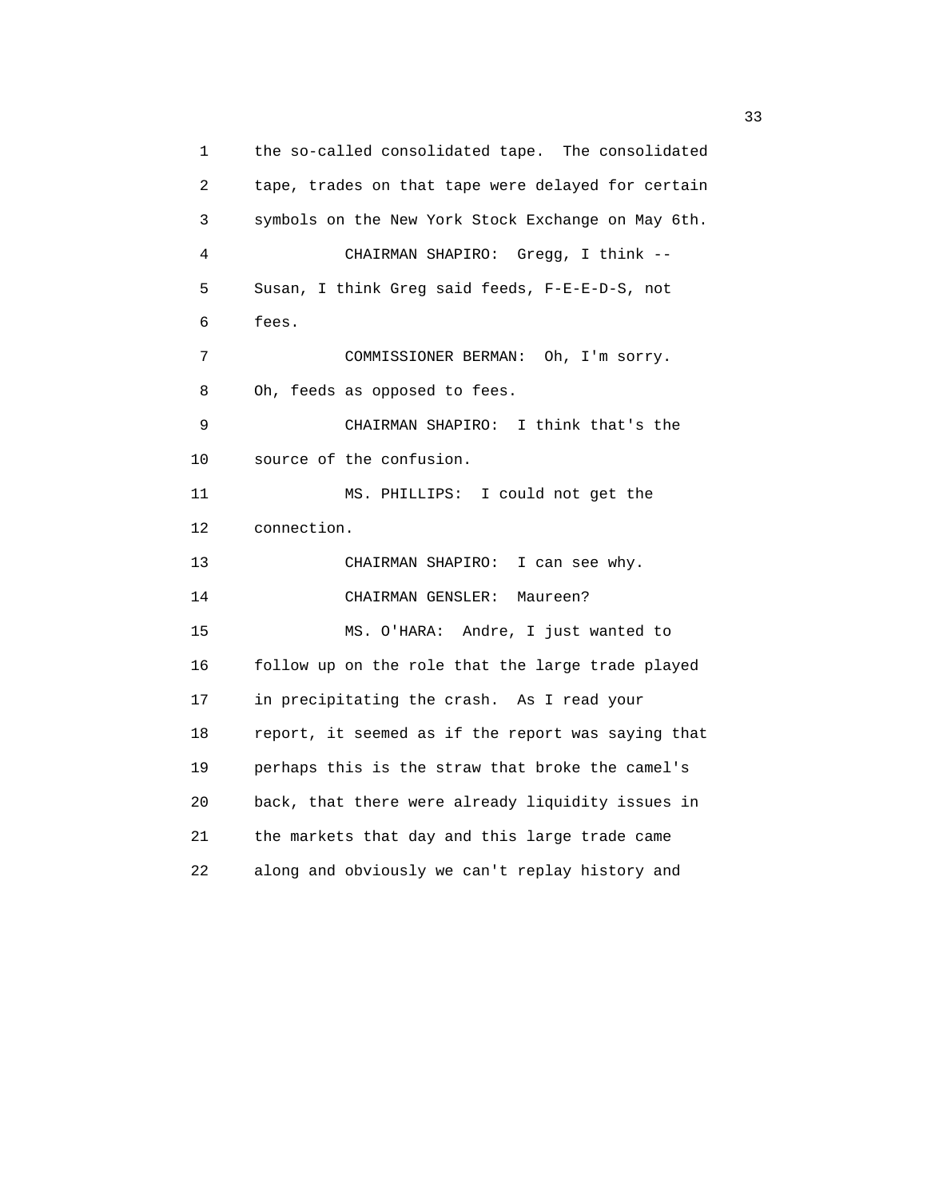1 the so-called consolidated tape. The consolidated 2 tape, trades on that tape were delayed for certain 3 symbols on the New York Stock Exchange on May 6th. 4 CHAIRMAN SHAPIRO: Gregg, I think -- 5 Susan, I think Greg said feeds, F-E-E-D-S, not 6 fees. 7 COMMISSIONER BERMAN: Oh, I'm sorry. 8 Oh, feeds as opposed to fees. 9 CHAIRMAN SHAPIRO: I think that's the 10 source of the confusion. 11 MS. PHILLIPS: I could not get the 12 connection. 13 CHAIRMAN SHAPIRO: I can see why. 14 CHAIRMAN GENSLER: Maureen? 15 MS. O'HARA: Andre, I just wanted to 16 follow up on the role that the large trade played 17 in precipitating the crash. As I read your 18 report, it seemed as if the report was saying that 19 perhaps this is the straw that broke the camel's 20 back, that there were already liquidity issues in 21 the markets that day and this large trade came 22 along and obviously we can't replay history and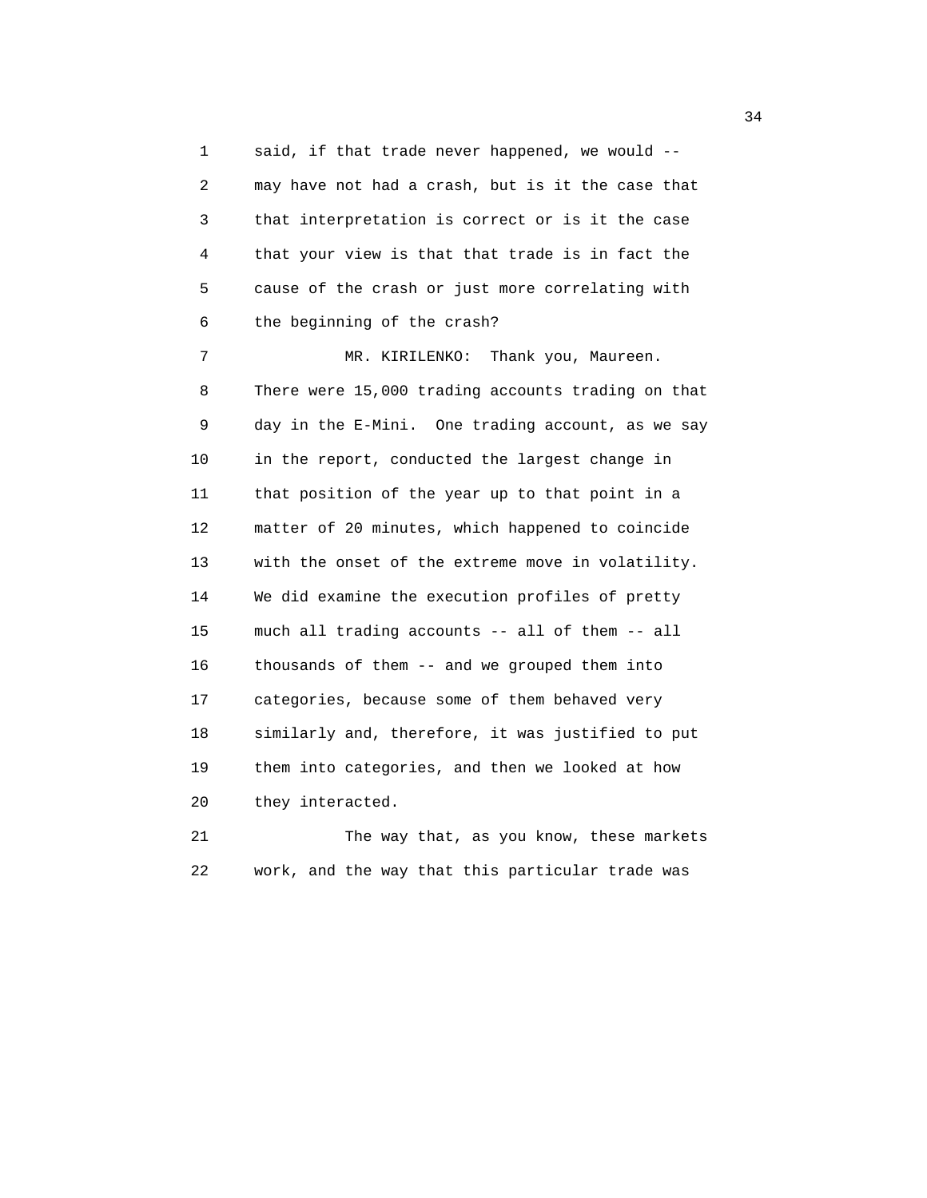1 said, if that trade never happened, we would -- 2 may have not had a crash, but is it the case that 3 that interpretation is correct or is it the case 4 that your view is that that trade is in fact the 5 cause of the crash or just more correlating with 6 the beginning of the crash? 7 MR. KIRILENKO: Thank you, Maureen.

 8 There were 15,000 trading accounts trading on that 9 day in the E-Mini. One trading account, as we say 10 in the report, conducted the largest change in 11 that position of the year up to that point in a 12 matter of 20 minutes, which happened to coincide 13 with the onset of the extreme move in volatility. 14 We did examine the execution profiles of pretty 15 much all trading accounts -- all of them -- all 16 thousands of them -- and we grouped them into 17 categories, because some of them behaved very 18 similarly and, therefore, it was justified to put 19 them into categories, and then we looked at how 20 they interacted.

21 The way that, as you know, these markets 22 work, and the way that this particular trade was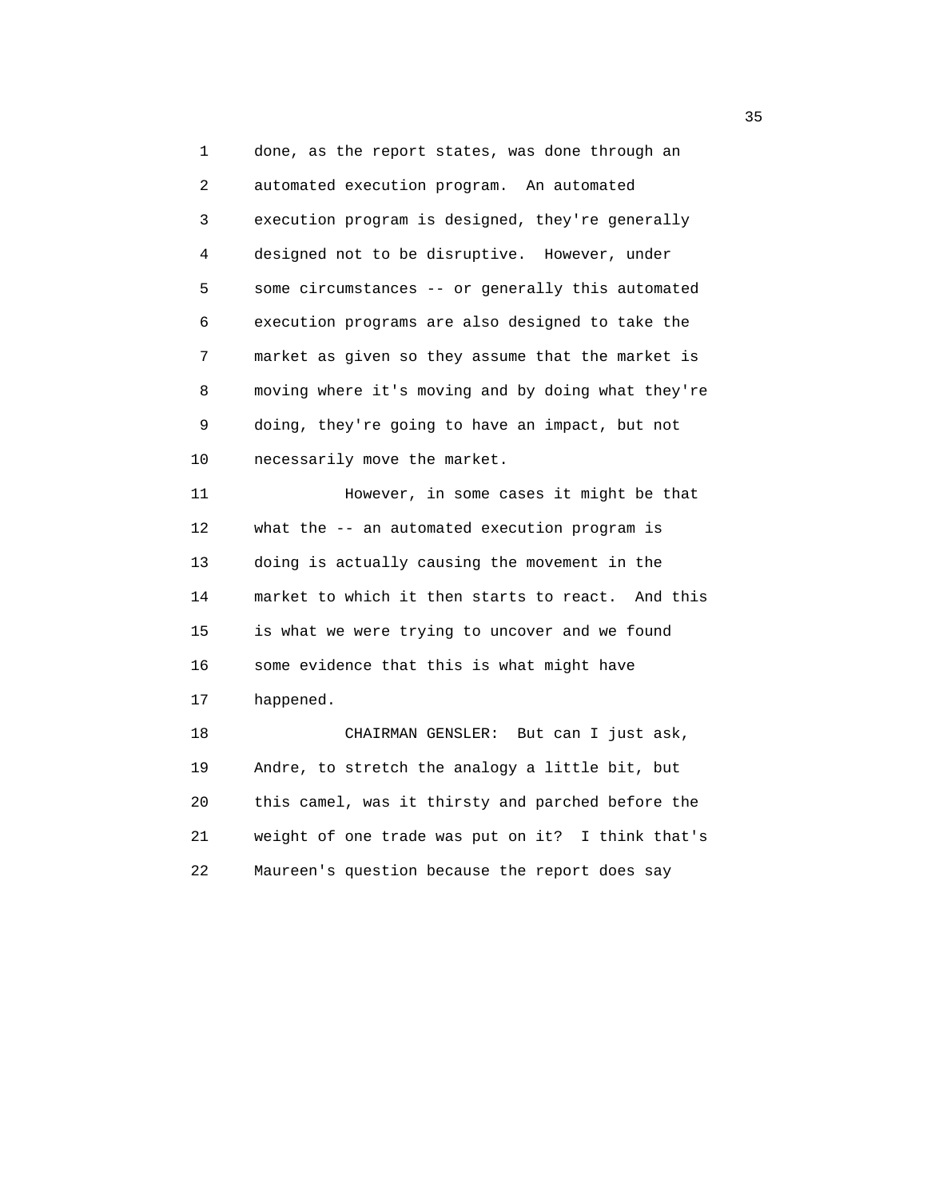1 done, as the report states, was done through an 2 automated execution program. An automated 3 execution program is designed, they're generally 4 designed not to be disruptive. However, under 5 some circumstances -- or generally this automated 6 execution programs are also designed to take the 7 market as given so they assume that the market is 8 moving where it's moving and by doing what they're 9 doing, they're going to have an impact, but not 10 necessarily move the market. 11 However, in some cases it might be that 12 what the -- an automated execution program is 13 doing is actually causing the movement in the 14 market to which it then starts to react. And this 15 is what we were trying to uncover and we found 16 some evidence that this is what might have 17 happened. 18 CHAIRMAN GENSLER: But can I just ask, 19 Andre, to stretch the analogy a little bit, but 20 this camel, was it thirsty and parched before the 21 weight of one trade was put on it? I think that's

22 Maureen's question because the report does say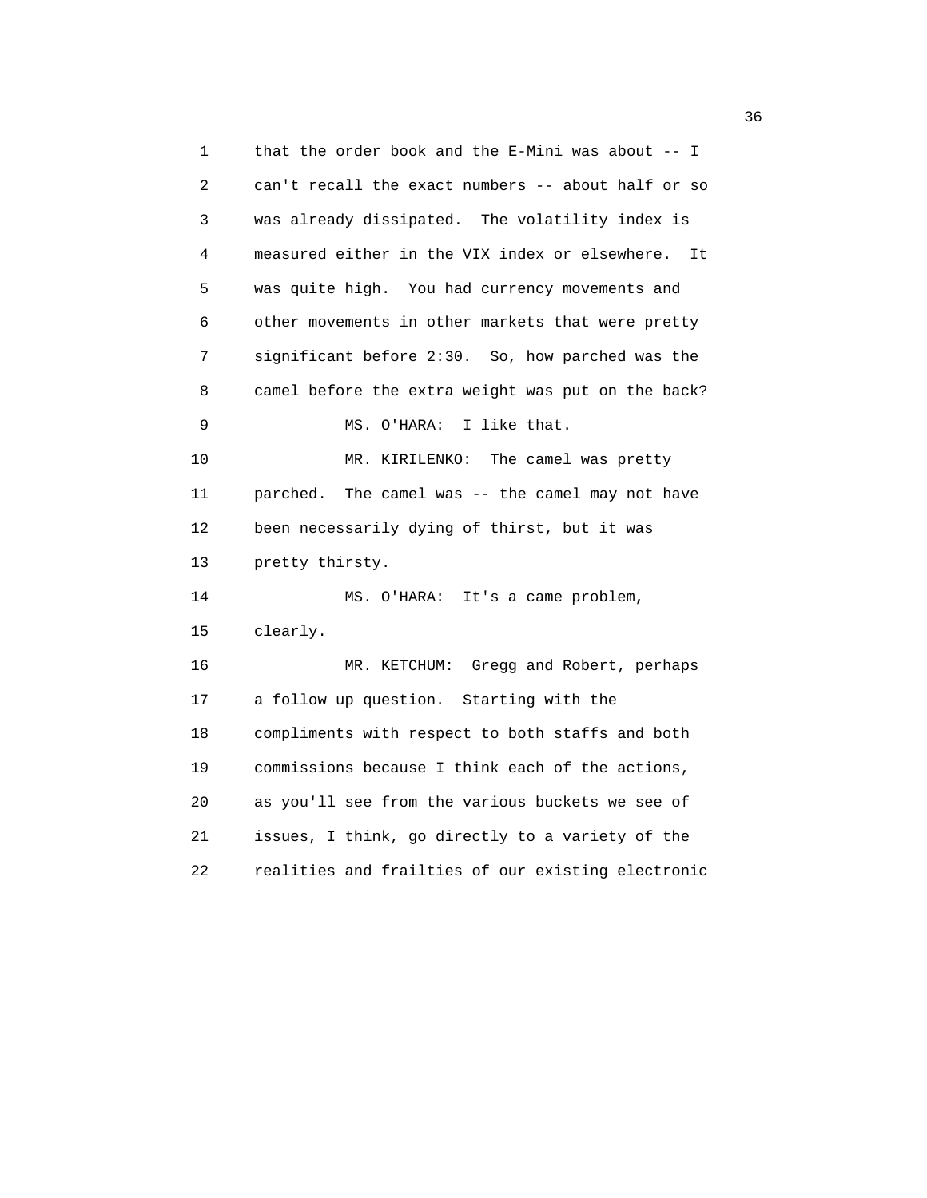1 that the order book and the E-Mini was about -- I 2 can't recall the exact numbers -- about half or so 3 was already dissipated. The volatility index is 4 measured either in the VIX index or elsewhere. It 5 was quite high. You had currency movements and 6 other movements in other markets that were pretty 7 significant before 2:30. So, how parched was the 8 camel before the extra weight was put on the back? 9 MS. O'HARA: I like that. 10 MR. KIRILENKO: The camel was pretty 11 parched. The camel was -- the camel may not have 12 been necessarily dying of thirst, but it was 13 pretty thirsty. 14 MS. O'HARA: It's a came problem, 15 clearly. 16 MR. KETCHUM: Gregg and Robert, perhaps 17 a follow up question. Starting with the 18 compliments with respect to both staffs and both 19 commissions because I think each of the actions, 20 as you'll see from the various buckets we see of 21 issues, I think, go directly to a variety of the 22 realities and frailties of our existing electronic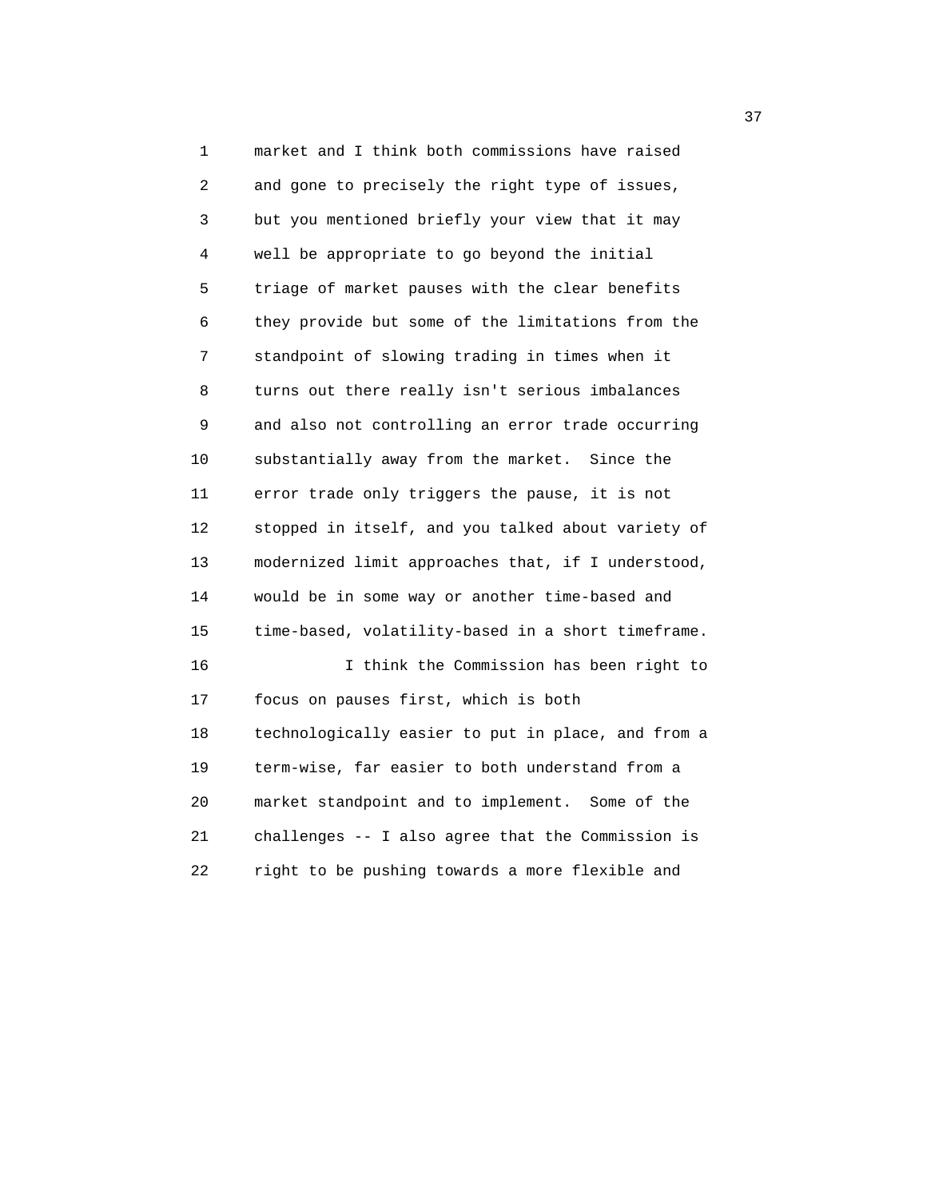1 market and I think both commissions have raised 2 and gone to precisely the right type of issues, 3 but you mentioned briefly your view that it may 4 well be appropriate to go beyond the initial 5 triage of market pauses with the clear benefits 6 they provide but some of the limitations from the 7 standpoint of slowing trading in times when it 8 turns out there really isn't serious imbalances 9 and also not controlling an error trade occurring 10 substantially away from the market. Since the 11 error trade only triggers the pause, it is not 12 stopped in itself, and you talked about variety of 13 modernized limit approaches that, if I understood, 14 would be in some way or another time-based and 15 time-based, volatility-based in a short timeframe. 16 I think the Commission has been right to 17 focus on pauses first, which is both 18 technologically easier to put in place, and from a 19 term-wise, far easier to both understand from a 20 market standpoint and to implement. Some of the 21 challenges -- I also agree that the Commission is 22 right to be pushing towards a more flexible and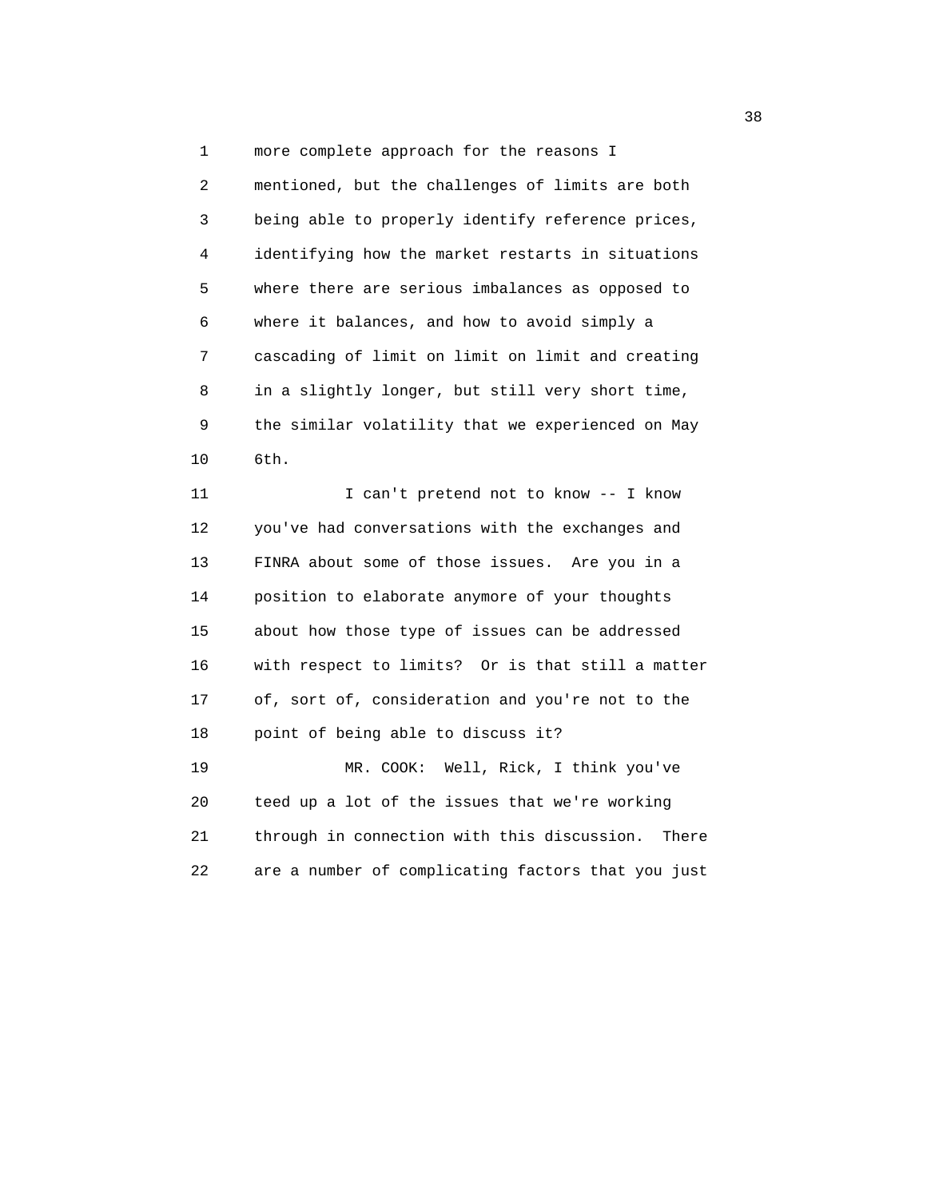1 more complete approach for the reasons I 2 mentioned, but the challenges of limits are both 3 being able to properly identify reference prices, 4 identifying how the market restarts in situations 5 where there are serious imbalances as opposed to 6 where it balances, and how to avoid simply a 7 cascading of limit on limit on limit and creating 8 in a slightly longer, but still very short time, 9 the similar volatility that we experienced on May 10 6th.

11 I can't pretend not to know -- I know 12 you've had conversations with the exchanges and 13 FINRA about some of those issues. Are you in a 14 position to elaborate anymore of your thoughts 15 about how those type of issues can be addressed 16 with respect to limits? Or is that still a matter 17 of, sort of, consideration and you're not to the 18 point of being able to discuss it? 19 MR. COOK: Well, Rick, I think you've 20 teed up a lot of the issues that we're working 21 through in connection with this discussion. There

22 are a number of complicating factors that you just

 $38<sup>3</sup>$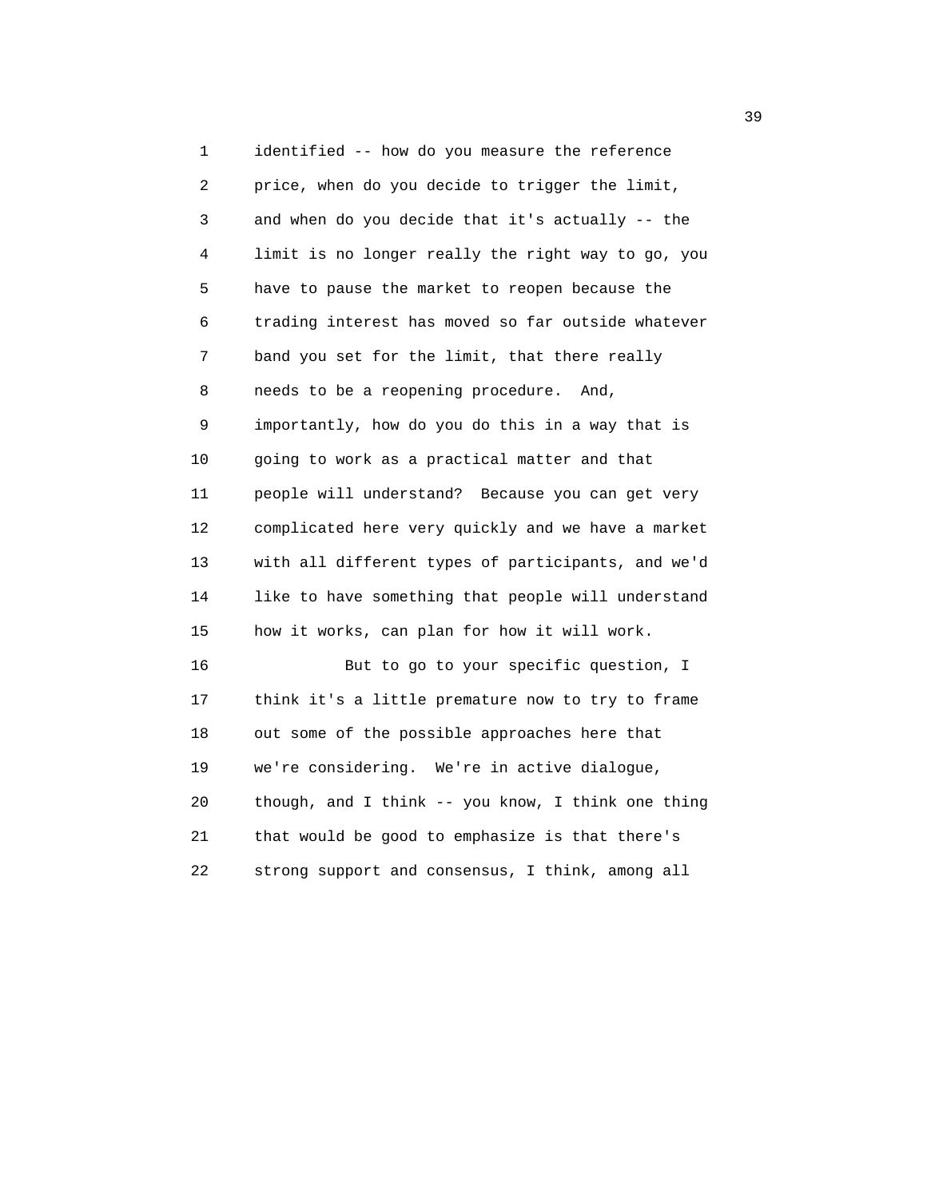1 identified -- how do you measure the reference 2 price, when do you decide to trigger the limit, 3 and when do you decide that it's actually -- the 4 limit is no longer really the right way to go, you 5 have to pause the market to reopen because the 6 trading interest has moved so far outside whatever 7 band you set for the limit, that there really 8 needs to be a reopening procedure. And, 9 importantly, how do you do this in a way that is 10 going to work as a practical matter and that 11 people will understand? Because you can get very 12 complicated here very quickly and we have a market 13 with all different types of participants, and we'd 14 like to have something that people will understand 15 how it works, can plan for how it will work. 16 But to go to your specific question, I 17 think it's a little premature now to try to frame 18 out some of the possible approaches here that 19 we're considering. We're in active dialogue, 20 though, and I think -- you know, I think one thing

 21 that would be good to emphasize is that there's 22 strong support and consensus, I think, among all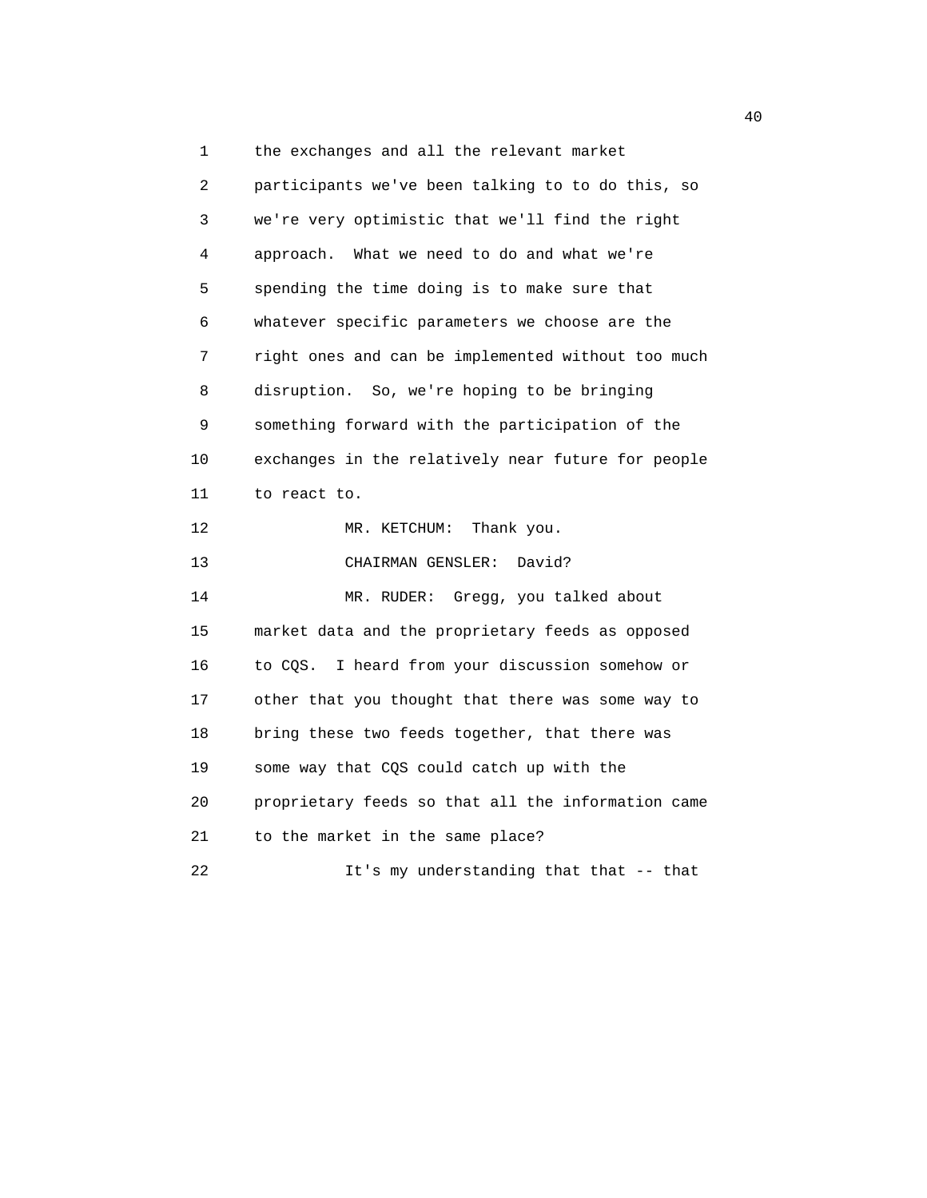1 the exchanges and all the relevant market 2 participants we've been talking to to do this, so 3 we're very optimistic that we'll find the right 4 approach. What we need to do and what we're 5 spending the time doing is to make sure that 6 whatever specific parameters we choose are the 7 right ones and can be implemented without too much 8 disruption. So, we're hoping to be bringing 9 something forward with the participation of the 10 exchanges in the relatively near future for people 11 to react to. 12 MR. KETCHUM: Thank you. 13 CHAIRMAN GENSLER: David? 14 MR. RUDER: Gregg, you talked about 15 market data and the proprietary feeds as opposed 16 to CQS. I heard from your discussion somehow or 17 other that you thought that there was some way to 18 bring these two feeds together, that there was 19 some way that CQS could catch up with the 20 proprietary feeds so that all the information came 21 to the market in the same place? 22 It's my understanding that that -- that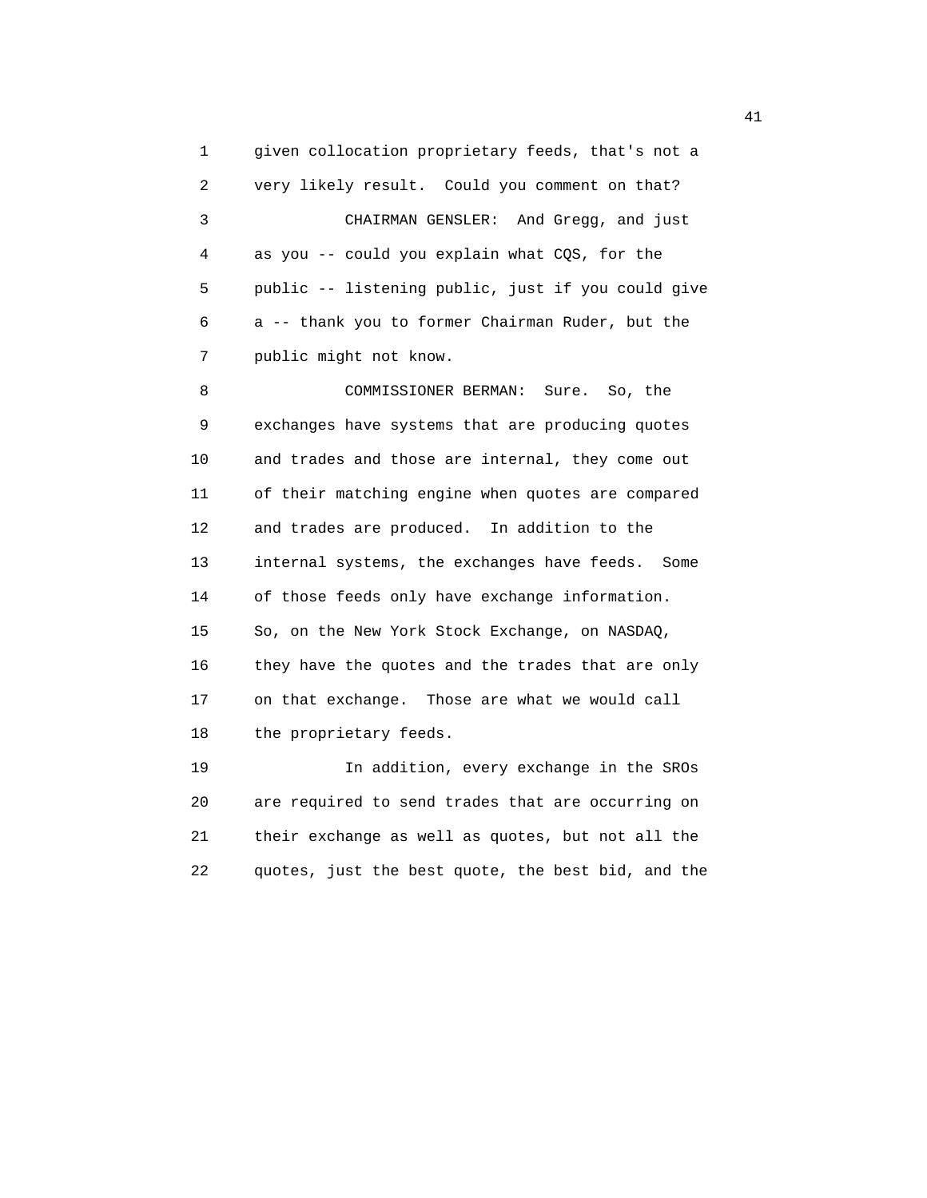1 given collocation proprietary feeds, that's not a 2 very likely result. Could you comment on that? 3 CHAIRMAN GENSLER: And Gregg, and just 4 as you -- could you explain what CQS, for the 5 public -- listening public, just if you could give 6 a -- thank you to former Chairman Ruder, but the 7 public might not know.

 8 COMMISSIONER BERMAN: Sure. So, the 9 exchanges have systems that are producing quotes 10 and trades and those are internal, they come out 11 of their matching engine when quotes are compared 12 and trades are produced. In addition to the 13 internal systems, the exchanges have feeds. Some 14 of those feeds only have exchange information. 15 So, on the New York Stock Exchange, on NASDAQ, 16 they have the quotes and the trades that are only 17 on that exchange. Those are what we would call 18 the proprietary feeds.

 19 In addition, every exchange in the SROs 20 are required to send trades that are occurring on 21 their exchange as well as quotes, but not all the 22 quotes, just the best quote, the best bid, and the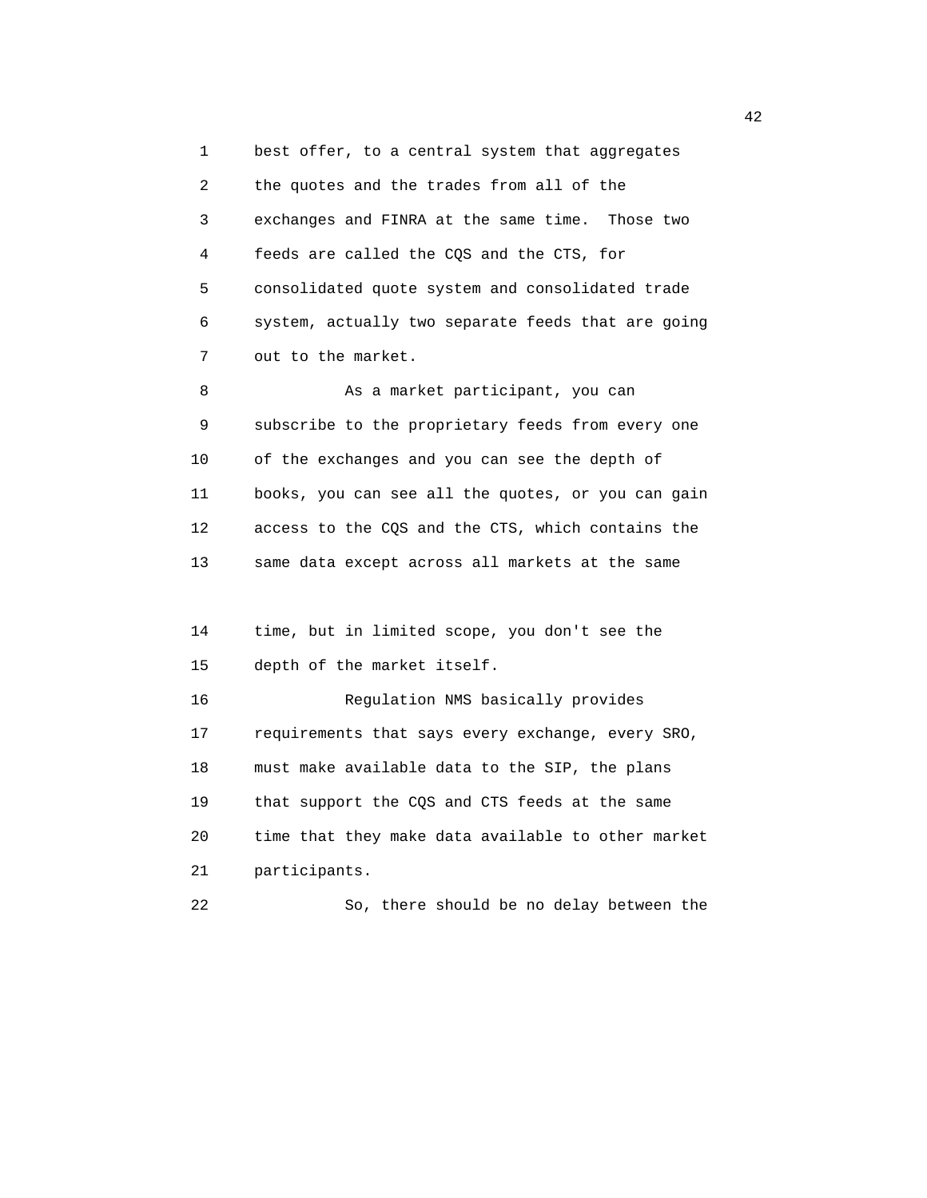1 best offer, to a central system that aggregates 2 the quotes and the trades from all of the 3 exchanges and FINRA at the same time. Those two 4 feeds are called the CQS and the CTS, for 5 consolidated quote system and consolidated trade 6 system, actually two separate feeds that are going 7 out to the market.

8 As a market participant, you can 9 subscribe to the proprietary feeds from every one 10 of the exchanges and you can see the depth of 11 books, you can see all the quotes, or you can gain 12 access to the CQS and the CTS, which contains the 13 same data except across all markets at the same

 14 time, but in limited scope, you don't see the 15 depth of the market itself.

 16 Regulation NMS basically provides 17 requirements that says every exchange, every SRO, 18 must make available data to the SIP, the plans 19 that support the CQS and CTS feeds at the same 20 time that they make data available to other market 21 participants.

22 So, there should be no delay between the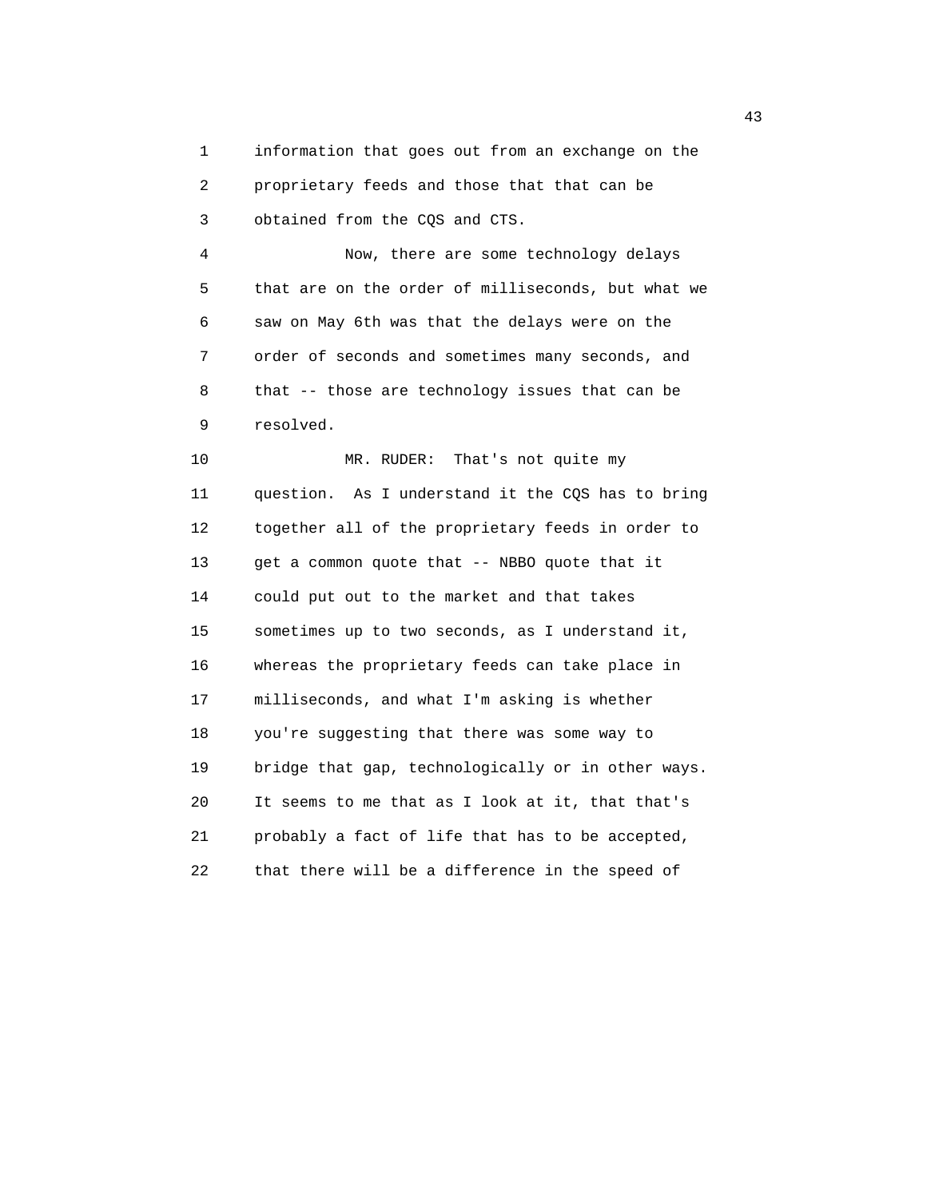1 information that goes out from an exchange on the 2 proprietary feeds and those that that can be 3 obtained from the CQS and CTS.

 4 Now, there are some technology delays 5 that are on the order of milliseconds, but what we 6 saw on May 6th was that the delays were on the 7 order of seconds and sometimes many seconds, and 8 that -- those are technology issues that can be 9 resolved.

10 MR. RUDER: That's not quite my 11 question. As I understand it the CQS has to bring 12 together all of the proprietary feeds in order to 13 get a common quote that -- NBBO quote that it 14 could put out to the market and that takes 15 sometimes up to two seconds, as I understand it, 16 whereas the proprietary feeds can take place in 17 milliseconds, and what I'm asking is whether 18 you're suggesting that there was some way to 19 bridge that gap, technologically or in other ways. 20 It seems to me that as I look at it, that that's 21 probably a fact of life that has to be accepted, 22 that there will be a difference in the speed of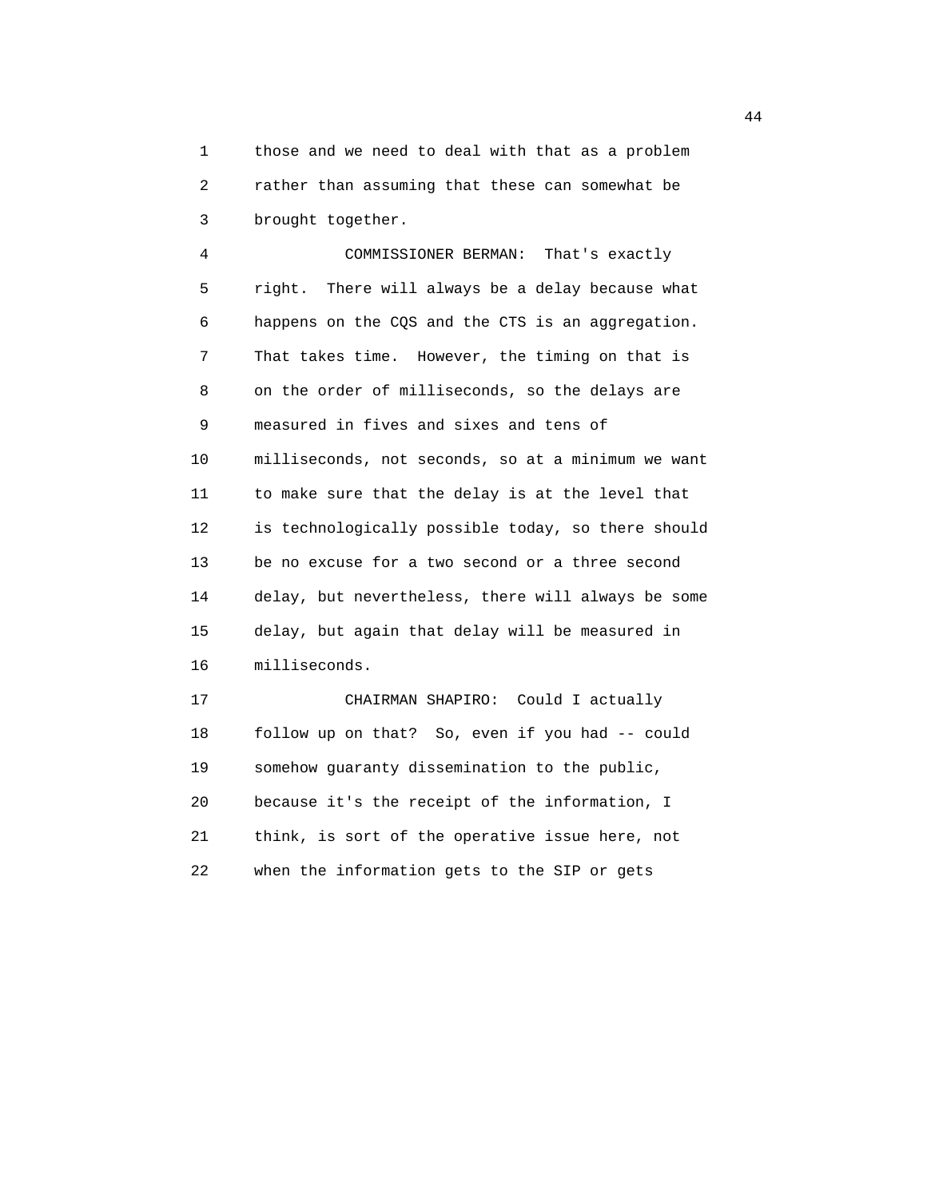1 those and we need to deal with that as a problem 2 rather than assuming that these can somewhat be 3 brought together.

 4 COMMISSIONER BERMAN: That's exactly 5 right. There will always be a delay because what 6 happens on the CQS and the CTS is an aggregation. 7 That takes time. However, the timing on that is 8 on the order of milliseconds, so the delays are 9 measured in fives and sixes and tens of 10 milliseconds, not seconds, so at a minimum we want 11 to make sure that the delay is at the level that 12 is technologically possible today, so there should 13 be no excuse for a two second or a three second 14 delay, but nevertheless, there will always be some 15 delay, but again that delay will be measured in 16 milliseconds.

 17 CHAIRMAN SHAPIRO: Could I actually 18 follow up on that? So, even if you had -- could 19 somehow guaranty dissemination to the public, 20 because it's the receipt of the information, I 21 think, is sort of the operative issue here, not 22 when the information gets to the SIP or gets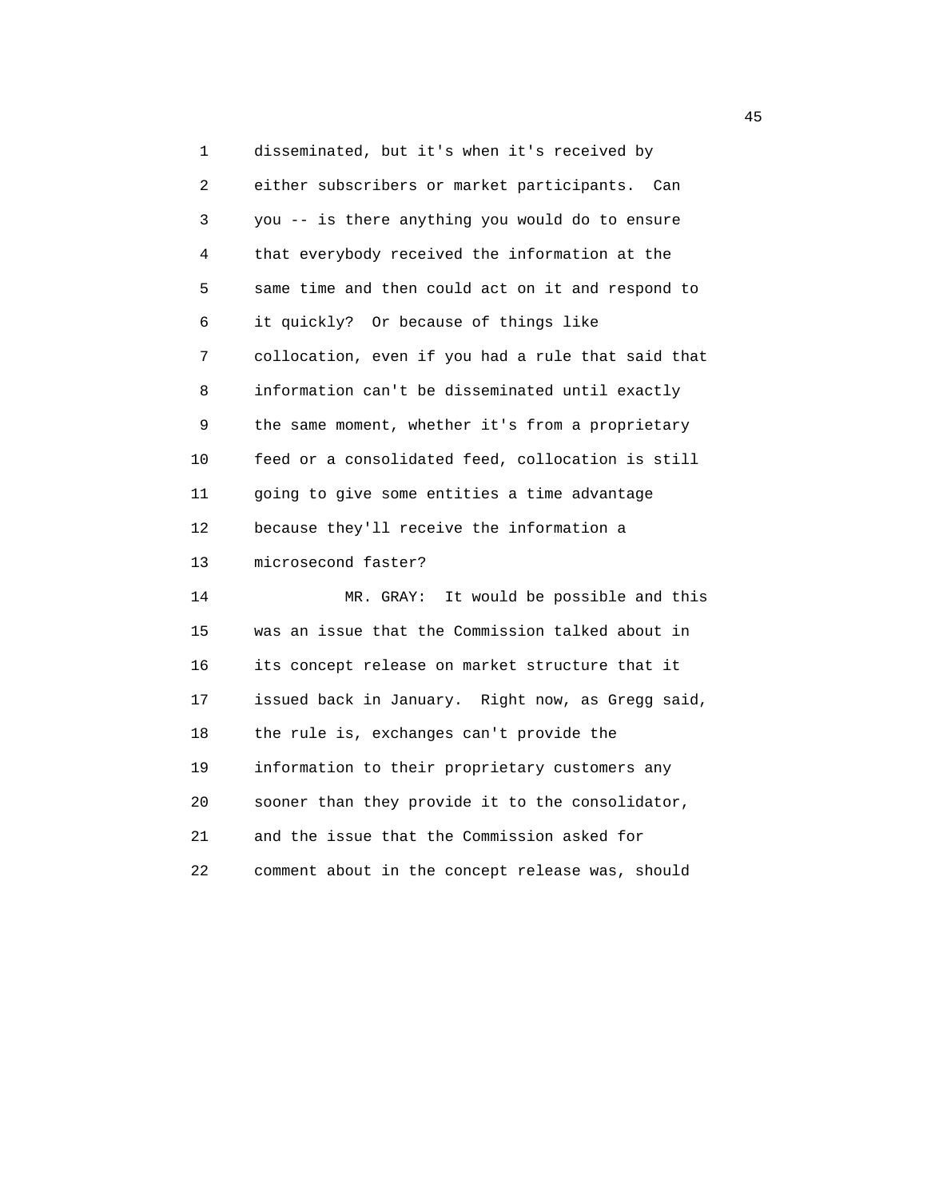1 disseminated, but it's when it's received by 2 either subscribers or market participants. Can 3 you -- is there anything you would do to ensure 4 that everybody received the information at the 5 same time and then could act on it and respond to 6 it quickly? Or because of things like 7 collocation, even if you had a rule that said that 8 information can't be disseminated until exactly 9 the same moment, whether it's from a proprietary 10 feed or a consolidated feed, collocation is still 11 going to give some entities a time advantage 12 because they'll receive the information a 13 microsecond faster? 14 MR. GRAY: It would be possible and this 15 was an issue that the Commission talked about in 16 its concept release on market structure that it 17 issued back in January. Right now, as Gregg said, 18 the rule is, exchanges can't provide the 19 information to their proprietary customers any 20 sooner than they provide it to the consolidator, 21 and the issue that the Commission asked for 22 comment about in the concept release was, should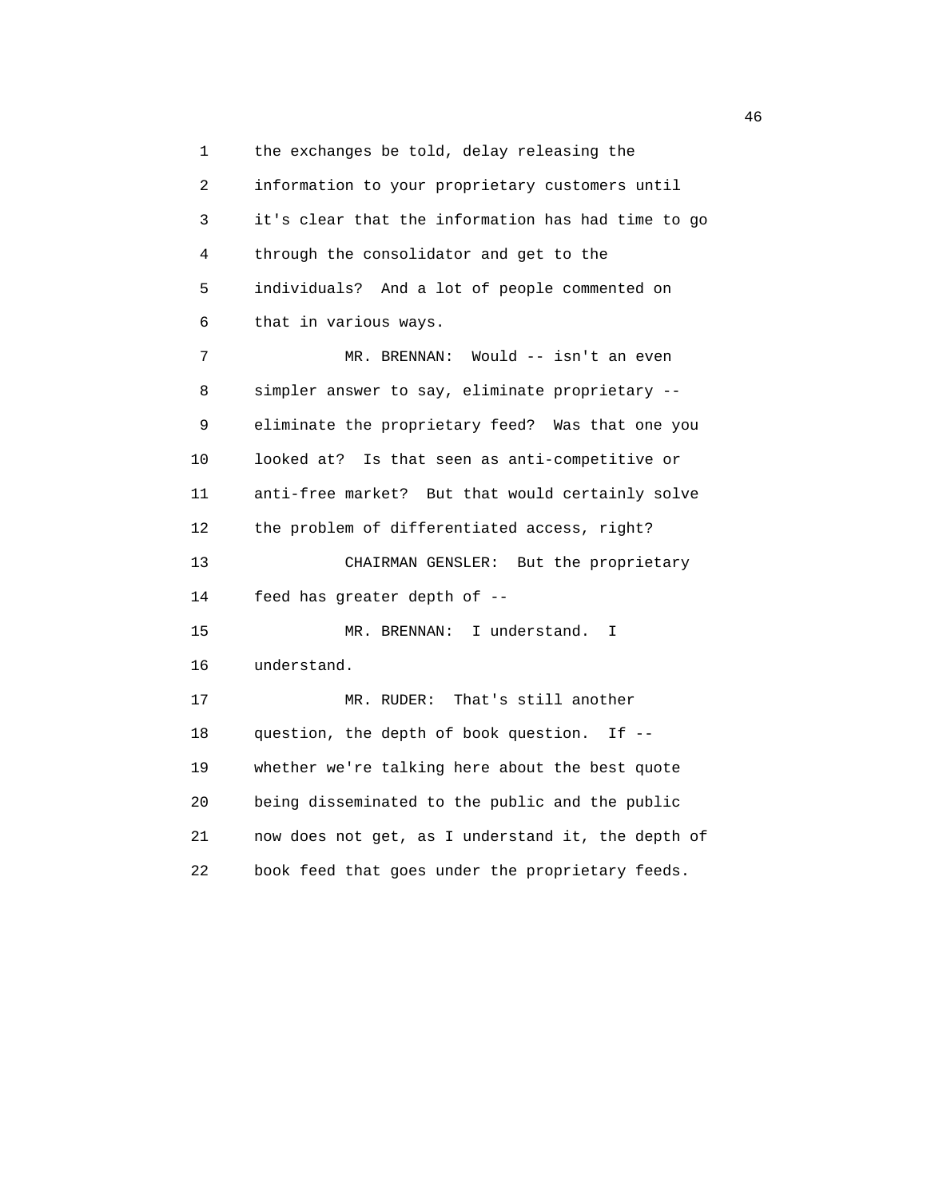1 the exchanges be told, delay releasing the 2 information to your proprietary customers until 3 it's clear that the information has had time to go 4 through the consolidator and get to the 5 individuals? And a lot of people commented on 6 that in various ways. 7 MR. BRENNAN: Would -- isn't an even 8 simpler answer to say, eliminate proprietary -- 9 eliminate the proprietary feed? Was that one you 10 looked at? Is that seen as anti-competitive or 11 anti-free market? But that would certainly solve 12 the problem of differentiated access, right? 13 CHAIRMAN GENSLER: But the proprietary 14 feed has greater depth of -- 15 MR. BRENNAN: I understand. I 16 understand. 17 MR. RUDER: That's still another 18 question, the depth of book question. If -- 19 whether we're talking here about the best quote 20 being disseminated to the public and the public 21 now does not get, as I understand it, the depth of 22 book feed that goes under the proprietary feeds.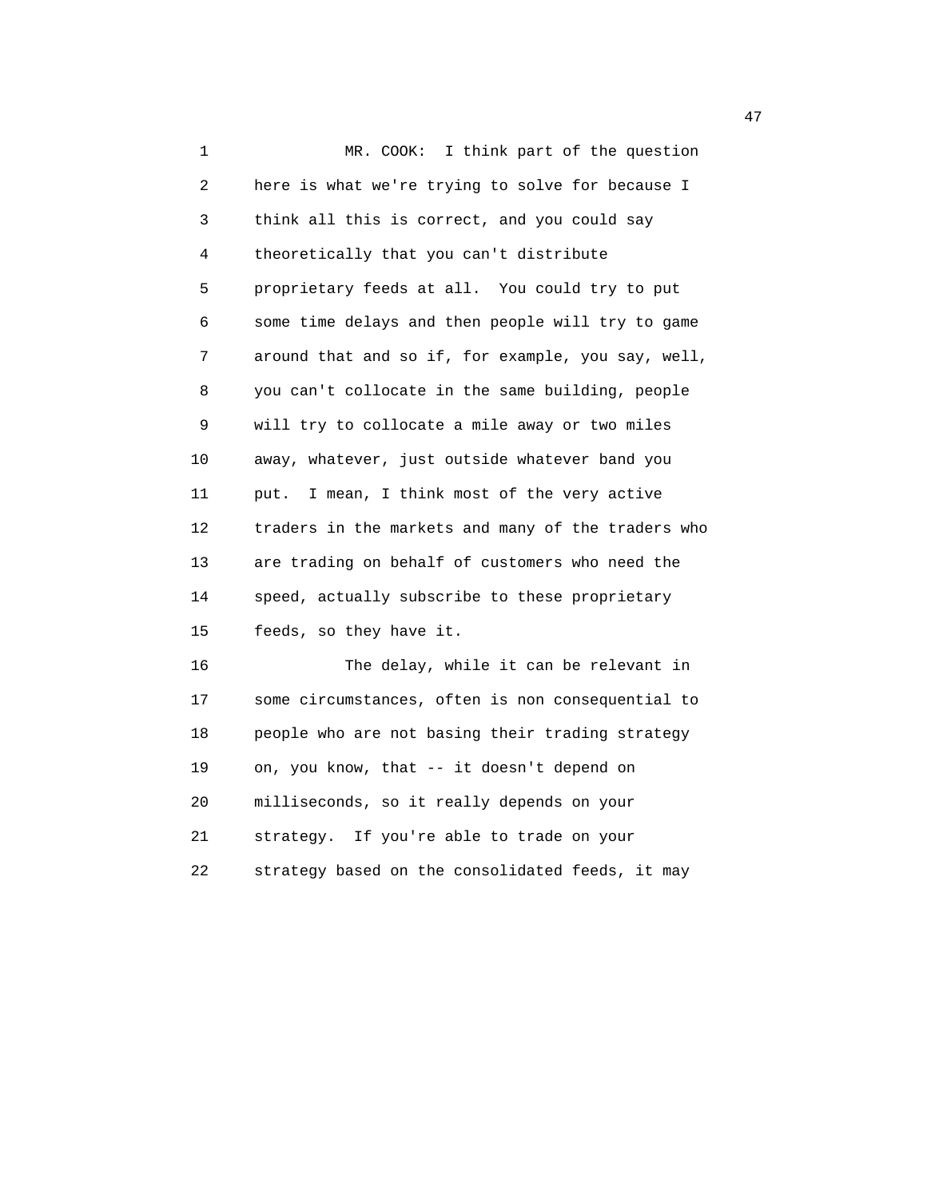1 MR. COOK: I think part of the question 2 here is what we're trying to solve for because I 3 think all this is correct, and you could say 4 theoretically that you can't distribute 5 proprietary feeds at all. You could try to put 6 some time delays and then people will try to game 7 around that and so if, for example, you say, well, 8 you can't collocate in the same building, people 9 will try to collocate a mile away or two miles 10 away, whatever, just outside whatever band you 11 put. I mean, I think most of the very active 12 traders in the markets and many of the traders who 13 are trading on behalf of customers who need the 14 speed, actually subscribe to these proprietary 15 feeds, so they have it. 16 The delay, while it can be relevant in 17 some circumstances, often is non consequential to

18 people who are not basing their trading strategy

22 strategy based on the consolidated feeds, it may

19 on, you know, that -- it doesn't depend on

20 milliseconds, so it really depends on your

21 strategy. If you're able to trade on your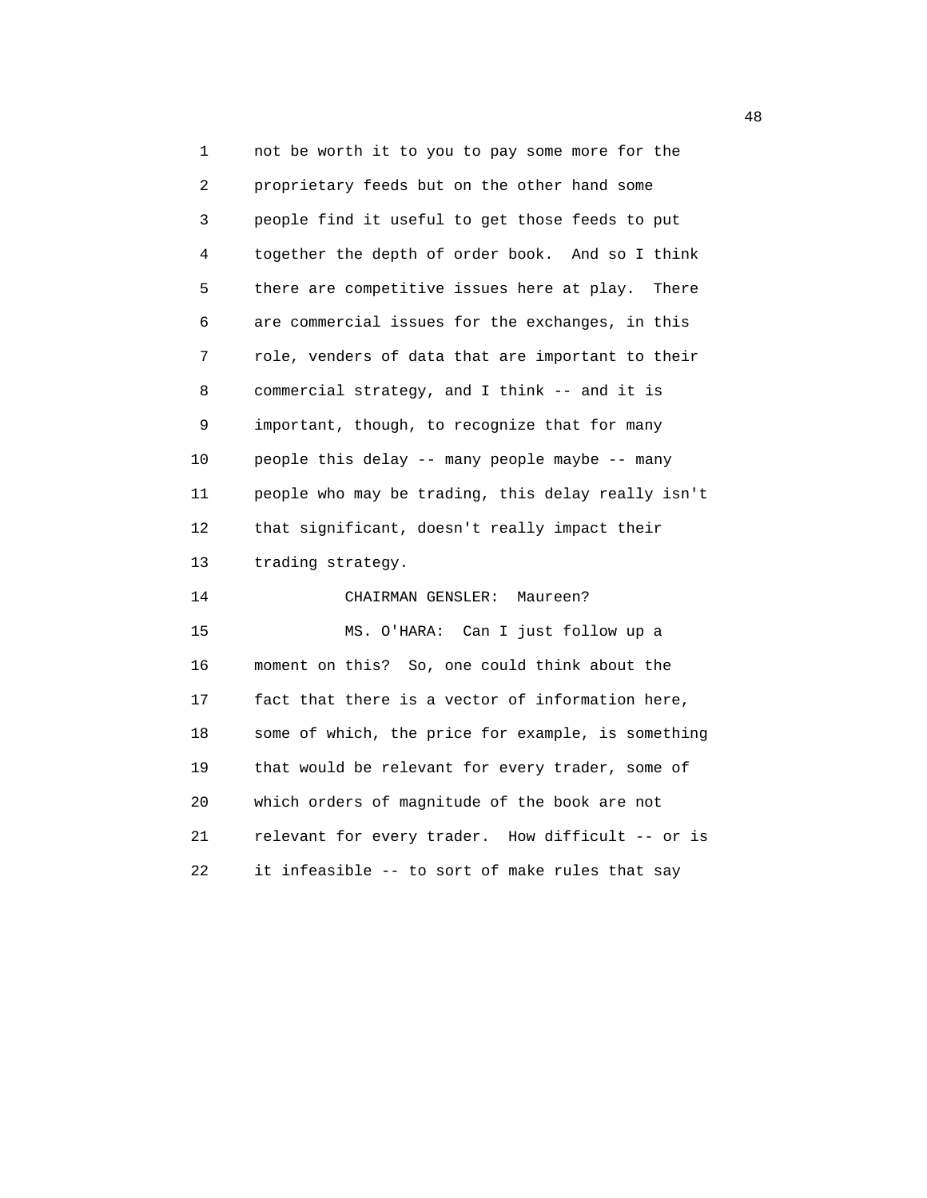1 not be worth it to you to pay some more for the 2 proprietary feeds but on the other hand some 3 people find it useful to get those feeds to put 4 together the depth of order book. And so I think 5 there are competitive issues here at play. There 6 are commercial issues for the exchanges, in this 7 role, venders of data that are important to their 8 commercial strategy, and I think -- and it is 9 important, though, to recognize that for many 10 people this delay -- many people maybe -- many 11 people who may be trading, this delay really isn't 12 that significant, doesn't really impact their 13 trading strategy. 14 CHAIRMAN GENSLER: Maureen? 15 MS. O'HARA: Can I just follow up a 16 moment on this? So, one could think about the 17 fact that there is a vector of information here, 18 some of which, the price for example, is something 19 that would be relevant for every trader, some of 20 which orders of magnitude of the book are not 21 relevant for every trader. How difficult -- or is 22 it infeasible -- to sort of make rules that say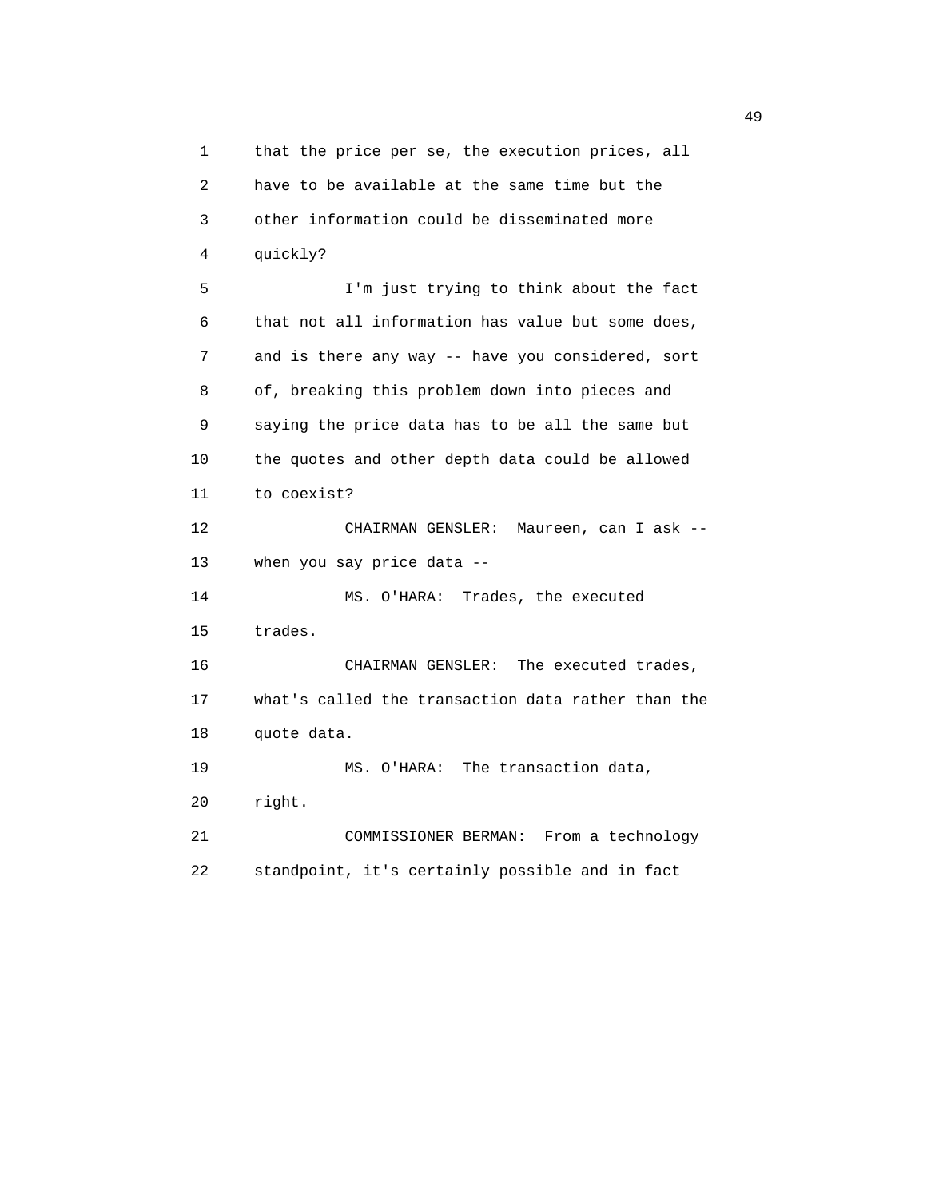1 that the price per se, the execution prices, all 2 have to be available at the same time but the 3 other information could be disseminated more 4 quickly? 5 I'm just trying to think about the fact 6 that not all information has value but some does, 7 and is there any way -- have you considered, sort 8 of, breaking this problem down into pieces and 9 saying the price data has to be all the same but 10 the quotes and other depth data could be allowed 11 to coexist? 12 CHAIRMAN GENSLER: Maureen, can I ask -- 13 when you say price data -- 14 MS. O'HARA: Trades, the executed 15 trades. 16 CHAIRMAN GENSLER: The executed trades, 17 what's called the transaction data rather than the 18 quote data. 19 MS. O'HARA: The transaction data, 20 right. 21 COMMISSIONER BERMAN: From a technology 22 standpoint, it's certainly possible and in fact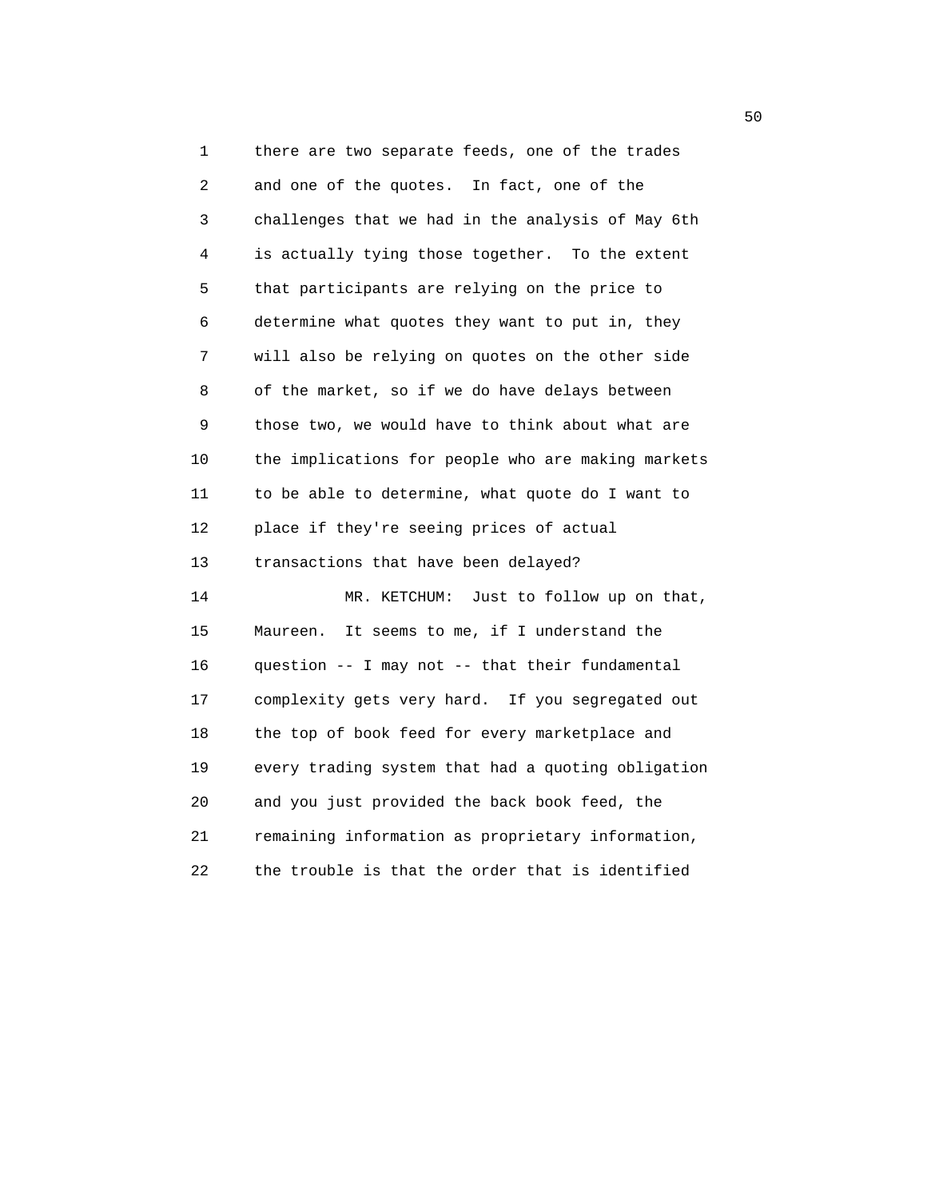1 there are two separate feeds, one of the trades 2 and one of the quotes. In fact, one of the 3 challenges that we had in the analysis of May 6th 4 is actually tying those together. To the extent 5 that participants are relying on the price to 6 determine what quotes they want to put in, they 7 will also be relying on quotes on the other side 8 of the market, so if we do have delays between 9 those two, we would have to think about what are 10 the implications for people who are making markets 11 to be able to determine, what quote do I want to 12 place if they're seeing prices of actual 13 transactions that have been delayed? 14 MR. KETCHUM: Just to follow up on that, 15 Maureen. It seems to me, if I understand the 16 question -- I may not -- that their fundamental 17 complexity gets very hard. If you segregated out 18 the top of book feed for every marketplace and 19 every trading system that had a quoting obligation 20 and you just provided the back book feed, the 21 remaining information as proprietary information, 22 the trouble is that the order that is identified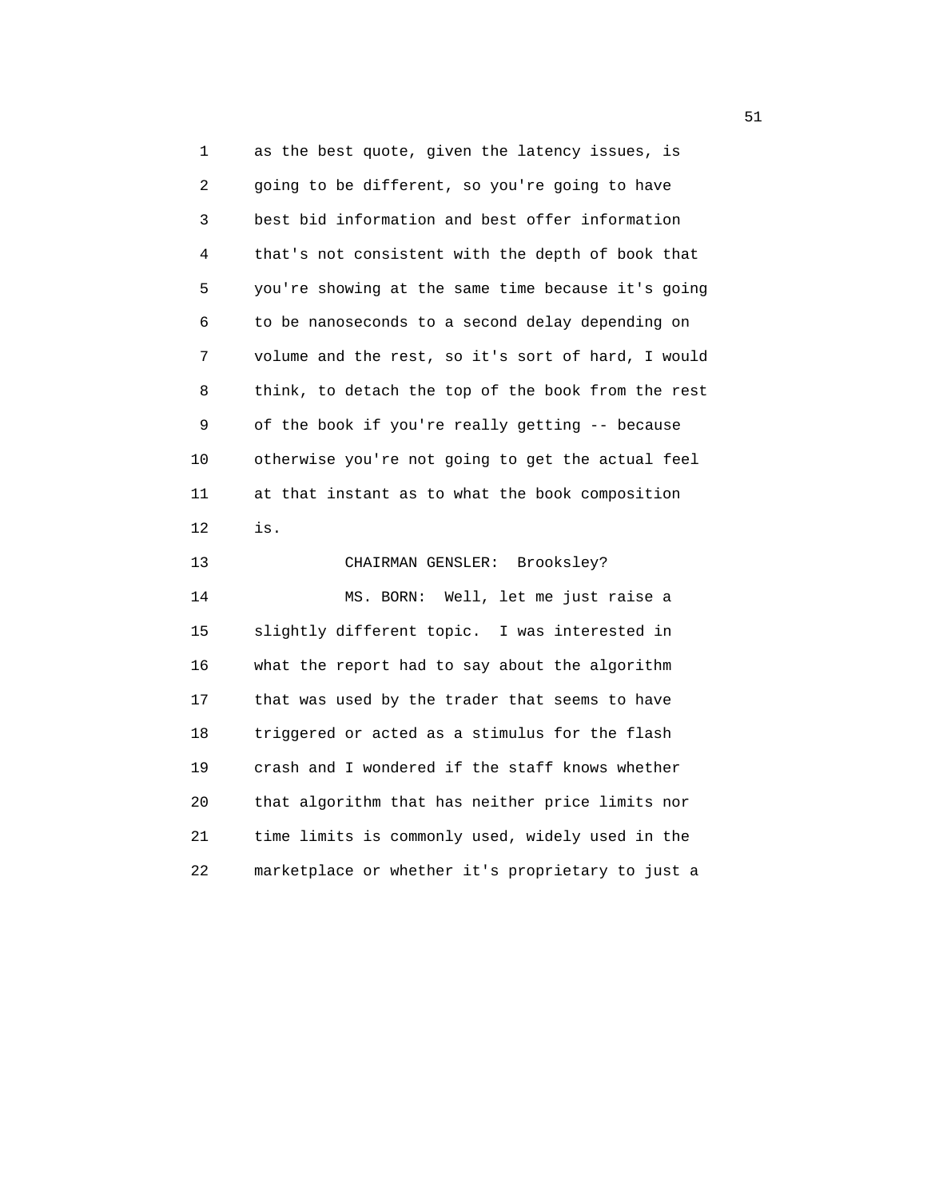1 as the best quote, given the latency issues, is 2 going to be different, so you're going to have 3 best bid information and best offer information 4 that's not consistent with the depth of book that 5 you're showing at the same time because it's going 6 to be nanoseconds to a second delay depending on 7 volume and the rest, so it's sort of hard, I would 8 think, to detach the top of the book from the rest 9 of the book if you're really getting -- because 10 otherwise you're not going to get the actual feel 11 at that instant as to what the book composition 12 is.

 13 CHAIRMAN GENSLER: Brooksley? 14 MS. BORN: Well, let me just raise a 15 slightly different topic. I was interested in 16 what the report had to say about the algorithm 17 that was used by the trader that seems to have 18 triggered or acted as a stimulus for the flash 19 crash and I wondered if the staff knows whether 20 that algorithm that has neither price limits nor 21 time limits is commonly used, widely used in the 22 marketplace or whether it's proprietary to just a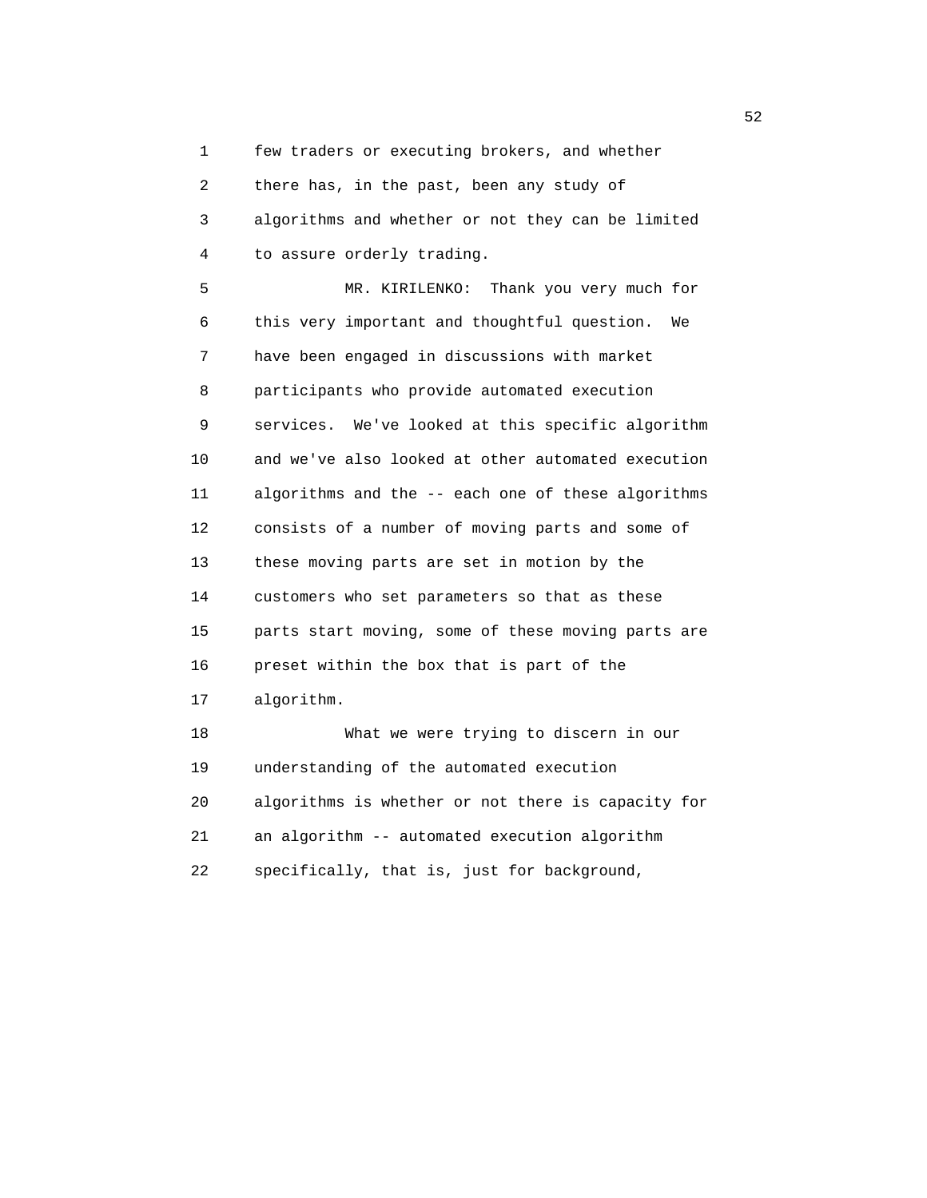1 few traders or executing brokers, and whether

 2 there has, in the past, been any study of 3 algorithms and whether or not they can be limited 4 to assure orderly trading.

 5 MR. KIRILENKO: Thank you very much for 6 this very important and thoughtful question. We 7 have been engaged in discussions with market 8 participants who provide automated execution 9 services. We've looked at this specific algorithm 10 and we've also looked at other automated execution 11 algorithms and the -- each one of these algorithms 12 consists of a number of moving parts and some of 13 these moving parts are set in motion by the 14 customers who set parameters so that as these 15 parts start moving, some of these moving parts are 16 preset within the box that is part of the 17 algorithm. 18 What we were trying to discern in our 19 understanding of the automated execution 20 algorithms is whether or not there is capacity for 21 an algorithm -- automated execution algorithm

22 specifically, that is, just for background,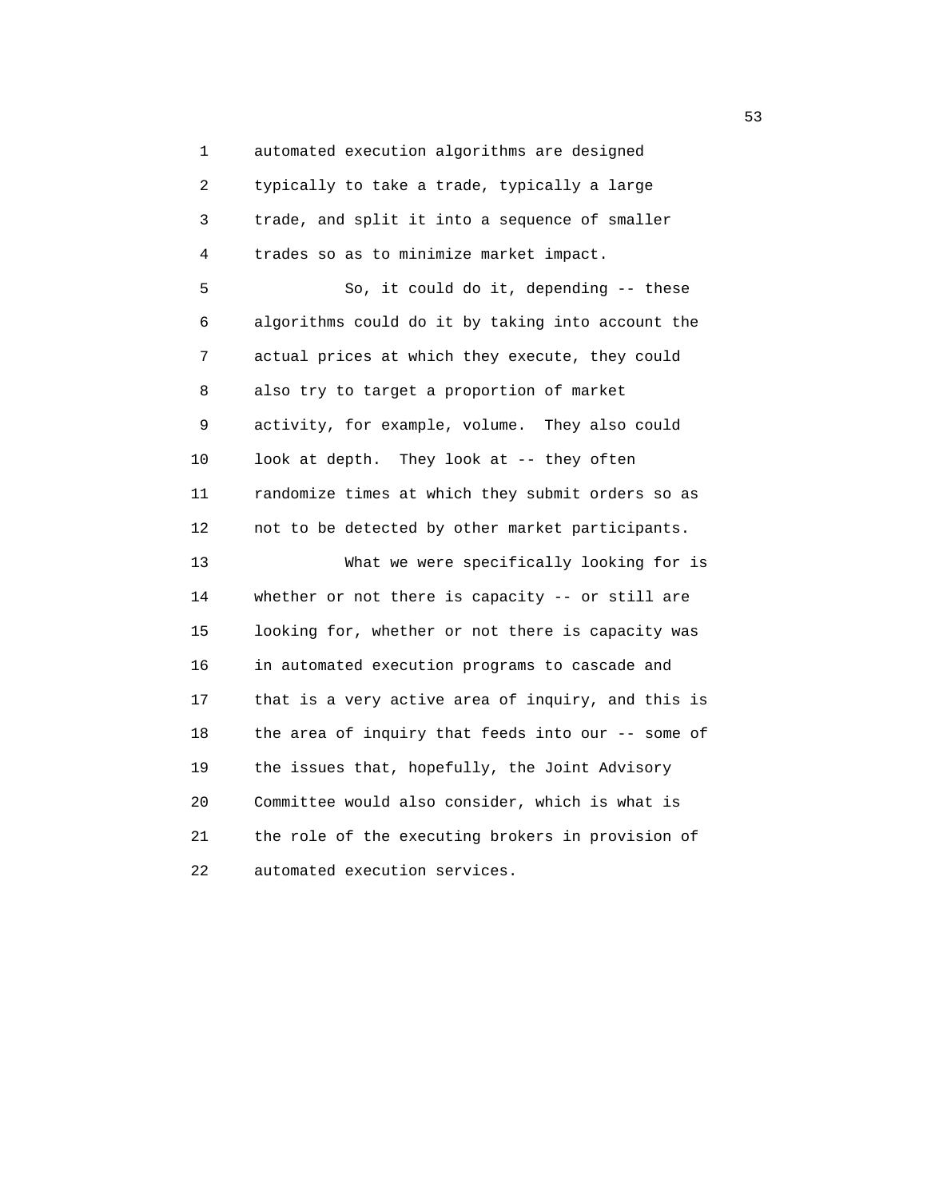1 automated execution algorithms are designed 2 typically to take a trade, typically a large 3 trade, and split it into a sequence of smaller 4 trades so as to minimize market impact. 5 So, it could do it, depending -- these 6 algorithms could do it by taking into account the 7 actual prices at which they execute, they could 8 also try to target a proportion of market 9 activity, for example, volume. They also could 10 look at depth. They look at -- they often 11 randomize times at which they submit orders so as 12 not to be detected by other market participants. 13 What we were specifically looking for is 14 whether or not there is capacity -- or still are 15 looking for, whether or not there is capacity was 16 in automated execution programs to cascade and 17 that is a very active area of inquiry, and this is 18 the area of inquiry that feeds into our -- some of 19 the issues that, hopefully, the Joint Advisory 20 Committee would also consider, which is what is 21 the role of the executing brokers in provision of 22 automated execution services.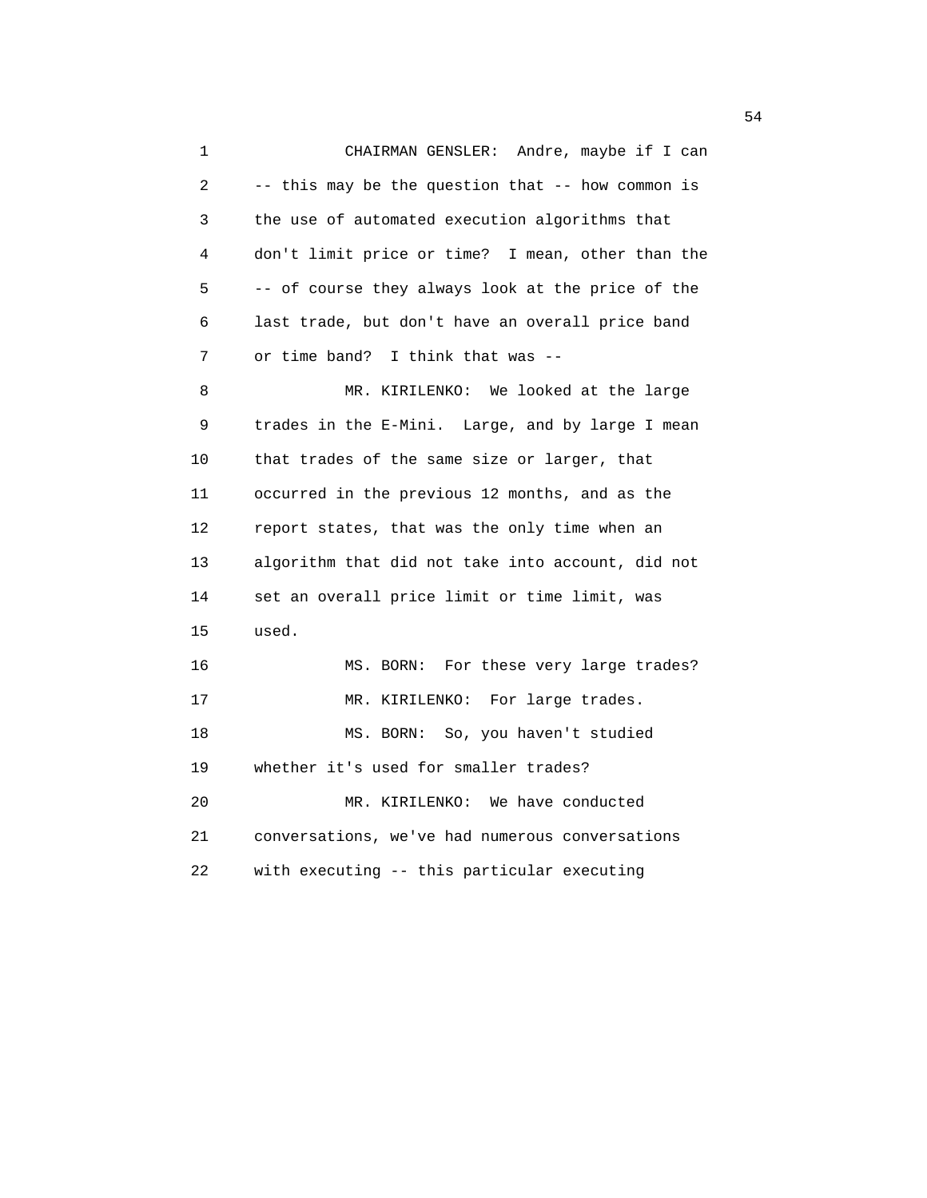1 CHAIRMAN GENSLER: Andre, maybe if I can 2 -- this may be the question that -- how common is 3 the use of automated execution algorithms that 4 don't limit price or time? I mean, other than the 5 -- of course they always look at the price of the 6 last trade, but don't have an overall price band 7 or time band? I think that was -- 8 MR. KIRILENKO: We looked at the large 9 trades in the E-Mini. Large, and by large I mean 10 that trades of the same size or larger, that 11 occurred in the previous 12 months, and as the 12 report states, that was the only time when an 13 algorithm that did not take into account, did not 14 set an overall price limit or time limit, was 15 used. 16 MS. BORN: For these very large trades? 17 MR. KIRILENKO: For large trades. 18 MS. BORN: So, you haven't studied 19 whether it's used for smaller trades? 20 MR. KIRILENKO: We have conducted 21 conversations, we've had numerous conversations 22 with executing -- this particular executing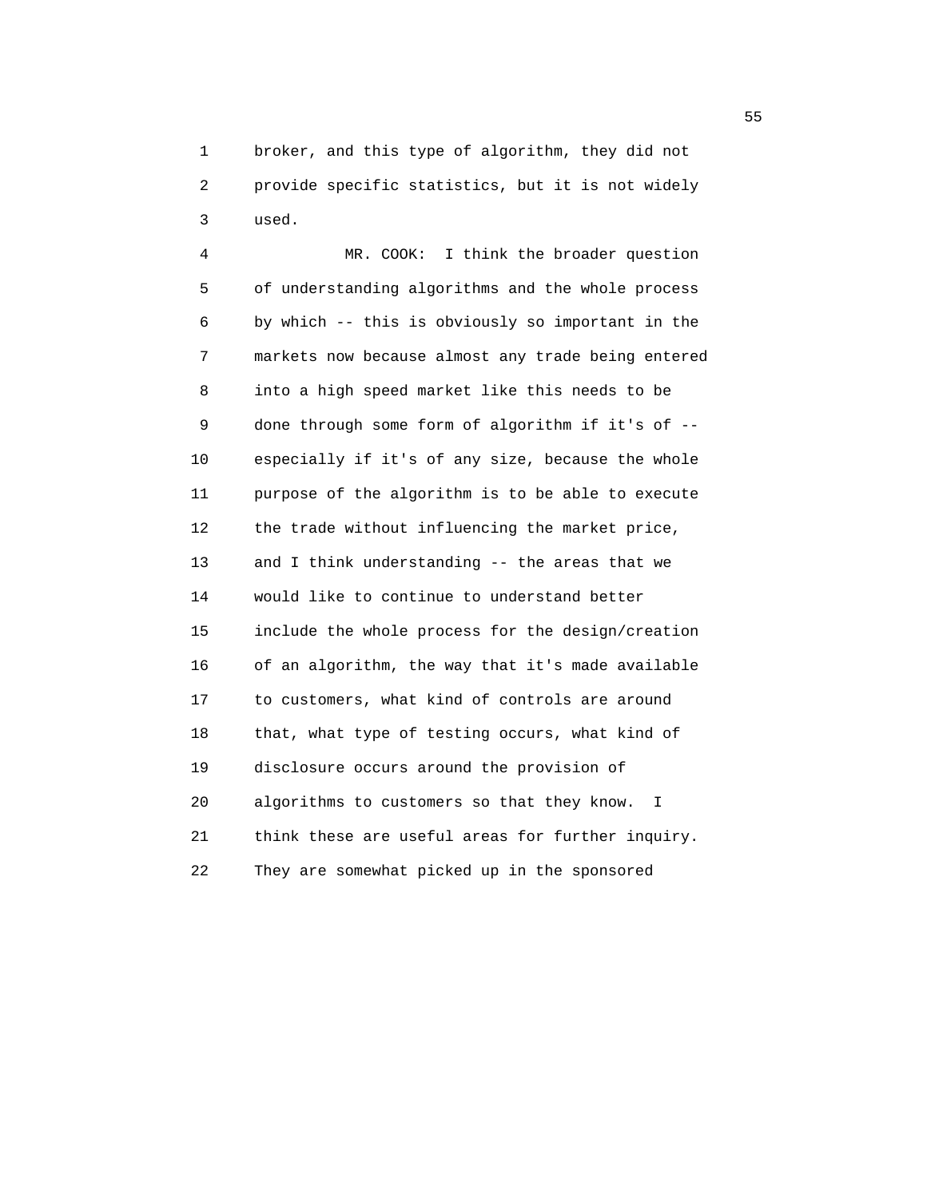1 broker, and this type of algorithm, they did not 2 provide specific statistics, but it is not widely 3 used.

 4 MR. COOK: I think the broader question 5 of understanding algorithms and the whole process 6 by which -- this is obviously so important in the 7 markets now because almost any trade being entered 8 into a high speed market like this needs to be 9 done through some form of algorithm if it's of -- 10 especially if it's of any size, because the whole 11 purpose of the algorithm is to be able to execute 12 the trade without influencing the market price, 13 and I think understanding -- the areas that we 14 would like to continue to understand better 15 include the whole process for the design/creation 16 of an algorithm, the way that it's made available 17 to customers, what kind of controls are around 18 that, what type of testing occurs, what kind of 19 disclosure occurs around the provision of 20 algorithms to customers so that they know. I 21 think these are useful areas for further inquiry. 22 They are somewhat picked up in the sponsored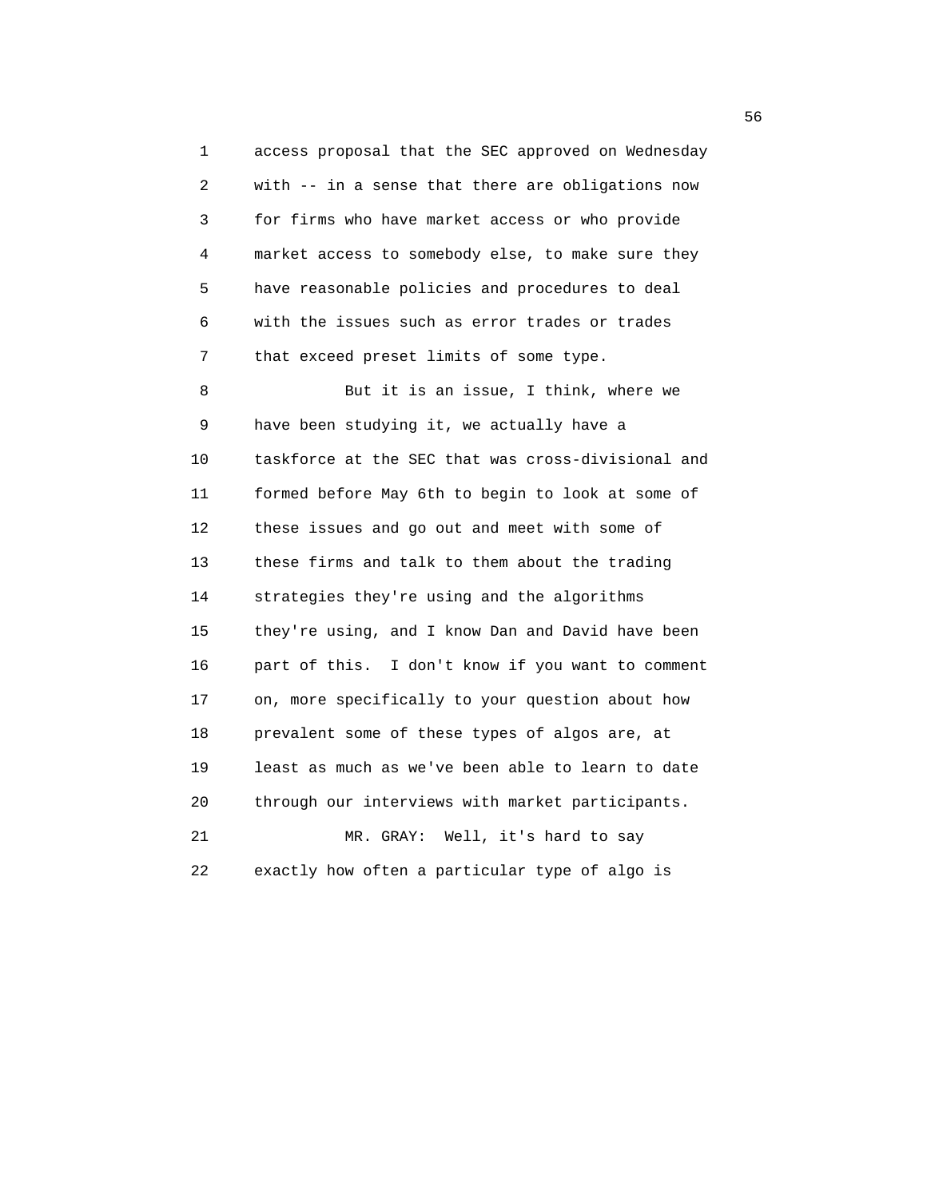1 access proposal that the SEC approved on Wednesday 2 with -- in a sense that there are obligations now 3 for firms who have market access or who provide 4 market access to somebody else, to make sure they 5 have reasonable policies and procedures to deal 6 with the issues such as error trades or trades 7 that exceed preset limits of some type.

 8 But it is an issue, I think, where we 9 have been studying it, we actually have a 10 taskforce at the SEC that was cross-divisional and 11 formed before May 6th to begin to look at some of 12 these issues and go out and meet with some of 13 these firms and talk to them about the trading 14 strategies they're using and the algorithms 15 they're using, and I know Dan and David have been 16 part of this. I don't know if you want to comment 17 on, more specifically to your question about how 18 prevalent some of these types of algos are, at 19 least as much as we've been able to learn to date 20 through our interviews with market participants. 21 MR. GRAY: Well, it's hard to say

22 exactly how often a particular type of algo is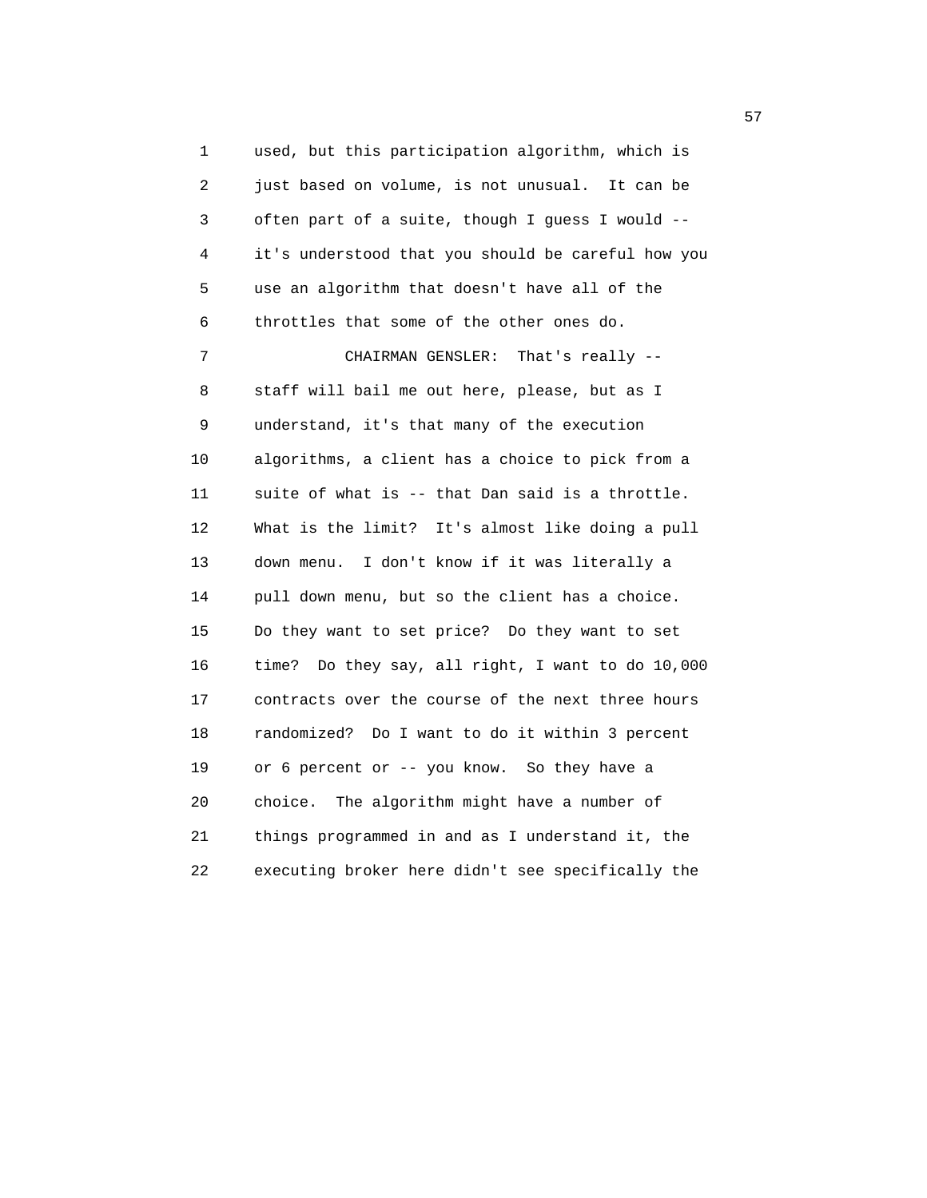1 used, but this participation algorithm, which is 2 just based on volume, is not unusual. It can be 3 often part of a suite, though I guess I would -- 4 it's understood that you should be careful how you 5 use an algorithm that doesn't have all of the 6 throttles that some of the other ones do. 7 CHAIRMAN GENSLER: That's really -- 8 staff will bail me out here, please, but as I 9 understand, it's that many of the execution 10 algorithms, a client has a choice to pick from a 11 suite of what is -- that Dan said is a throttle. 12 What is the limit? It's almost like doing a pull 13 down menu. I don't know if it was literally a 14 pull down menu, but so the client has a choice. 15 Do they want to set price? Do they want to set 16 time? Do they say, all right, I want to do 10,000 17 contracts over the course of the next three hours 18 randomized? Do I want to do it within 3 percent 19 or 6 percent or -- you know. So they have a 20 choice. The algorithm might have a number of 21 things programmed in and as I understand it, the 22 executing broker here didn't see specifically the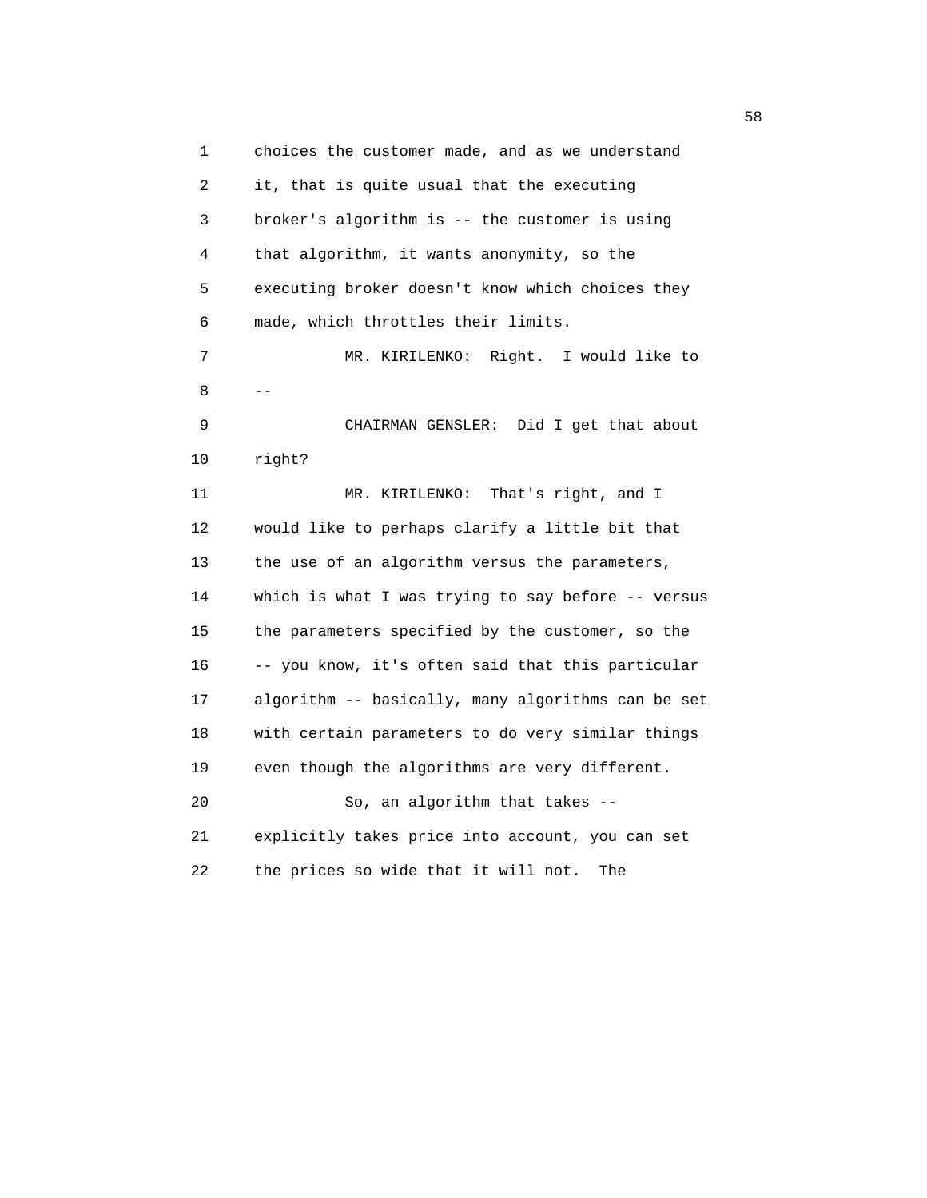1 choices the customer made, and as we understand 2 it, that is quite usual that the executing 3 broker's algorithm is -- the customer is using 4 that algorithm, it wants anonymity, so the 5 executing broker doesn't know which choices they 6 made, which throttles their limits. 7 MR. KIRILENKO: Right. I would like to  $8$  -- 9 CHAIRMAN GENSLER: Did I get that about 10 right? 11 MR. KIRILENKO: That's right, and I 12 would like to perhaps clarify a little bit that 13 the use of an algorithm versus the parameters, 14 which is what I was trying to say before -- versus 15 the parameters specified by the customer, so the 16 -- you know, it's often said that this particular 17 algorithm -- basically, many algorithms can be set 18 with certain parameters to do very similar things 19 even though the algorithms are very different. 20 So, an algorithm that takes -- 21 explicitly takes price into account, you can set 22 the prices so wide that it will not. The

 $58<sub>58</sub>$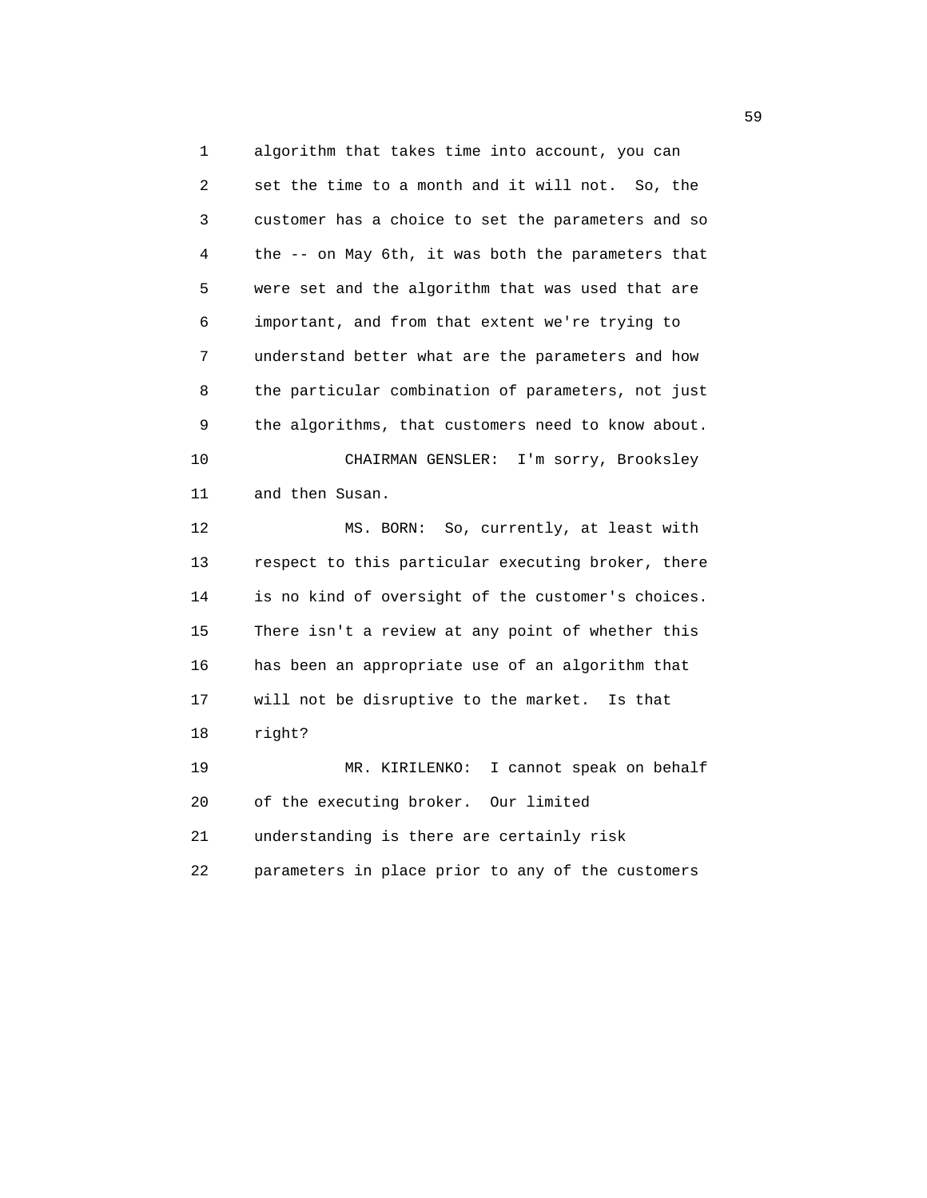1 algorithm that takes time into account, you can 2 set the time to a month and it will not. So, the 3 customer has a choice to set the parameters and so 4 the -- on May 6th, it was both the parameters that 5 were set and the algorithm that was used that are 6 important, and from that extent we're trying to 7 understand better what are the parameters and how 8 the particular combination of parameters, not just 9 the algorithms, that customers need to know about. 10 CHAIRMAN GENSLER: I'm sorry, Brooksley 11 and then Susan. 12 MS. BORN: So, currently, at least with 13 respect to this particular executing broker, there 14 is no kind of oversight of the customer's choices. 15 There isn't a review at any point of whether this 16 has been an appropriate use of an algorithm that 17 will not be disruptive to the market. Is that 18 right? 19 MR. KIRILENKO: I cannot speak on behalf 20 of the executing broker. Our limited 21 understanding is there are certainly risk 22 parameters in place prior to any of the customers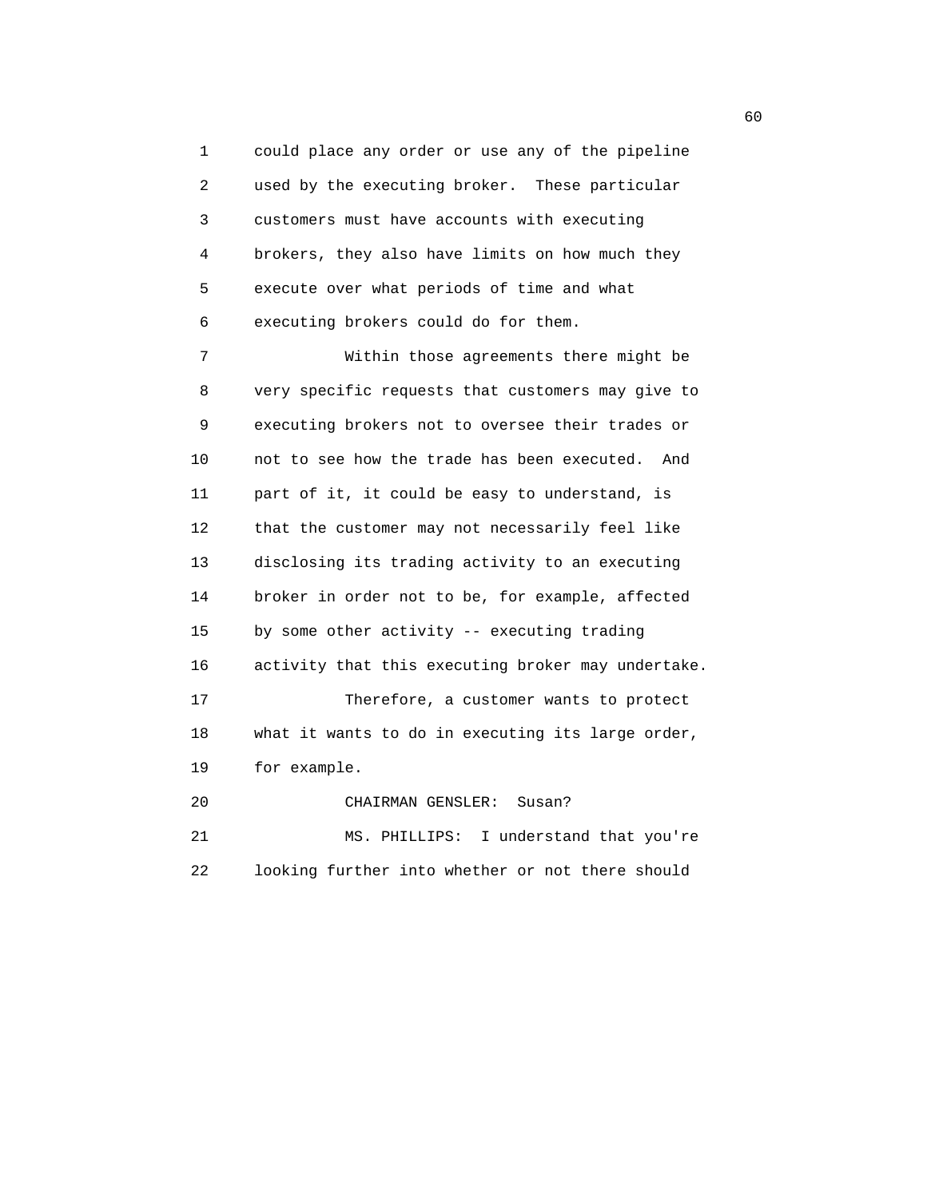1 could place any order or use any of the pipeline 2 used by the executing broker. These particular 3 customers must have accounts with executing 4 brokers, they also have limits on how much they 5 execute over what periods of time and what 6 executing brokers could do for them.

 7 Within those agreements there might be 8 very specific requests that customers may give to 9 executing brokers not to oversee their trades or 10 not to see how the trade has been executed. And 11 part of it, it could be easy to understand, is 12 that the customer may not necessarily feel like 13 disclosing its trading activity to an executing 14 broker in order not to be, for example, affected 15 by some other activity -- executing trading 16 activity that this executing broker may undertake. 17 Therefore, a customer wants to protect 18 what it wants to do in executing its large order, 19 for example. 20 CHAIRMAN GENSLER: Susan? 21 MS. PHILLIPS: I understand that you're

22 looking further into whether or not there should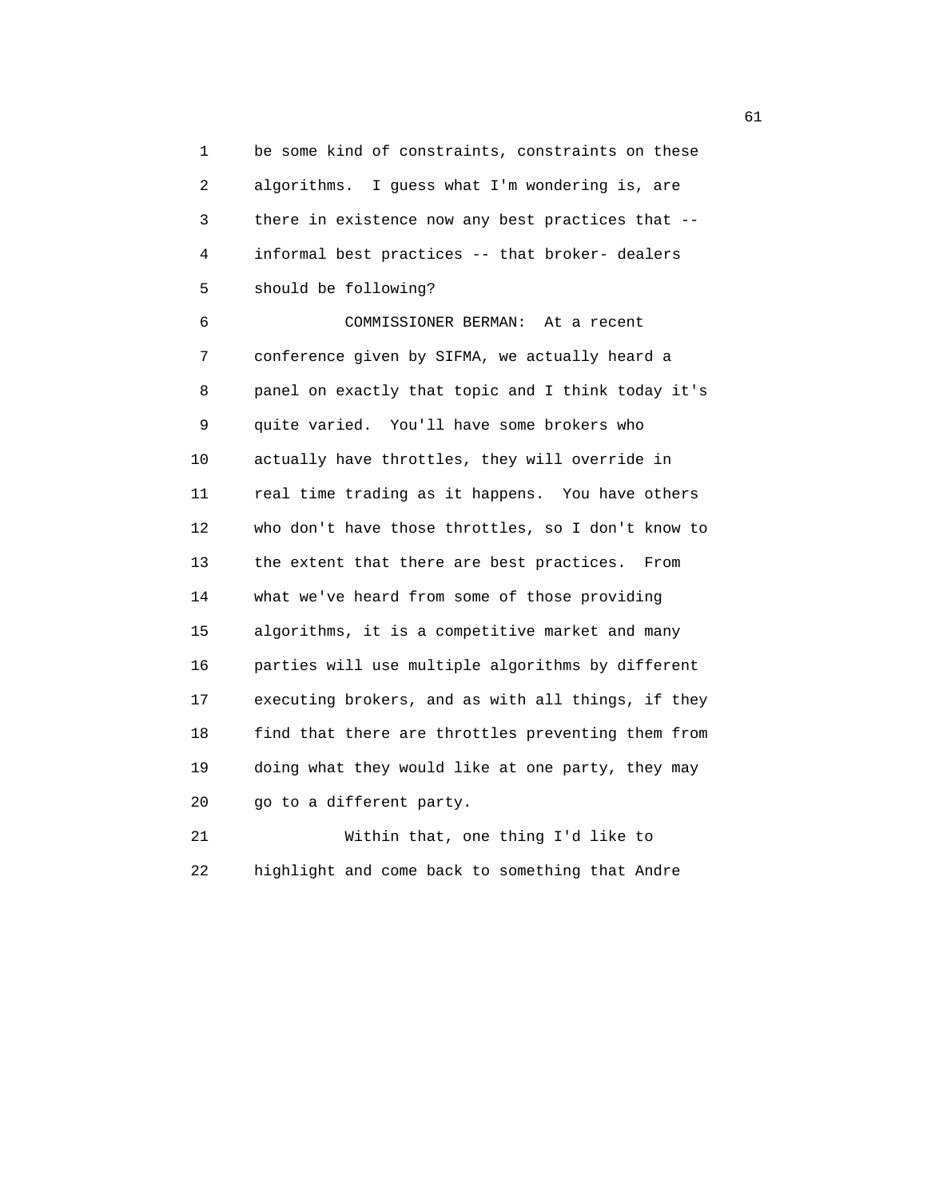1 be some kind of constraints, constraints on these 2 algorithms. I guess what I'm wondering is, are 3 there in existence now any best practices that -- 4 informal best practices -- that broker- dealers 5 should be following?

 6 COMMISSIONER BERMAN: At a recent 7 conference given by SIFMA, we actually heard a 8 panel on exactly that topic and I think today it's 9 quite varied. You'll have some brokers who 10 actually have throttles, they will override in 11 real time trading as it happens. You have others 12 who don't have those throttles, so I don't know to 13 the extent that there are best practices. From 14 what we've heard from some of those providing 15 algorithms, it is a competitive market and many 16 parties will use multiple algorithms by different 17 executing brokers, and as with all things, if they 18 find that there are throttles preventing them from 19 doing what they would like at one party, they may 20 go to a different party.

 21 Within that, one thing I'd like to 22 highlight and come back to something that Andre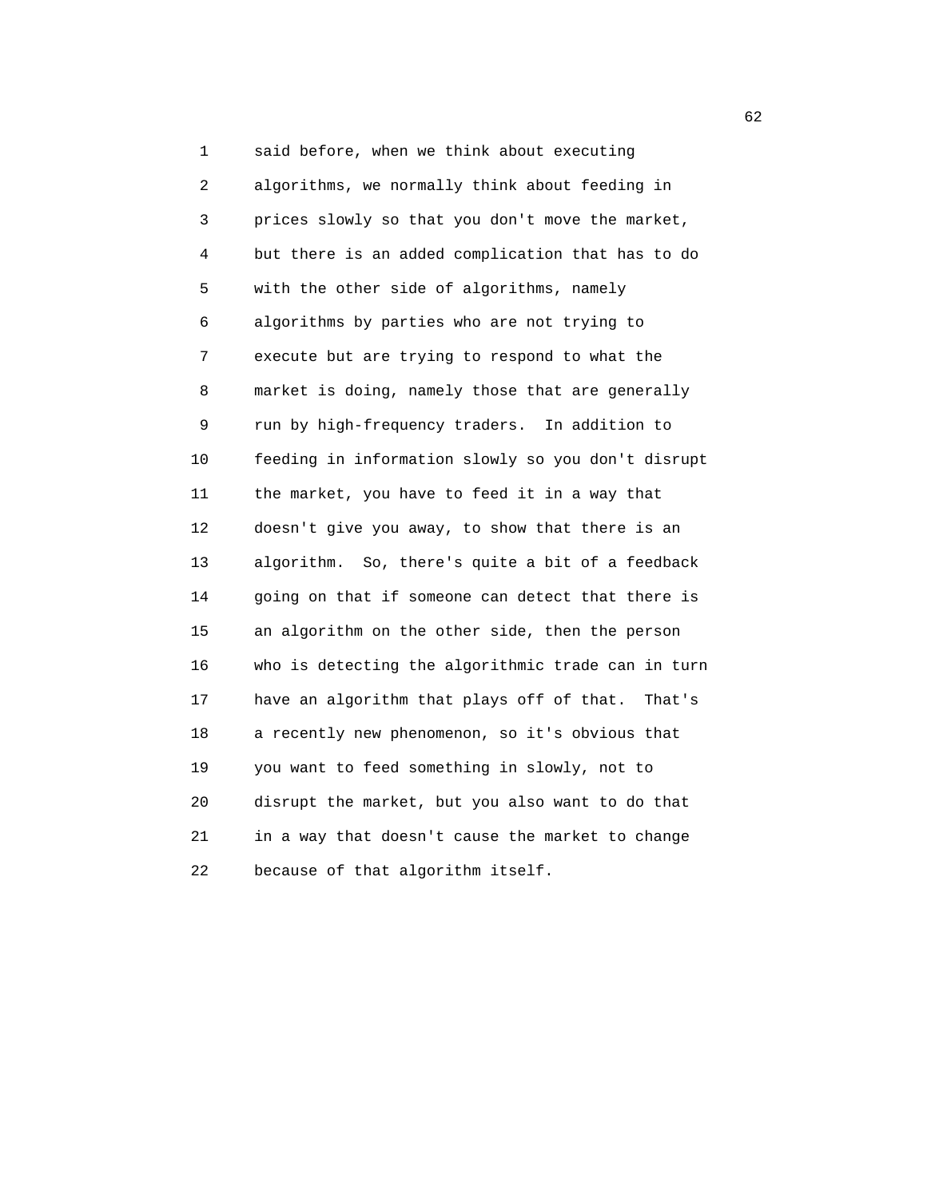1 said before, when we think about executing 2 algorithms, we normally think about feeding in 3 prices slowly so that you don't move the market, 4 but there is an added complication that has to do 5 with the other side of algorithms, namely 6 algorithms by parties who are not trying to 7 execute but are trying to respond to what the 8 market is doing, namely those that are generally 9 run by high-frequency traders. In addition to 10 feeding in information slowly so you don't disrupt 11 the market, you have to feed it in a way that 12 doesn't give you away, to show that there is an 13 algorithm. So, there's quite a bit of a feedback 14 going on that if someone can detect that there is 15 an algorithm on the other side, then the person 16 who is detecting the algorithmic trade can in turn 17 have an algorithm that plays off of that. That's 18 a recently new phenomenon, so it's obvious that 19 you want to feed something in slowly, not to 20 disrupt the market, but you also want to do that 21 in a way that doesn't cause the market to change 22 because of that algorithm itself.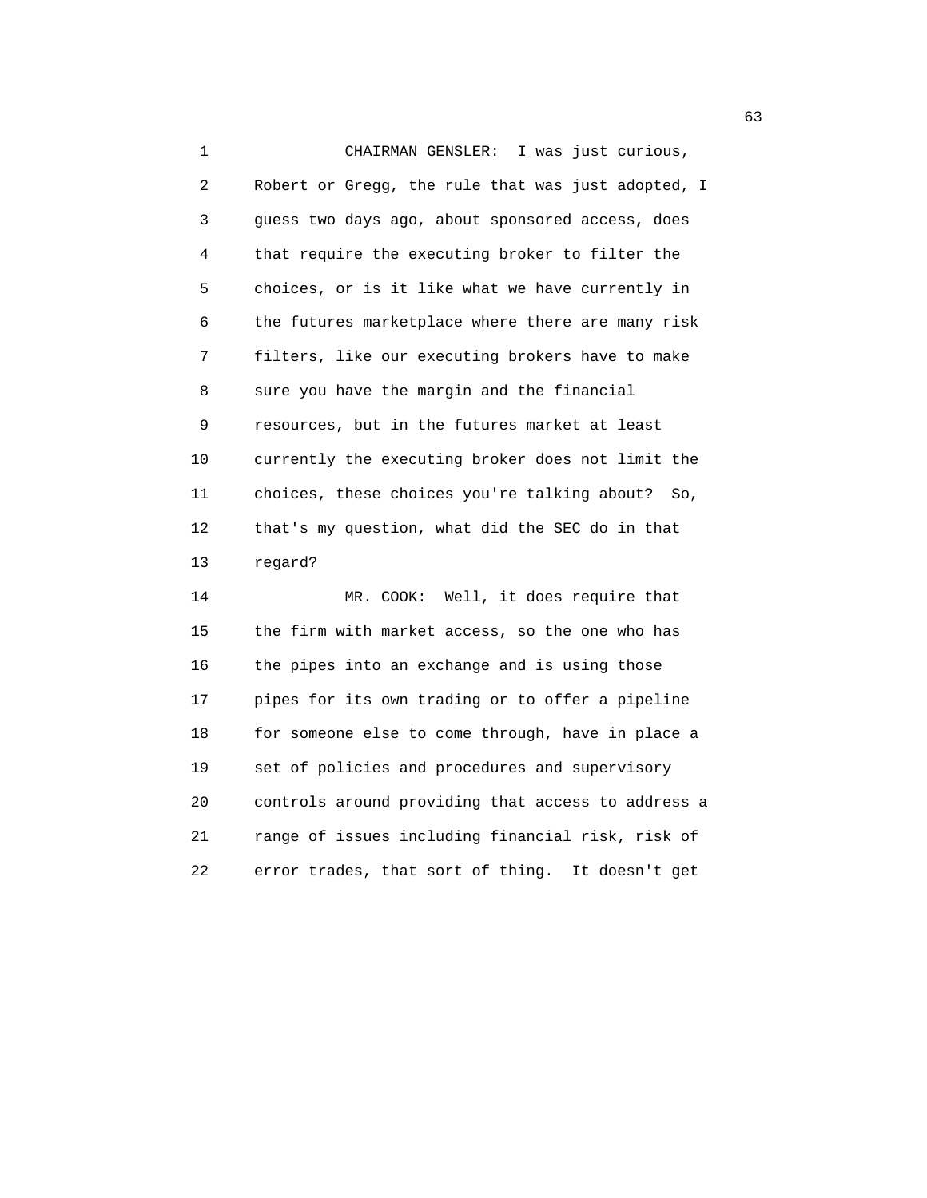1 CHAIRMAN GENSLER: I was just curious, 2 Robert or Gregg, the rule that was just adopted, I 3 guess two days ago, about sponsored access, does 4 that require the executing broker to filter the 5 choices, or is it like what we have currently in 6 the futures marketplace where there are many risk 7 filters, like our executing brokers have to make 8 sure you have the margin and the financial 9 resources, but in the futures market at least 10 currently the executing broker does not limit the 11 choices, these choices you're talking about? So, 12 that's my question, what did the SEC do in that 13 regard? 14 MR. COOK: Well, it does require that 15 the firm with market access, so the one who has

 16 the pipes into an exchange and is using those 17 pipes for its own trading or to offer a pipeline 18 for someone else to come through, have in place a 19 set of policies and procedures and supervisory 20 controls around providing that access to address a 21 range of issues including financial risk, risk of 22 error trades, that sort of thing. It doesn't get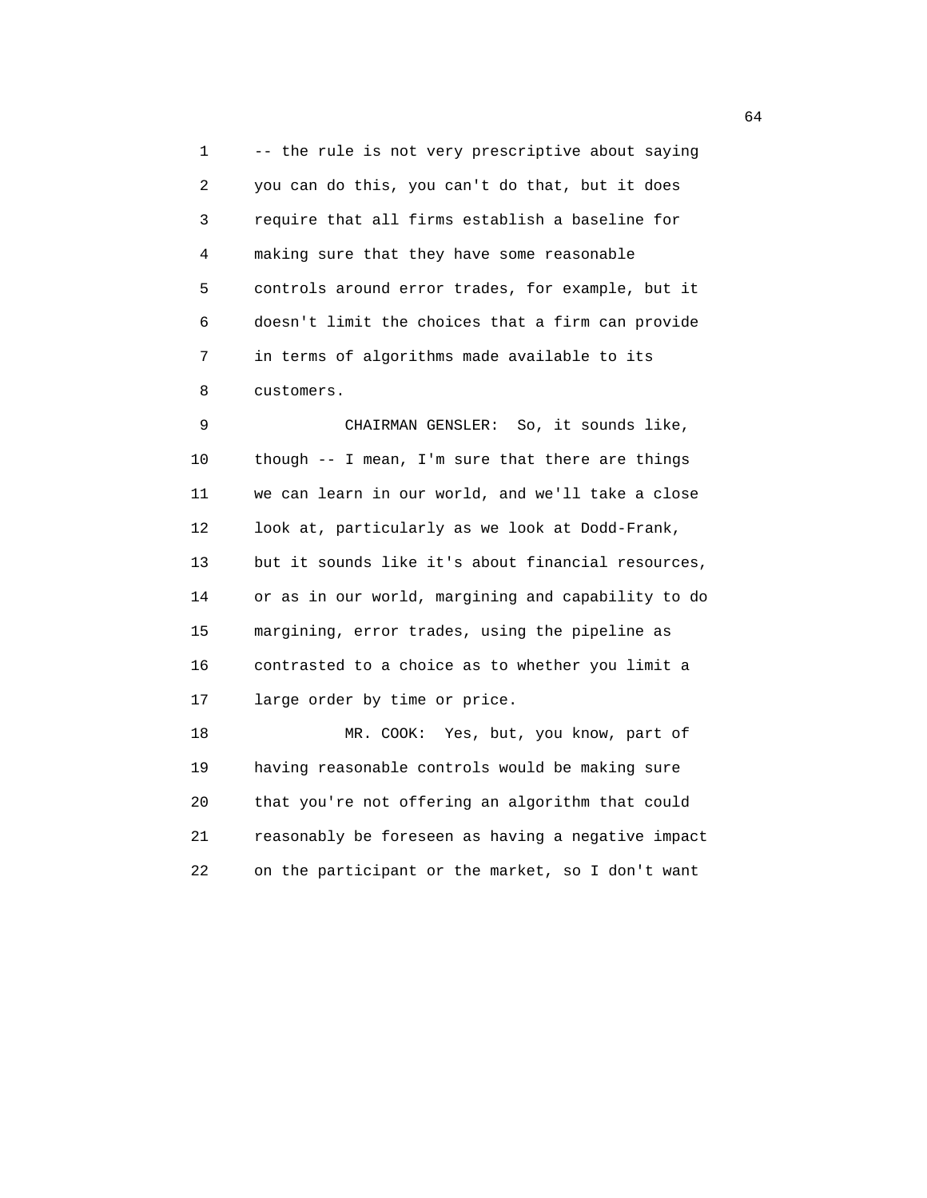1 -- the rule is not very prescriptive about saying 2 you can do this, you can't do that, but it does 3 require that all firms establish a baseline for 4 making sure that they have some reasonable 5 controls around error trades, for example, but it 6 doesn't limit the choices that a firm can provide 7 in terms of algorithms made available to its 8 customers.

 9 CHAIRMAN GENSLER: So, it sounds like, 10 though -- I mean, I'm sure that there are things 11 we can learn in our world, and we'll take a close 12 look at, particularly as we look at Dodd-Frank, 13 but it sounds like it's about financial resources, 14 or as in our world, margining and capability to do 15 margining, error trades, using the pipeline as 16 contrasted to a choice as to whether you limit a 17 large order by time or price.

 18 MR. COOK: Yes, but, you know, part of 19 having reasonable controls would be making sure 20 that you're not offering an algorithm that could 21 reasonably be foreseen as having a negative impact 22 on the participant or the market, so I don't want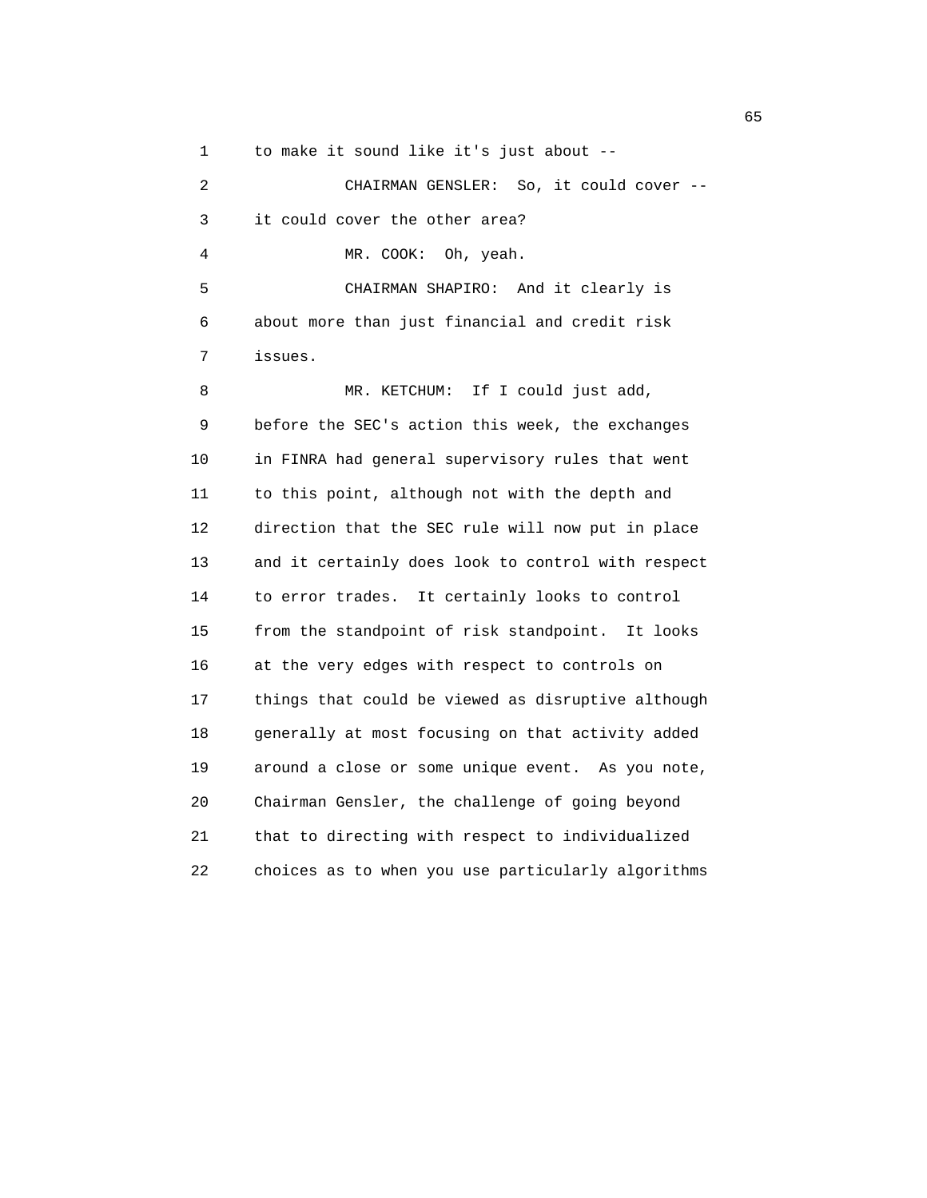1 to make it sound like it's just about --

 2 CHAIRMAN GENSLER: So, it could cover -- 3 it could cover the other area? 4 MR. COOK: Oh, yeah. 5 CHAIRMAN SHAPIRO: And it clearly is 6 about more than just financial and credit risk 7 issues. 8 MR. KETCHUM: If I could just add, 9 before the SEC's action this week, the exchanges 10 in FINRA had general supervisory rules that went 11 to this point, although not with the depth and 12 direction that the SEC rule will now put in place 13 and it certainly does look to control with respect 14 to error trades. It certainly looks to control 15 from the standpoint of risk standpoint. It looks 16 at the very edges with respect to controls on 17 things that could be viewed as disruptive although 18 generally at most focusing on that activity added 19 around a close or some unique event. As you note, 20 Chairman Gensler, the challenge of going beyond 21 that to directing with respect to individualized 22 choices as to when you use particularly algorithms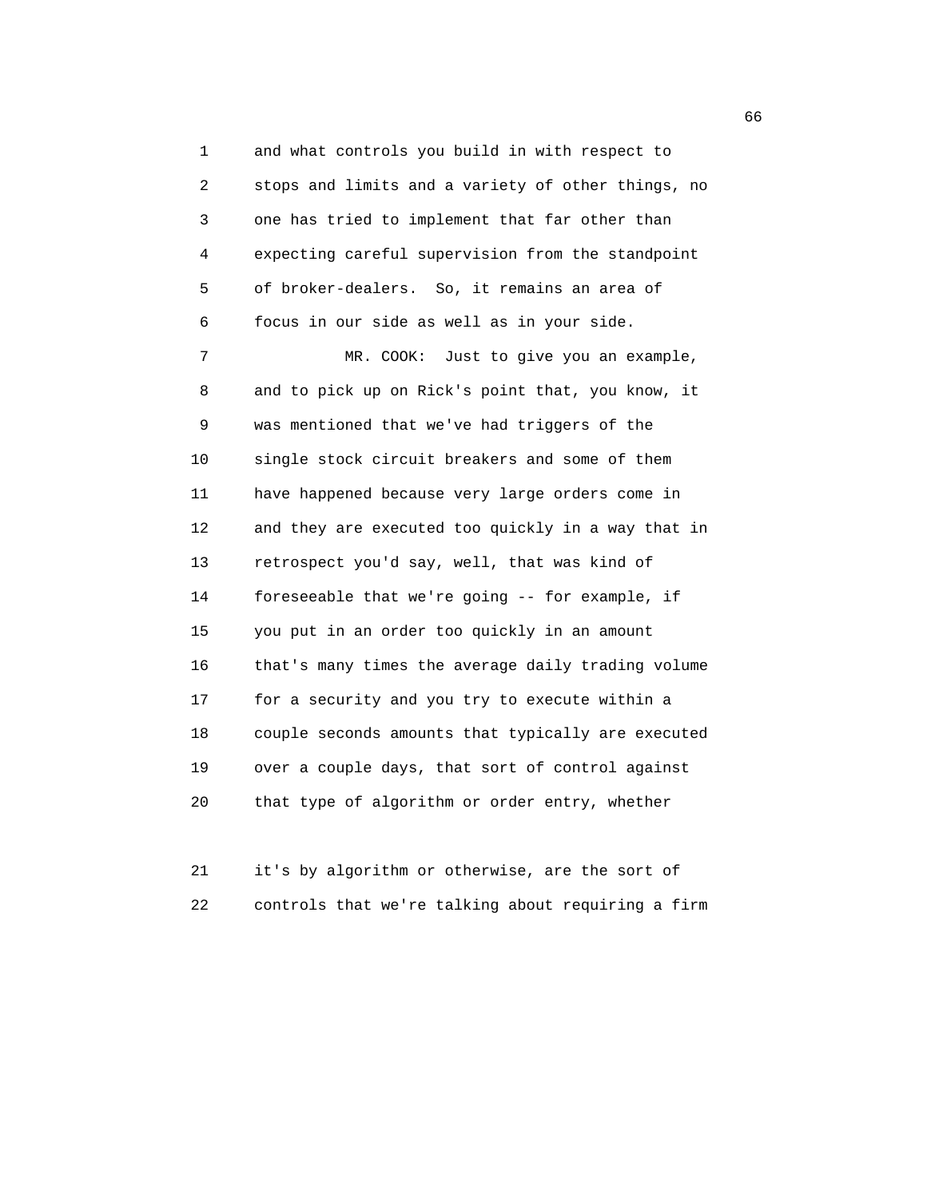1 and what controls you build in with respect to 2 stops and limits and a variety of other things, no 3 one has tried to implement that far other than 4 expecting careful supervision from the standpoint 5 of broker-dealers. So, it remains an area of 6 focus in our side as well as in your side. 7 MR. COOK: Just to give you an example, 8 and to pick up on Rick's point that, you know, it 9 was mentioned that we've had triggers of the 10 single stock circuit breakers and some of them 11 have happened because very large orders come in 12 and they are executed too quickly in a way that in 13 retrospect you'd say, well, that was kind of 14 foreseeable that we're going -- for example, if 15 you put in an order too quickly in an amount 16 that's many times the average daily trading volume 17 for a security and you try to execute within a 18 couple seconds amounts that typically are executed 19 over a couple days, that sort of control against 20 that type of algorithm or order entry, whether

 21 it's by algorithm or otherwise, are the sort of 22 controls that we're talking about requiring a firm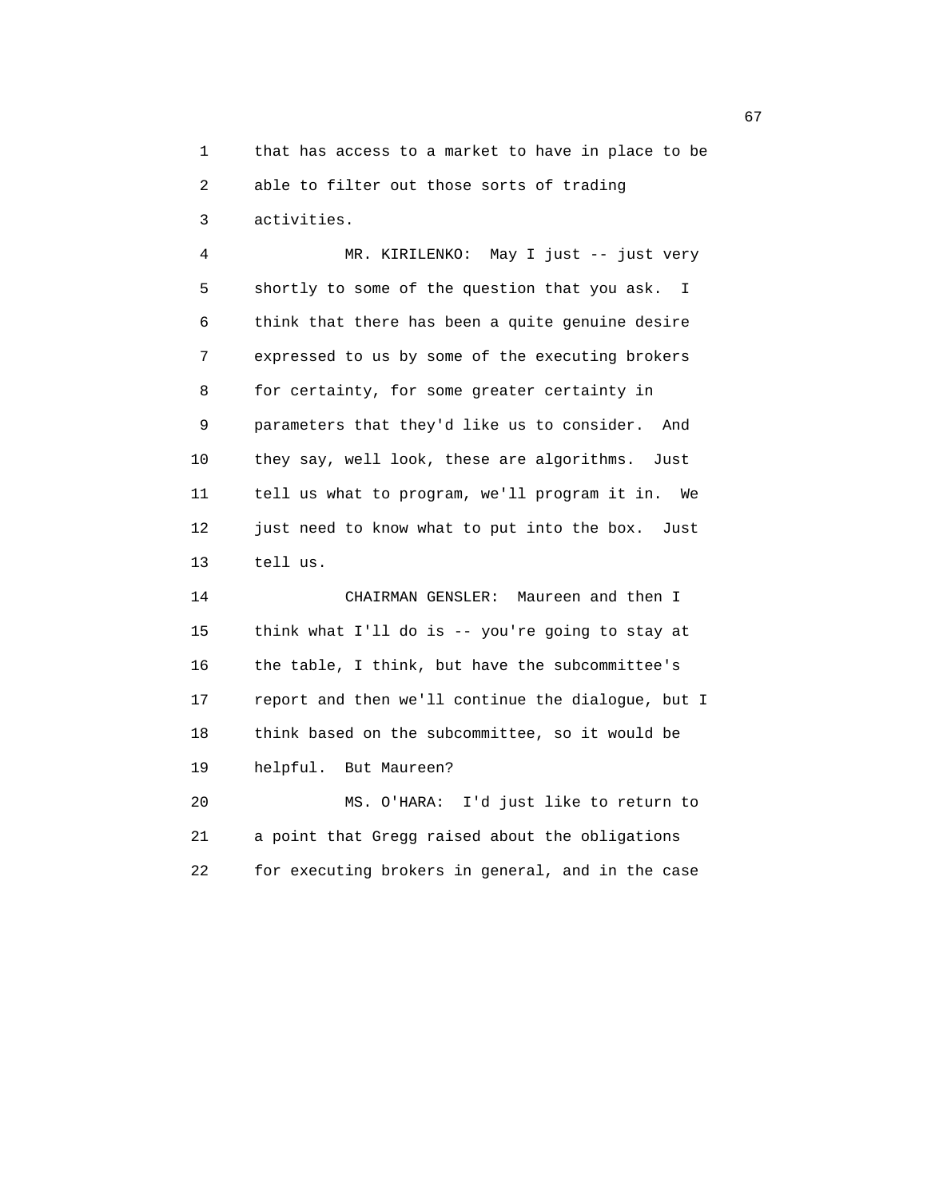1 that has access to a market to have in place to be 2 able to filter out those sorts of trading 3 activities.

 4 MR. KIRILENKO: May I just -- just very 5 shortly to some of the question that you ask. I 6 think that there has been a quite genuine desire 7 expressed to us by some of the executing brokers 8 for certainty, for some greater certainty in 9 parameters that they'd like us to consider. And 10 they say, well look, these are algorithms. Just 11 tell us what to program, we'll program it in. We 12 just need to know what to put into the box. Just 13 tell us.

 14 CHAIRMAN GENSLER: Maureen and then I 15 think what I'll do is -- you're going to stay at 16 the table, I think, but have the subcommittee's 17 report and then we'll continue the dialogue, but I 18 think based on the subcommittee, so it would be 19 helpful. But Maureen? 20 MS. O'HARA: I'd just like to return to

 21 a point that Gregg raised about the obligations 22 for executing brokers in general, and in the case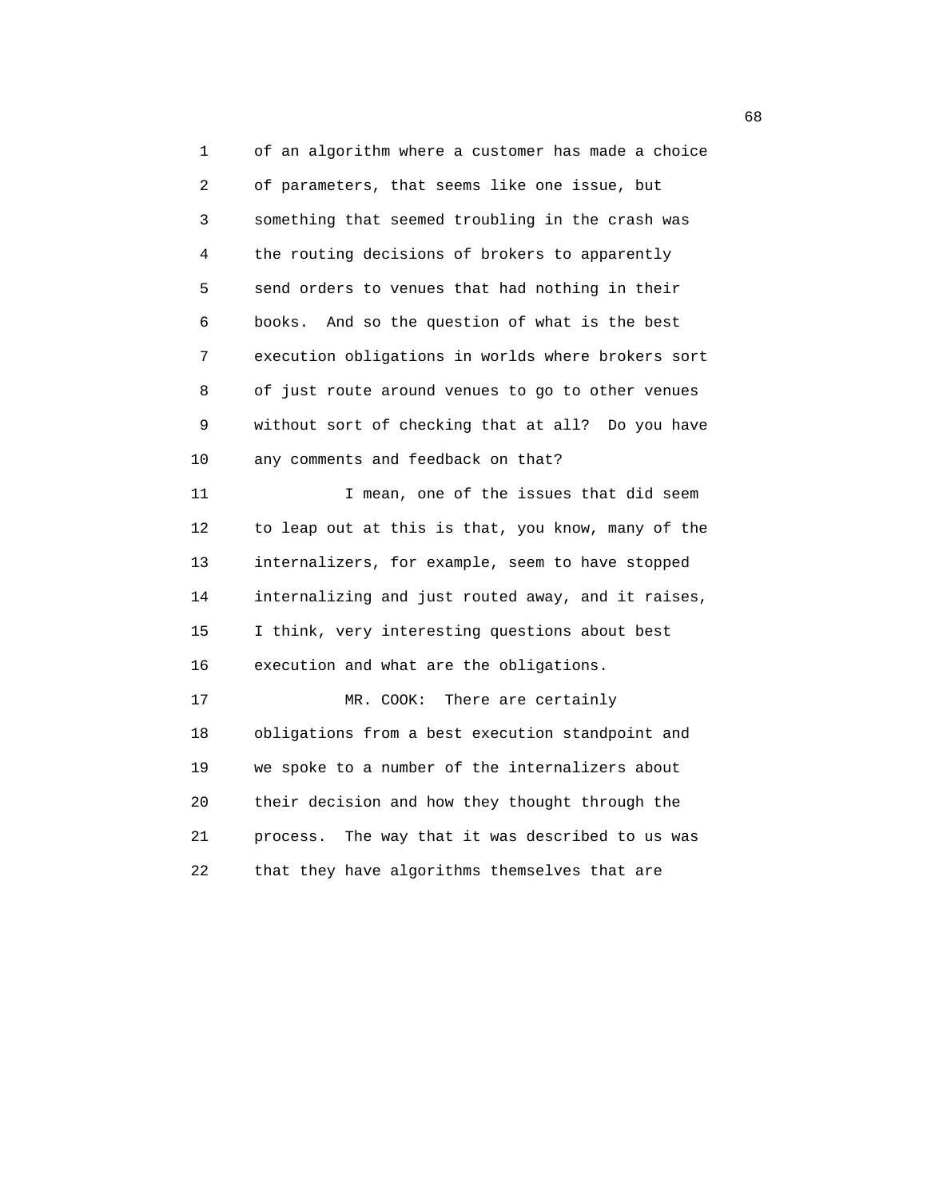1 of an algorithm where a customer has made a choice 2 of parameters, that seems like one issue, but 3 something that seemed troubling in the crash was 4 the routing decisions of brokers to apparently 5 send orders to venues that had nothing in their 6 books. And so the question of what is the best 7 execution obligations in worlds where brokers sort 8 of just route around venues to go to other venues 9 without sort of checking that at all? Do you have 10 any comments and feedback on that? 11 11 I mean, one of the issues that did seem 12 to leap out at this is that, you know, many of the 13 internalizers, for example, seem to have stopped 14 internalizing and just routed away, and it raises, 15 I think, very interesting questions about best 16 execution and what are the obligations. 17 MR. COOK: There are certainly 18 obligations from a best execution standpoint and 19 we spoke to a number of the internalizers about 20 their decision and how they thought through the 21 process. The way that it was described to us was 22 that they have algorithms themselves that are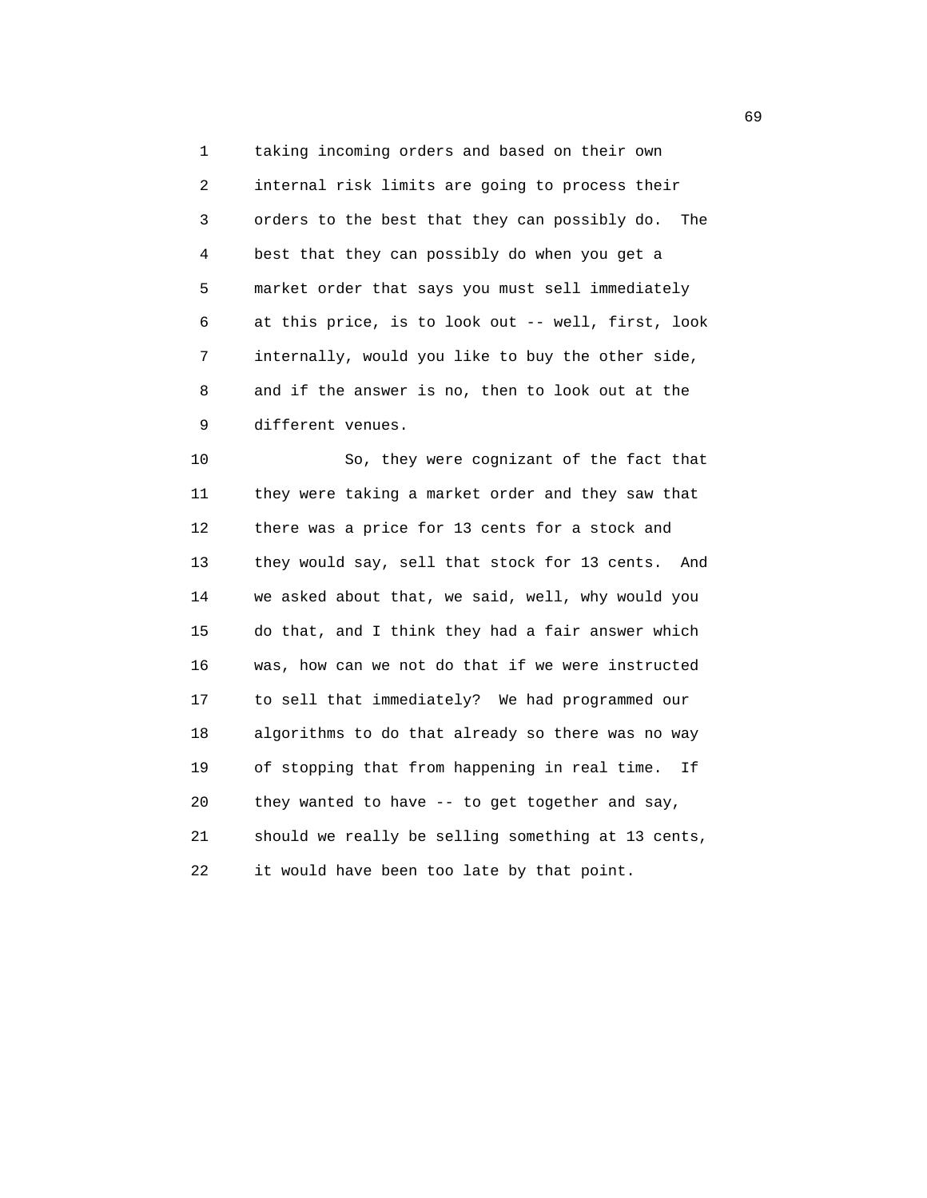1 taking incoming orders and based on their own 2 internal risk limits are going to process their 3 orders to the best that they can possibly do. The 4 best that they can possibly do when you get a 5 market order that says you must sell immediately 6 at this price, is to look out -- well, first, look 7 internally, would you like to buy the other side, 8 and if the answer is no, then to look out at the 9 different venues.

 10 So, they were cognizant of the fact that 11 they were taking a market order and they saw that 12 there was a price for 13 cents for a stock and 13 they would say, sell that stock for 13 cents. And 14 we asked about that, we said, well, why would you 15 do that, and I think they had a fair answer which 16 was, how can we not do that if we were instructed 17 to sell that immediately? We had programmed our 18 algorithms to do that already so there was no way 19 of stopping that from happening in real time. If 20 they wanted to have -- to get together and say, 21 should we really be selling something at 13 cents, 22 it would have been too late by that point.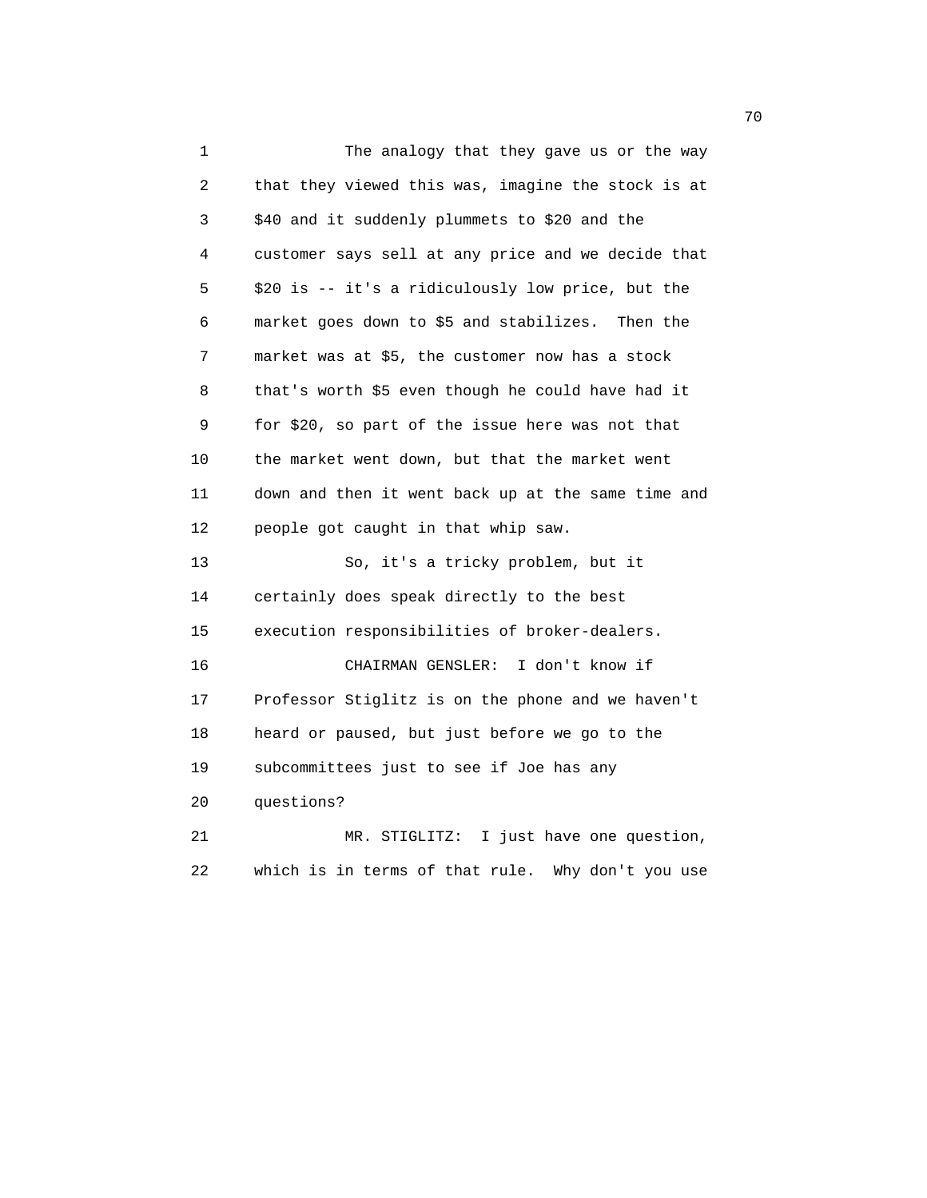1 The analogy that they gave us or the way 2 that they viewed this was, imagine the stock is at 3 \$40 and it suddenly plummets to \$20 and the 4 customer says sell at any price and we decide that 5 \$20 is -- it's a ridiculously low price, but the 6 market goes down to \$5 and stabilizes. Then the 7 market was at \$5, the customer now has a stock 8 that's worth \$5 even though he could have had it 9 for \$20, so part of the issue here was not that 10 the market went down, but that the market went 11 down and then it went back up at the same time and 12 people got caught in that whip saw. 13 So, it's a tricky problem, but it 14 certainly does speak directly to the best 15 execution responsibilities of broker-dealers. 16 CHAIRMAN GENSLER: I don't know if 17 Professor Stiglitz is on the phone and we haven't 18 heard or paused, but just before we go to the 19 subcommittees just to see if Joe has any 20 questions? 21 MR. STIGLITZ: I just have one question, 22 which is in terms of that rule. Why don't you use

not a construct the contract of the construction of the construction of the construction of the construction of the construction of the construction of the construction of the construction of the construction of the constr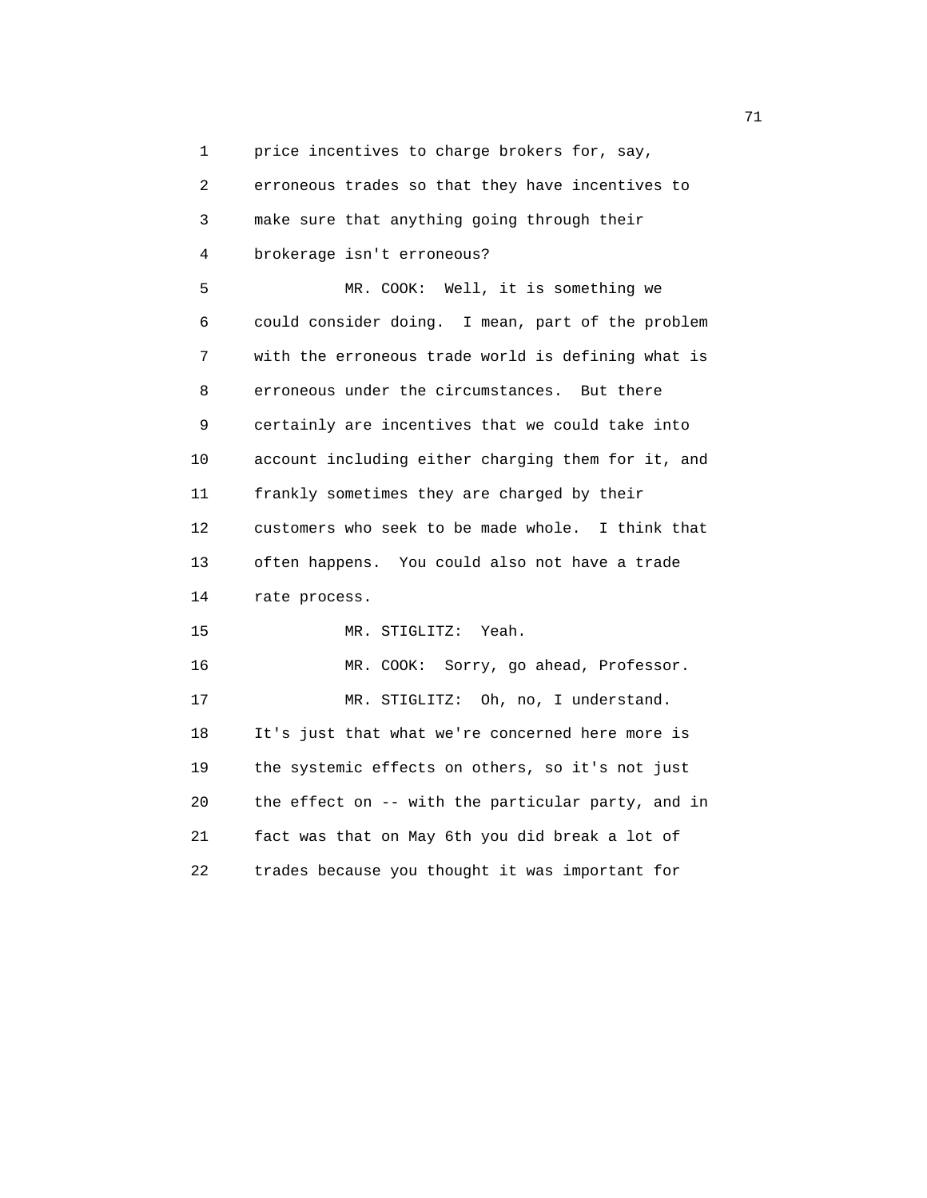1 price incentives to charge brokers for, say,

 2 erroneous trades so that they have incentives to 3 make sure that anything going through their 4 brokerage isn't erroneous? 5 MR. COOK: Well, it is something we 6 could consider doing. I mean, part of the problem 7 with the erroneous trade world is defining what is 8 erroneous under the circumstances. But there 9 certainly are incentives that we could take into 10 account including either charging them for it, and 11 frankly sometimes they are charged by their 12 customers who seek to be made whole. I think that 13 often happens. You could also not have a trade 14 rate process. 15 MR. STIGLITZ: Yeah. 16 MR. COOK: Sorry, go ahead, Professor. 17 MR. STIGLITZ: Oh, no, I understand. 18 It's just that what we're concerned here more is 19 the systemic effects on others, so it's not just 20 the effect on -- with the particular party, and in 21 fact was that on May 6th you did break a lot of 22 trades because you thought it was important for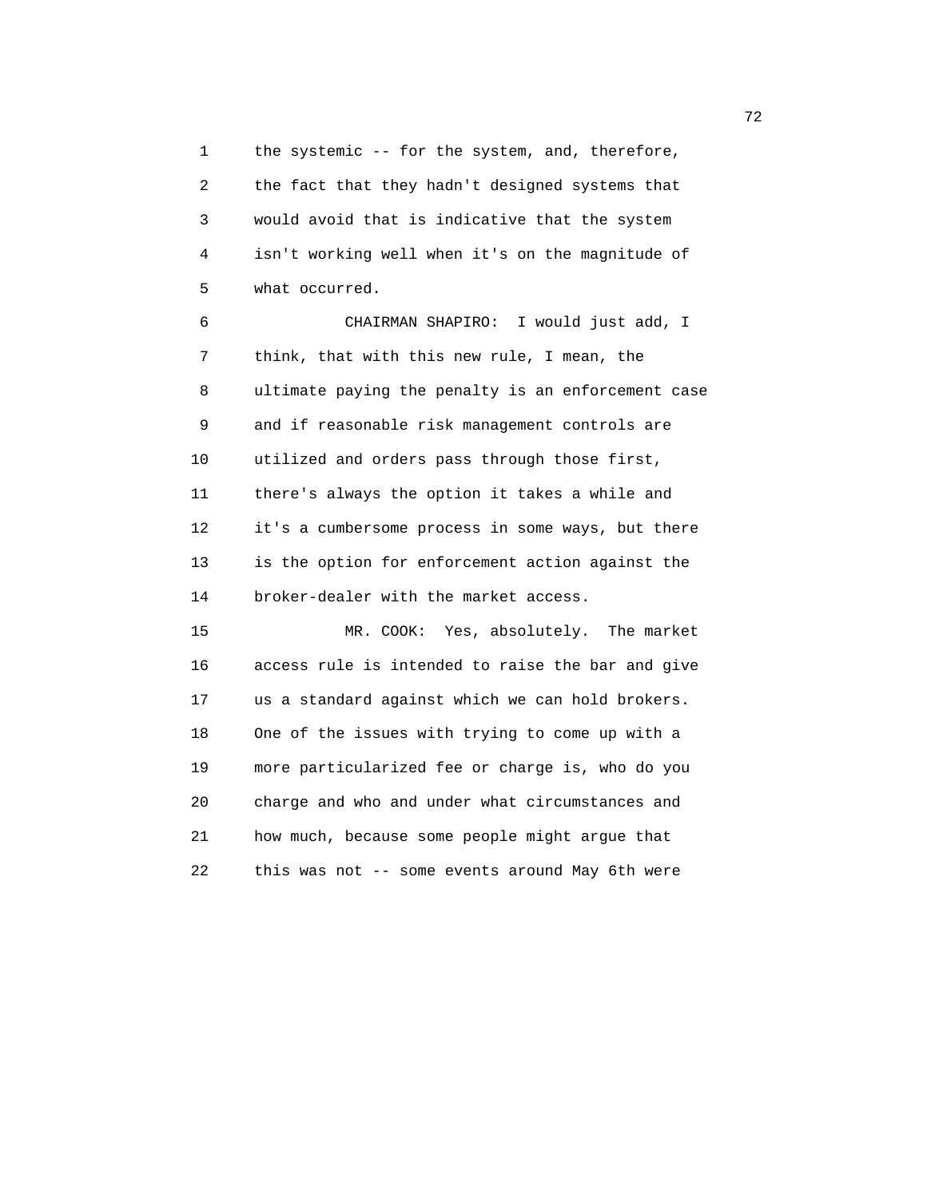1 the systemic -- for the system, and, therefore, 2 the fact that they hadn't designed systems that 3 would avoid that is indicative that the system 4 isn't working well when it's on the magnitude of 5 what occurred.

 6 CHAIRMAN SHAPIRO: I would just add, I 7 think, that with this new rule, I mean, the 8 ultimate paying the penalty is an enforcement case 9 and if reasonable risk management controls are 10 utilized and orders pass through those first, 11 there's always the option it takes a while and 12 it's a cumbersome process in some ways, but there 13 is the option for enforcement action against the 14 broker-dealer with the market access.

 15 MR. COOK: Yes, absolutely. The market 16 access rule is intended to raise the bar and give 17 us a standard against which we can hold brokers. 18 One of the issues with trying to come up with a 19 more particularized fee or charge is, who do you 20 charge and who and under what circumstances and 21 how much, because some people might argue that 22 this was not -- some events around May 6th were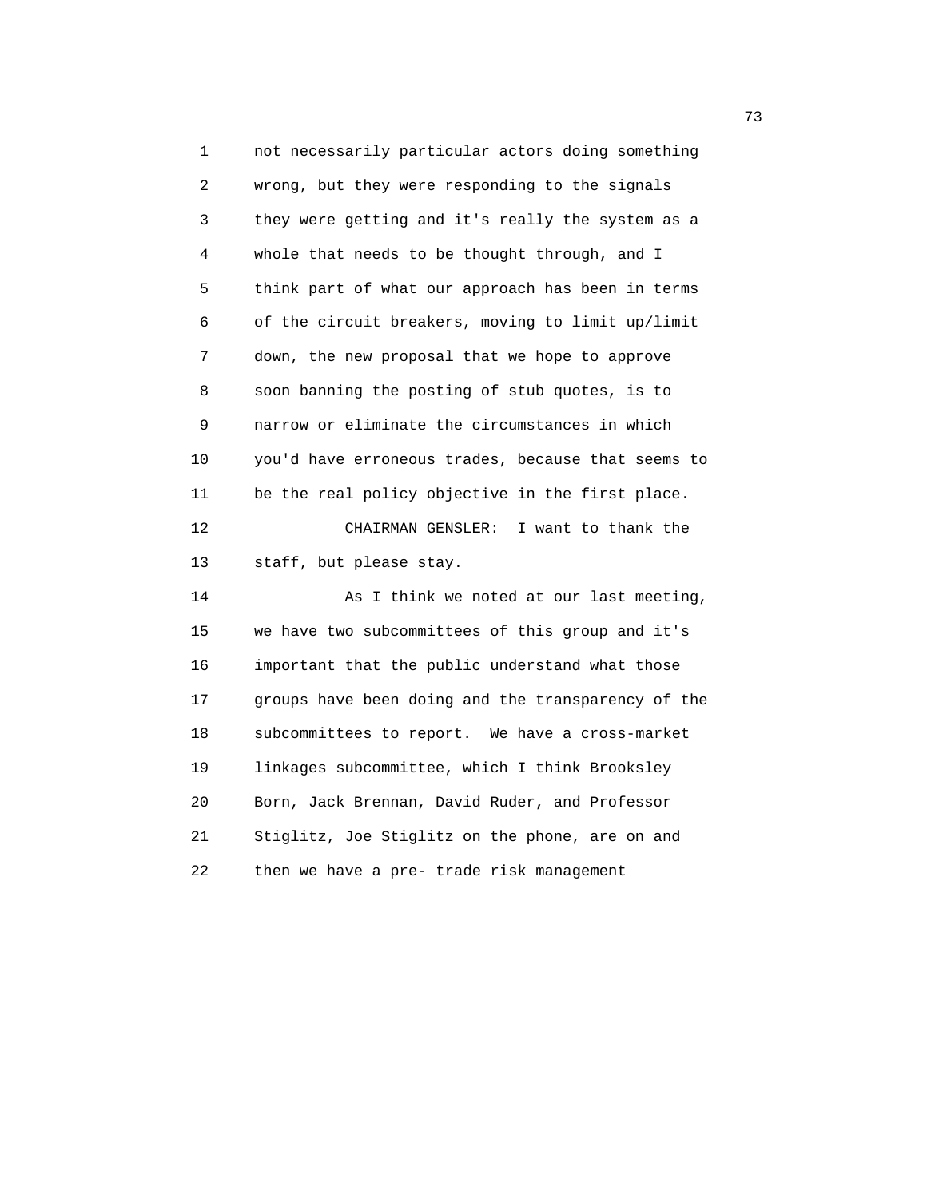1 not necessarily particular actors doing something 2 wrong, but they were responding to the signals 3 they were getting and it's really the system as a 4 whole that needs to be thought through, and I 5 think part of what our approach has been in terms 6 of the circuit breakers, moving to limit up/limit 7 down, the new proposal that we hope to approve 8 soon banning the posting of stub quotes, is to 9 narrow or eliminate the circumstances in which 10 you'd have erroneous trades, because that seems to 11 be the real policy objective in the first place. 12 CHAIRMAN GENSLER: I want to thank the 13 staff, but please stay. 14 As I think we noted at our last meeting, 15 we have two subcommittees of this group and it's 16 important that the public understand what those 17 groups have been doing and the transparency of the 18 subcommittees to report. We have a cross-market 19 linkages subcommittee, which I think Brooksley 20 Born, Jack Brennan, David Ruder, and Professor 21 Stiglitz, Joe Stiglitz on the phone, are on and 22 then we have a pre- trade risk management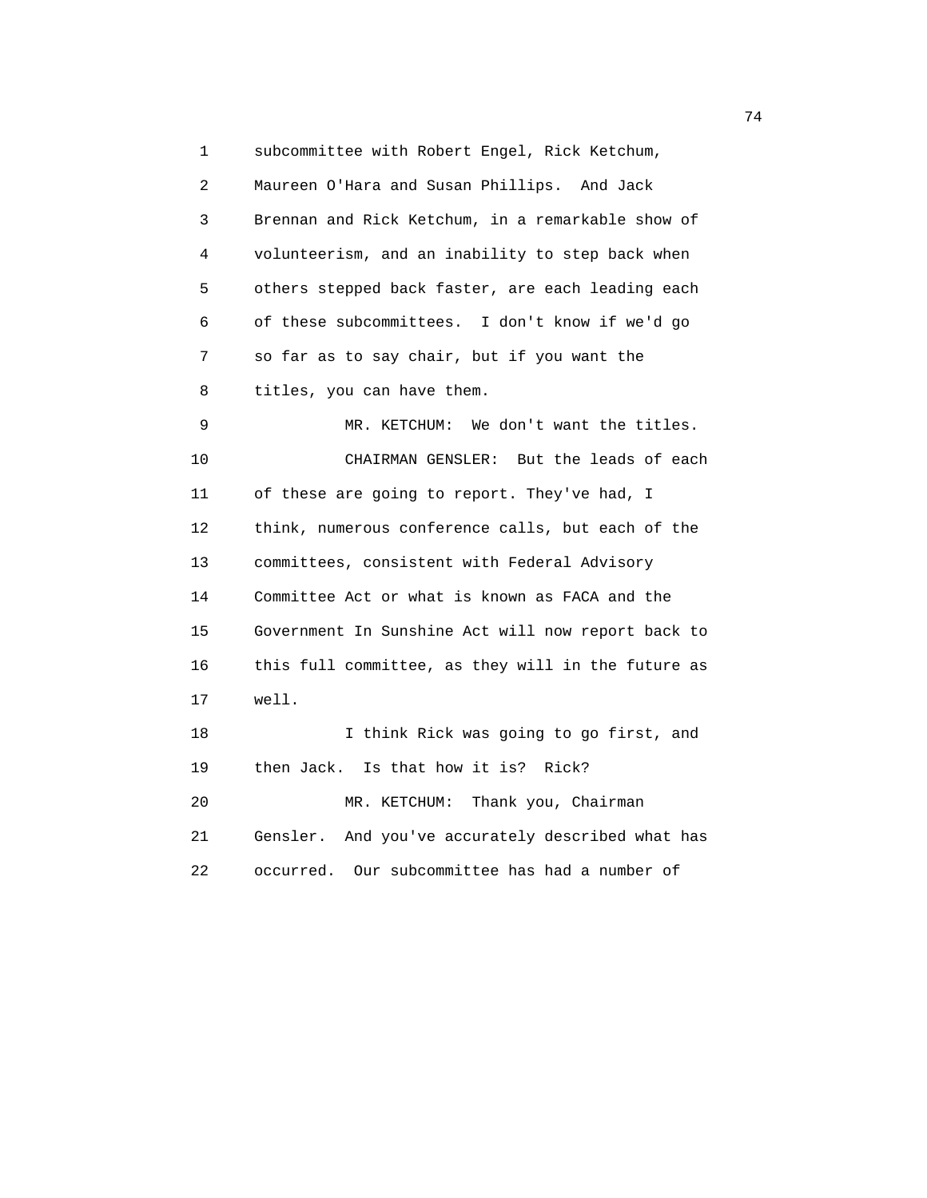1 subcommittee with Robert Engel, Rick Ketchum, 2 Maureen O'Hara and Susan Phillips. And Jack 3 Brennan and Rick Ketchum, in a remarkable show of 4 volunteerism, and an inability to step back when 5 others stepped back faster, are each leading each 6 of these subcommittees. I don't know if we'd go 7 so far as to say chair, but if you want the 8 titles, you can have them. 9 MR. KETCHUM: We don't want the titles. 10 CHAIRMAN GENSLER: But the leads of each 11 of these are going to report. They've had, I 12 think, numerous conference calls, but each of the 13 committees, consistent with Federal Advisory 14 Committee Act or what is known as FACA and the 15 Government In Sunshine Act will now report back to 16 this full committee, as they will in the future as 17 well. 18 I think Rick was going to go first, and 19 then Jack. Is that how it is? Rick? 20 MR. KETCHUM: Thank you, Chairman 21 Gensler. And you've accurately described what has 22 occurred. Our subcommittee has had a number of

74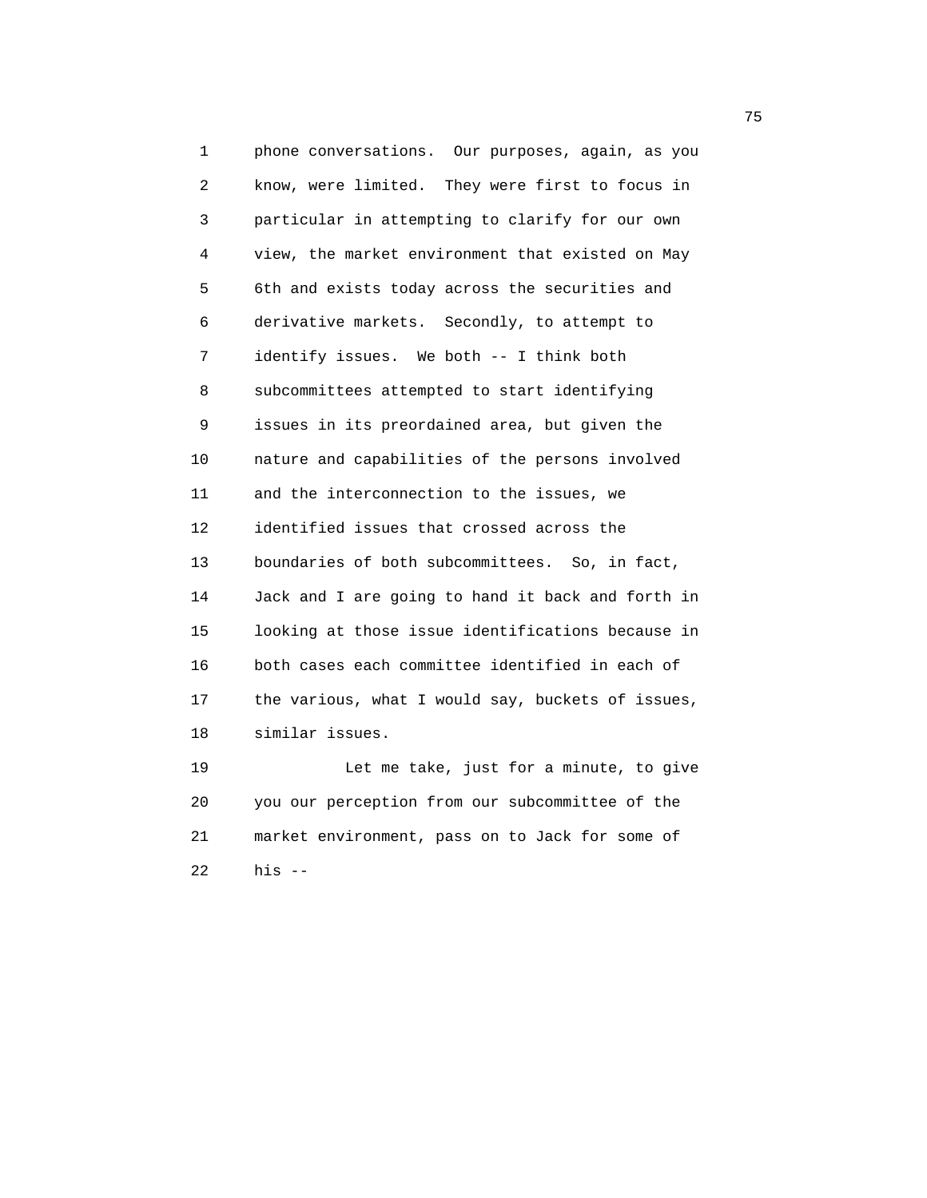1 phone conversations. Our purposes, again, as you 2 know, were limited. They were first to focus in 3 particular in attempting to clarify for our own 4 view, the market environment that existed on May 5 6th and exists today across the securities and 6 derivative markets. Secondly, to attempt to 7 identify issues. We both -- I think both 8 subcommittees attempted to start identifying 9 issues in its preordained area, but given the 10 nature and capabilities of the persons involved 11 and the interconnection to the issues, we 12 identified issues that crossed across the 13 boundaries of both subcommittees. So, in fact, 14 Jack and I are going to hand it back and forth in 15 looking at those issue identifications because in 16 both cases each committee identified in each of 17 the various, what I would say, buckets of issues, 18 similar issues. 19 Let me take, just for a minute, to give

 20 you our perception from our subcommittee of the 21 market environment, pass on to Jack for some of 22 his --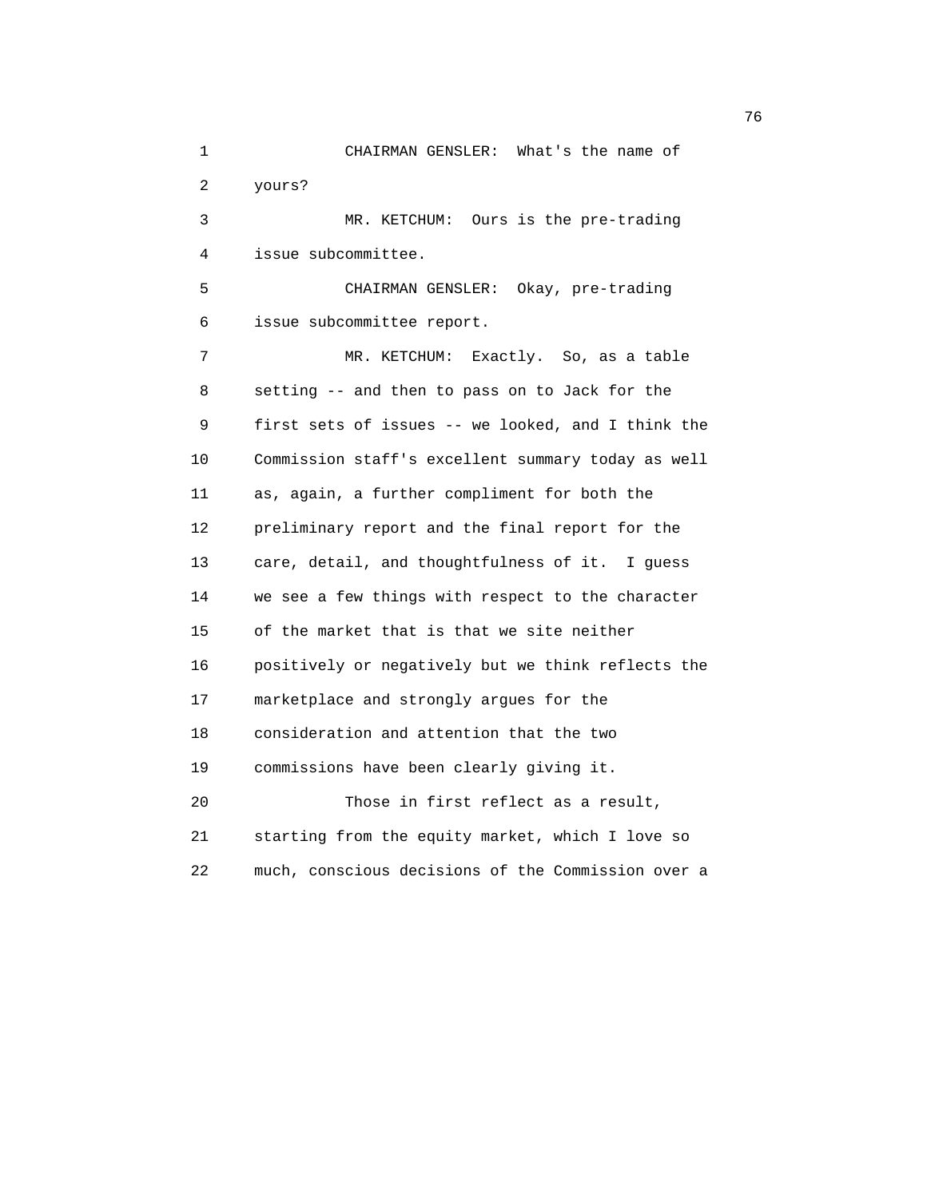| 1  | CHAIRMAN GENSLER:<br>What's the name of            |
|----|----------------------------------------------------|
| 2  | yours?                                             |
| 3  | MR. KETCHUM: Ours is the pre-trading               |
| 4  | issue subcommittee.                                |
| 5  | CHAIRMAN GENSLER: Okay, pre-trading                |
| 6  | issue subcommittee report.                         |
| 7  | Exactly. So, as a table<br>MR. KETCHUM:            |
| 8  | setting -- and then to pass on to Jack for the     |
| 9  | first sets of issues -- we looked, and I think the |
| 10 | Commission staff's excellent summary today as well |
| 11 | as, again, a further compliment for both the       |
| 12 | preliminary report and the final report for the    |
| 13 | care, detail, and thoughtfulness of it. I guess    |
| 14 | we see a few things with respect to the character  |
| 15 | of the market that is that we site neither         |
| 16 | positively or negatively but we think reflects the |
| 17 | marketplace and strongly argues for the            |
| 18 | consideration and attention that the two           |
| 19 | commissions have been clearly giving it.           |
| 20 | Those in first reflect as a result,                |
| 21 | starting from the equity market, which I love so   |
| 22 | much, conscious decisions of the Commission over a |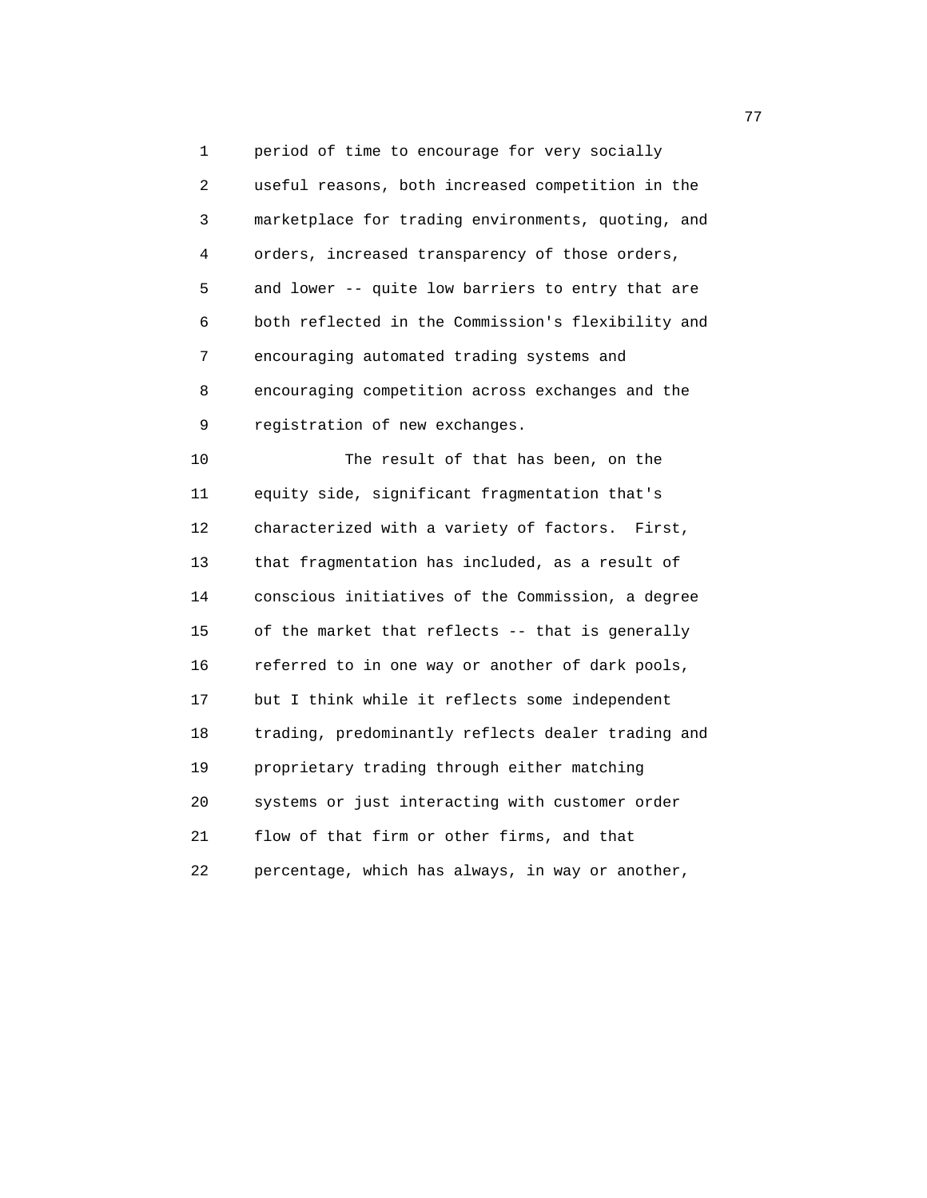1 period of time to encourage for very socially 2 useful reasons, both increased competition in the 3 marketplace for trading environments, quoting, and 4 orders, increased transparency of those orders, 5 and lower -- quite low barriers to entry that are 6 both reflected in the Commission's flexibility and 7 encouraging automated trading systems and 8 encouraging competition across exchanges and the 9 registration of new exchanges. 10 The result of that has been, on the 11 equity side, significant fragmentation that's 12 characterized with a variety of factors. First, 13 that fragmentation has included, as a result of

 14 conscious initiatives of the Commission, a degree 15 of the market that reflects -- that is generally 16 referred to in one way or another of dark pools, 17 but I think while it reflects some independent 18 trading, predominantly reflects dealer trading and 19 proprietary trading through either matching 20 systems or just interacting with customer order 21 flow of that firm or other firms, and that 22 percentage, which has always, in way or another,

ли в село в село во село во село во село во село во село во село во село во село во село во село во село во се<br>Постојата на селото на селото на селото на селото на селото на селото на селото на селото на селото на селото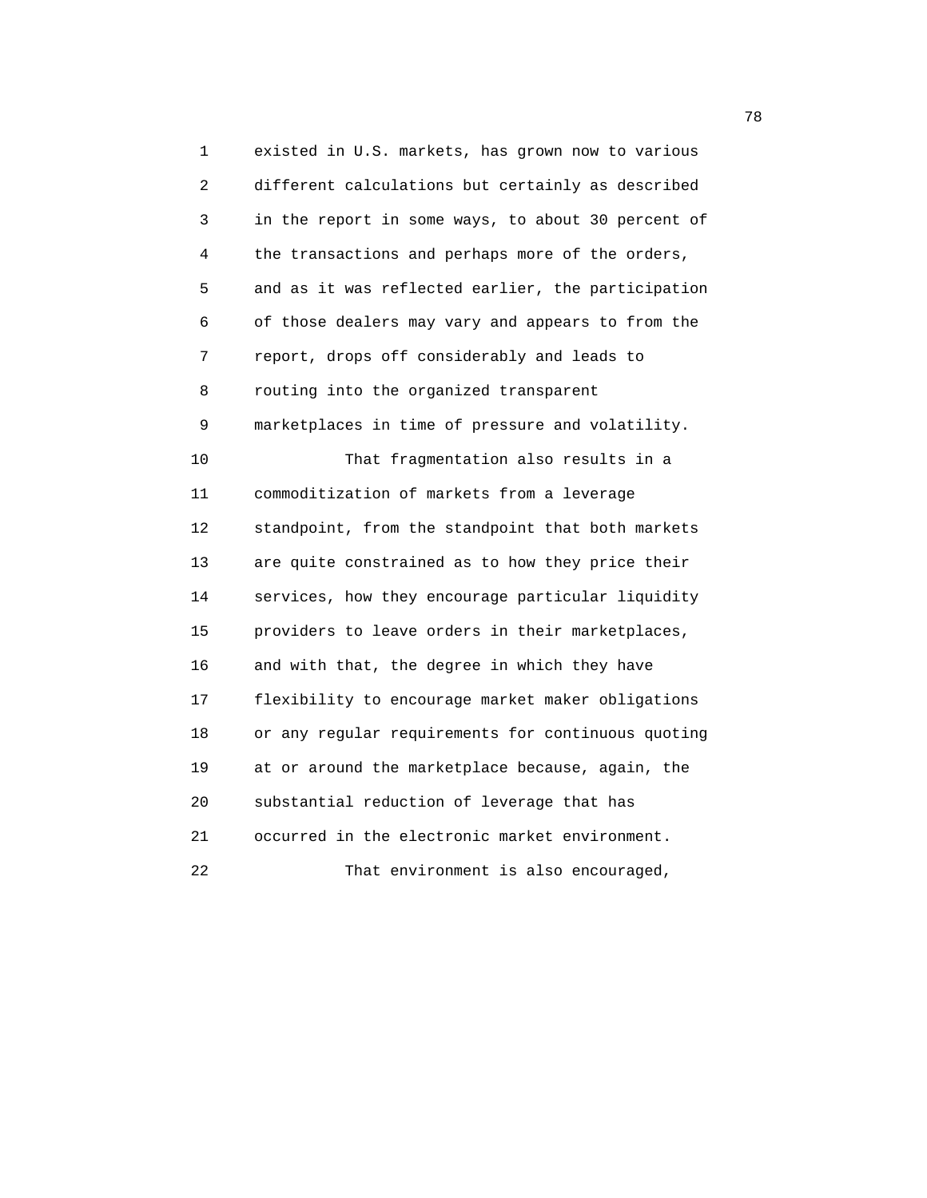1 existed in U.S. markets, has grown now to various 2 different calculations but certainly as described 3 in the report in some ways, to about 30 percent of 4 the transactions and perhaps more of the orders, 5 and as it was reflected earlier, the participation 6 of those dealers may vary and appears to from the 7 report, drops off considerably and leads to 8 routing into the organized transparent 9 marketplaces in time of pressure and volatility. 10 That fragmentation also results in a 11 commoditization of markets from a leverage 12 standpoint, from the standpoint that both markets 13 are quite constrained as to how they price their 14 services, how they encourage particular liquidity 15 providers to leave orders in their marketplaces, 16 and with that, the degree in which they have 17 flexibility to encourage market maker obligations 18 or any regular requirements for continuous quoting 19 at or around the marketplace because, again, the 20 substantial reduction of leverage that has 21 occurred in the electronic market environment. 22 That environment is also encouraged,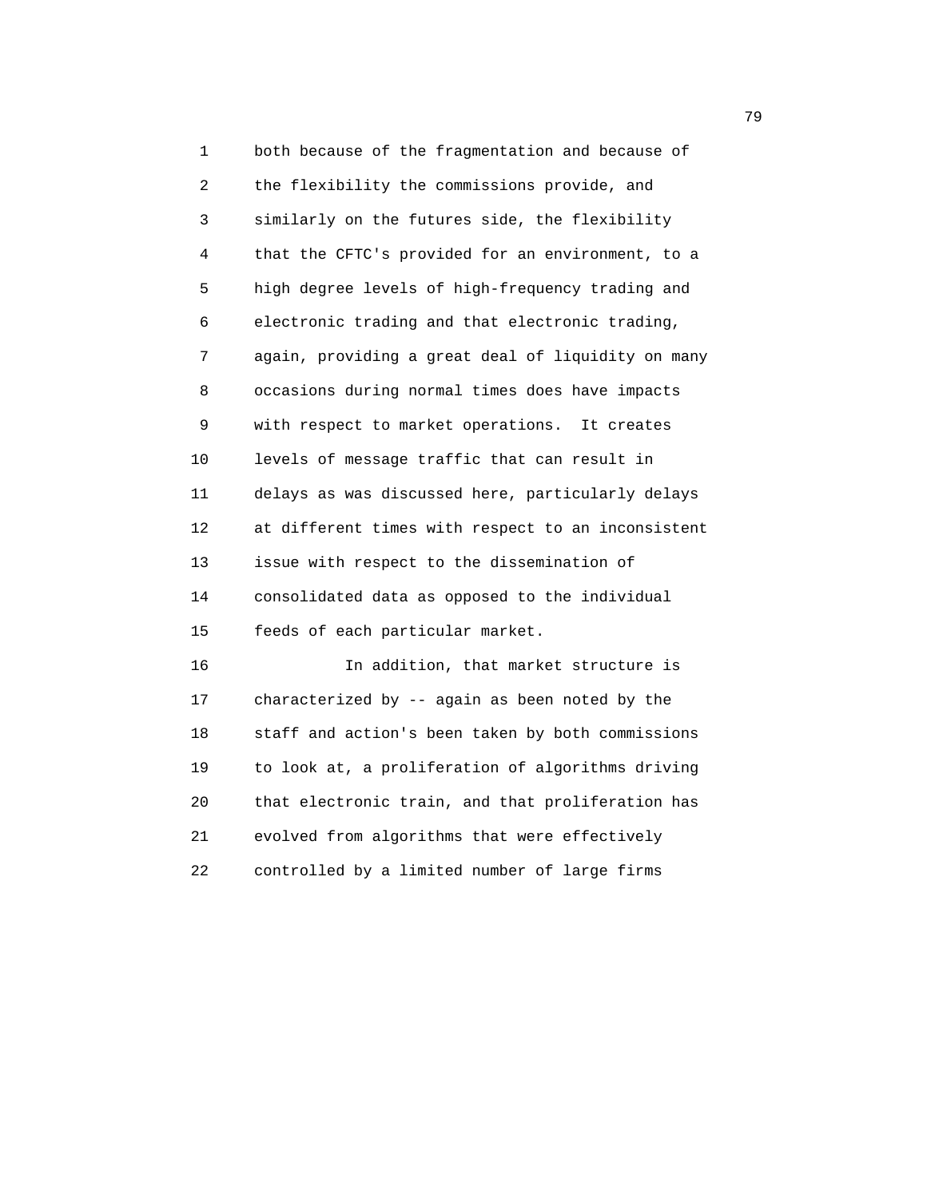1 both because of the fragmentation and because of 2 the flexibility the commissions provide, and 3 similarly on the futures side, the flexibility 4 that the CFTC's provided for an environment, to a 5 high degree levels of high-frequency trading and 6 electronic trading and that electronic trading, 7 again, providing a great deal of liquidity on many 8 occasions during normal times does have impacts 9 with respect to market operations. It creates 10 levels of message traffic that can result in 11 delays as was discussed here, particularly delays 12 at different times with respect to an inconsistent 13 issue with respect to the dissemination of 14 consolidated data as opposed to the individual 15 feeds of each particular market.

 16 In addition, that market structure is 17 characterized by -- again as been noted by the 18 staff and action's been taken by both commissions 19 to look at, a proliferation of algorithms driving 20 that electronic train, and that proliferation has 21 evolved from algorithms that were effectively 22 controlled by a limited number of large firms

ли в село в село во село во село во село во село во село во село во село во село во село во село во село во се<br>Постојата село во село во село во село во село во село во село во село во село во село во село во село во село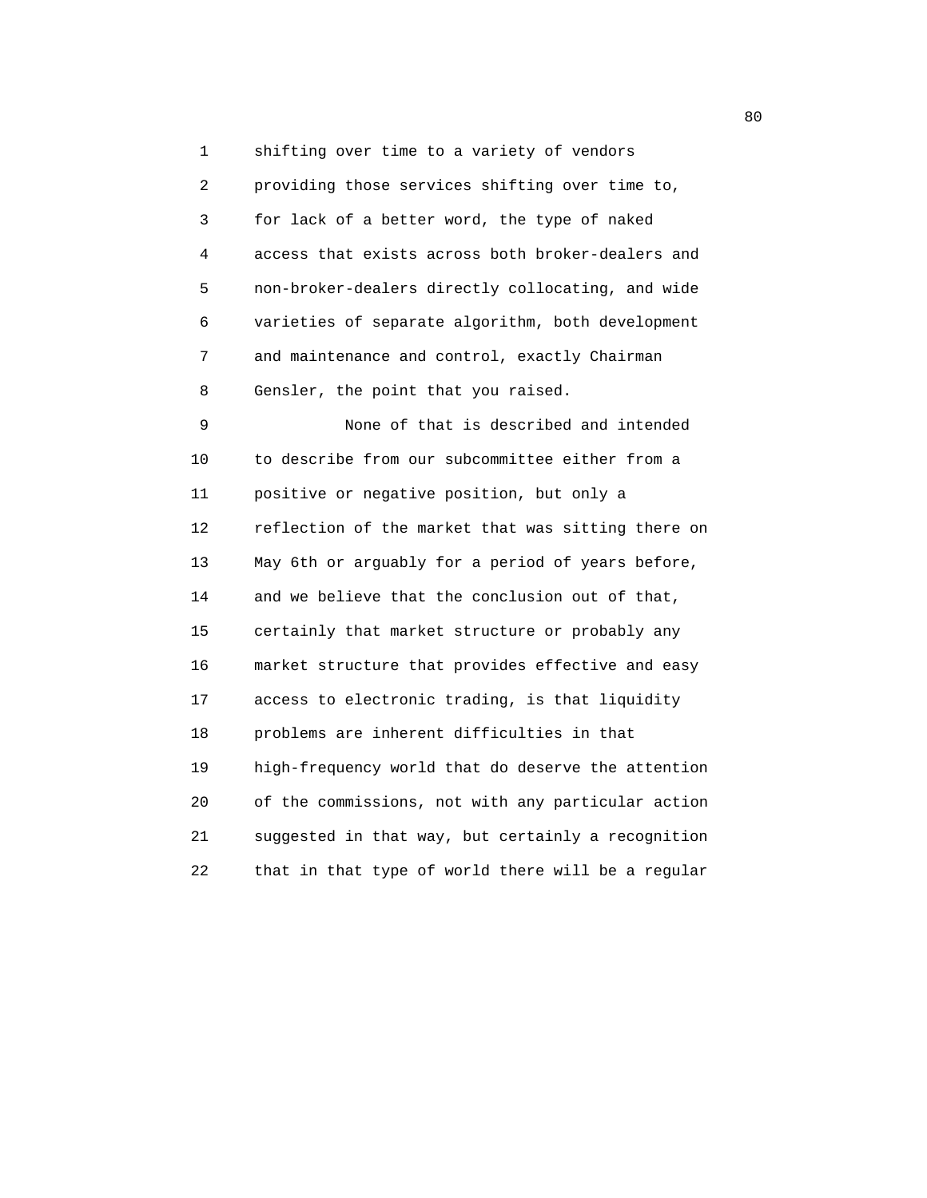1 shifting over time to a variety of vendors 2 providing those services shifting over time to, 3 for lack of a better word, the type of naked 4 access that exists across both broker-dealers and 5 non-broker-dealers directly collocating, and wide 6 varieties of separate algorithm, both development 7 and maintenance and control, exactly Chairman 8 Gensler, the point that you raised.

 9 None of that is described and intended 10 to describe from our subcommittee either from a 11 positive or negative position, but only a 12 reflection of the market that was sitting there on 13 May 6th or arguably for a period of years before, 14 and we believe that the conclusion out of that, 15 certainly that market structure or probably any 16 market structure that provides effective and easy 17 access to electronic trading, is that liquidity 18 problems are inherent difficulties in that 19 high-frequency world that do deserve the attention 20 of the commissions, not with any particular action 21 suggested in that way, but certainly a recognition 22 that in that type of world there will be a regular

en de la construction de la construction de la construction de la construction de la construction de la constr<br>De la construction de la construction de la construction de la construction de la construction de la construct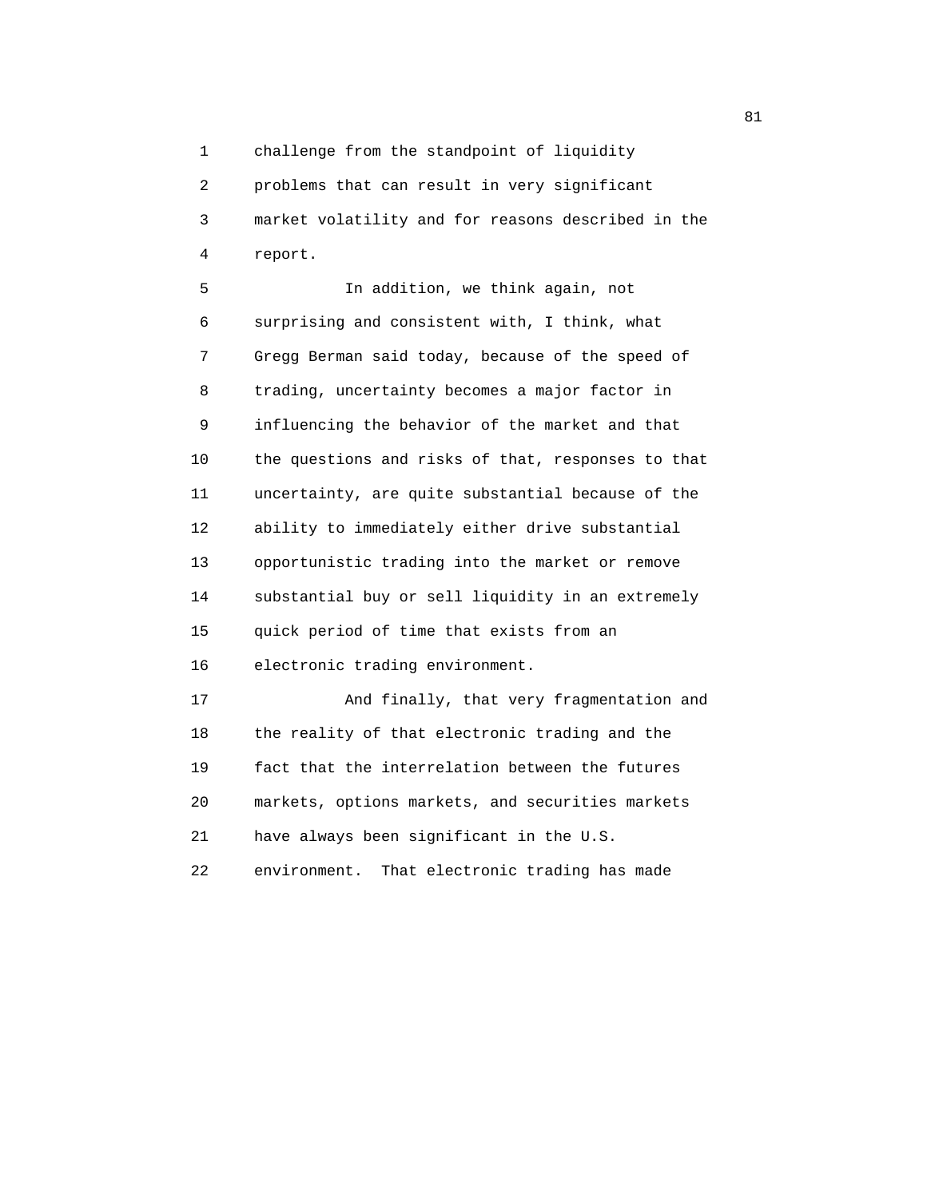1 challenge from the standpoint of liquidity

 2 problems that can result in very significant 3 market volatility and for reasons described in the 4 report.

 5 In addition, we think again, not 6 surprising and consistent with, I think, what 7 Gregg Berman said today, because of the speed of 8 trading, uncertainty becomes a major factor in 9 influencing the behavior of the market and that 10 the questions and risks of that, responses to that 11 uncertainty, are quite substantial because of the 12 ability to immediately either drive substantial 13 opportunistic trading into the market or remove 14 substantial buy or sell liquidity in an extremely 15 quick period of time that exists from an 16 electronic trading environment. 17 And finally, that very fragmentation and

 18 the reality of that electronic trading and the 19 fact that the interrelation between the futures 20 markets, options markets, and securities markets 21 have always been significant in the U.S.

22 environment. That electronic trading has made

experience of the state of the state of the state of the state of the state of the state of the state of the state of the state of the state of the state of the state of the state of the state of the state of the state of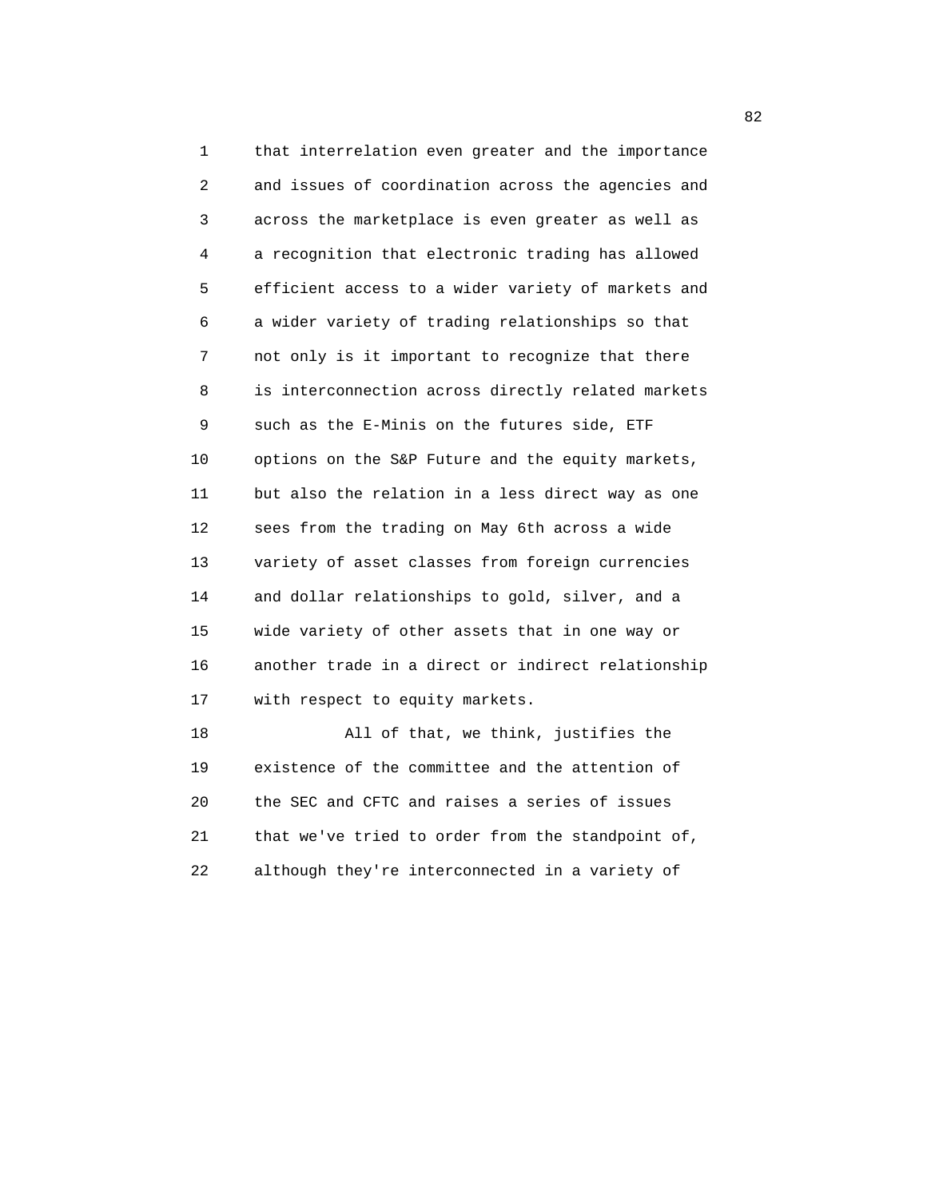1 that interrelation even greater and the importance 2 and issues of coordination across the agencies and 3 across the marketplace is even greater as well as 4 a recognition that electronic trading has allowed 5 efficient access to a wider variety of markets and 6 a wider variety of trading relationships so that 7 not only is it important to recognize that there 8 is interconnection across directly related markets 9 such as the E-Minis on the futures side, ETF 10 options on the S&P Future and the equity markets, 11 but also the relation in a less direct way as one 12 sees from the trading on May 6th across a wide 13 variety of asset classes from foreign currencies 14 and dollar relationships to gold, silver, and a 15 wide variety of other assets that in one way or 16 another trade in a direct or indirect relationship 17 with respect to equity markets. 18 All of that, we think, justifies the

 19 existence of the committee and the attention of 20 the SEC and CFTC and raises a series of issues 21 that we've tried to order from the standpoint of, 22 although they're interconnected in a variety of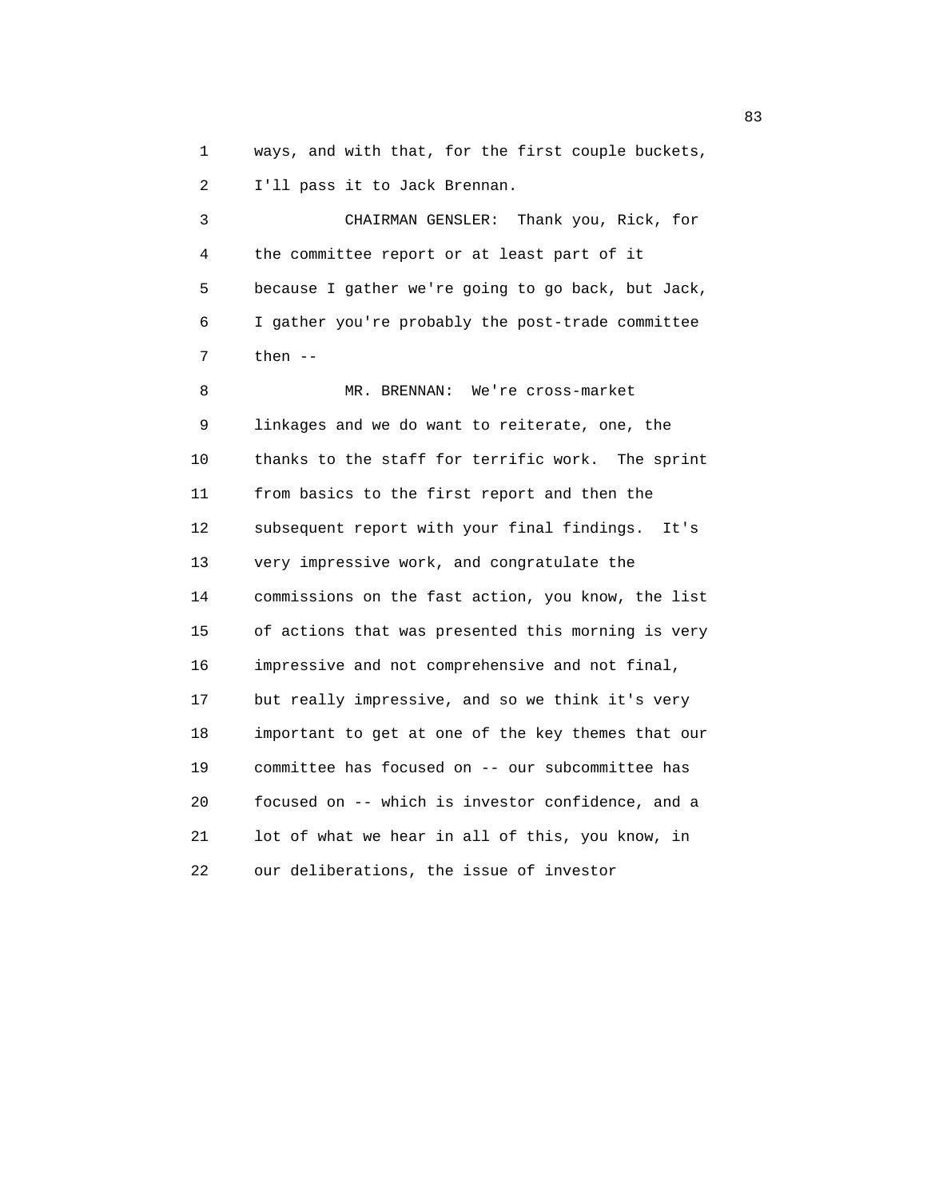1 ways, and with that, for the first couple buckets, 2 I'll pass it to Jack Brennan.

 3 CHAIRMAN GENSLER: Thank you, Rick, for 4 the committee report or at least part of it 5 because I gather we're going to go back, but Jack, 6 I gather you're probably the post-trade committee 7 then --

 8 MR. BRENNAN: We're cross-market 9 linkages and we do want to reiterate, one, the 10 thanks to the staff for terrific work. The sprint 11 from basics to the first report and then the 12 subsequent report with your final findings. It's 13 very impressive work, and congratulate the 14 commissions on the fast action, you know, the list 15 of actions that was presented this morning is very 16 impressive and not comprehensive and not final, 17 but really impressive, and so we think it's very 18 important to get at one of the key themes that our 19 committee has focused on -- our subcommittee has 20 focused on -- which is investor confidence, and a 21 lot of what we hear in all of this, you know, in 22 our deliberations, the issue of investor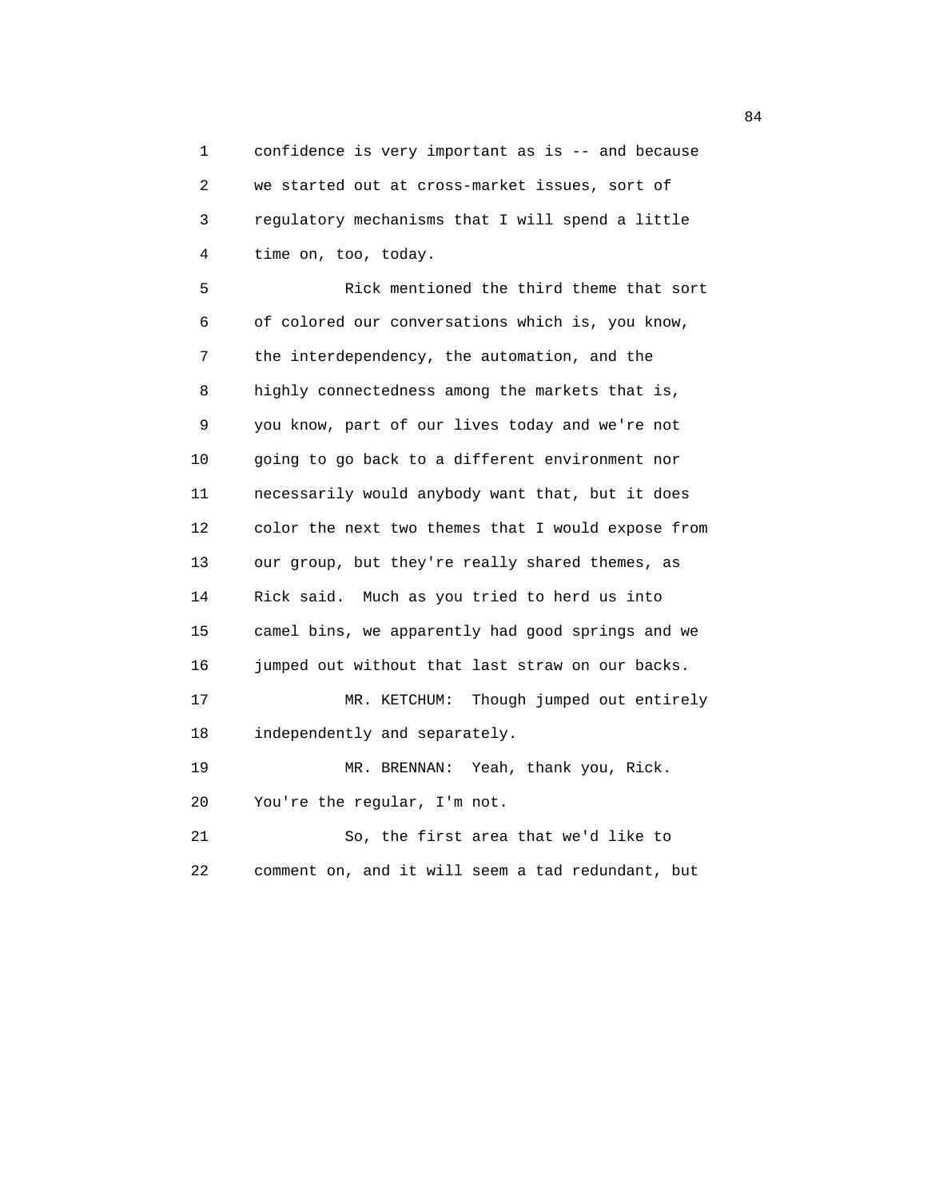1 confidence is very important as is -- and because 2 we started out at cross-market issues, sort of 3 regulatory mechanisms that I will spend a little 4 time on, too, today.

 5 Rick mentioned the third theme that sort 6 of colored our conversations which is, you know, 7 the interdependency, the automation, and the 8 highly connectedness among the markets that is, 9 you know, part of our lives today and we're not 10 going to go back to a different environment nor 11 necessarily would anybody want that, but it does 12 color the next two themes that I would expose from 13 our group, but they're really shared themes, as 14 Rick said. Much as you tried to herd us into 15 camel bins, we apparently had good springs and we 16 jumped out without that last straw on our backs. 17 MR. KETCHUM: Though jumped out entirely 18 independently and separately. 19 MR. BRENNAN: Yeah, thank you, Rick. 20 You're the regular, I'm not. 21 So, the first area that we'd like to

22 comment on, and it will seem a tad redundant, but

84 **84**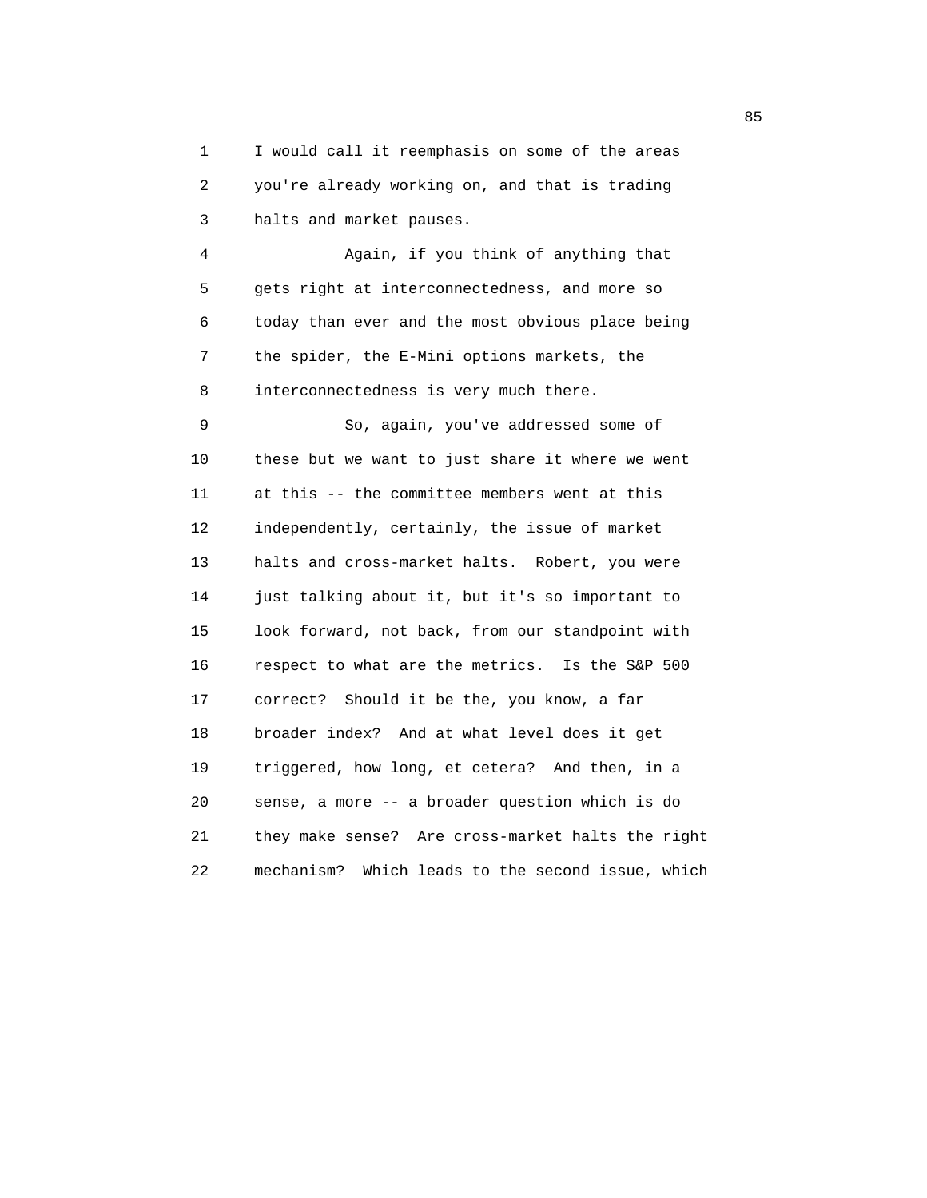1 I would call it reemphasis on some of the areas 2 you're already working on, and that is trading 3 halts and market pauses.

 4 Again, if you think of anything that 5 gets right at interconnectedness, and more so 6 today than ever and the most obvious place being 7 the spider, the E-Mini options markets, the 8 interconnectedness is very much there.

 9 So, again, you've addressed some of 10 these but we want to just share it where we went 11 at this -- the committee members went at this 12 independently, certainly, the issue of market 13 halts and cross-market halts. Robert, you were 14 just talking about it, but it's so important to 15 look forward, not back, from our standpoint with 16 respect to what are the metrics. Is the S&P 500 17 correct? Should it be the, you know, a far 18 broader index? And at what level does it get 19 triggered, how long, et cetera? And then, in a 20 sense, a more -- a broader question which is do 21 they make sense? Are cross-market halts the right 22 mechanism? Which leads to the second issue, which

en andere de la constantin de la constantin de la constantin de la constantin de la constantin de la constantin<br>En 1930, en la constantin de la constantin de la constantin de la constantin de la constantin de la constantin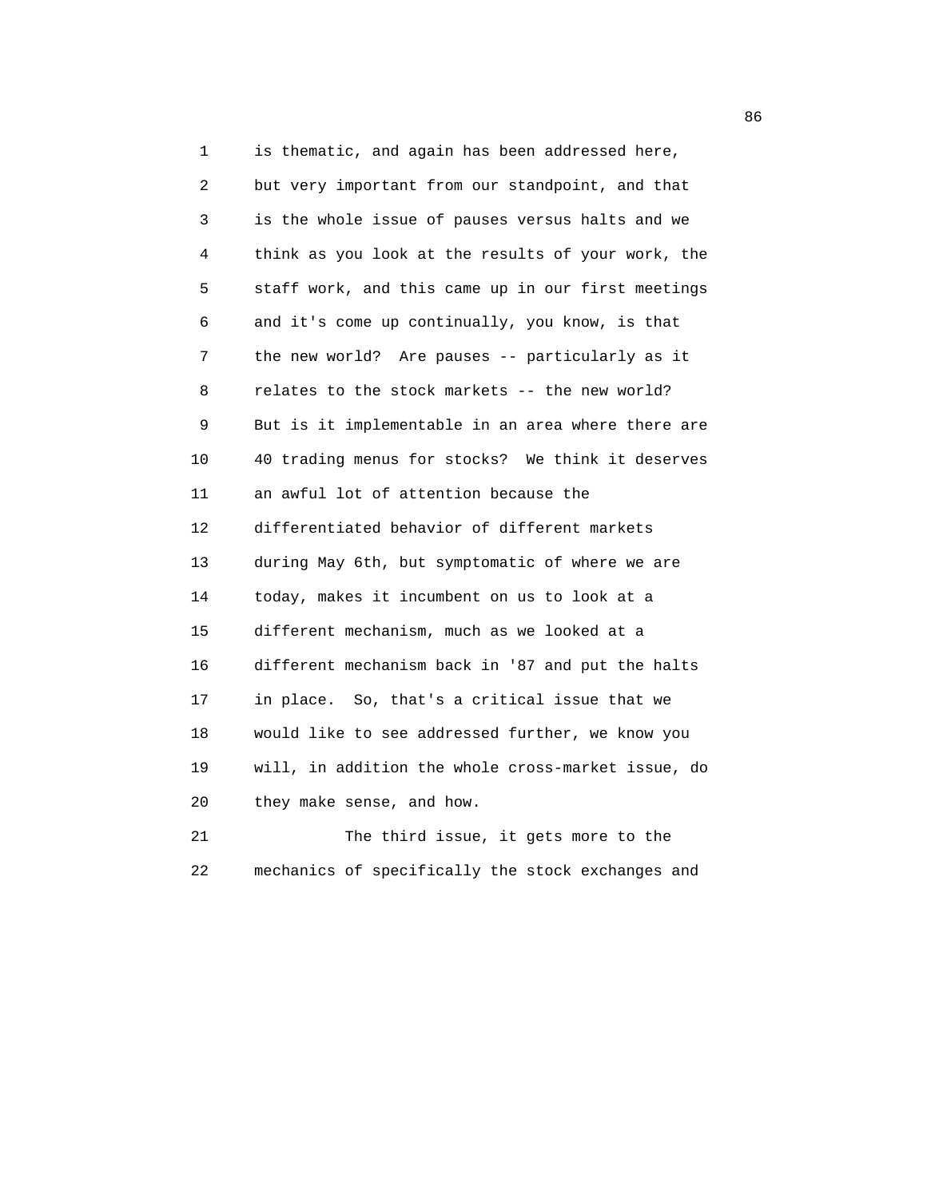1 is thematic, and again has been addressed here, 2 but very important from our standpoint, and that 3 is the whole issue of pauses versus halts and we 4 think as you look at the results of your work, the 5 staff work, and this came up in our first meetings 6 and it's come up continually, you know, is that 7 the new world? Are pauses -- particularly as it 8 relates to the stock markets -- the new world? 9 But is it implementable in an area where there are 10 40 trading menus for stocks? We think it deserves 11 an awful lot of attention because the 12 differentiated behavior of different markets 13 during May 6th, but symptomatic of where we are 14 today, makes it incumbent on us to look at a 15 different mechanism, much as we looked at a 16 different mechanism back in '87 and put the halts 17 in place. So, that's a critical issue that we 18 would like to see addressed further, we know you 19 will, in addition the whole cross-market issue, do 20 they make sense, and how.

21 The third issue, it gets more to the 22 mechanics of specifically the stock exchanges and

en de la construcción de la construcción de la construcción de la construcción de la construcción de la construcción de la construcción de la construcción de la construcción de la construcción de la construcción de la cons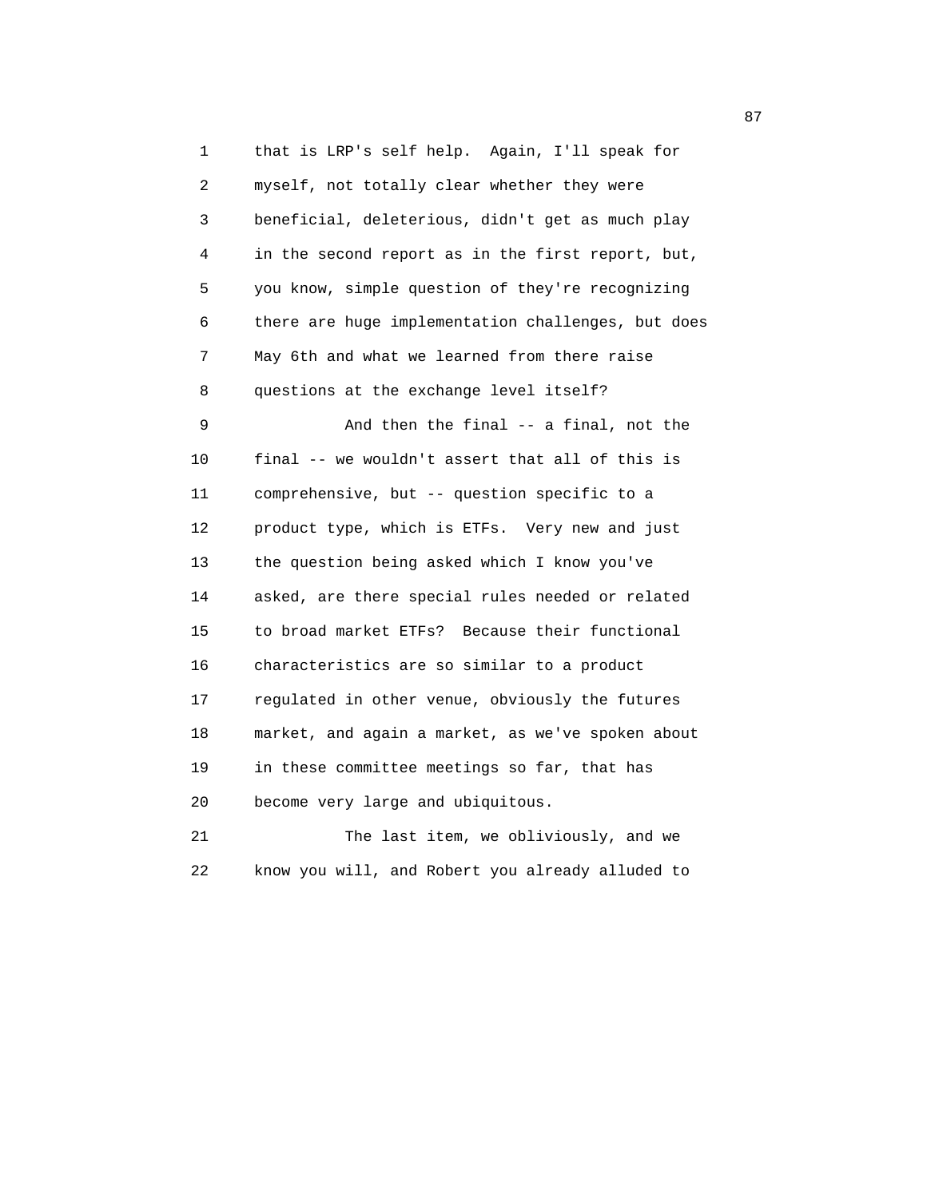1 that is LRP's self help. Again, I'll speak for 2 myself, not totally clear whether they were 3 beneficial, deleterious, didn't get as much play 4 in the second report as in the first report, but, 5 you know, simple question of they're recognizing 6 there are huge implementation challenges, but does 7 May 6th and what we learned from there raise 8 questions at the exchange level itself? 9 And then the final -- a final, not the 10 final -- we wouldn't assert that all of this is 11 comprehensive, but -- question specific to a 12 product type, which is ETFs. Very new and just 13 the question being asked which I know you've 14 asked, are there special rules needed or related 15 to broad market ETFs? Because their functional 16 characteristics are so similar to a product 17 regulated in other venue, obviously the futures 18 market, and again a market, as we've spoken about 19 in these committee meetings so far, that has 20 become very large and ubiquitous. 21 The last item, we obliviously, and we

22 know you will, and Robert you already alluded to

87 and 2012 and 2012 and 2012 and 2012 and 2012 and 2012 and 2012 and 2012 and 2012 and 2012 and 201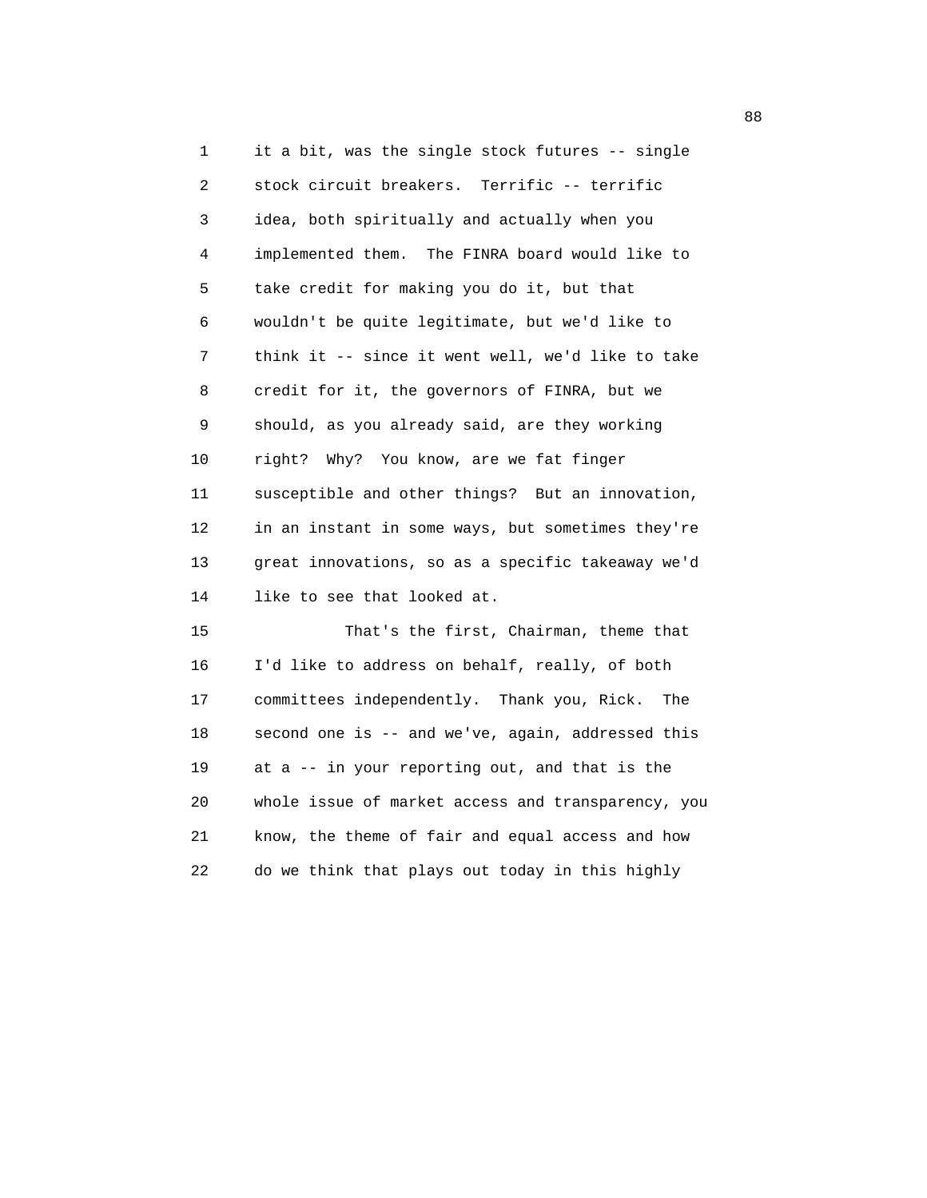1 it a bit, was the single stock futures -- single 2 stock circuit breakers. Terrific -- terrific 3 idea, both spiritually and actually when you 4 implemented them. The FINRA board would like to 5 take credit for making you do it, but that 6 wouldn't be quite legitimate, but we'd like to 7 think it -- since it went well, we'd like to take 8 credit for it, the governors of FINRA, but we 9 should, as you already said, are they working 10 right? Why? You know, are we fat finger 11 susceptible and other things? But an innovation, 12 in an instant in some ways, but sometimes they're 13 great innovations, so as a specific takeaway we'd 14 like to see that looked at. 15 That's the first, Chairman, theme that 16 I'd like to address on behalf, really, of both 17 committees independently. Thank you, Rick. The

 18 second one is -- and we've, again, addressed this 19 at a -- in your reporting out, and that is the 20 whole issue of market access and transparency, you 21 know, the theme of fair and equal access and how 22 do we think that plays out today in this highly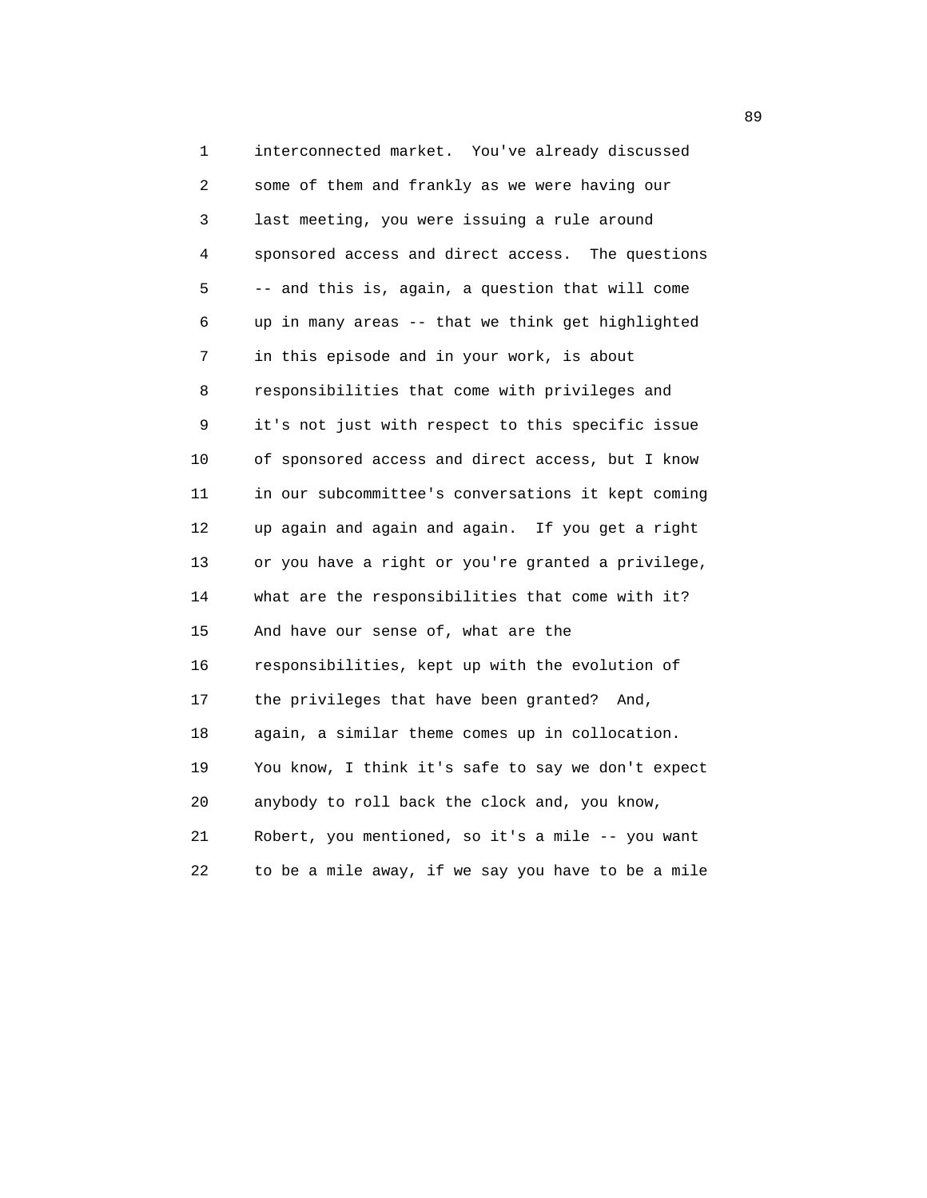1 interconnected market. You've already discussed 2 some of them and frankly as we were having our 3 last meeting, you were issuing a rule around 4 sponsored access and direct access. The questions 5 -- and this is, again, a question that will come 6 up in many areas -- that we think get highlighted 7 in this episode and in your work, is about 8 responsibilities that come with privileges and 9 it's not just with respect to this specific issue 10 of sponsored access and direct access, but I know 11 in our subcommittee's conversations it kept coming 12 up again and again and again. If you get a right 13 or you have a right or you're granted a privilege, 14 what are the responsibilities that come with it? 15 And have our sense of, what are the 16 responsibilities, kept up with the evolution of 17 the privileges that have been granted? And, 18 again, a similar theme comes up in collocation. 19 You know, I think it's safe to say we don't expect 20 anybody to roll back the clock and, you know, 21 Robert, you mentioned, so it's a mile -- you want 22 to be a mile away, if we say you have to be a mile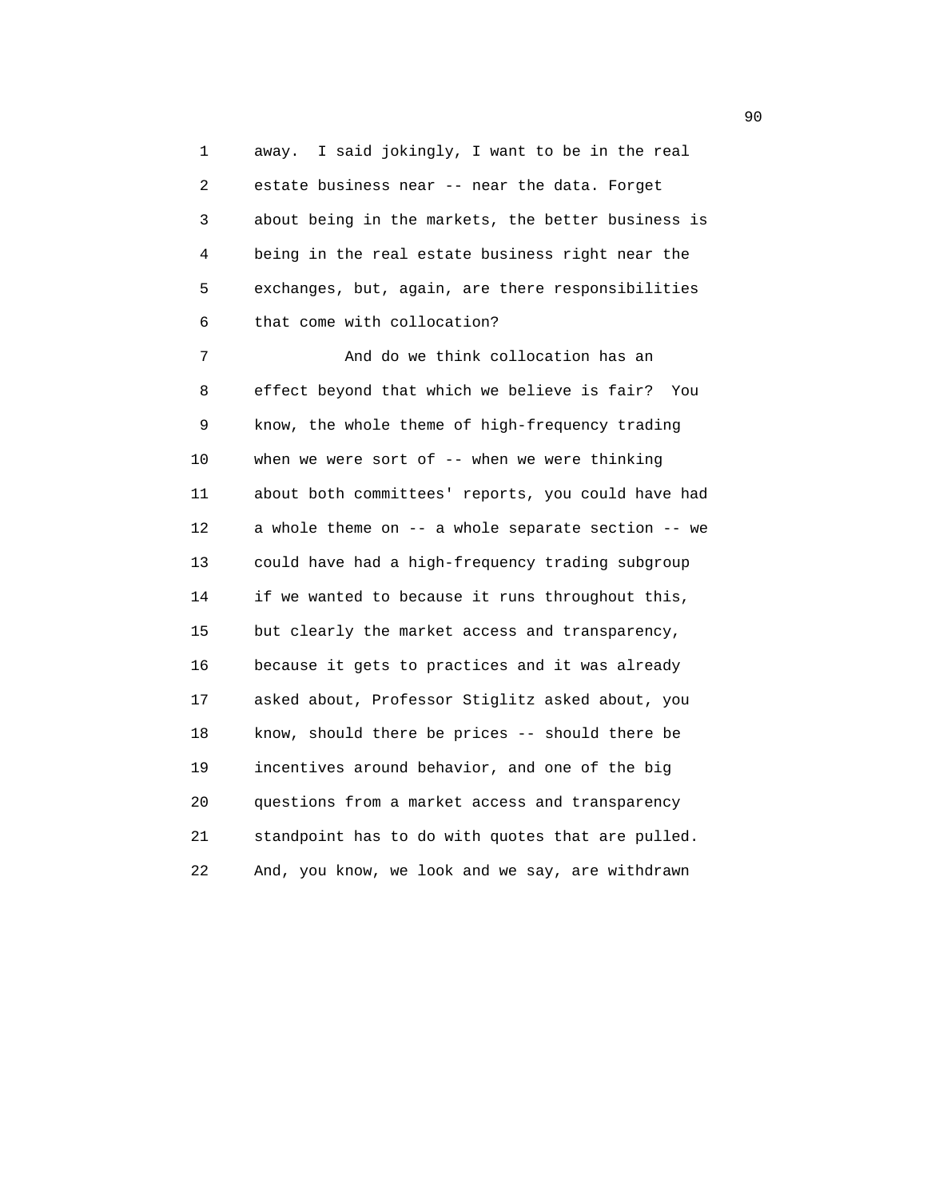1 away. I said jokingly, I want to be in the real 2 estate business near -- near the data. Forget 3 about being in the markets, the better business is 4 being in the real estate business right near the 5 exchanges, but, again, are there responsibilities 6 that come with collocation?

 7 And do we think collocation has an 8 effect beyond that which we believe is fair? You 9 know, the whole theme of high-frequency trading 10 when we were sort of -- when we were thinking 11 about both committees' reports, you could have had 12 a whole theme on -- a whole separate section -- we 13 could have had a high-frequency trading subgroup 14 if we wanted to because it runs throughout this, 15 but clearly the market access and transparency, 16 because it gets to practices and it was already 17 asked about, Professor Stiglitz asked about, you 18 know, should there be prices -- should there be 19 incentives around behavior, and one of the big 20 questions from a market access and transparency 21 standpoint has to do with quotes that are pulled. 22 And, you know, we look and we say, are withdrawn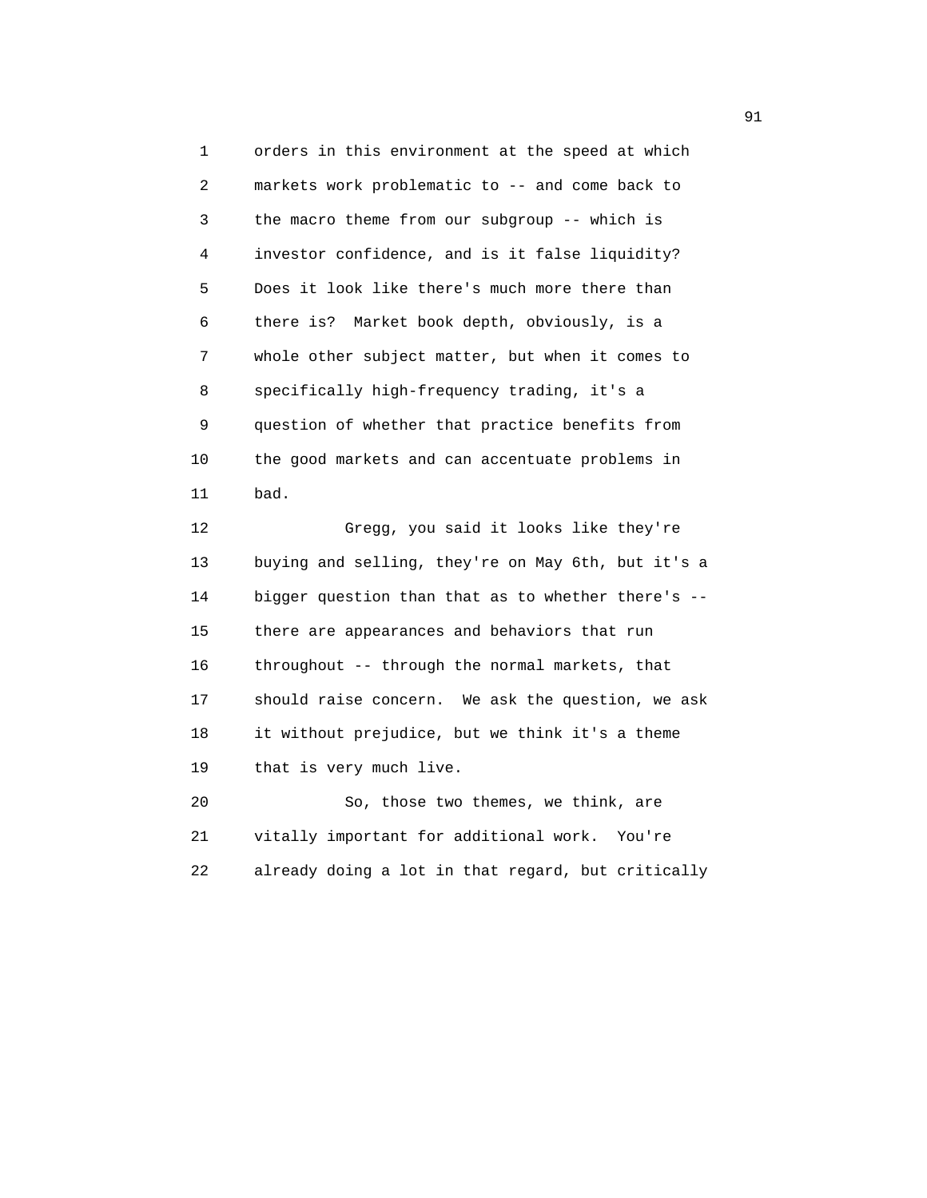1 orders in this environment at the speed at which 2 markets work problematic to -- and come back to 3 the macro theme from our subgroup -- which is 4 investor confidence, and is it false liquidity? 5 Does it look like there's much more there than 6 there is? Market book depth, obviously, is a 7 whole other subject matter, but when it comes to 8 specifically high-frequency trading, it's a 9 question of whether that practice benefits from 10 the good markets and can accentuate problems in 11 bad.

 12 Gregg, you said it looks like they're 13 buying and selling, they're on May 6th, but it's a 14 bigger question than that as to whether there's -- 15 there are appearances and behaviors that run 16 throughout -- through the normal markets, that 17 should raise concern. We ask the question, we ask 18 it without prejudice, but we think it's a theme 19 that is very much live.

 20 So, those two themes, we think, are 21 vitally important for additional work. You're 22 already doing a lot in that regard, but critically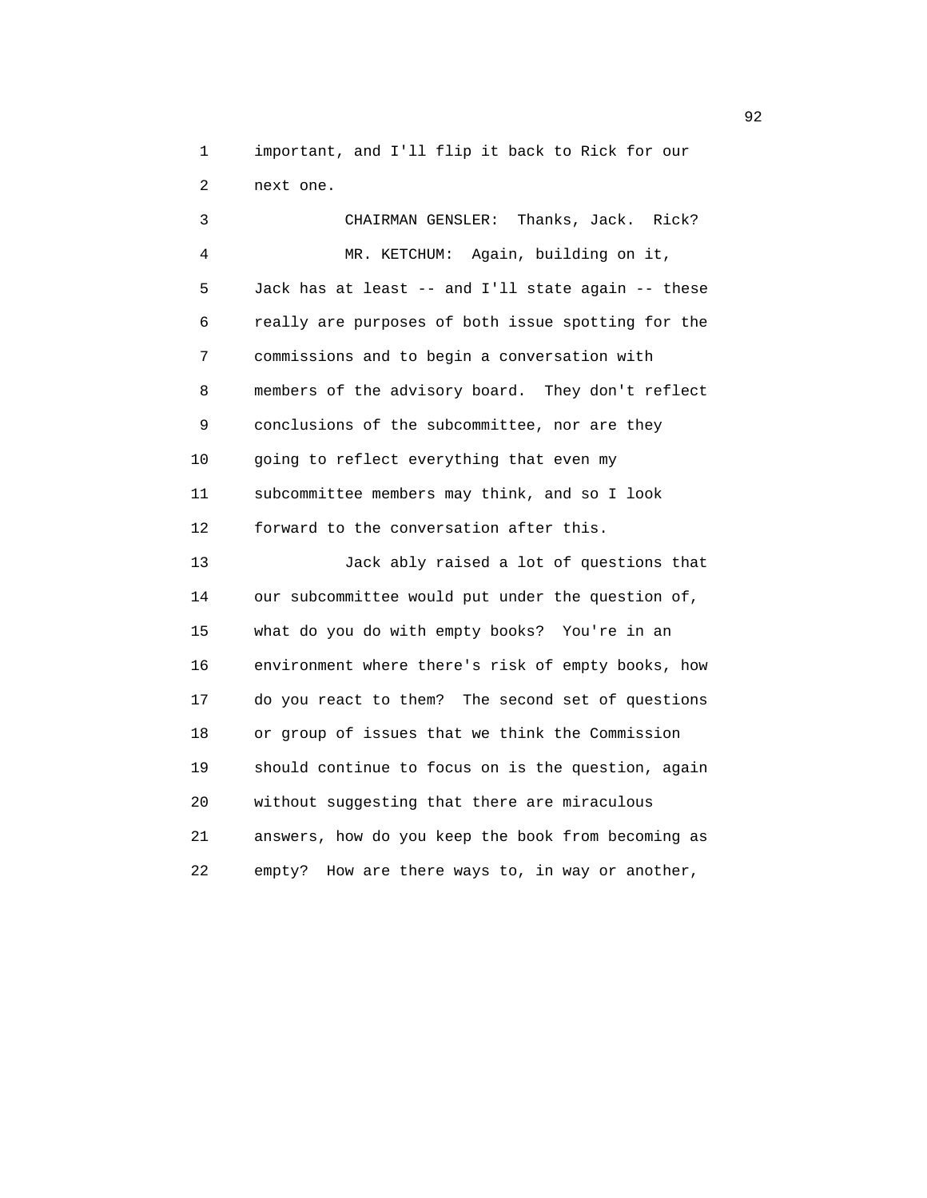1 important, and I'll flip it back to Rick for our 2 next one.

 3 CHAIRMAN GENSLER: Thanks, Jack. Rick? 4 MR. KETCHUM: Again, building on it, 5 Jack has at least -- and I'll state again -- these 6 really are purposes of both issue spotting for the 7 commissions and to begin a conversation with 8 members of the advisory board. They don't reflect 9 conclusions of the subcommittee, nor are they 10 going to reflect everything that even my 11 subcommittee members may think, and so I look 12 forward to the conversation after this. 13 Jack ably raised a lot of questions that 14 our subcommittee would put under the question of, 15 what do you do with empty books? You're in an 16 environment where there's risk of empty books, how 17 do you react to them? The second set of questions 18 or group of issues that we think the Commission 19 should continue to focus on is the question, again 20 without suggesting that there are miraculous 21 answers, how do you keep the book from becoming as 22 empty? How are there ways to, in way or another,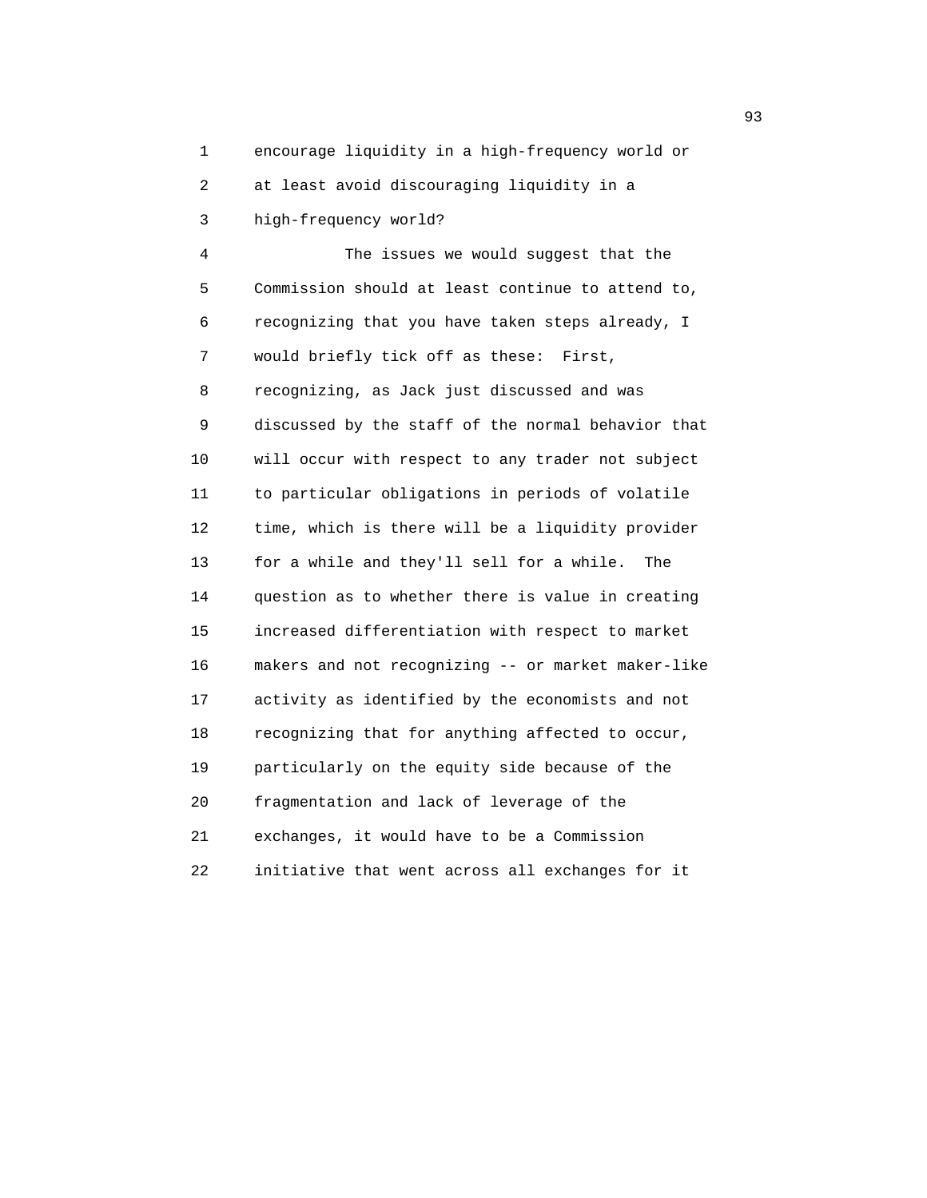1 encourage liquidity in a high-frequency world or 2 at least avoid discouraging liquidity in a

3 high-frequency world?

 4 The issues we would suggest that the 5 Commission should at least continue to attend to, 6 recognizing that you have taken steps already, I 7 would briefly tick off as these: First, 8 recognizing, as Jack just discussed and was 9 discussed by the staff of the normal behavior that 10 will occur with respect to any trader not subject 11 to particular obligations in periods of volatile 12 time, which is there will be a liquidity provider 13 for a while and they'll sell for a while. The 14 question as to whether there is value in creating 15 increased differentiation with respect to market 16 makers and not recognizing -- or market maker-like 17 activity as identified by the economists and not 18 recognizing that for anything affected to occur, 19 particularly on the equity side because of the 20 fragmentation and lack of leverage of the 21 exchanges, it would have to be a Commission 22 initiative that went across all exchanges for it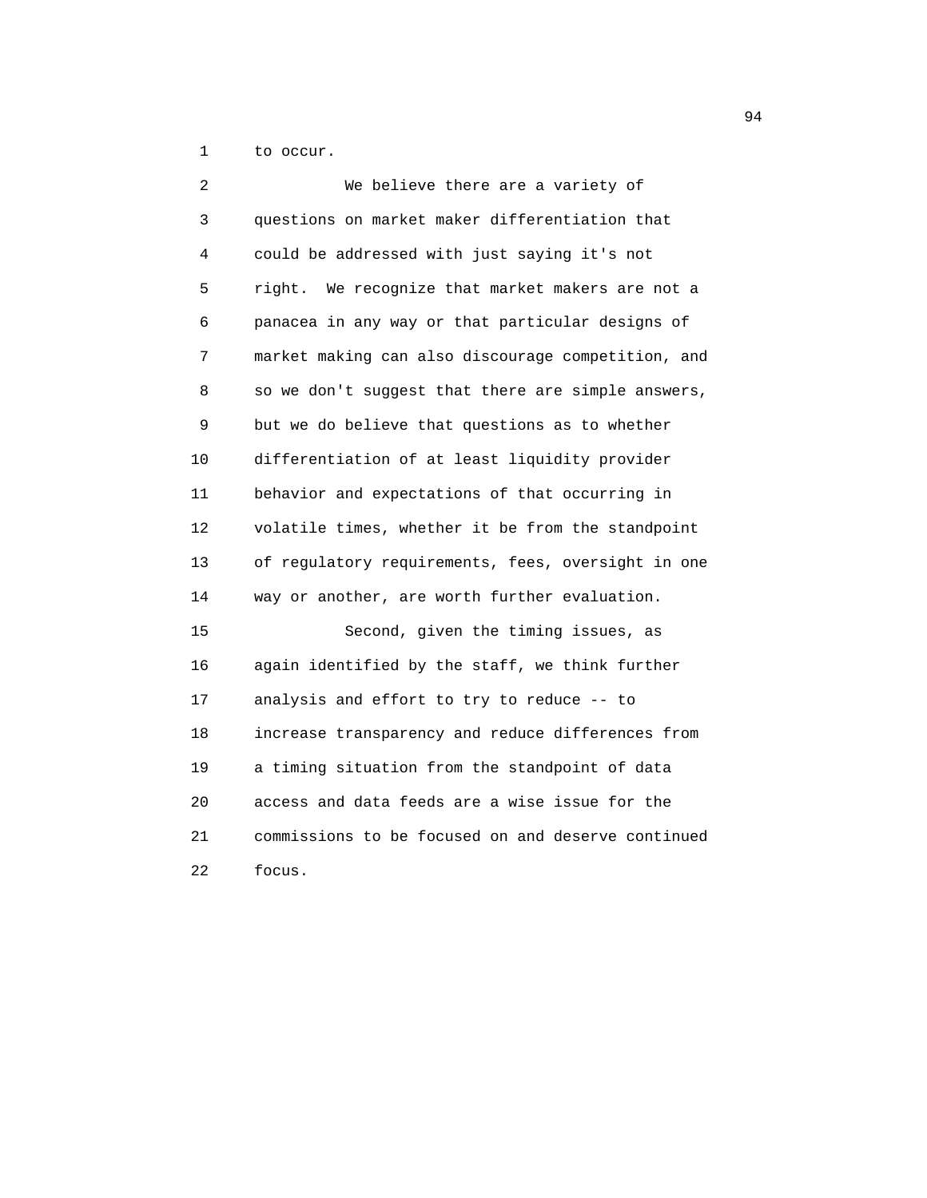1 to occur.

| 2  | We believe there are a variety of                  |
|----|----------------------------------------------------|
| 3  | questions on market maker differentiation that     |
| 4  | could be addressed with just saying it's not       |
| 5  | right. We recognize that market makers are not a   |
| 6  | panacea in any way or that particular designs of   |
| 7  | market making can also discourage competition, and |
| 8  | so we don't suggest that there are simple answers, |
| 9  | but we do believe that questions as to whether     |
| 10 | differentiation of at least liquidity provider     |
| 11 | behavior and expectations of that occurring in     |
| 12 | volatile times, whether it be from the standpoint  |
| 13 | of regulatory requirements, fees, oversight in one |
| 14 | way or another, are worth further evaluation.      |
| 15 | Second, given the timing issues, as                |
| 16 | again identified by the staff, we think further    |
| 17 | analysis and effort to try to reduce -- to         |
| 18 | increase transparency and reduce differences from  |
| 19 | a timing situation from the standpoint of data     |
| 20 | access and data feeds are a wise issue for the     |
| 21 | commissions to be focused on and deserve continued |
| 22 | focus.                                             |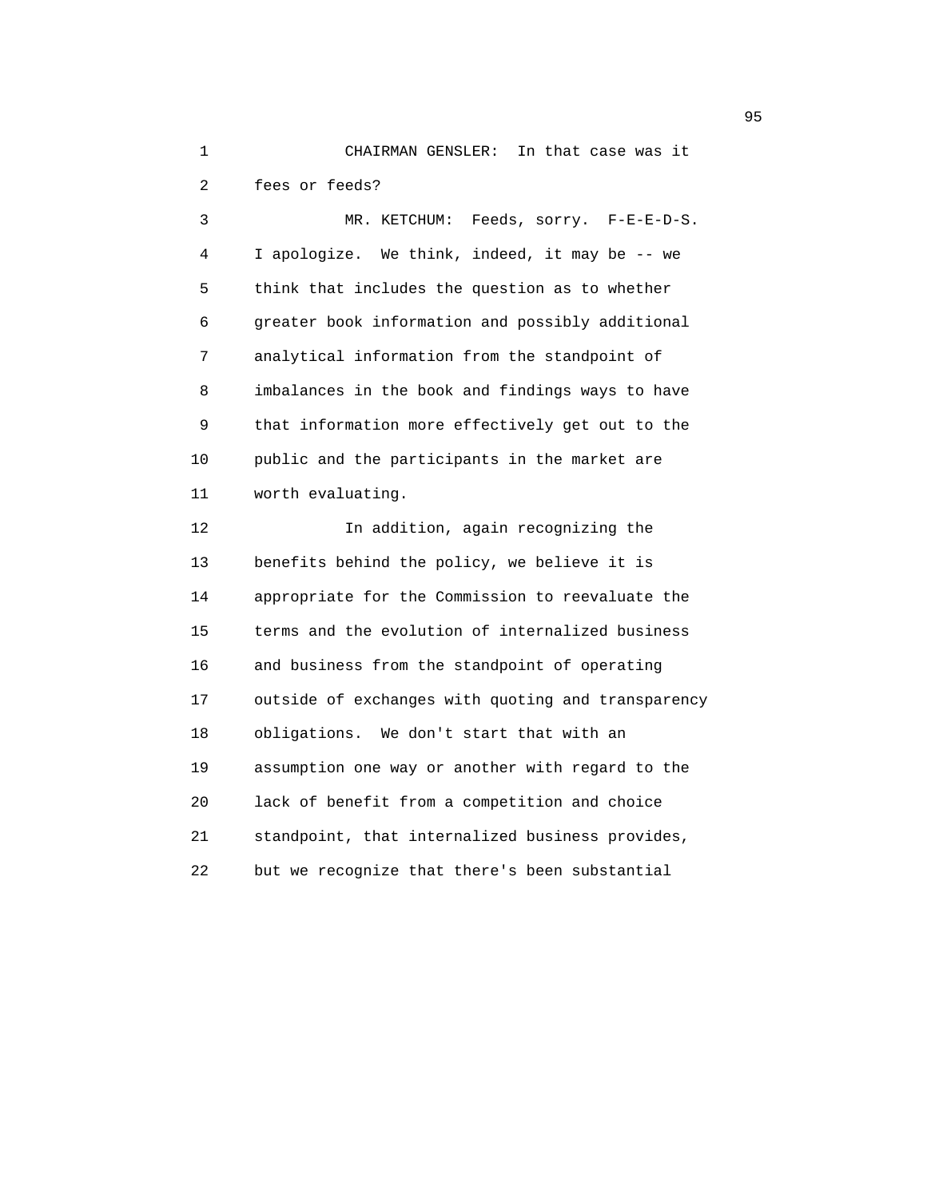1 CHAIRMAN GENSLER: In that case was it 2 fees or feeds? 3 MR. KETCHUM: Feeds, sorry. F-E-E-D-S. 4 I apologize. We think, indeed, it may be -- we 5 think that includes the question as to whether 6 greater book information and possibly additional 7 analytical information from the standpoint of 8 imbalances in the book and findings ways to have 9 that information more effectively get out to the 10 public and the participants in the market are 11 worth evaluating. 12 In addition, again recognizing the

 13 benefits behind the policy, we believe it is 14 appropriate for the Commission to reevaluate the 15 terms and the evolution of internalized business 16 and business from the standpoint of operating 17 outside of exchanges with quoting and transparency 18 obligations. We don't start that with an 19 assumption one way or another with regard to the 20 lack of benefit from a competition and choice 21 standpoint, that internalized business provides, 22 but we recognize that there's been substantial

experience of the contract of the contract of the contract of the contract of the contract of the contract of the contract of the contract of the contract of the contract of the contract of the contract of the contract of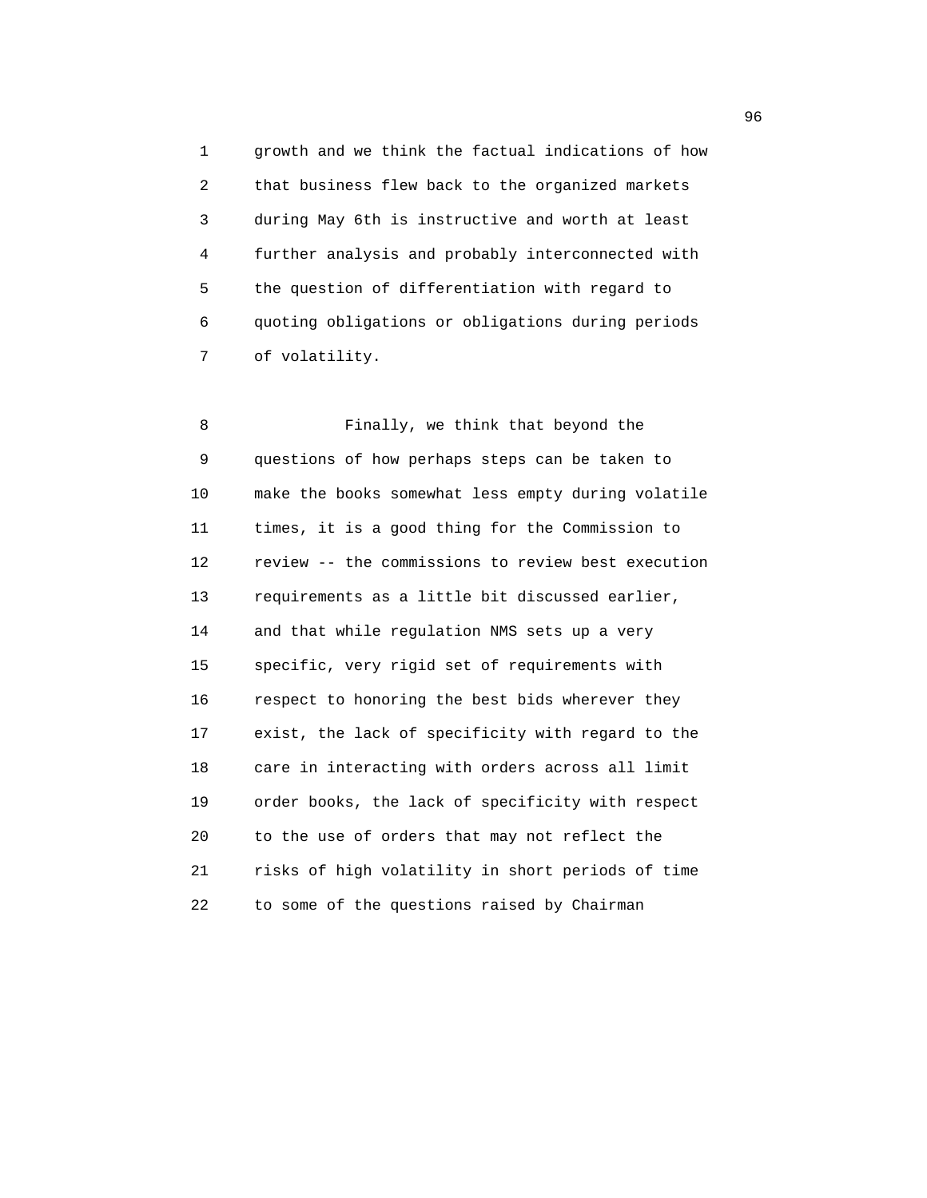1 growth and we think the factual indications of how 2 that business flew back to the organized markets 3 during May 6th is instructive and worth at least 4 further analysis and probably interconnected with 5 the question of differentiation with regard to 6 quoting obligations or obligations during periods 7 of volatility.

 8 Finally, we think that beyond the 9 questions of how perhaps steps can be taken to 10 make the books somewhat less empty during volatile 11 times, it is a good thing for the Commission to 12 review -- the commissions to review best execution 13 requirements as a little bit discussed earlier, 14 and that while regulation NMS sets up a very 15 specific, very rigid set of requirements with 16 respect to honoring the best bids wherever they 17 exist, the lack of specificity with regard to the 18 care in interacting with orders across all limit 19 order books, the lack of specificity with respect 20 to the use of orders that may not reflect the 21 risks of high volatility in short periods of time 22 to some of the questions raised by Chairman

 $\sim$  96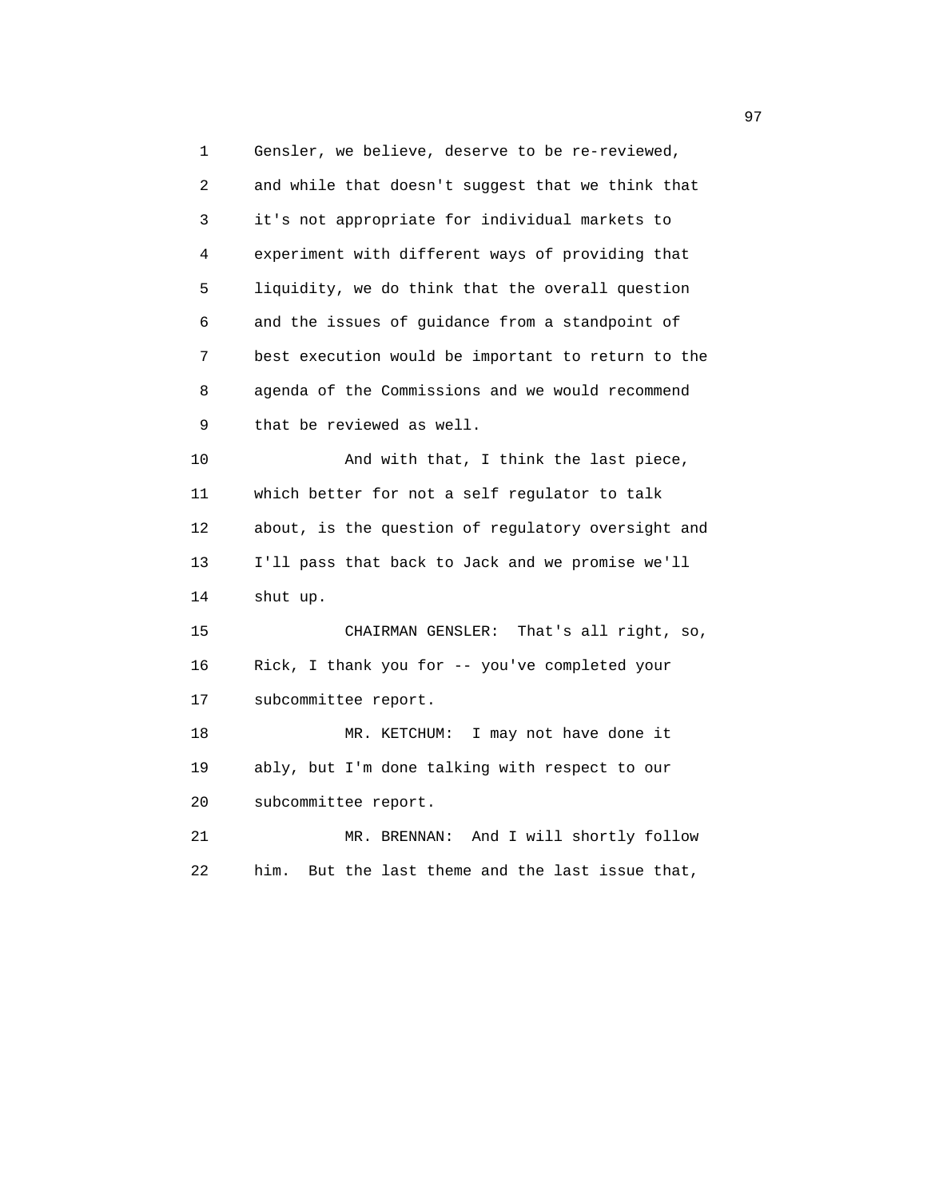1 Gensler, we believe, deserve to be re-reviewed, 2 and while that doesn't suggest that we think that 3 it's not appropriate for individual markets to 4 experiment with different ways of providing that 5 liquidity, we do think that the overall question 6 and the issues of guidance from a standpoint of 7 best execution would be important to return to the 8 agenda of the Commissions and we would recommend 9 that be reviewed as well. 10 And with that, I think the last piece, 11 which better for not a self regulator to talk 12 about, is the question of regulatory oversight and 13 I'll pass that back to Jack and we promise we'll 14 shut up. 15 CHAIRMAN GENSLER: That's all right, so, 16 Rick, I thank you for -- you've completed your 17 subcommittee report. 18 MR. KETCHUM: I may not have done it 19 ably, but I'm done talking with respect to our 20 subcommittee report. 21 MR. BRENNAN: And I will shortly follow 22 him. But the last theme and the last issue that,

97 **97**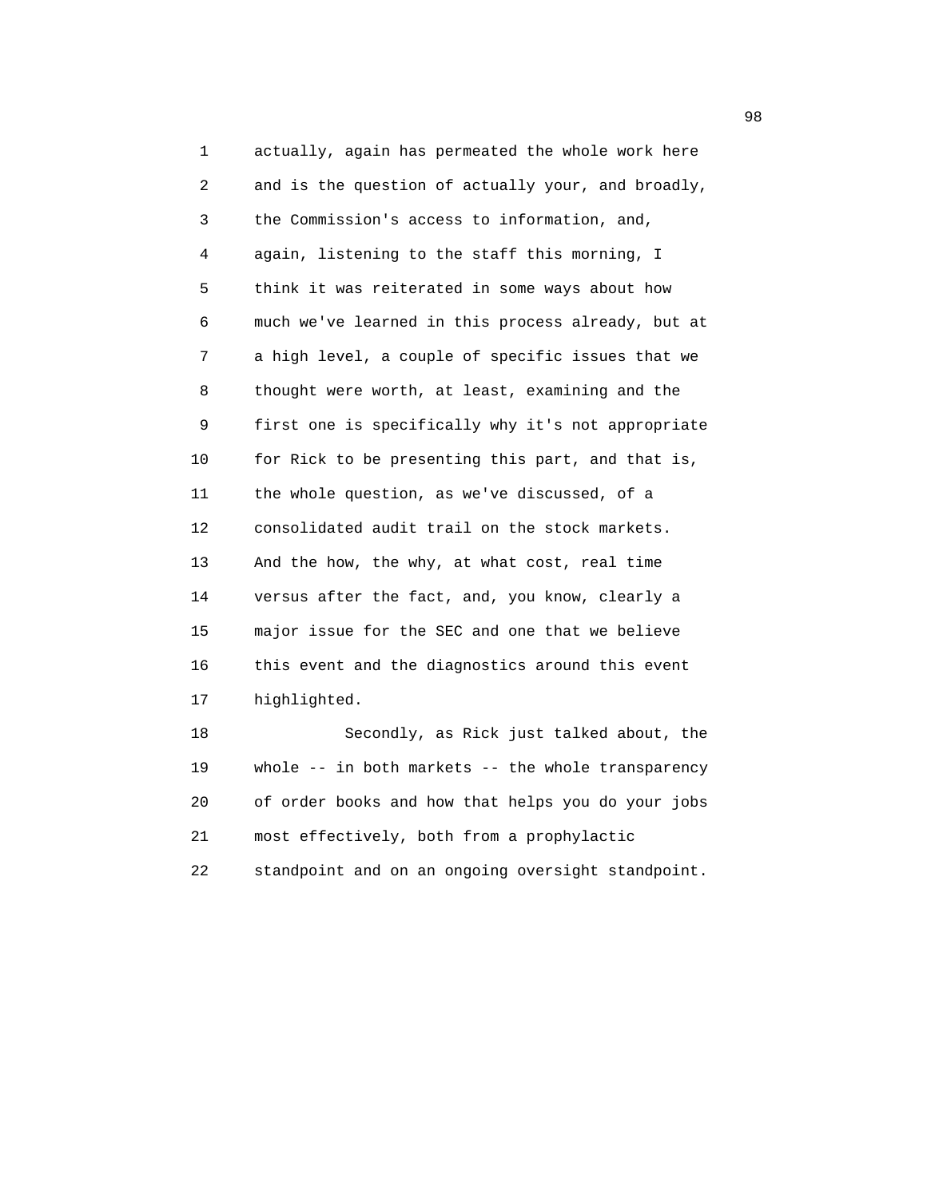1 actually, again has permeated the whole work here 2 and is the question of actually your, and broadly, 3 the Commission's access to information, and, 4 again, listening to the staff this morning, I 5 think it was reiterated in some ways about how 6 much we've learned in this process already, but at 7 a high level, a couple of specific issues that we 8 thought were worth, at least, examining and the 9 first one is specifically why it's not appropriate 10 for Rick to be presenting this part, and that is, 11 the whole question, as we've discussed, of a 12 consolidated audit trail on the stock markets. 13 And the how, the why, at what cost, real time 14 versus after the fact, and, you know, clearly a 15 major issue for the SEC and one that we believe 16 this event and the diagnostics around this event 17 highlighted. 18 Secondly, as Rick just talked about, the 19 whole -- in both markets -- the whole transparency

 20 of order books and how that helps you do your jobs 21 most effectively, both from a prophylactic

22 standpoint and on an ongoing oversight standpoint.

98 and 2012 and 2012 and 2012 and 2012 and 2012 and 2012 and 2012 and 2012 and 2012 and 2012 and 201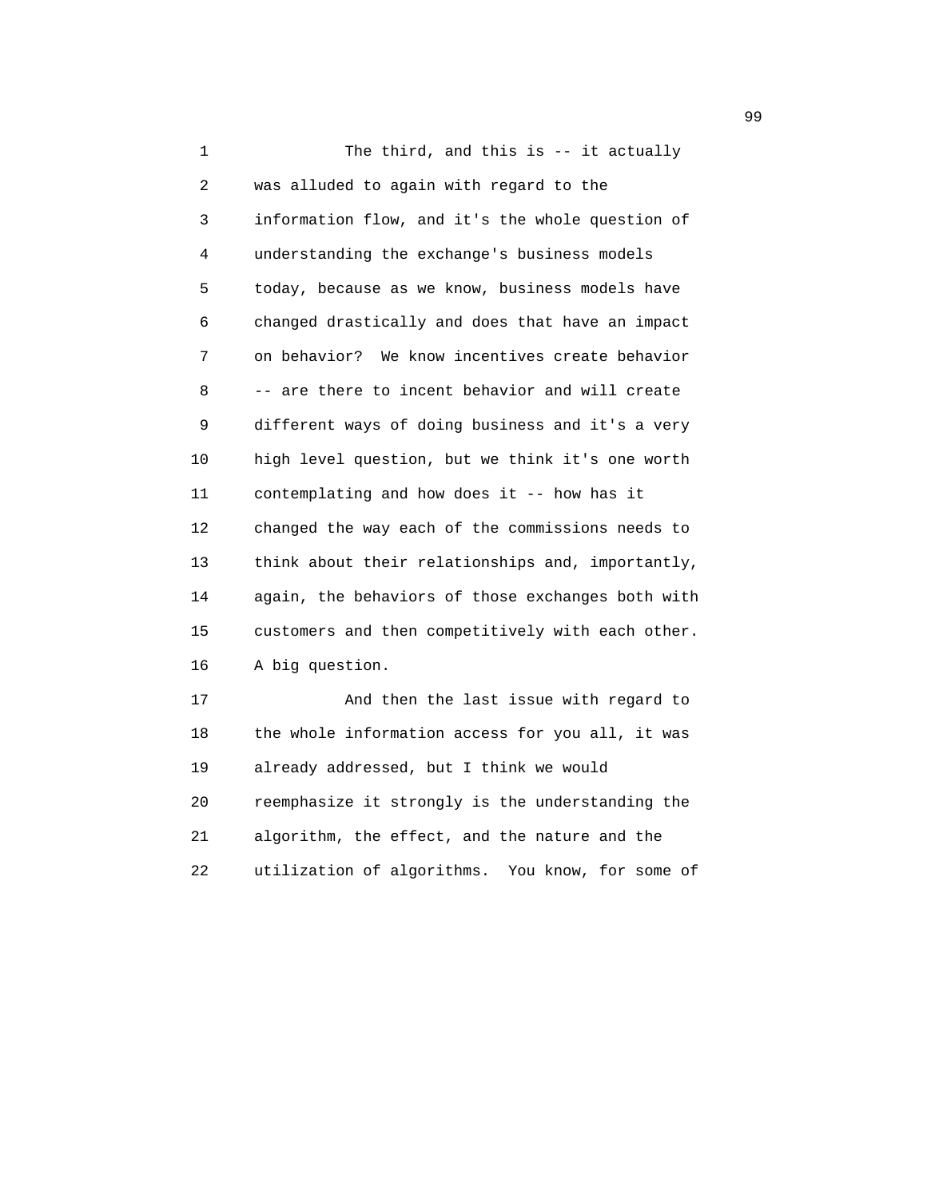1 The third, and this is -- it actually 2 was alluded to again with regard to the 3 information flow, and it's the whole question of 4 understanding the exchange's business models 5 today, because as we know, business models have 6 changed drastically and does that have an impact 7 on behavior? We know incentives create behavior 8 -- are there to incent behavior and will create 9 different ways of doing business and it's a very 10 high level question, but we think it's one worth 11 contemplating and how does it -- how has it 12 changed the way each of the commissions needs to 13 think about their relationships and, importantly, 14 again, the behaviors of those exchanges both with 15 customers and then competitively with each other. 16 A big question. 17 And then the last issue with regard to 18 the whole information access for you all, it was 19 already addressed, but I think we would 20 reemphasize it strongly is the understanding the 21 algorithm, the effect, and the nature and the

22 utilization of algorithms. You know, for some of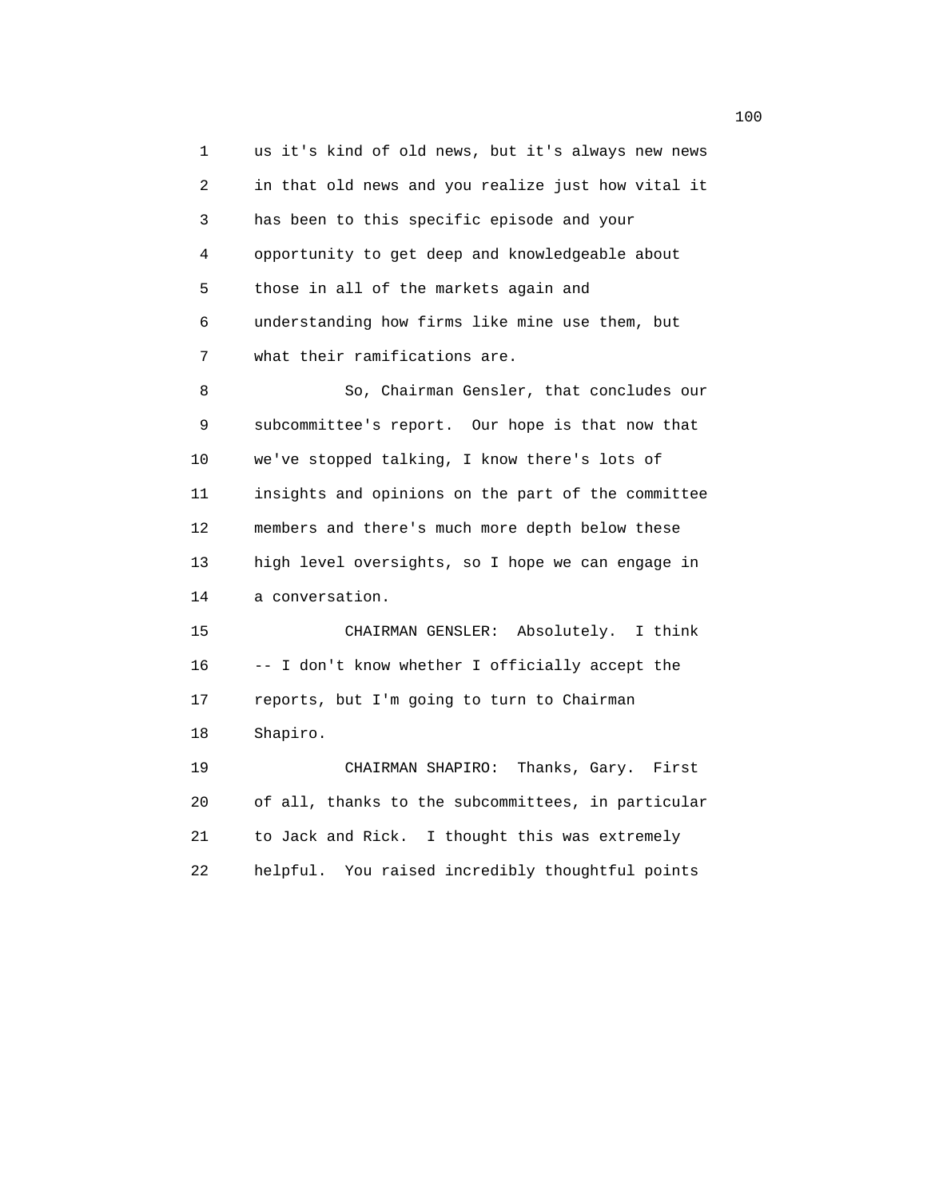1 us it's kind of old news, but it's always new news 2 in that old news and you realize just how vital it 3 has been to this specific episode and your 4 opportunity to get deep and knowledgeable about 5 those in all of the markets again and 6 understanding how firms like mine use them, but 7 what their ramifications are. 8 So, Chairman Gensler, that concludes our 9 subcommittee's report. Our hope is that now that 10 we've stopped talking, I know there's lots of 11 insights and opinions on the part of the committee 12 members and there's much more depth below these 13 high level oversights, so I hope we can engage in 14 a conversation. 15 CHAIRMAN GENSLER: Absolutely. I think 16 -- I don't know whether I officially accept the 17 reports, but I'm going to turn to Chairman 18 Shapiro. 19 CHAIRMAN SHAPIRO: Thanks, Gary. First 20 of all, thanks to the subcommittees, in particular 21 to Jack and Rick. I thought this was extremely 22 helpful. You raised incredibly thoughtful points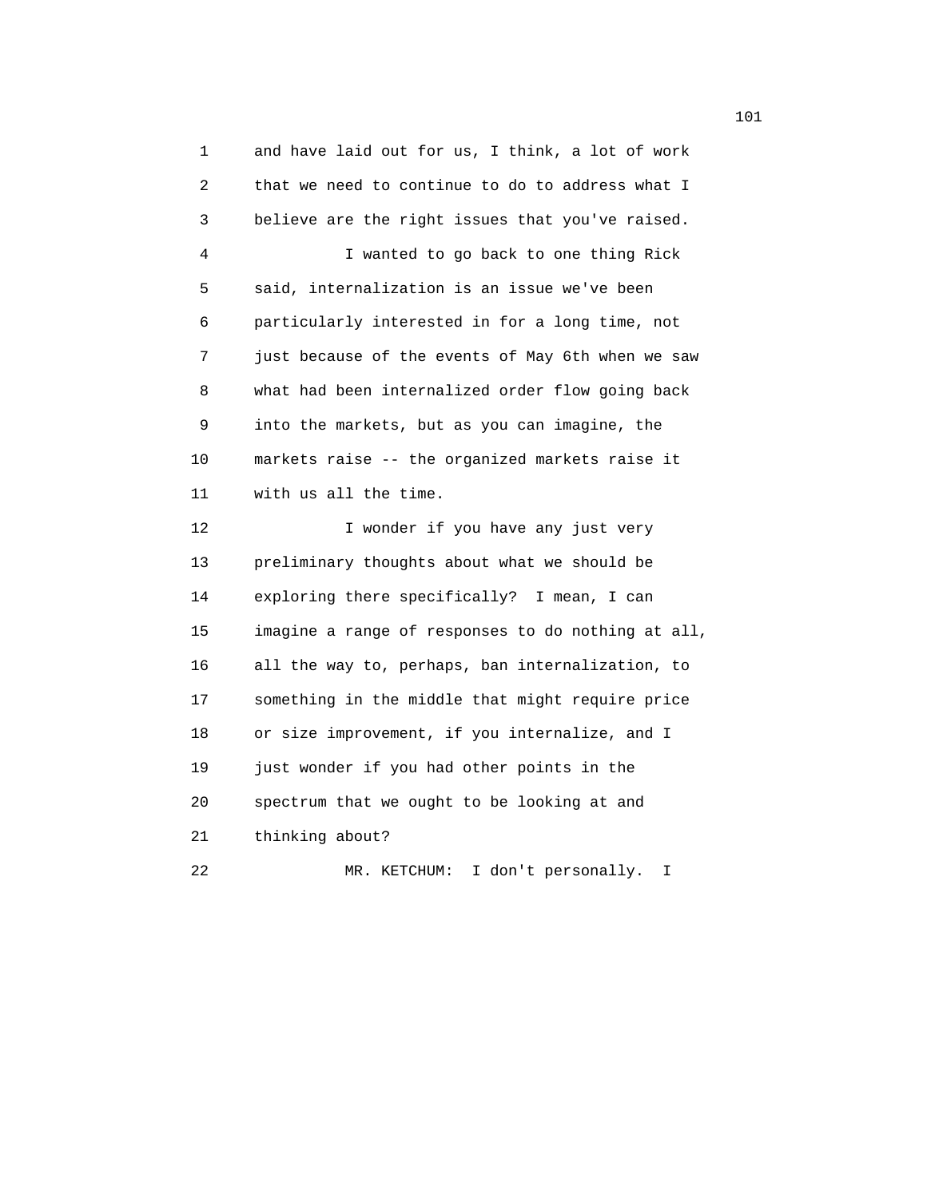1 and have laid out for us, I think, a lot of work 2 that we need to continue to do to address what I 3 believe are the right issues that you've raised. 4 I wanted to go back to one thing Rick 5 said, internalization is an issue we've been 6 particularly interested in for a long time, not 7 just because of the events of May 6th when we saw 8 what had been internalized order flow going back 9 into the markets, but as you can imagine, the 10 markets raise -- the organized markets raise it 11 with us all the time. 12 I wonder if you have any just very 13 preliminary thoughts about what we should be 14 exploring there specifically? I mean, I can 15 imagine a range of responses to do nothing at all, 16 all the way to, perhaps, ban internalization, to 17 something in the middle that might require price 18 or size improvement, if you internalize, and I

19 just wonder if you had other points in the

20 spectrum that we ought to be looking at and

21 thinking about?

22 MR. KETCHUM: I don't personally. I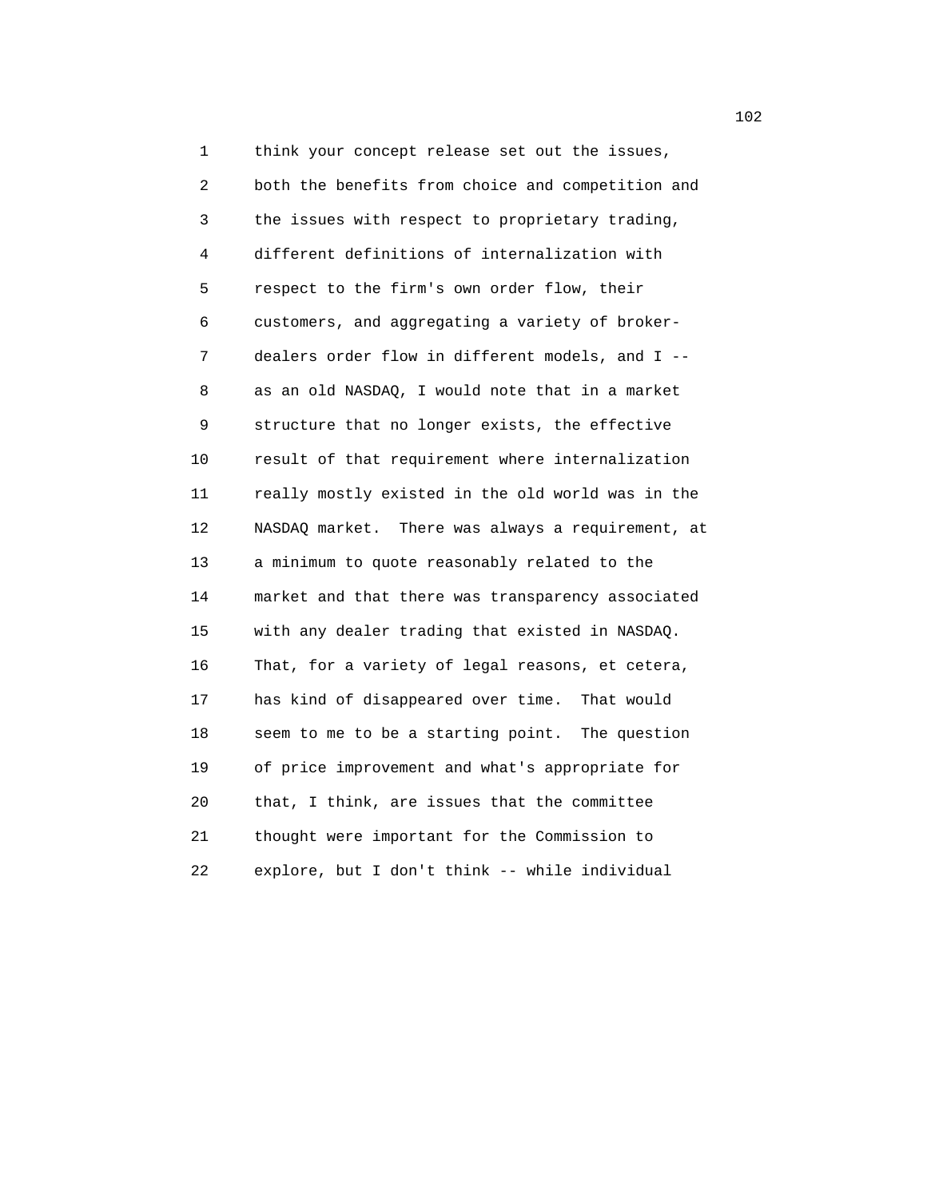1 think your concept release set out the issues, 2 both the benefits from choice and competition and 3 the issues with respect to proprietary trading, 4 different definitions of internalization with 5 respect to the firm's own order flow, their 6 customers, and aggregating a variety of broker- 7 dealers order flow in different models, and I -- 8 as an old NASDAQ, I would note that in a market 9 structure that no longer exists, the effective 10 result of that requirement where internalization 11 really mostly existed in the old world was in the 12 NASDAQ market. There was always a requirement, at 13 a minimum to quote reasonably related to the 14 market and that there was transparency associated 15 with any dealer trading that existed in NASDAQ. 16 That, for a variety of legal reasons, et cetera, 17 has kind of disappeared over time. That would 18 seem to me to be a starting point. The question 19 of price improvement and what's appropriate for 20 that, I think, are issues that the committee 21 thought were important for the Commission to 22 explore, but I don't think -- while individual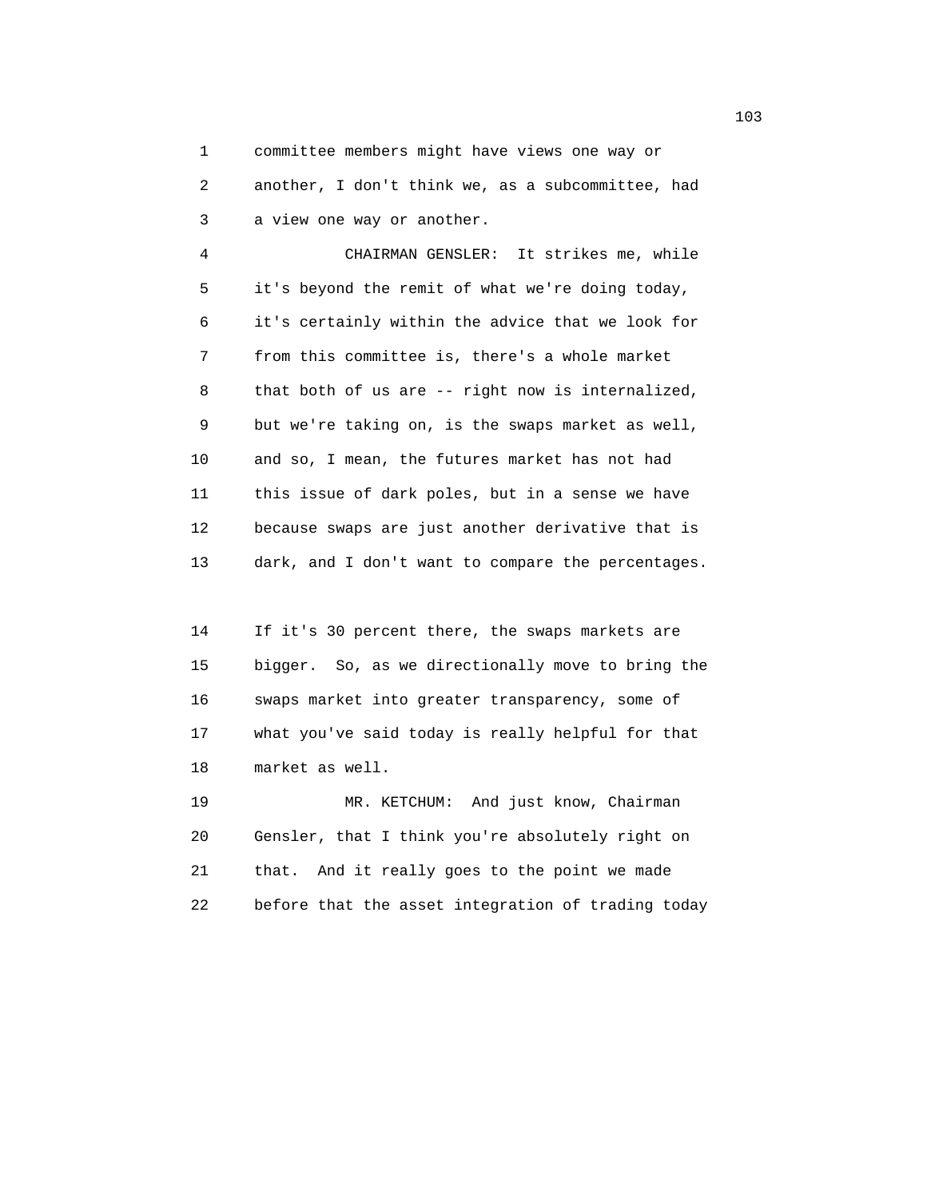1 committee members might have views one way or 2 another, I don't think we, as a subcommittee, had 3 a view one way or another.

 4 CHAIRMAN GENSLER: It strikes me, while 5 it's beyond the remit of what we're doing today, 6 it's certainly within the advice that we look for 7 from this committee is, there's a whole market 8 that both of us are -- right now is internalized, 9 but we're taking on, is the swaps market as well, 10 and so, I mean, the futures market has not had 11 this issue of dark poles, but in a sense we have 12 because swaps are just another derivative that is 13 dark, and I don't want to compare the percentages.

 14 If it's 30 percent there, the swaps markets are 15 bigger. So, as we directionally move to bring the 16 swaps market into greater transparency, some of 17 what you've said today is really helpful for that 18 market as well.

 19 MR. KETCHUM: And just know, Chairman 20 Gensler, that I think you're absolutely right on 21 that. And it really goes to the point we made 22 before that the asset integration of trading today

103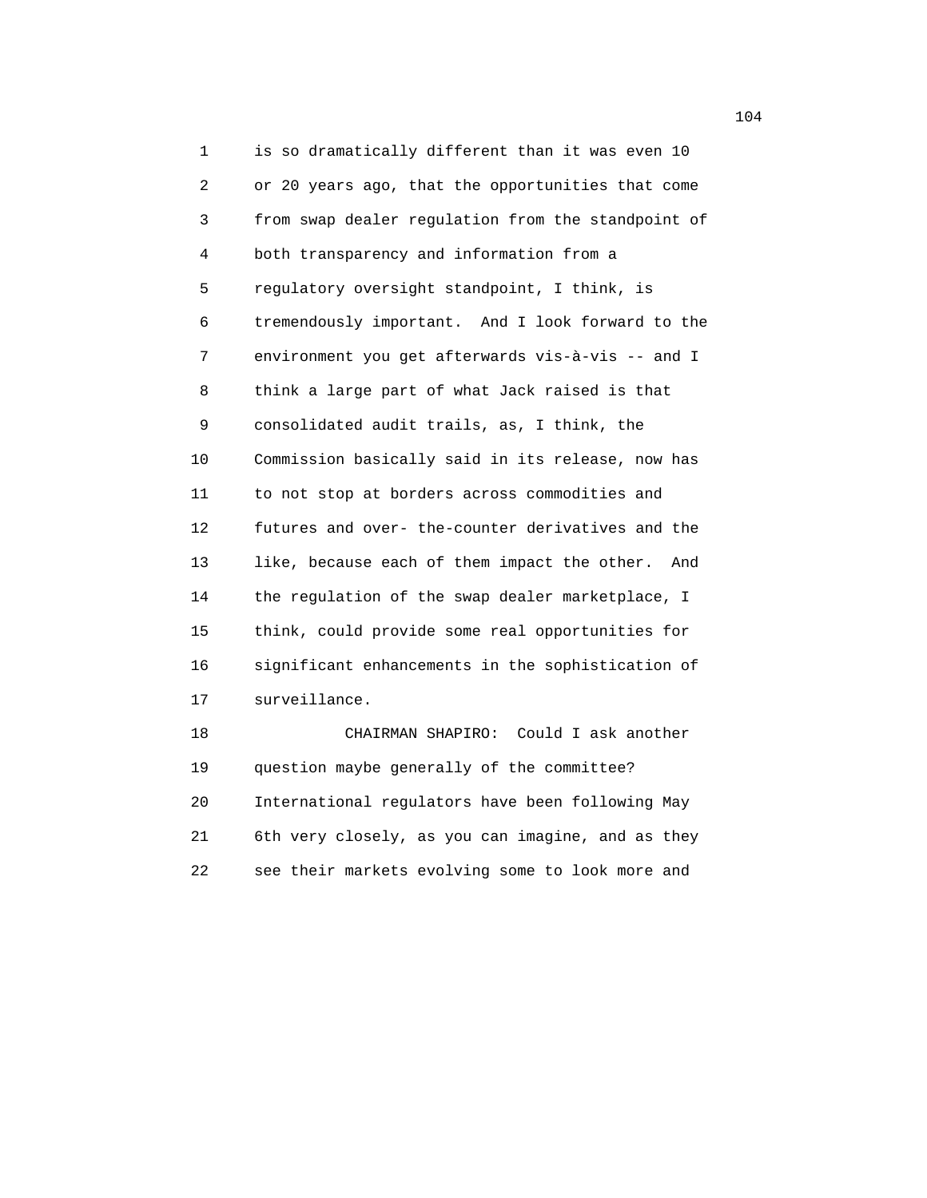1 is so dramatically different than it was even 10 2 or 20 years ago, that the opportunities that come 3 from swap dealer regulation from the standpoint of 4 both transparency and information from a 5 regulatory oversight standpoint, I think, is 6 tremendously important. And I look forward to the 7 environment you get afterwards vis-à-vis -- and I 8 think a large part of what Jack raised is that 9 consolidated audit trails, as, I think, the 10 Commission basically said in its release, now has 11 to not stop at borders across commodities and 12 futures and over- the-counter derivatives and the 13 like, because each of them impact the other. And 14 the regulation of the swap dealer marketplace, I 15 think, could provide some real opportunities for 16 significant enhancements in the sophistication of 17 surveillance. 18 CHAIRMAN SHAPIRO: Could I ask another 19 question maybe generally of the committee?

 20 International regulators have been following May 21 6th very closely, as you can imagine, and as they 22 see their markets evolving some to look more and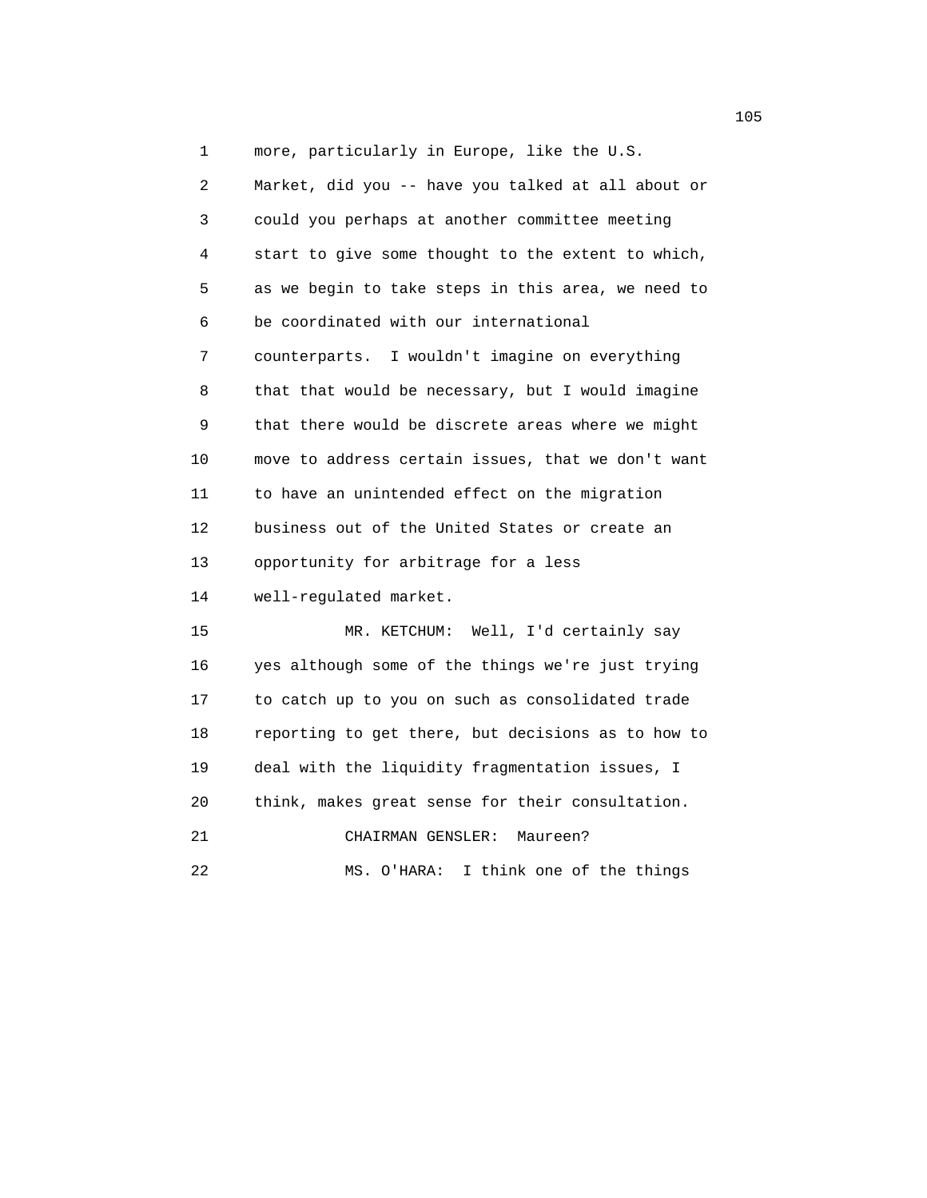1 more, particularly in Europe, like the U.S.

 2 Market, did you -- have you talked at all about or 3 could you perhaps at another committee meeting 4 start to give some thought to the extent to which, 5 as we begin to take steps in this area, we need to 6 be coordinated with our international 7 counterparts. I wouldn't imagine on everything 8 that that would be necessary, but I would imagine 9 that there would be discrete areas where we might 10 move to address certain issues, that we don't want 11 to have an unintended effect on the migration 12 business out of the United States or create an 13 opportunity for arbitrage for a less 14 well-regulated market. 15 MR. KETCHUM: Well, I'd certainly say 16 yes although some of the things we're just trying 17 to catch up to you on such as consolidated trade 18 reporting to get there, but decisions as to how to

 19 deal with the liquidity fragmentation issues, I 20 think, makes great sense for their consultation.

21 CHAIRMAN GENSLER: Maureen?

22 MS. O'HARA: I think one of the things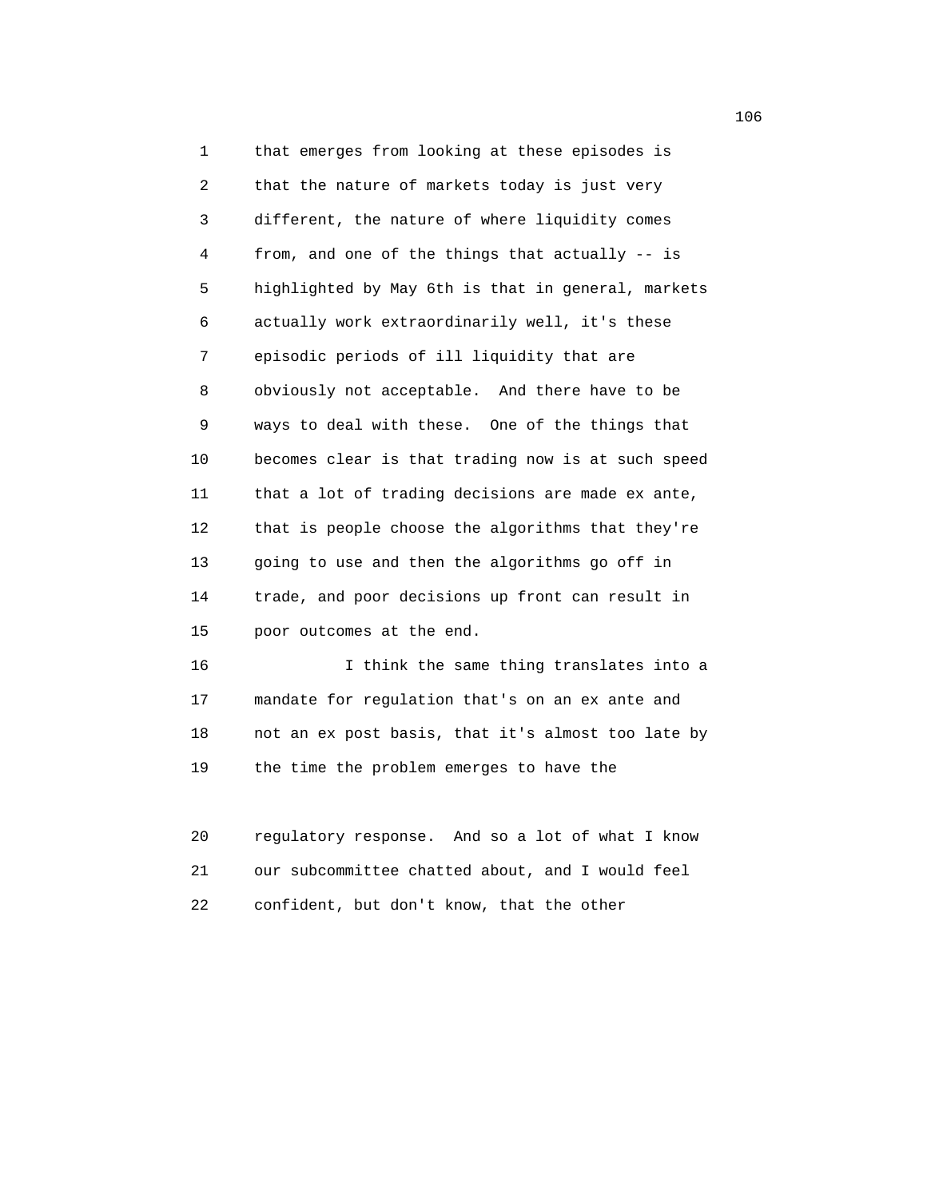1 that emerges from looking at these episodes is 2 that the nature of markets today is just very 3 different, the nature of where liquidity comes 4 from, and one of the things that actually -- is 5 highlighted by May 6th is that in general, markets 6 actually work extraordinarily well, it's these 7 episodic periods of ill liquidity that are 8 obviously not acceptable. And there have to be 9 ways to deal with these. One of the things that 10 becomes clear is that trading now is at such speed 11 that a lot of trading decisions are made ex ante, 12 that is people choose the algorithms that they're 13 going to use and then the algorithms go off in 14 trade, and poor decisions up front can result in 15 poor outcomes at the end.

 16 I think the same thing translates into a 17 mandate for regulation that's on an ex ante and 18 not an ex post basis, that it's almost too late by 19 the time the problem emerges to have the

 20 regulatory response. And so a lot of what I know 21 our subcommittee chatted about, and I would feel 22 confident, but don't know, that the other

106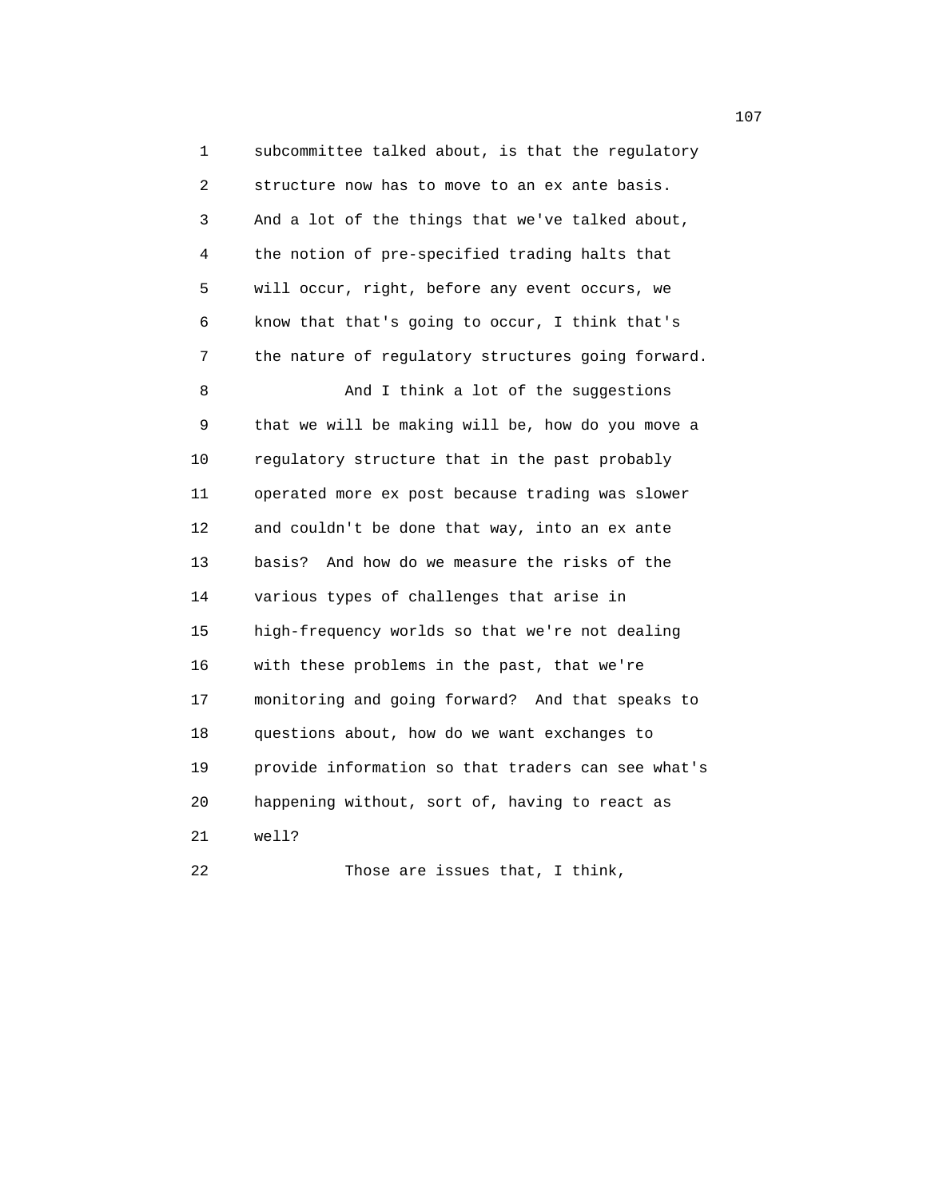1 subcommittee talked about, is that the regulatory 2 structure now has to move to an ex ante basis. 3 And a lot of the things that we've talked about, 4 the notion of pre-specified trading halts that 5 will occur, right, before any event occurs, we 6 know that that's going to occur, I think that's 7 the nature of regulatory structures going forward. 8 And I think a lot of the suggestions 9 that we will be making will be, how do you move a 10 regulatory structure that in the past probably 11 operated more ex post because trading was slower 12 and couldn't be done that way, into an ex ante 13 basis? And how do we measure the risks of the 14 various types of challenges that arise in 15 high-frequency worlds so that we're not dealing 16 with these problems in the past, that we're 17 monitoring and going forward? And that speaks to 18 questions about, how do we want exchanges to 19 provide information so that traders can see what's 20 happening without, sort of, having to react as 21 well?

22 Those are issues that, I think,

107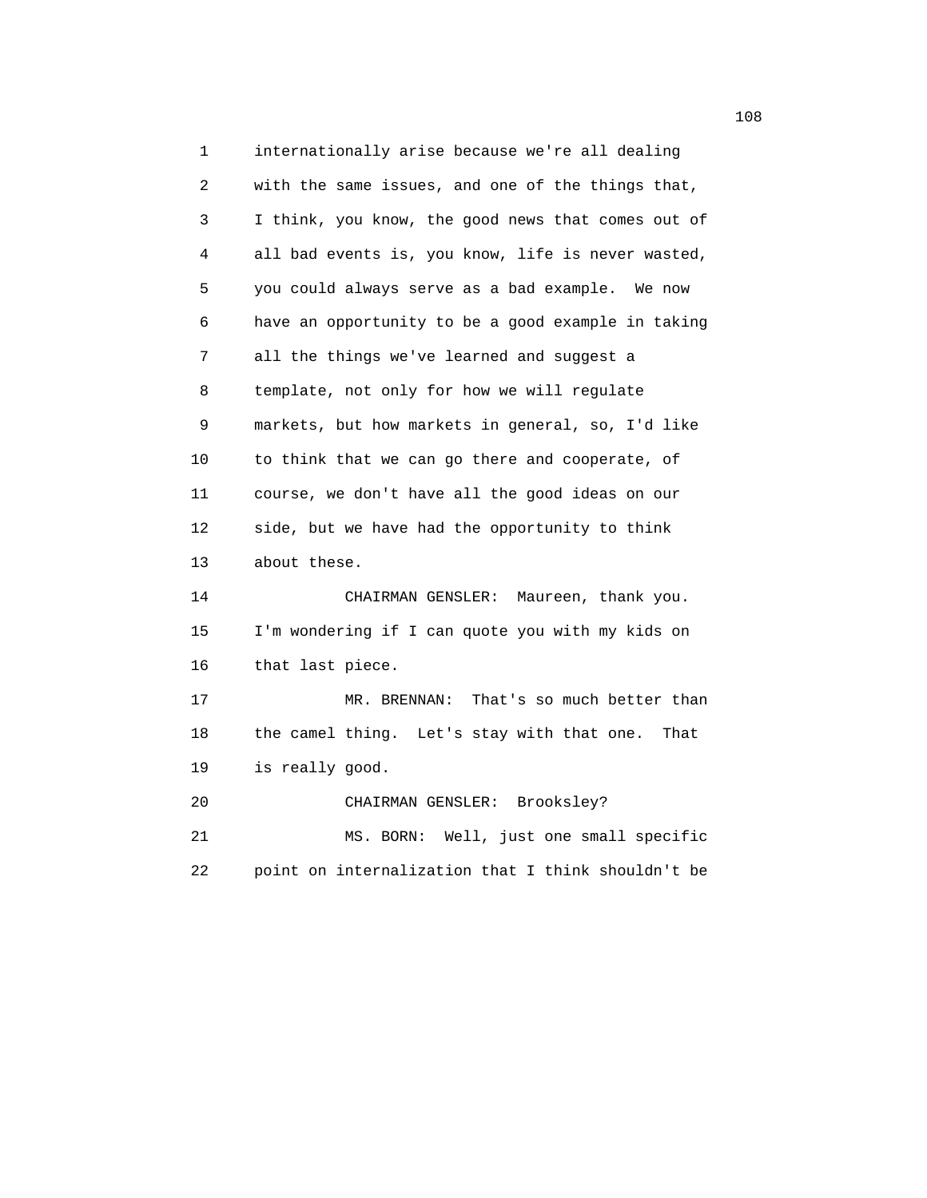1 internationally arise because we're all dealing 2 with the same issues, and one of the things that, 3 I think, you know, the good news that comes out of 4 all bad events is, you know, life is never wasted, 5 you could always serve as a bad example. We now 6 have an opportunity to be a good example in taking 7 all the things we've learned and suggest a 8 template, not only for how we will regulate 9 markets, but how markets in general, so, I'd like 10 to think that we can go there and cooperate, of 11 course, we don't have all the good ideas on our 12 side, but we have had the opportunity to think 13 about these. 14 CHAIRMAN GENSLER: Maureen, thank you. 15 I'm wondering if I can quote you with my kids on 16 that last piece. 17 MR. BRENNAN: That's so much better than 18 the camel thing. Let's stay with that one. That 19 is really good. 20 CHAIRMAN GENSLER: Brooksley? 21 MS. BORN: Well, just one small specific 22 point on internalization that I think shouldn't be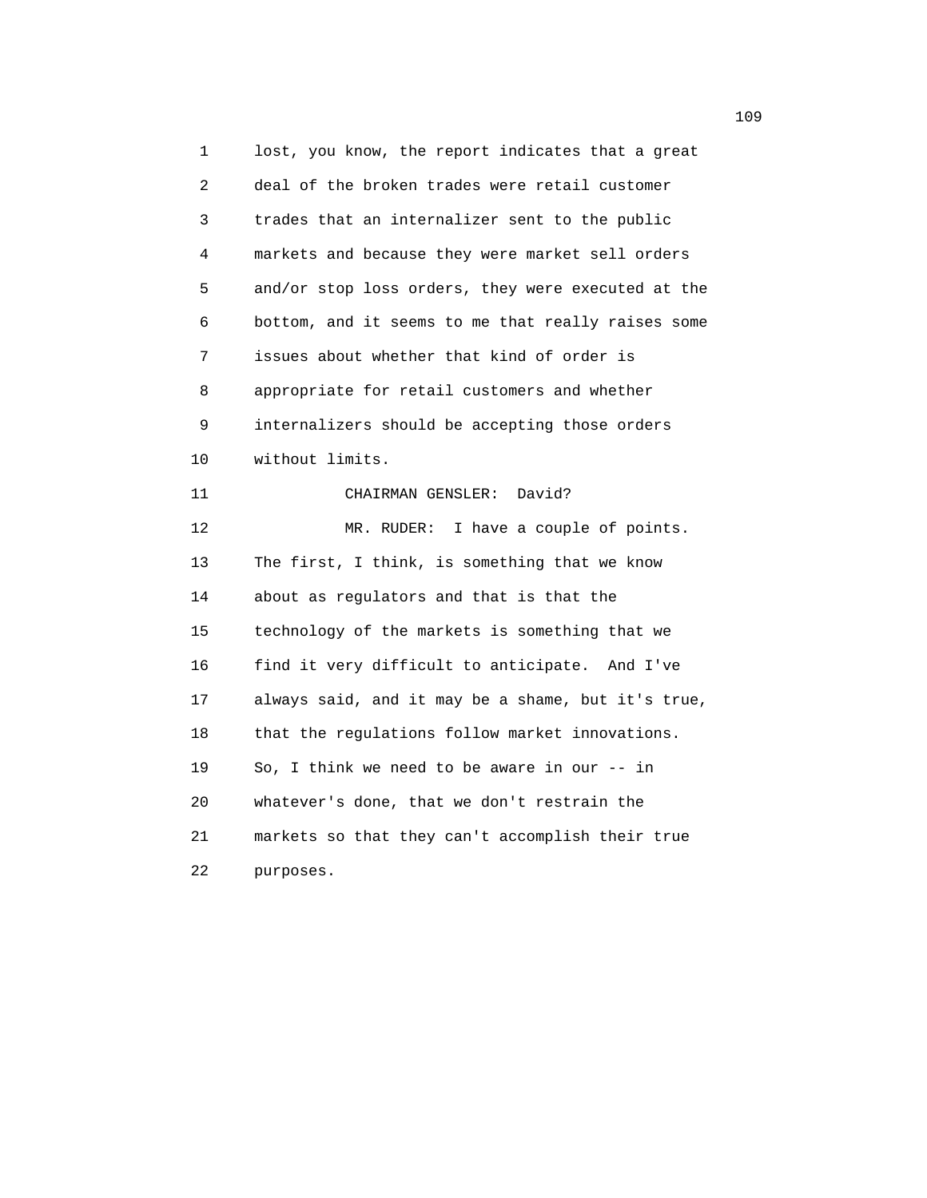1 lost, you know, the report indicates that a great 2 deal of the broken trades were retail customer 3 trades that an internalizer sent to the public 4 markets and because they were market sell orders 5 and/or stop loss orders, they were executed at the 6 bottom, and it seems to me that really raises some 7 issues about whether that kind of order is 8 appropriate for retail customers and whether 9 internalizers should be accepting those orders 10 without limits. 11 CHAIRMAN GENSLER: David? 12 MR. RUDER: I have a couple of points. 13 The first, I think, is something that we know 14 about as regulators and that is that the 15 technology of the markets is something that we 16 find it very difficult to anticipate. And I've 17 always said, and it may be a shame, but it's true, 18 that the regulations follow market innovations. 19 So, I think we need to be aware in our -- in 20 whatever's done, that we don't restrain the 21 markets so that they can't accomplish their true 22 purposes.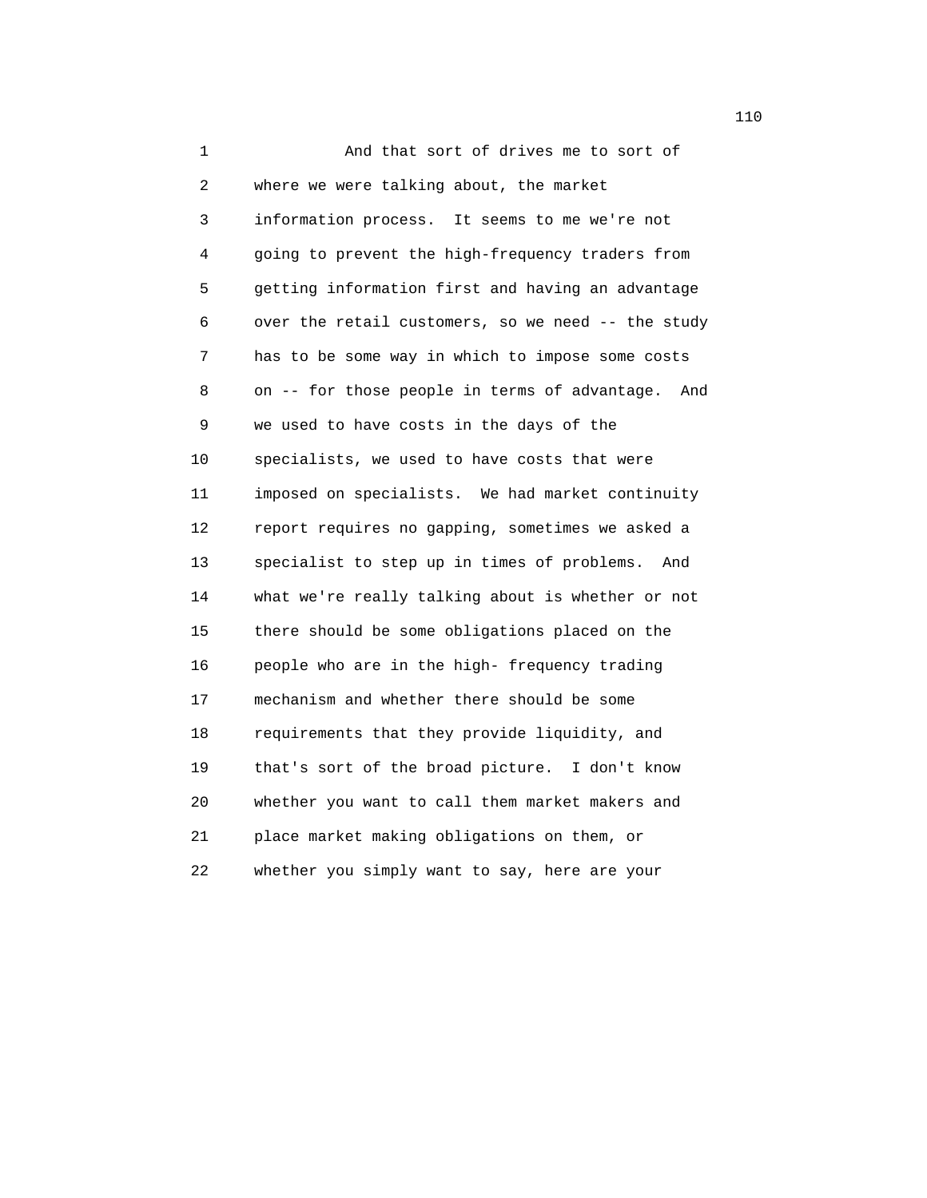1 And that sort of drives me to sort of 2 where we were talking about, the market 3 information process. It seems to me we're not 4 going to prevent the high-frequency traders from 5 getting information first and having an advantage 6 over the retail customers, so we need -- the study 7 has to be some way in which to impose some costs 8 on -- for those people in terms of advantage. And 9 we used to have costs in the days of the 10 specialists, we used to have costs that were 11 imposed on specialists. We had market continuity 12 report requires no gapping, sometimes we asked a 13 specialist to step up in times of problems. And 14 what we're really talking about is whether or not 15 there should be some obligations placed on the 16 people who are in the high- frequency trading 17 mechanism and whether there should be some 18 requirements that they provide liquidity, and 19 that's sort of the broad picture. I don't know 20 whether you want to call them market makers and 21 place market making obligations on them, or 22 whether you simply want to say, here are your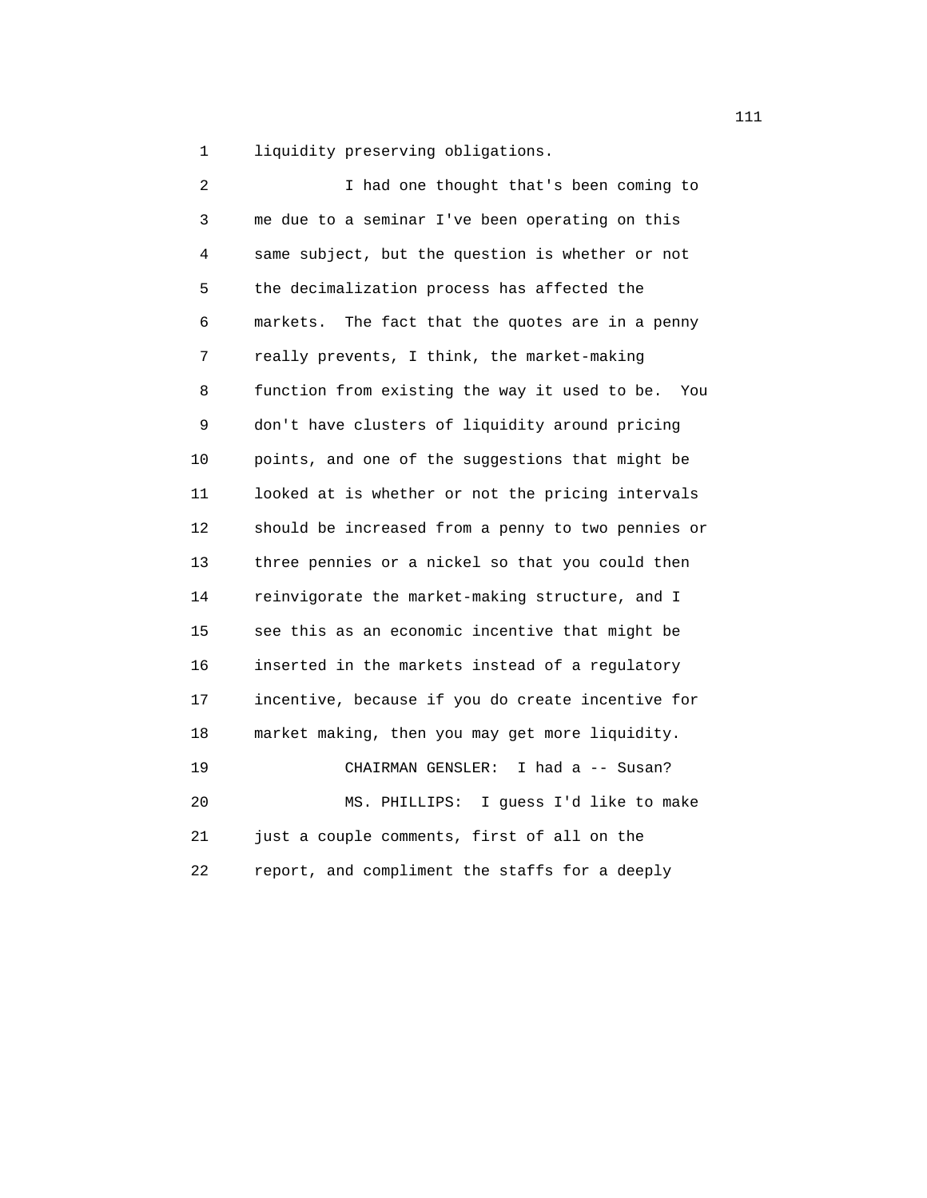1 liquidity preserving obligations.

| 2  | I had one thought that's been coming to              |
|----|------------------------------------------------------|
| 3  | me due to a seminar I've been operating on this      |
| 4  | same subject, but the question is whether or not     |
| 5  | the decimalization process has affected the          |
| 6  | The fact that the quotes are in a penny<br>markets.  |
| 7  | really prevents, I think, the market-making          |
| 8  | function from existing the way it used to be.<br>You |
| 9  | don't have clusters of liquidity around pricing      |
| 10 | points, and one of the suggestions that might be     |
| 11 | looked at is whether or not the pricing intervals    |
| 12 | should be increased from a penny to two pennies or   |
| 13 | three pennies or a nickel so that you could then     |
| 14 | reinvigorate the market-making structure, and I      |
| 15 | see this as an economic incentive that might be      |
| 16 | inserted in the markets instead of a regulatory      |
| 17 | incentive, because if you do create incentive for    |
| 18 | market making, then you may get more liquidity.      |
| 19 | CHAIRMAN GENSLER:<br>I had a -- Susan?               |
| 20 | I guess I'd like to make<br>MS. PHILLIPS:            |
| 21 | just a couple comments, first of all on the          |
| 22 | report, and compliment the staffs for a deeply       |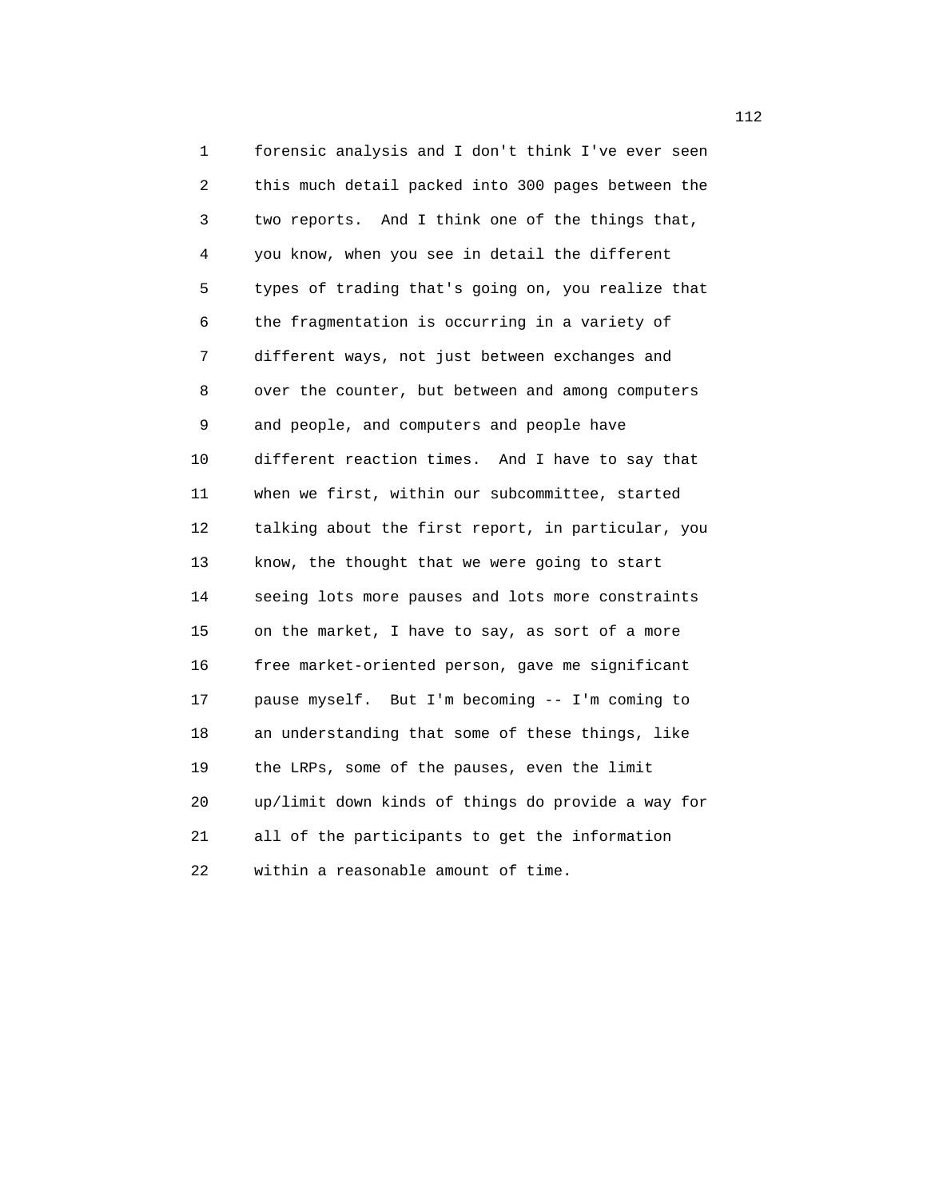1 forensic analysis and I don't think I've ever seen 2 this much detail packed into 300 pages between the 3 two reports. And I think one of the things that, 4 you know, when you see in detail the different 5 types of trading that's going on, you realize that 6 the fragmentation is occurring in a variety of 7 different ways, not just between exchanges and 8 over the counter, but between and among computers 9 and people, and computers and people have 10 different reaction times. And I have to say that 11 when we first, within our subcommittee, started 12 talking about the first report, in particular, you 13 know, the thought that we were going to start 14 seeing lots more pauses and lots more constraints 15 on the market, I have to say, as sort of a more 16 free market-oriented person, gave me significant 17 pause myself. But I'm becoming -- I'm coming to 18 an understanding that some of these things, like 19 the LRPs, some of the pauses, even the limit 20 up/limit down kinds of things do provide a way for 21 all of the participants to get the information 22 within a reasonable amount of time.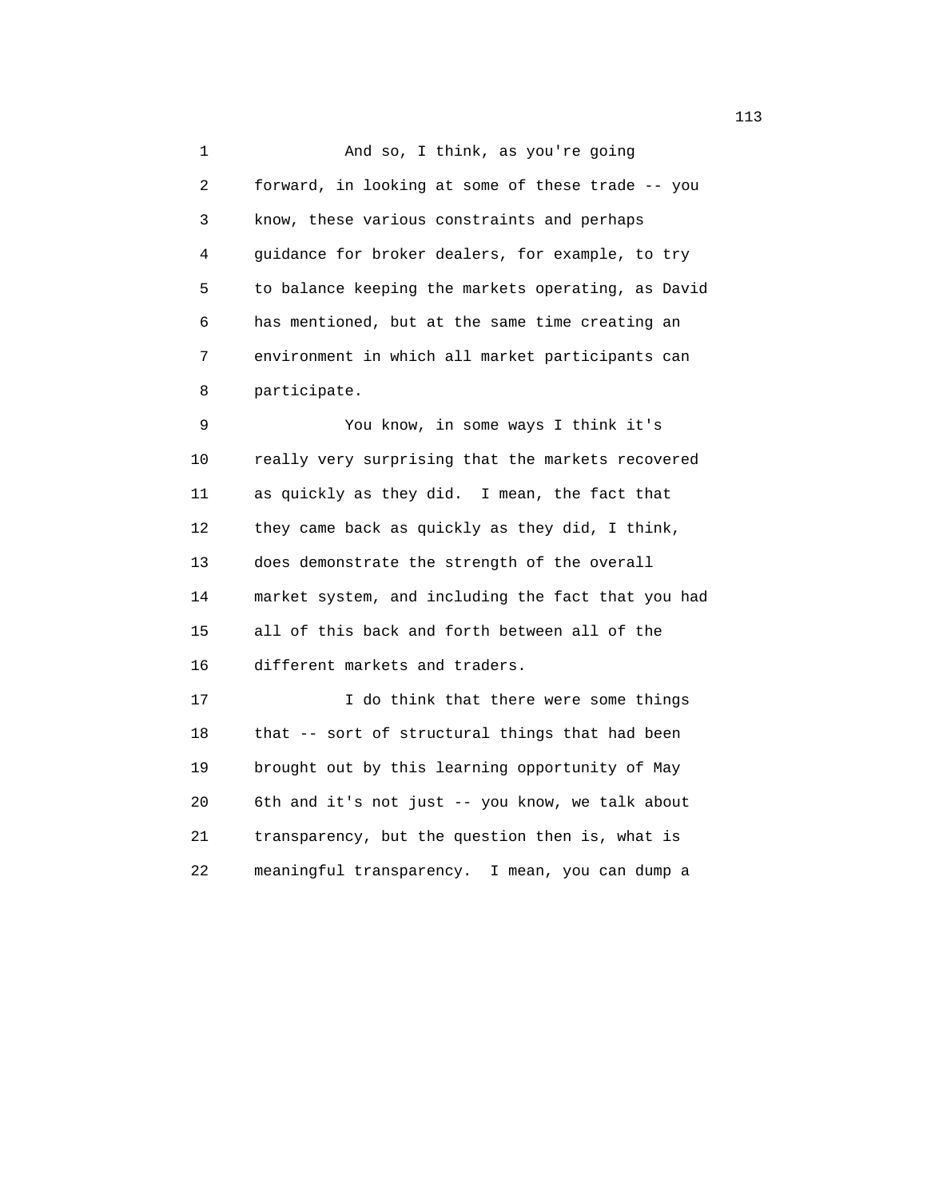1 And so, I think, as you're going 2 forward, in looking at some of these trade -- you 3 know, these various constraints and perhaps 4 guidance for broker dealers, for example, to try 5 to balance keeping the markets operating, as David 6 has mentioned, but at the same time creating an 7 environment in which all market participants can 8 participate.

 9 You know, in some ways I think it's 10 really very surprising that the markets recovered 11 as quickly as they did. I mean, the fact that 12 they came back as quickly as they did, I think, 13 does demonstrate the strength of the overall 14 market system, and including the fact that you had 15 all of this back and forth between all of the 16 different markets and traders. 17 I do think that there were some things

 18 that -- sort of structural things that had been 19 brought out by this learning opportunity of May 20 6th and it's not just -- you know, we talk about 21 transparency, but the question then is, what is 22 meaningful transparency. I mean, you can dump a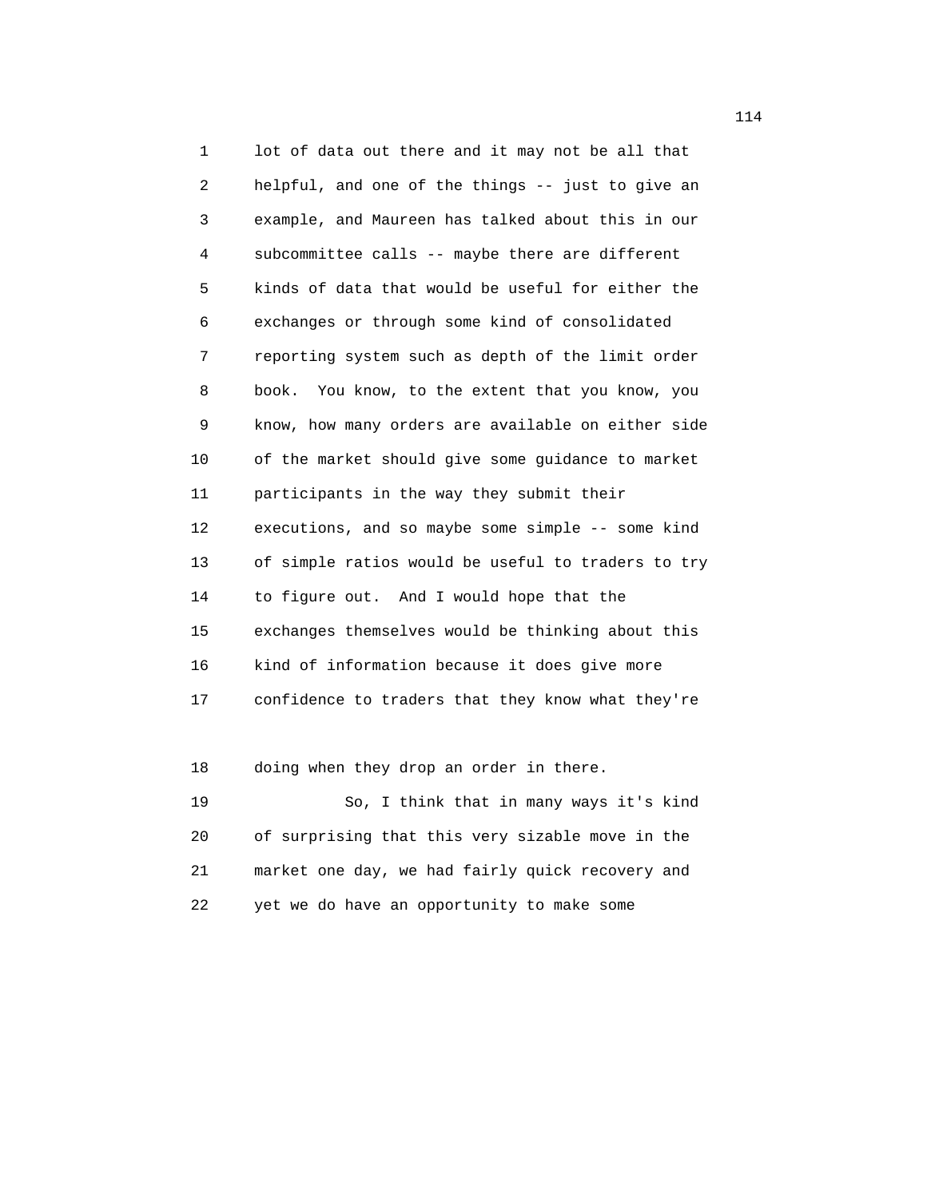1 lot of data out there and it may not be all that 2 helpful, and one of the things -- just to give an 3 example, and Maureen has talked about this in our 4 subcommittee calls -- maybe there are different 5 kinds of data that would be useful for either the 6 exchanges or through some kind of consolidated 7 reporting system such as depth of the limit order 8 book. You know, to the extent that you know, you 9 know, how many orders are available on either side 10 of the market should give some guidance to market 11 participants in the way they submit their 12 executions, and so maybe some simple -- some kind 13 of simple ratios would be useful to traders to try 14 to figure out. And I would hope that the 15 exchanges themselves would be thinking about this 16 kind of information because it does give more 17 confidence to traders that they know what they're

18 doing when they drop an order in there.

 19 So, I think that in many ways it's kind 20 of surprising that this very sizable move in the 21 market one day, we had fairly quick recovery and 22 yet we do have an opportunity to make some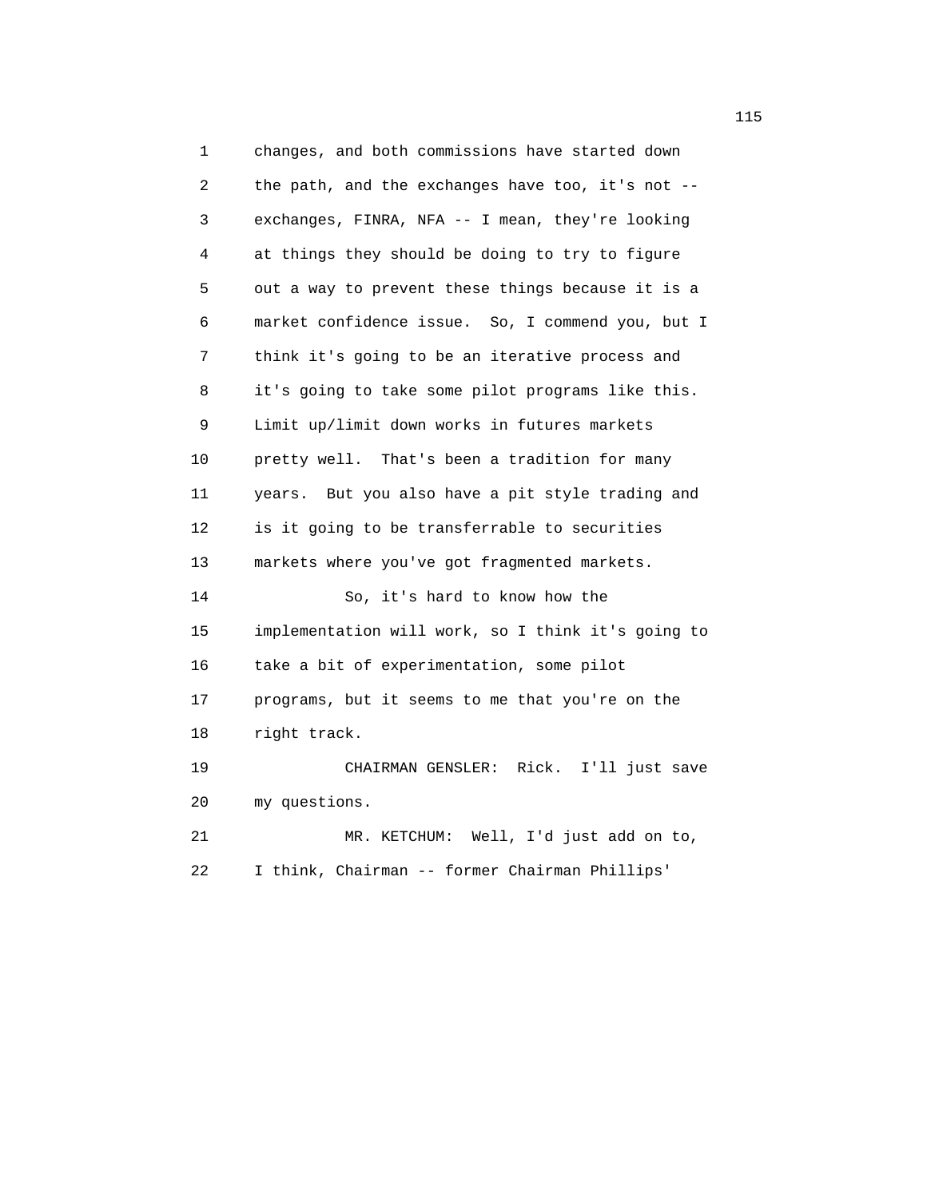1 changes, and both commissions have started down 2 the path, and the exchanges have too, it's not -- 3 exchanges, FINRA, NFA -- I mean, they're looking 4 at things they should be doing to try to figure 5 out a way to prevent these things because it is a 6 market confidence issue. So, I commend you, but I 7 think it's going to be an iterative process and 8 it's going to take some pilot programs like this. 9 Limit up/limit down works in futures markets 10 pretty well. That's been a tradition for many 11 years. But you also have a pit style trading and 12 is it going to be transferrable to securities 13 markets where you've got fragmented markets. 14 So, it's hard to know how the 15 implementation will work, so I think it's going to 16 take a bit of experimentation, some pilot 17 programs, but it seems to me that you're on the 18 right track. 19 CHAIRMAN GENSLER: Rick. I'll just save 20 my questions. 21 MR. KETCHUM: Well, I'd just add on to, 22 I think, Chairman -- former Chairman Phillips'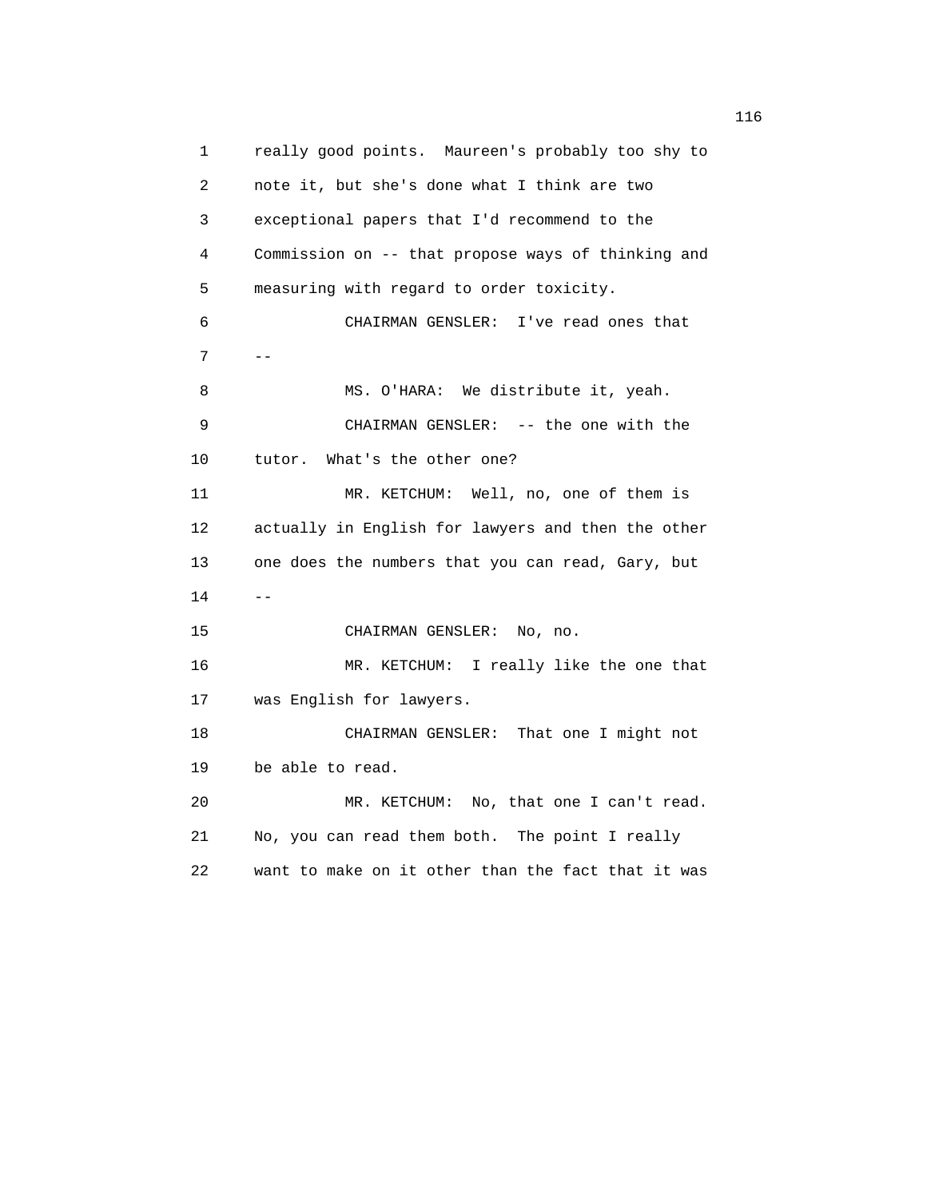1 really good points. Maureen's probably too shy to 2 note it, but she's done what I think are two 3 exceptional papers that I'd recommend to the 4 Commission on -- that propose ways of thinking and 5 measuring with regard to order toxicity. 6 CHAIRMAN GENSLER: I've read ones that  $7$  -- 8 MS. O'HARA: We distribute it, yeah. 9 CHAIRMAN GENSLER: -- the one with the 10 tutor. What's the other one? 11 MR. KETCHUM: Well, no, one of them is 12 actually in English for lawyers and then the other 13 one does the numbers that you can read, Gary, but  $14$  -- 15 CHAIRMAN GENSLER: No, no. 16 MR. KETCHUM: I really like the one that 17 was English for lawyers. 18 CHAIRMAN GENSLER: That one I might not 19 be able to read. 20 MR. KETCHUM: No, that one I can't read. 21 No, you can read them both. The point I really 22 want to make on it other than the fact that it was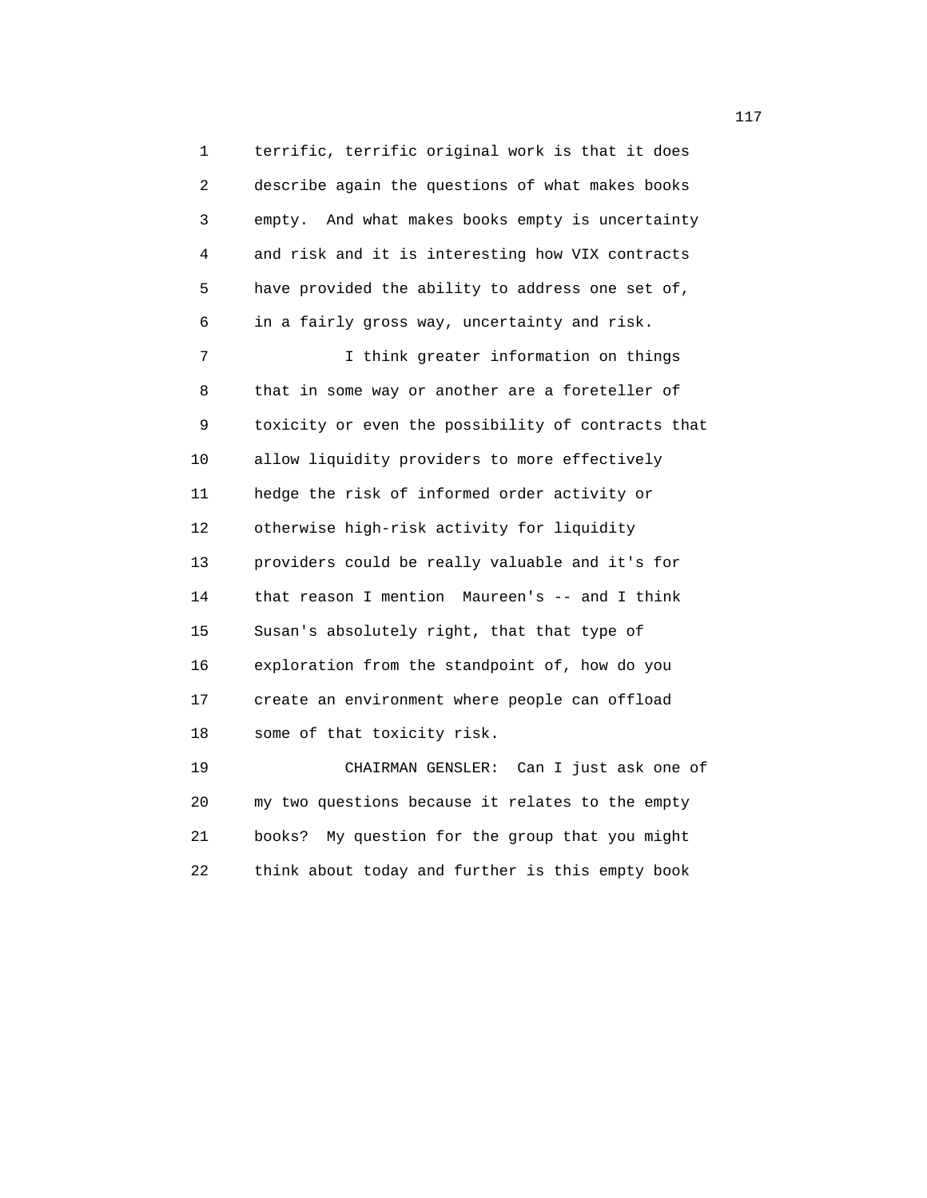1 terrific, terrific original work is that it does 2 describe again the questions of what makes books 3 empty. And what makes books empty is uncertainty 4 and risk and it is interesting how VIX contracts 5 have provided the ability to address one set of, 6 in a fairly gross way, uncertainty and risk. 7 I think greater information on things 8 that in some way or another are a foreteller of 9 toxicity or even the possibility of contracts that 10 allow liquidity providers to more effectively 11 hedge the risk of informed order activity or 12 otherwise high-risk activity for liquidity 13 providers could be really valuable and it's for 14 that reason I mention Maureen's -- and I think 15 Susan's absolutely right, that that type of 16 exploration from the standpoint of, how do you 17 create an environment where people can offload 18 some of that toxicity risk. 19 CHAIRMAN GENSLER: Can I just ask one of

 20 my two questions because it relates to the empty 21 books? My question for the group that you might 22 think about today and further is this empty book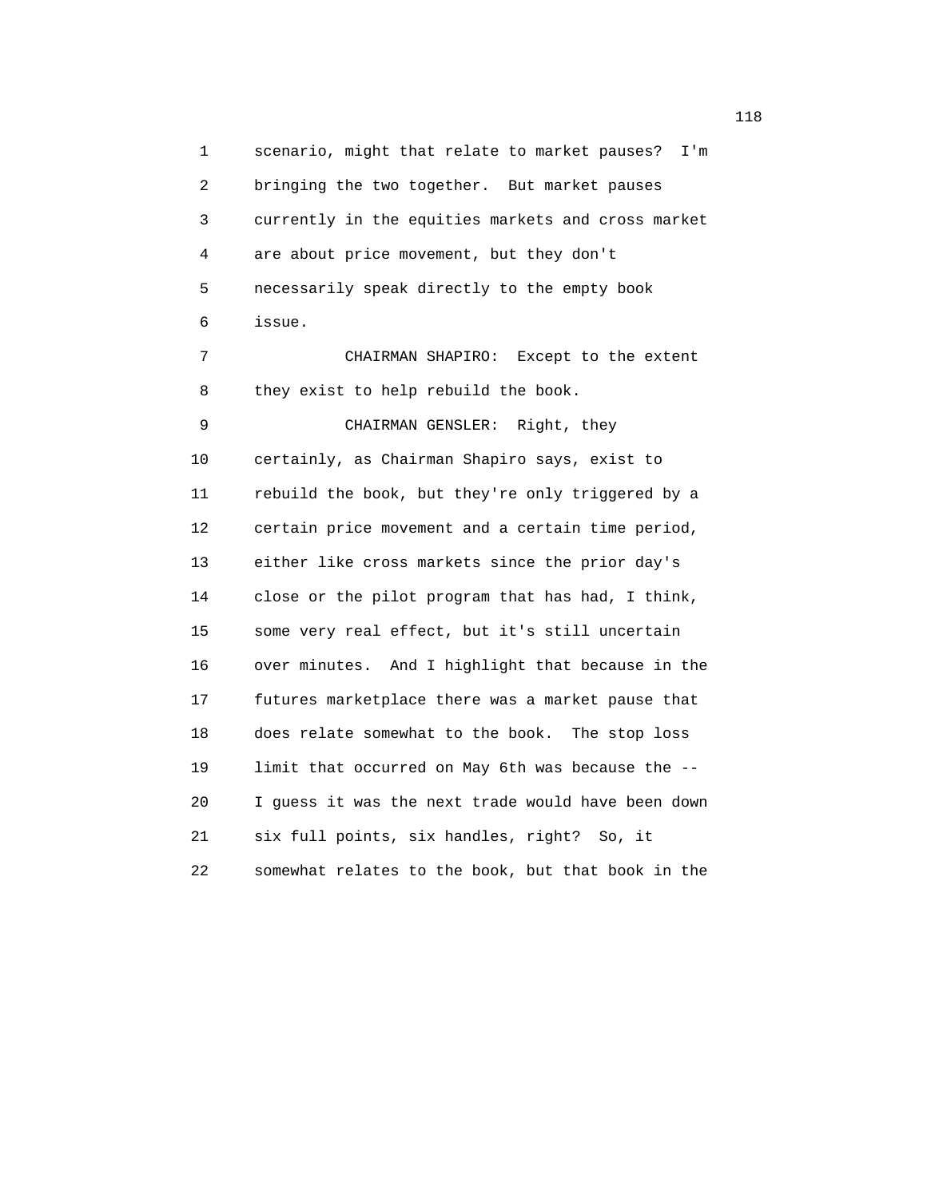1 scenario, might that relate to market pauses? I'm 2 bringing the two together. But market pauses 3 currently in the equities markets and cross market 4 are about price movement, but they don't 5 necessarily speak directly to the empty book 6 issue. 7 CHAIRMAN SHAPIRO: Except to the extent 8 they exist to help rebuild the book. 9 CHAIRMAN GENSLER: Right, they 10 certainly, as Chairman Shapiro says, exist to 11 rebuild the book, but they're only triggered by a 12 certain price movement and a certain time period, 13 either like cross markets since the prior day's 14 close or the pilot program that has had, I think, 15 some very real effect, but it's still uncertain 16 over minutes. And I highlight that because in the 17 futures marketplace there was a market pause that 18 does relate somewhat to the book. The stop loss 19 limit that occurred on May 6th was because the -- 20 I guess it was the next trade would have been down 21 six full points, six handles, right? So, it 22 somewhat relates to the book, but that book in the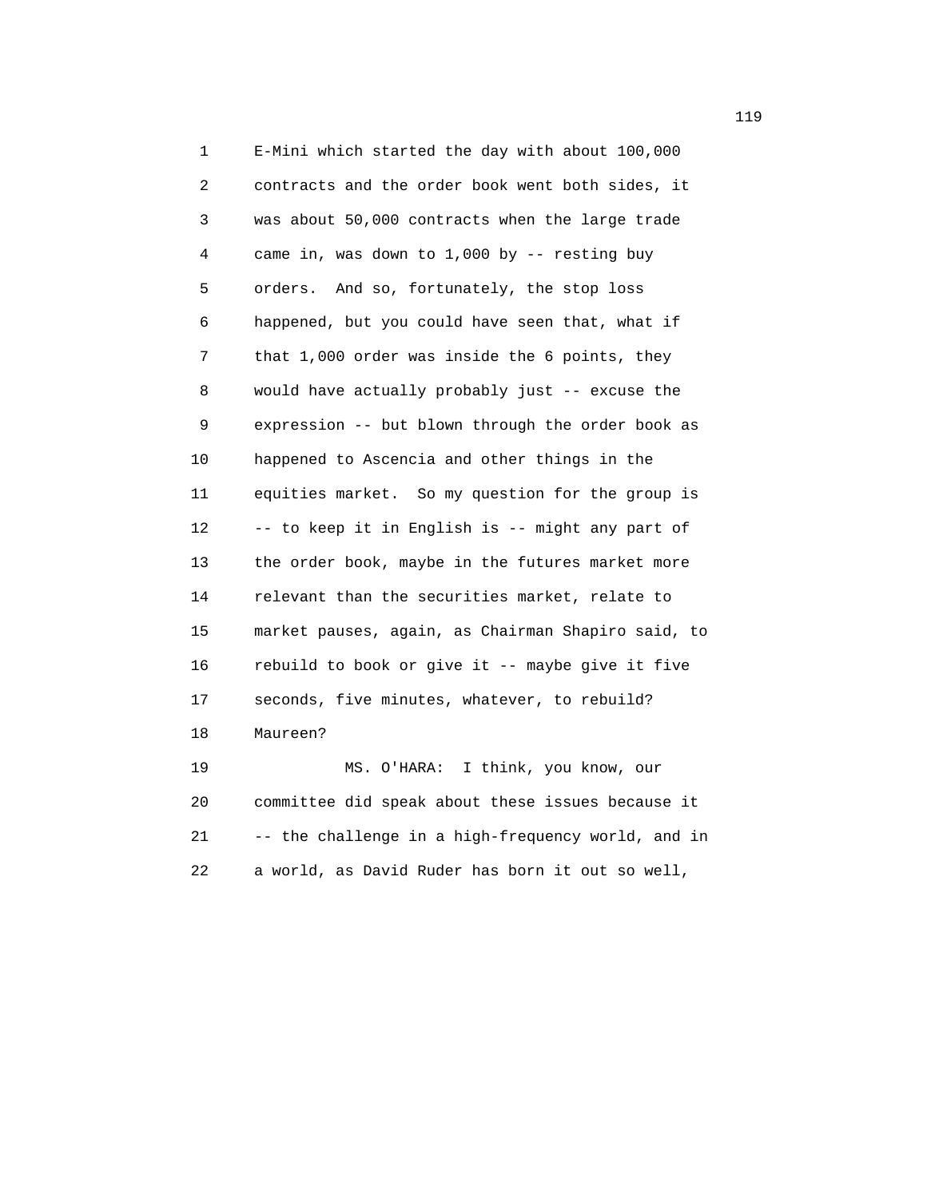1 E-Mini which started the day with about 100,000 2 contracts and the order book went both sides, it 3 was about 50,000 contracts when the large trade 4 came in, was down to 1,000 by -- resting buy 5 orders. And so, fortunately, the stop loss 6 happened, but you could have seen that, what if 7 that 1,000 order was inside the 6 points, they 8 would have actually probably just -- excuse the 9 expression -- but blown through the order book as 10 happened to Ascencia and other things in the 11 equities market. So my question for the group is 12 -- to keep it in English is -- might any part of 13 the order book, maybe in the futures market more 14 relevant than the securities market, relate to 15 market pauses, again, as Chairman Shapiro said, to 16 rebuild to book or give it -- maybe give it five 17 seconds, five minutes, whatever, to rebuild? 18 Maureen? 19 MS. O'HARA: I think, you know, our 20 committee did speak about these issues because it 21 -- the challenge in a high-frequency world, and in

22 a world, as David Ruder has born it out so well,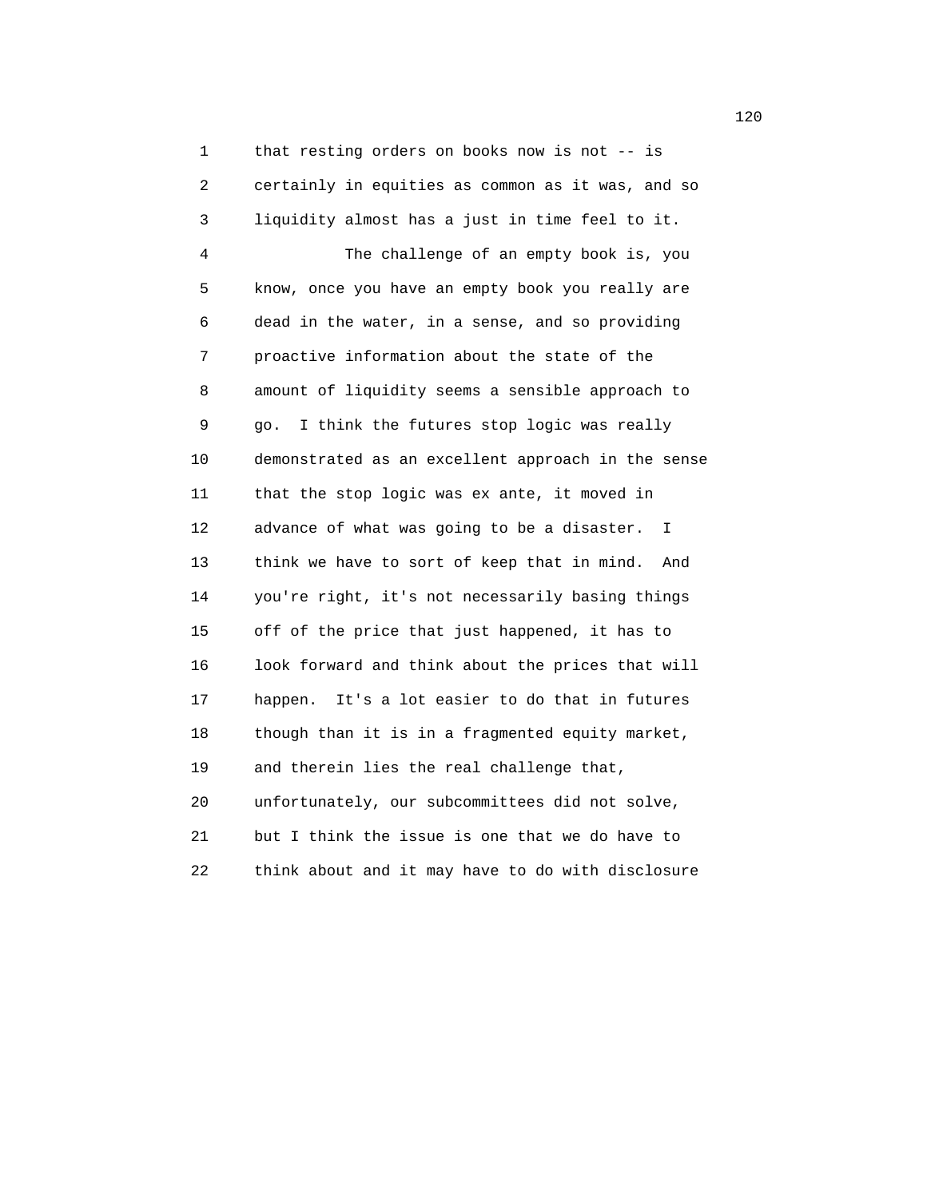1 that resting orders on books now is not -- is 2 certainly in equities as common as it was, and so 3 liquidity almost has a just in time feel to it. 4 The challenge of an empty book is, you 5 know, once you have an empty book you really are 6 dead in the water, in a sense, and so providing 7 proactive information about the state of the 8 amount of liquidity seems a sensible approach to 9 go. I think the futures stop logic was really 10 demonstrated as an excellent approach in the sense 11 that the stop logic was ex ante, it moved in 12 advance of what was going to be a disaster. I 13 think we have to sort of keep that in mind. And 14 you're right, it's not necessarily basing things 15 off of the price that just happened, it has to 16 look forward and think about the prices that will 17 happen. It's a lot easier to do that in futures 18 though than it is in a fragmented equity market, 19 and therein lies the real challenge that, 20 unfortunately, our subcommittees did not solve, 21 but I think the issue is one that we do have to 22 think about and it may have to do with disclosure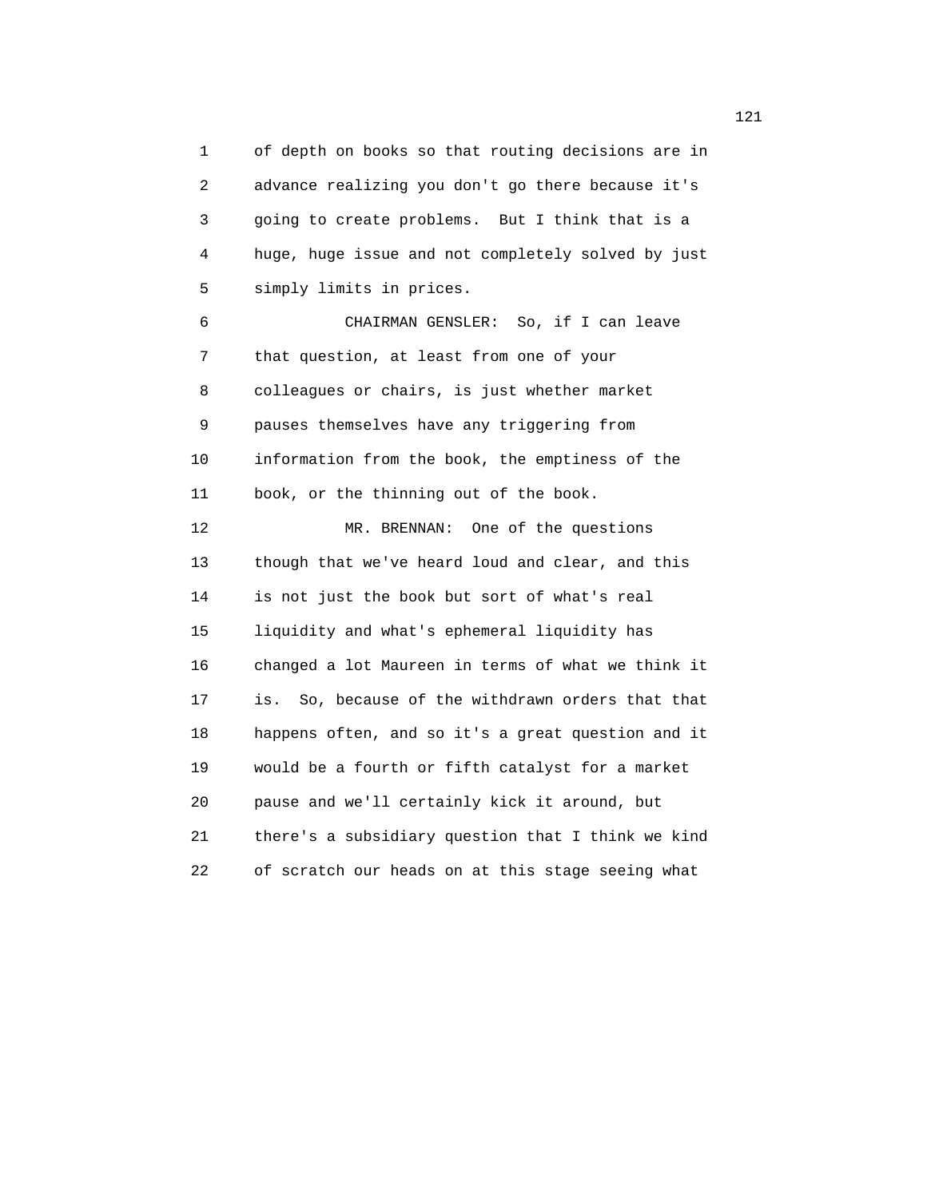1 of depth on books so that routing decisions are in 2 advance realizing you don't go there because it's 3 going to create problems. But I think that is a 4 huge, huge issue and not completely solved by just 5 simply limits in prices.

 6 CHAIRMAN GENSLER: So, if I can leave 7 that question, at least from one of your 8 colleagues or chairs, is just whether market 9 pauses themselves have any triggering from 10 information from the book, the emptiness of the 11 book, or the thinning out of the book.

 12 MR. BRENNAN: One of the questions 13 though that we've heard loud and clear, and this 14 is not just the book but sort of what's real 15 liquidity and what's ephemeral liquidity has 16 changed a lot Maureen in terms of what we think it 17 is. So, because of the withdrawn orders that that 18 happens often, and so it's a great question and it 19 would be a fourth or fifth catalyst for a market 20 pause and we'll certainly kick it around, but 21 there's a subsidiary question that I think we kind 22 of scratch our heads on at this stage seeing what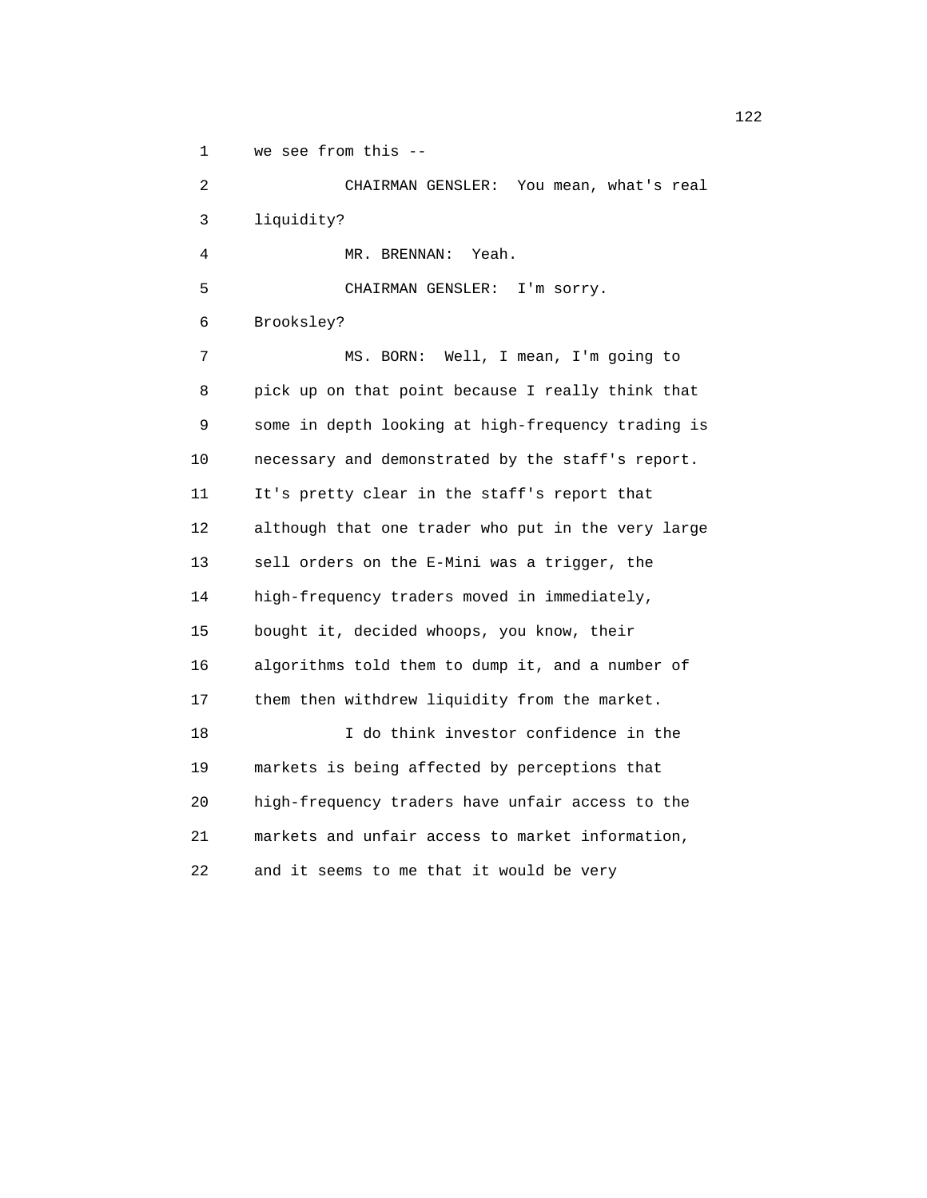1 we see from this --

 2 CHAIRMAN GENSLER: You mean, what's real 3 liquidity? 4 MR. BRENNAN: Yeah. 5 CHAIRMAN GENSLER: I'm sorry. 6 Brooksley? 7 MS. BORN: Well, I mean, I'm going to 8 pick up on that point because I really think that 9 some in depth looking at high-frequency trading is 10 necessary and demonstrated by the staff's report. 11 It's pretty clear in the staff's report that 12 although that one trader who put in the very large 13 sell orders on the E-Mini was a trigger, the 14 high-frequency traders moved in immediately, 15 bought it, decided whoops, you know, their 16 algorithms told them to dump it, and a number of 17 them then withdrew liquidity from the market. 18 I do think investor confidence in the 19 markets is being affected by perceptions that 20 high-frequency traders have unfair access to the 21 markets and unfair access to market information, 22 and it seems to me that it would be very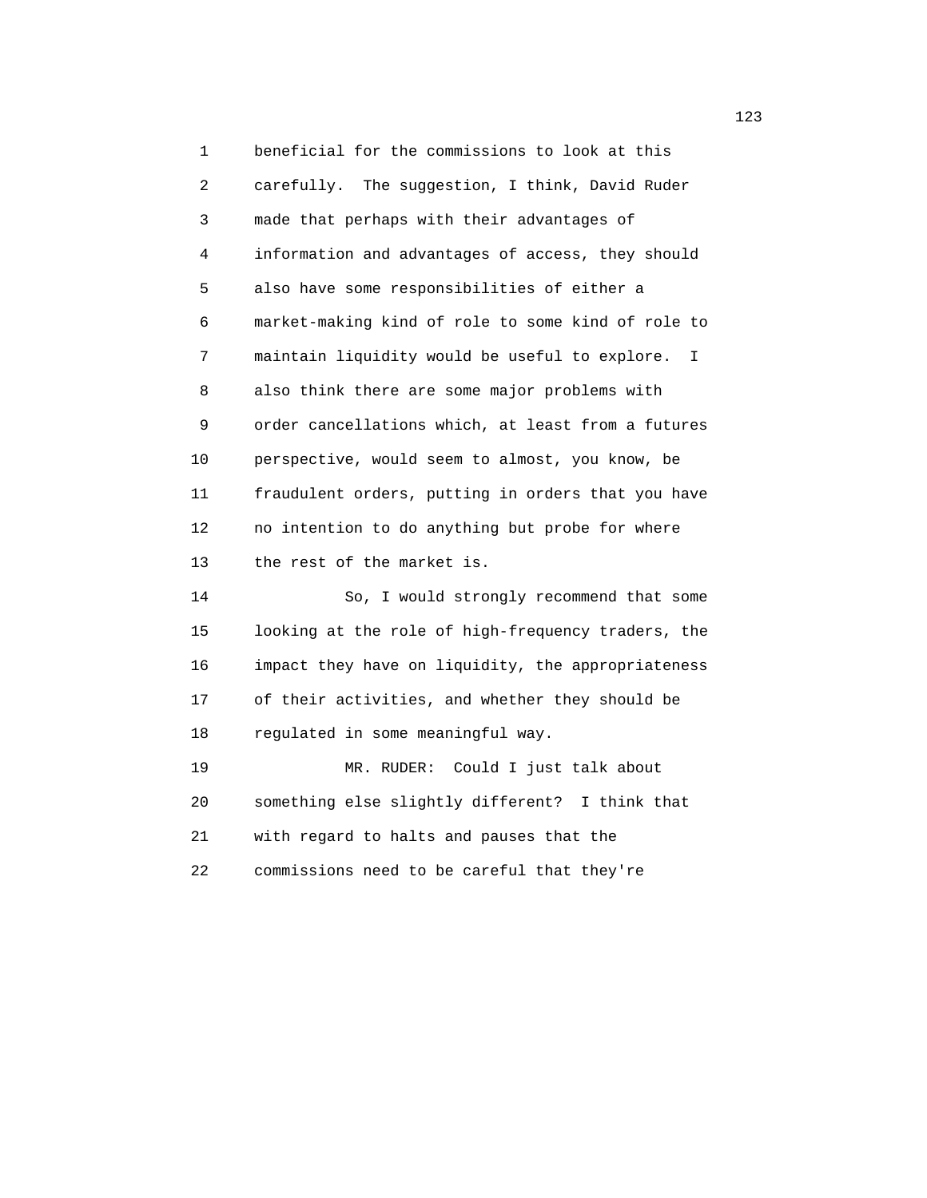1 beneficial for the commissions to look at this 2 carefully. The suggestion, I think, David Ruder 3 made that perhaps with their advantages of 4 information and advantages of access, they should 5 also have some responsibilities of either a 6 market-making kind of role to some kind of role to 7 maintain liquidity would be useful to explore. I 8 also think there are some major problems with 9 order cancellations which, at least from a futures 10 perspective, would seem to almost, you know, be 11 fraudulent orders, putting in orders that you have 12 no intention to do anything but probe for where 13 the rest of the market is. 14 So, I would strongly recommend that some 15 looking at the role of high-frequency traders, the

 16 impact they have on liquidity, the appropriateness 17 of their activities, and whether they should be 18 regulated in some meaningful way.

 19 MR. RUDER: Could I just talk about 20 something else slightly different? I think that 21 with regard to halts and pauses that the 22 commissions need to be careful that they're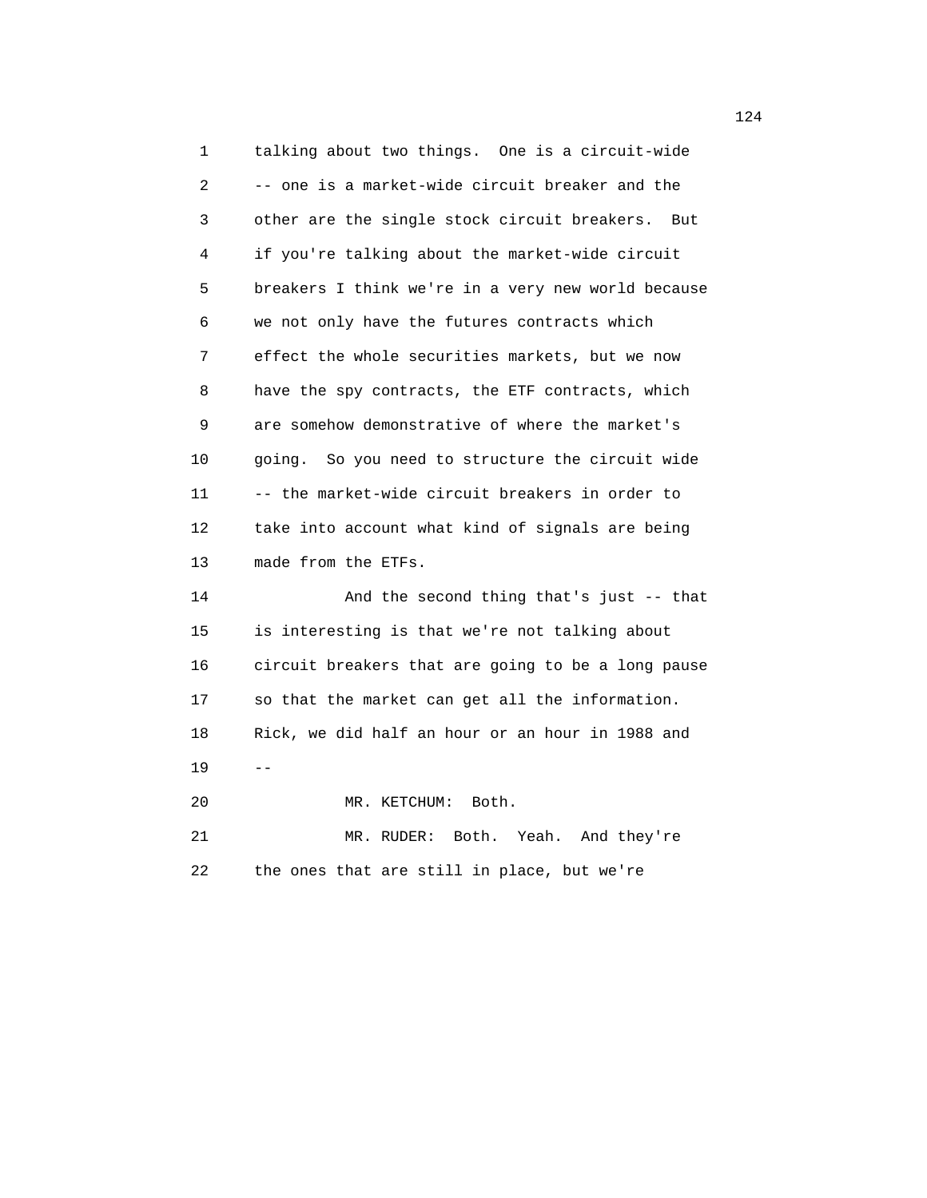1 talking about two things. One is a circuit-wide 2 -- one is a market-wide circuit breaker and the 3 other are the single stock circuit breakers. But 4 if you're talking about the market-wide circuit 5 breakers I think we're in a very new world because 6 we not only have the futures contracts which 7 effect the whole securities markets, but we now 8 have the spy contracts, the ETF contracts, which 9 are somehow demonstrative of where the market's 10 going. So you need to structure the circuit wide 11 -- the market-wide circuit breakers in order to 12 take into account what kind of signals are being 13 made from the ETFs. 14 And the second thing that's just -- that 15 is interesting is that we're not talking about 16 circuit breakers that are going to be a long pause 17 so that the market can get all the information. 18 Rick, we did half an hour or an hour in 1988 and  $19$  -- 20 MR. KETCHUM: Both. 21 MR. RUDER: Both. Yeah. And they're 22 the ones that are still in place, but we're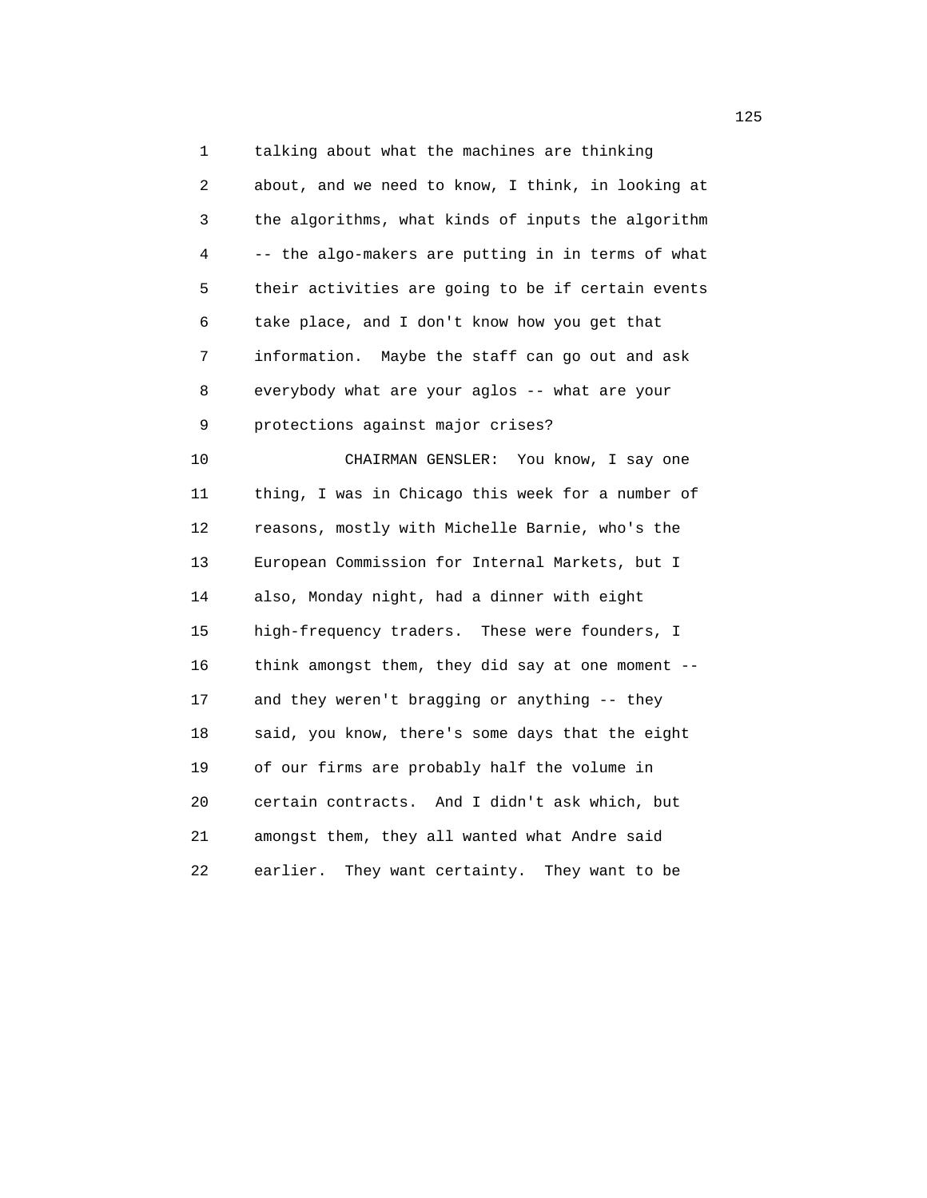1 talking about what the machines are thinking 2 about, and we need to know, I think, in looking at 3 the algorithms, what kinds of inputs the algorithm 4 -- the algo-makers are putting in in terms of what 5 their activities are going to be if certain events 6 take place, and I don't know how you get that 7 information. Maybe the staff can go out and ask 8 everybody what are your aglos -- what are your 9 protections against major crises?

 10 CHAIRMAN GENSLER: You know, I say one 11 thing, I was in Chicago this week for a number of 12 reasons, mostly with Michelle Barnie, who's the 13 European Commission for Internal Markets, but I 14 also, Monday night, had a dinner with eight 15 high-frequency traders. These were founders, I 16 think amongst them, they did say at one moment -- 17 and they weren't bragging or anything -- they 18 said, you know, there's some days that the eight 19 of our firms are probably half the volume in 20 certain contracts. And I didn't ask which, but 21 amongst them, they all wanted what Andre said 22 earlier. They want certainty. They want to be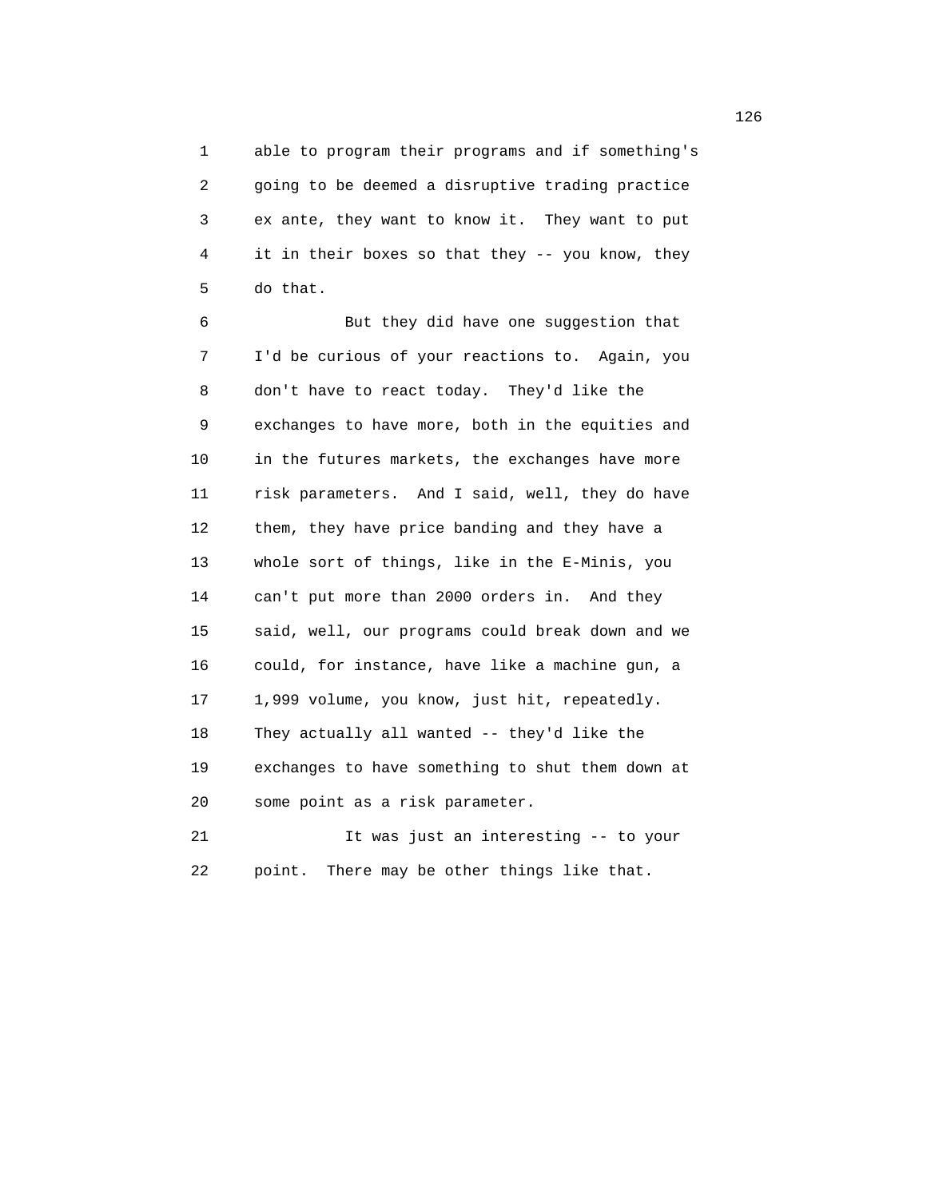1 able to program their programs and if something's 2 going to be deemed a disruptive trading practice 3 ex ante, they want to know it. They want to put 4 it in their boxes so that they -- you know, they 5 do that.

 6 But they did have one suggestion that 7 I'd be curious of your reactions to. Again, you 8 don't have to react today. They'd like the 9 exchanges to have more, both in the equities and 10 in the futures markets, the exchanges have more 11 risk parameters. And I said, well, they do have 12 them, they have price banding and they have a 13 whole sort of things, like in the E-Minis, you 14 can't put more than 2000 orders in. And they 15 said, well, our programs could break down and we 16 could, for instance, have like a machine gun, a 17 1,999 volume, you know, just hit, repeatedly. 18 They actually all wanted -- they'd like the 19 exchanges to have something to shut them down at 20 some point as a risk parameter. 21 It was just an interesting -- to your

22 point. There may be other things like that.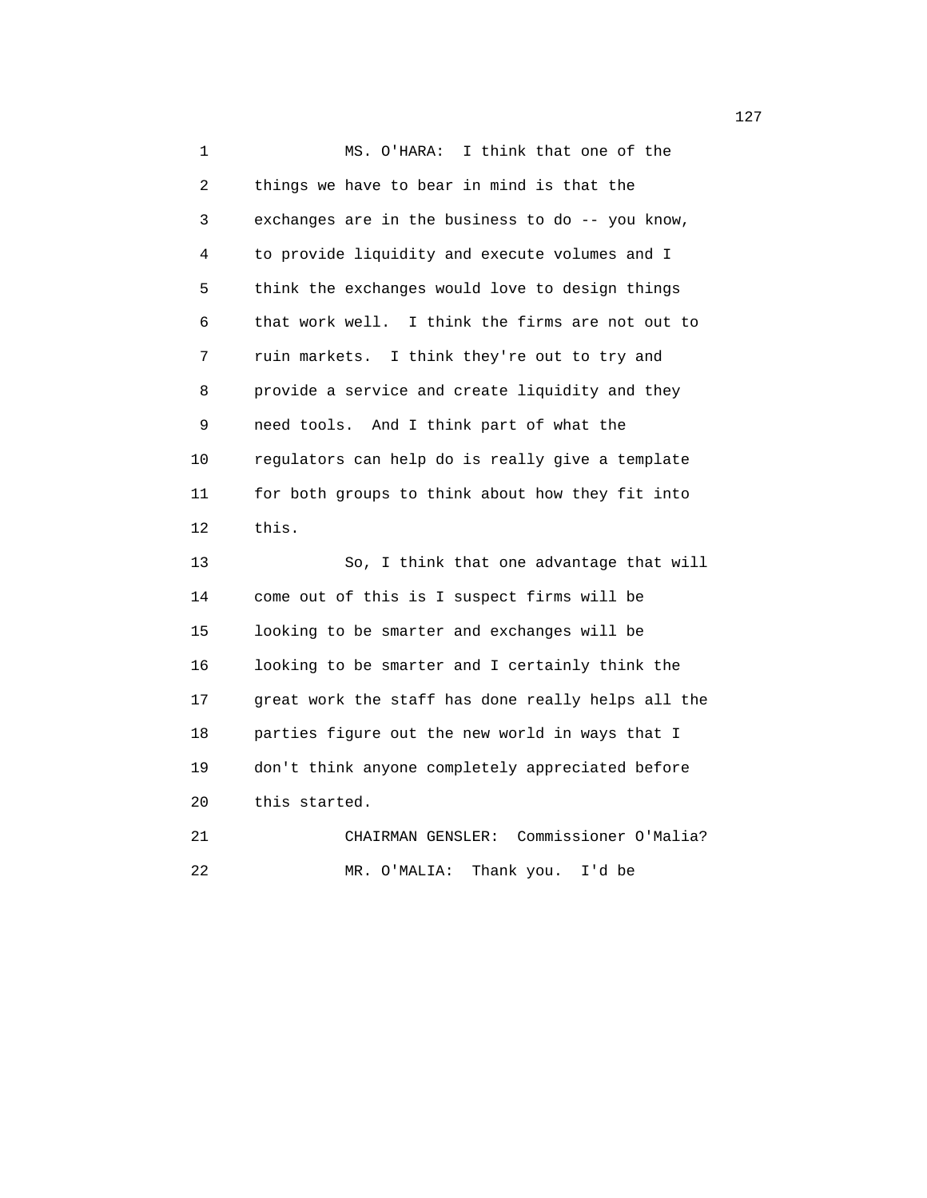1 MS. O'HARA: I think that one of the 2 things we have to bear in mind is that the 3 exchanges are in the business to do -- you know, 4 to provide liquidity and execute volumes and I 5 think the exchanges would love to design things 6 that work well. I think the firms are not out to 7 ruin markets. I think they're out to try and 8 provide a service and create liquidity and they 9 need tools. And I think part of what the 10 regulators can help do is really give a template 11 for both groups to think about how they fit into 12 this. 13 So, I think that one advantage that will 14 come out of this is I suspect firms will be 15 looking to be smarter and exchanges will be 16 looking to be smarter and I certainly think the 17 great work the staff has done really helps all the 18 parties figure out the new world in ways that I 19 don't think anyone completely appreciated before 20 this started. 21 CHAIRMAN GENSLER: Commissioner O'Malia? 22 MR. O'MALIA: Thank you. I'd be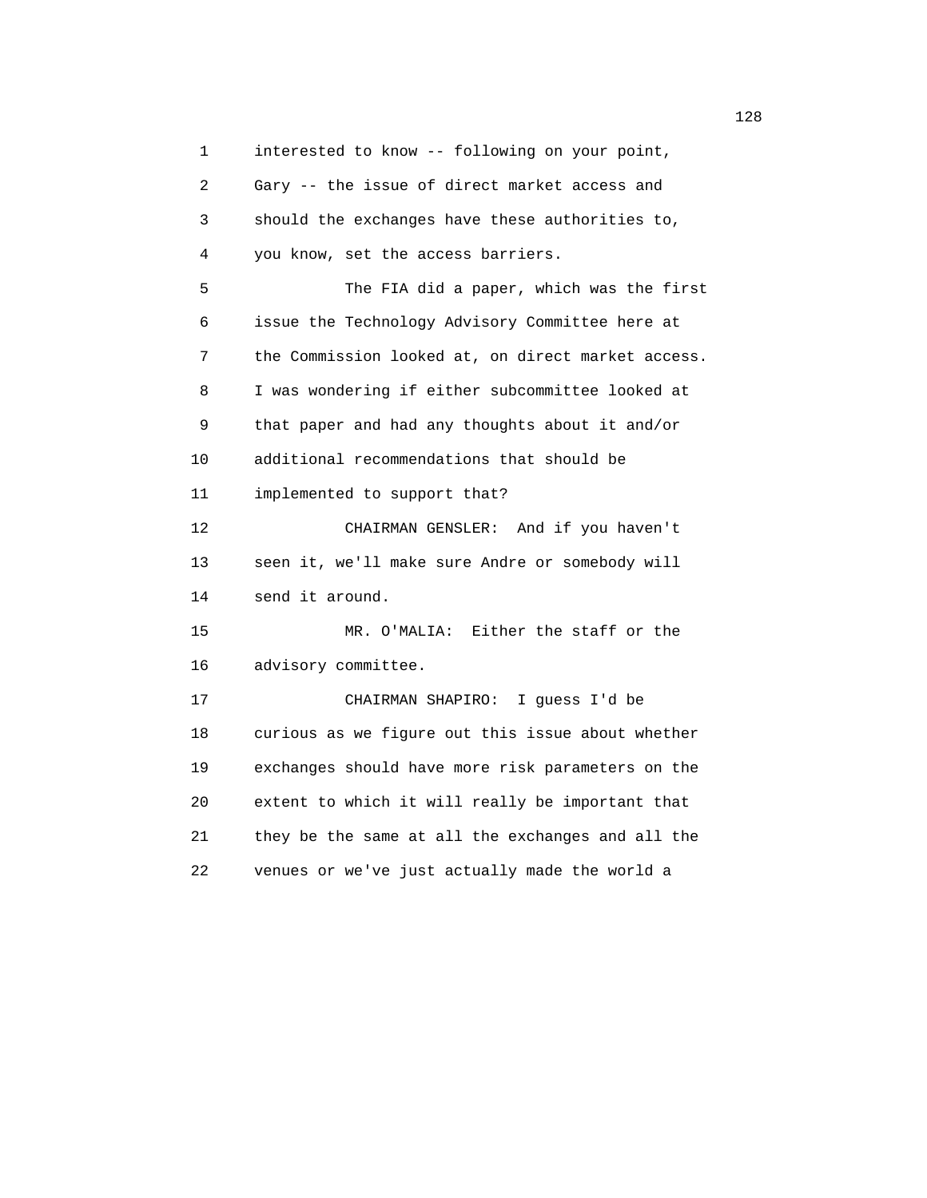1 interested to know -- following on your point, 2 Gary -- the issue of direct market access and 3 should the exchanges have these authorities to, 4 you know, set the access barriers. 5 The FIA did a paper, which was the first 6 issue the Technology Advisory Committee here at 7 the Commission looked at, on direct market access. 8 I was wondering if either subcommittee looked at 9 that paper and had any thoughts about it and/or 10 additional recommendations that should be 11 implemented to support that? 12 CHAIRMAN GENSLER: And if you haven't 13 seen it, we'll make sure Andre or somebody will 14 send it around. 15 MR. O'MALIA: Either the staff or the 16 advisory committee. 17 CHAIRMAN SHAPIRO: I guess I'd be 18 curious as we figure out this issue about whether 19 exchanges should have more risk parameters on the 20 extent to which it will really be important that 21 they be the same at all the exchanges and all the 22 venues or we've just actually made the world a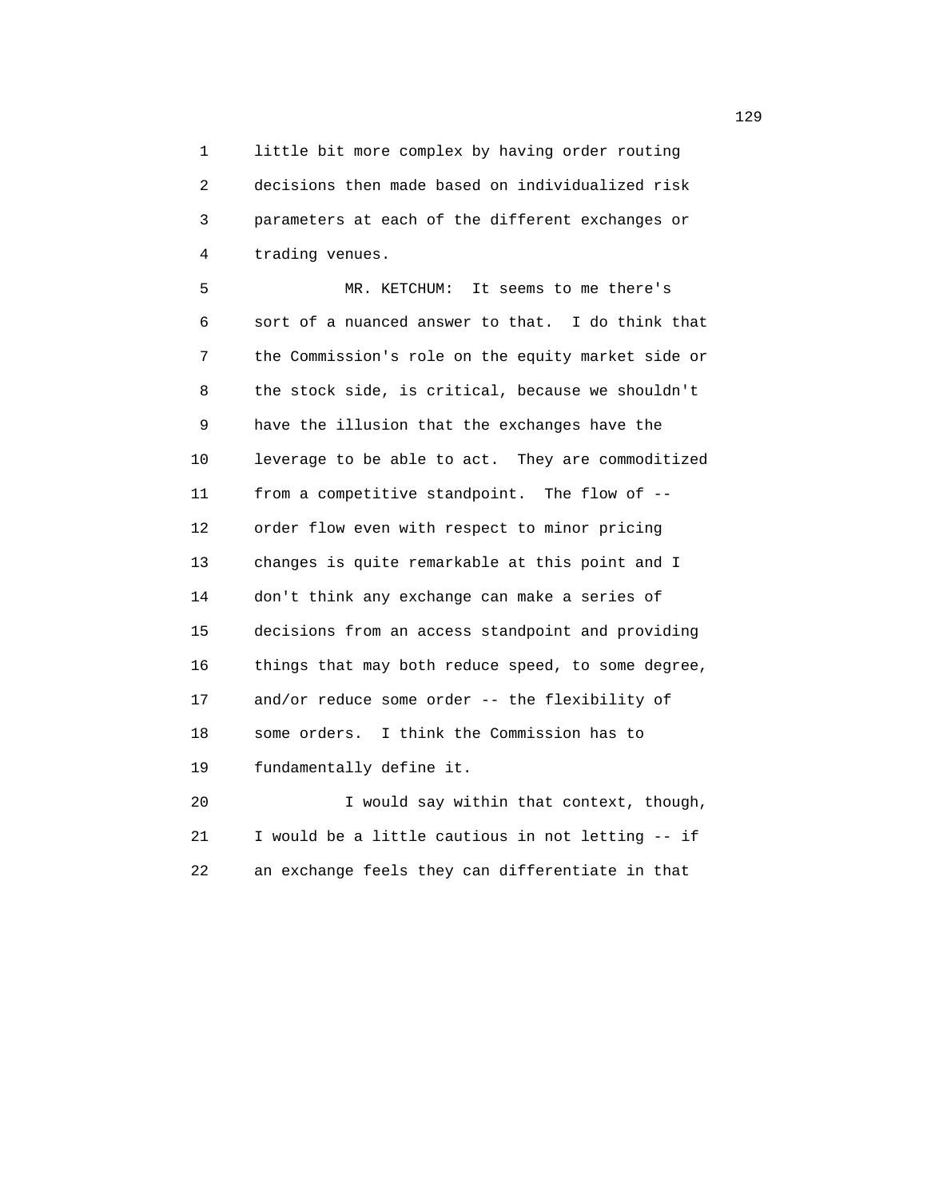1 little bit more complex by having order routing 2 decisions then made based on individualized risk 3 parameters at each of the different exchanges or 4 trading venues.

 5 MR. KETCHUM: It seems to me there's 6 sort of a nuanced answer to that. I do think that 7 the Commission's role on the equity market side or 8 the stock side, is critical, because we shouldn't 9 have the illusion that the exchanges have the 10 leverage to be able to act. They are commoditized 11 from a competitive standpoint. The flow of -- 12 order flow even with respect to minor pricing 13 changes is quite remarkable at this point and I 14 don't think any exchange can make a series of 15 decisions from an access standpoint and providing 16 things that may both reduce speed, to some degree, 17 and/or reduce some order -- the flexibility of 18 some orders. I think the Commission has to 19 fundamentally define it.

 20 I would say within that context, though, 21 I would be a little cautious in not letting -- if 22 an exchange feels they can differentiate in that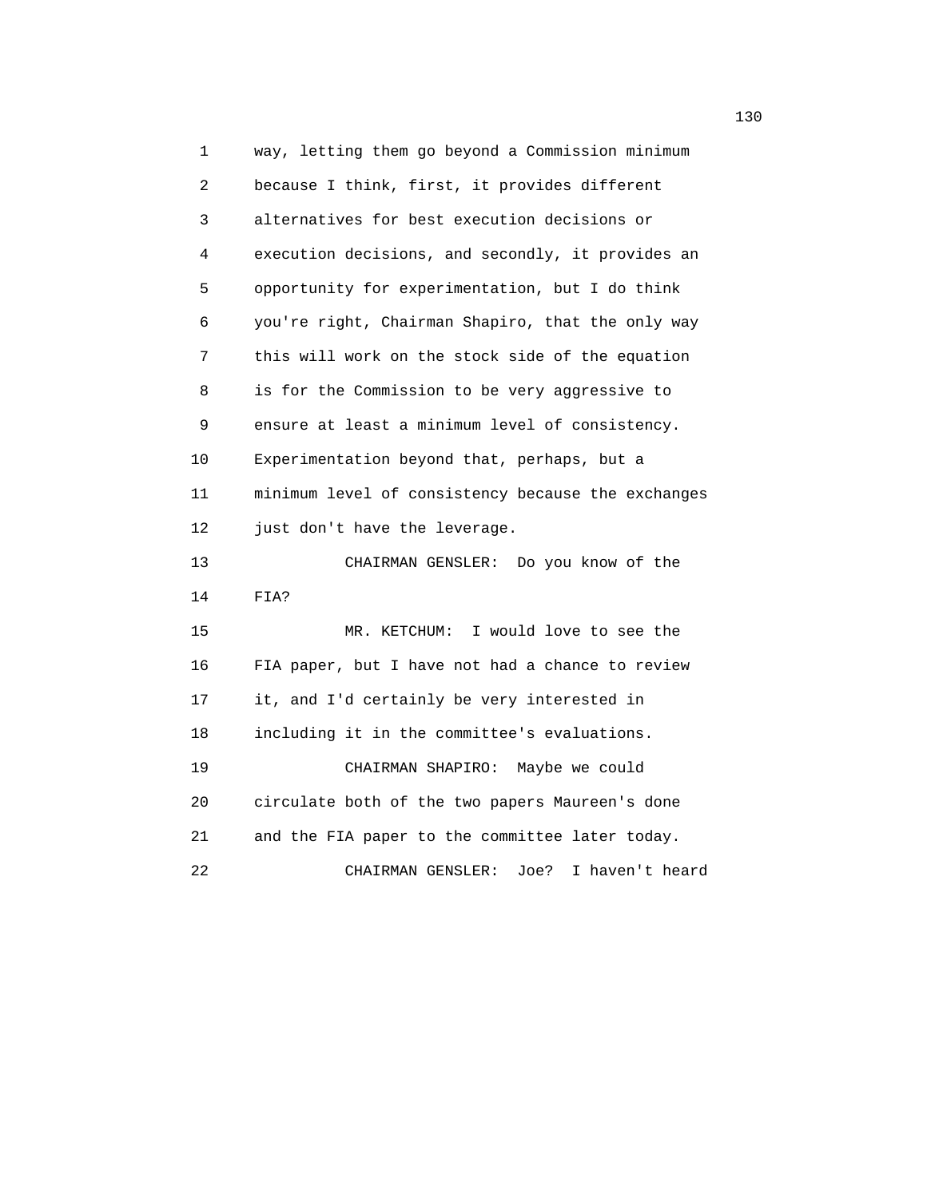1 way, letting them go beyond a Commission minimum 2 because I think, first, it provides different 3 alternatives for best execution decisions or 4 execution decisions, and secondly, it provides an 5 opportunity for experimentation, but I do think 6 you're right, Chairman Shapiro, that the only way 7 this will work on the stock side of the equation 8 is for the Commission to be very aggressive to 9 ensure at least a minimum level of consistency. 10 Experimentation beyond that, perhaps, but a 11 minimum level of consistency because the exchanges 12 just don't have the leverage. 13 CHAIRMAN GENSLER: Do you know of the 14 FIA? 15 MR. KETCHUM: I would love to see the 16 FIA paper, but I have not had a chance to review 17 it, and I'd certainly be very interested in 18 including it in the committee's evaluations. 19 CHAIRMAN SHAPIRO: Maybe we could 20 circulate both of the two papers Maureen's done 21 and the FIA paper to the committee later today. 22 CHAIRMAN GENSLER: Joe? I haven't heard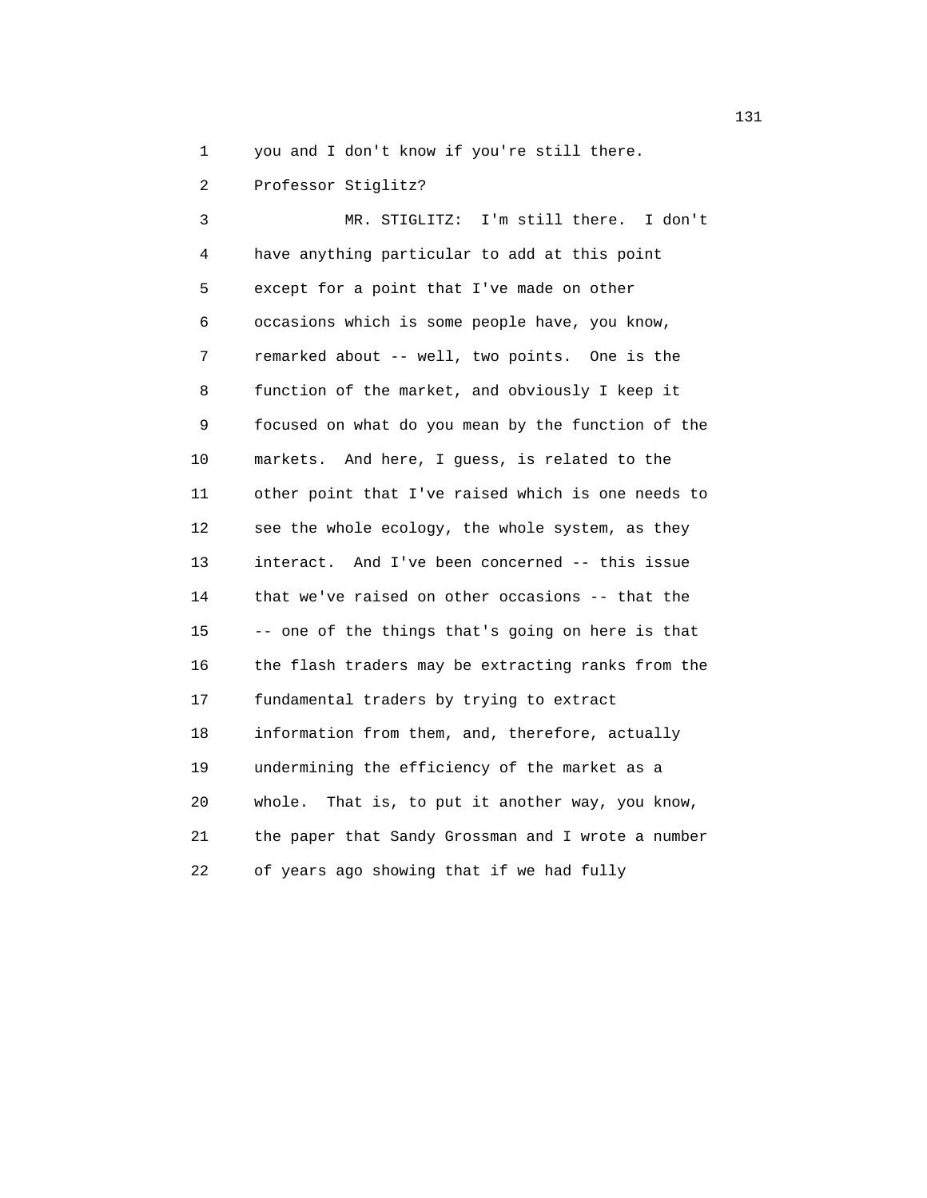1 you and I don't know if you're still there.

2 Professor Stiglitz?

 3 MR. STIGLITZ: I'm still there. I don't 4 have anything particular to add at this point 5 except for a point that I've made on other 6 occasions which is some people have, you know, 7 remarked about -- well, two points. One is the 8 function of the market, and obviously I keep it 9 focused on what do you mean by the function of the 10 markets. And here, I guess, is related to the 11 other point that I've raised which is one needs to 12 see the whole ecology, the whole system, as they 13 interact. And I've been concerned -- this issue 14 that we've raised on other occasions -- that the 15 -- one of the things that's going on here is that 16 the flash traders may be extracting ranks from the 17 fundamental traders by trying to extract 18 information from them, and, therefore, actually 19 undermining the efficiency of the market as a 20 whole. That is, to put it another way, you know, 21 the paper that Sandy Grossman and I wrote a number 22 of years ago showing that if we had fully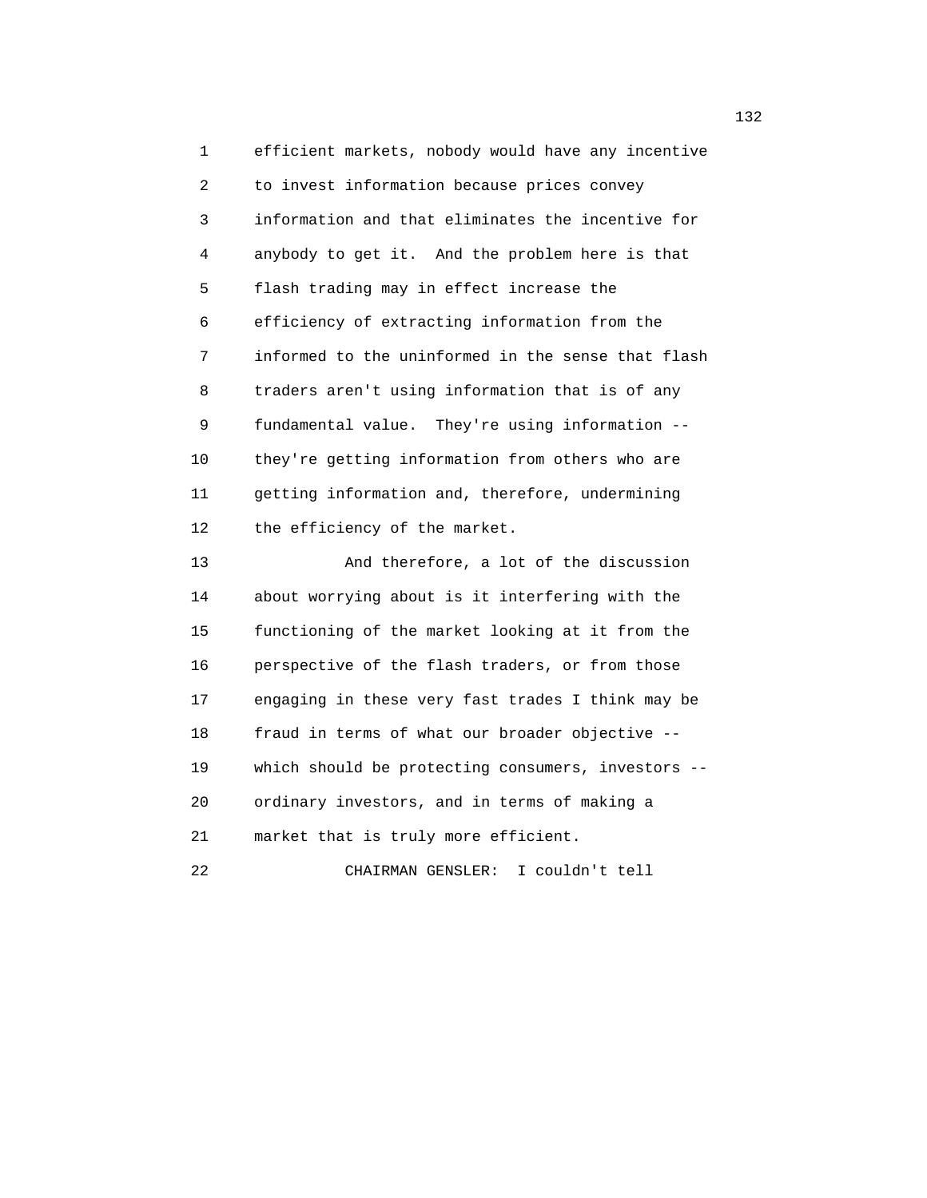1 efficient markets, nobody would have any incentive 2 to invest information because prices convey 3 information and that eliminates the incentive for 4 anybody to get it. And the problem here is that 5 flash trading may in effect increase the 6 efficiency of extracting information from the 7 informed to the uninformed in the sense that flash 8 traders aren't using information that is of any 9 fundamental value. They're using information -- 10 they're getting information from others who are 11 getting information and, therefore, undermining 12 the efficiency of the market. 13 And therefore, a lot of the discussion

 14 about worrying about is it interfering with the 15 functioning of the market looking at it from the 16 perspective of the flash traders, or from those 17 engaging in these very fast trades I think may be 18 fraud in terms of what our broader objective -- 19 which should be protecting consumers, investors -- 20 ordinary investors, and in terms of making a 21 market that is truly more efficient. 22 CHAIRMAN GENSLER: I couldn't tell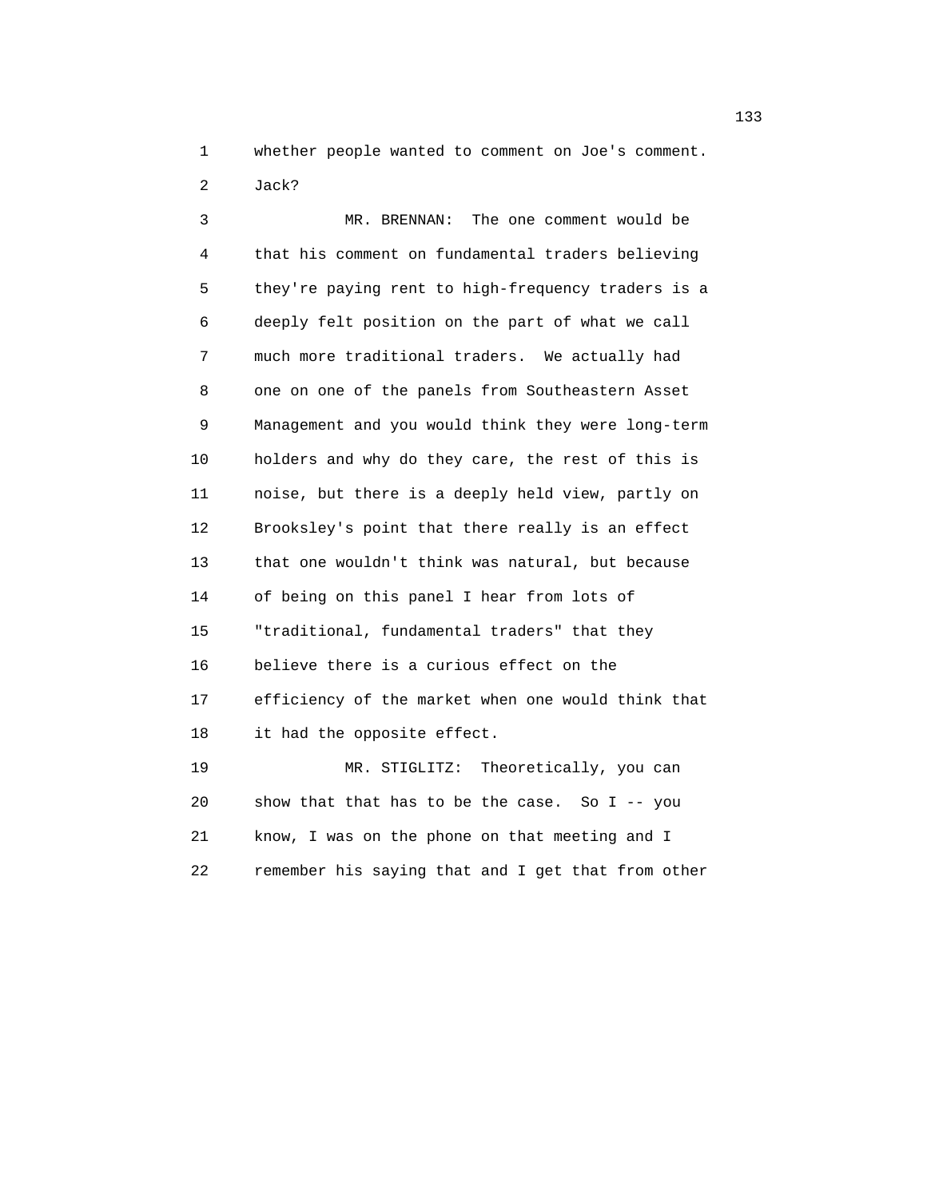1 whether people wanted to comment on Joe's comment.

2 Jack?

 3 MR. BRENNAN: The one comment would be 4 that his comment on fundamental traders believing 5 they're paying rent to high-frequency traders is a 6 deeply felt position on the part of what we call 7 much more traditional traders. We actually had 8 one on one of the panels from Southeastern Asset 9 Management and you would think they were long-term 10 holders and why do they care, the rest of this is 11 noise, but there is a deeply held view, partly on 12 Brooksley's point that there really is an effect 13 that one wouldn't think was natural, but because 14 of being on this panel I hear from lots of 15 "traditional, fundamental traders" that they 16 believe there is a curious effect on the 17 efficiency of the market when one would think that 18 it had the opposite effect. 19 MR. STIGLITZ: Theoretically, you can 20 show that that has to be the case. So I -- you

 21 know, I was on the phone on that meeting and I 22 remember his saying that and I get that from other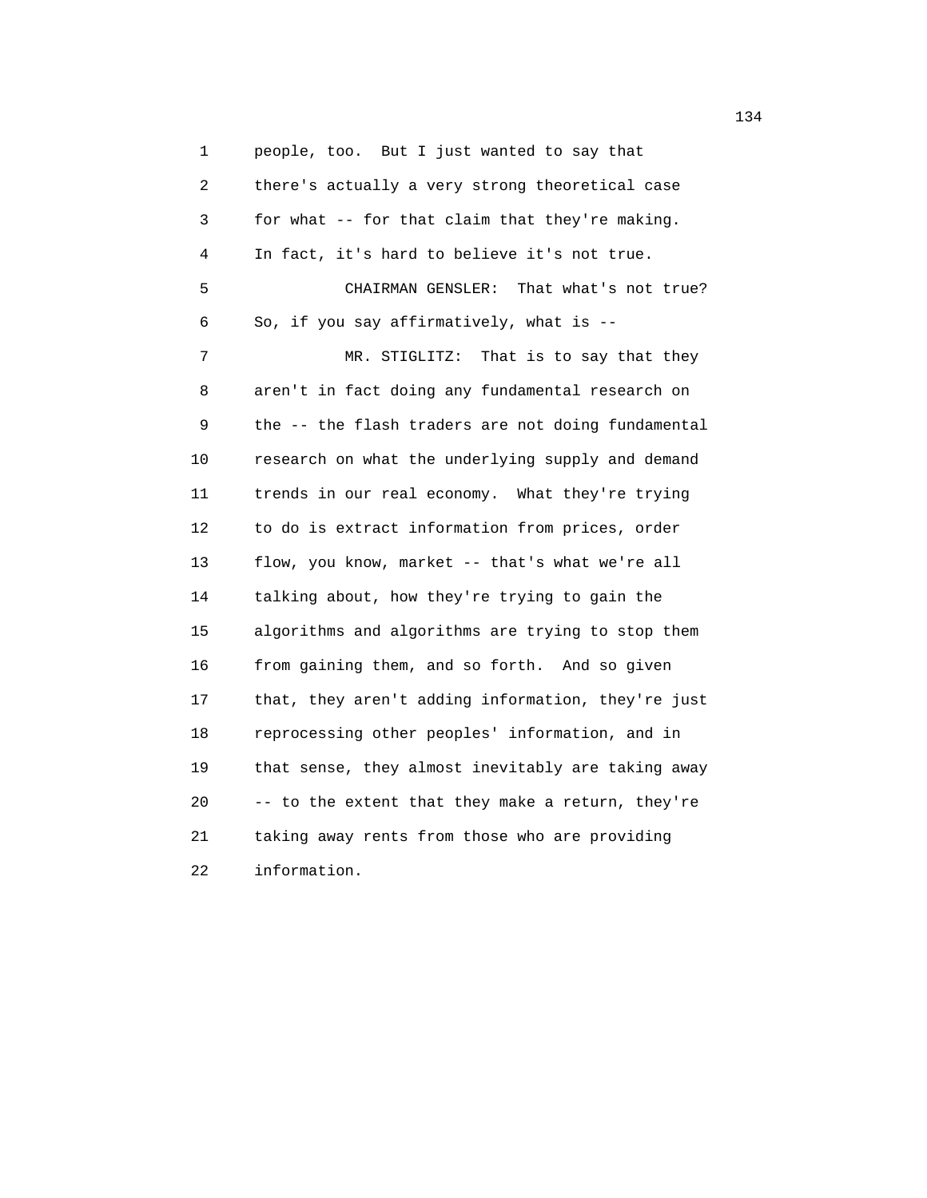1 people, too. But I just wanted to say that 2 there's actually a very strong theoretical case 3 for what -- for that claim that they're making. 4 In fact, it's hard to believe it's not true. 5 CHAIRMAN GENSLER: That what's not true? 6 So, if you say affirmatively, what is -- 7 MR. STIGLITZ: That is to say that they 8 aren't in fact doing any fundamental research on 9 the -- the flash traders are not doing fundamental 10 research on what the underlying supply and demand 11 trends in our real economy. What they're trying 12 to do is extract information from prices, order 13 flow, you know, market -- that's what we're all 14 talking about, how they're trying to gain the 15 algorithms and algorithms are trying to stop them 16 from gaining them, and so forth. And so given 17 that, they aren't adding information, they're just 18 reprocessing other peoples' information, and in 19 that sense, they almost inevitably are taking away 20 -- to the extent that they make a return, they're 21 taking away rents from those who are providing 22 information.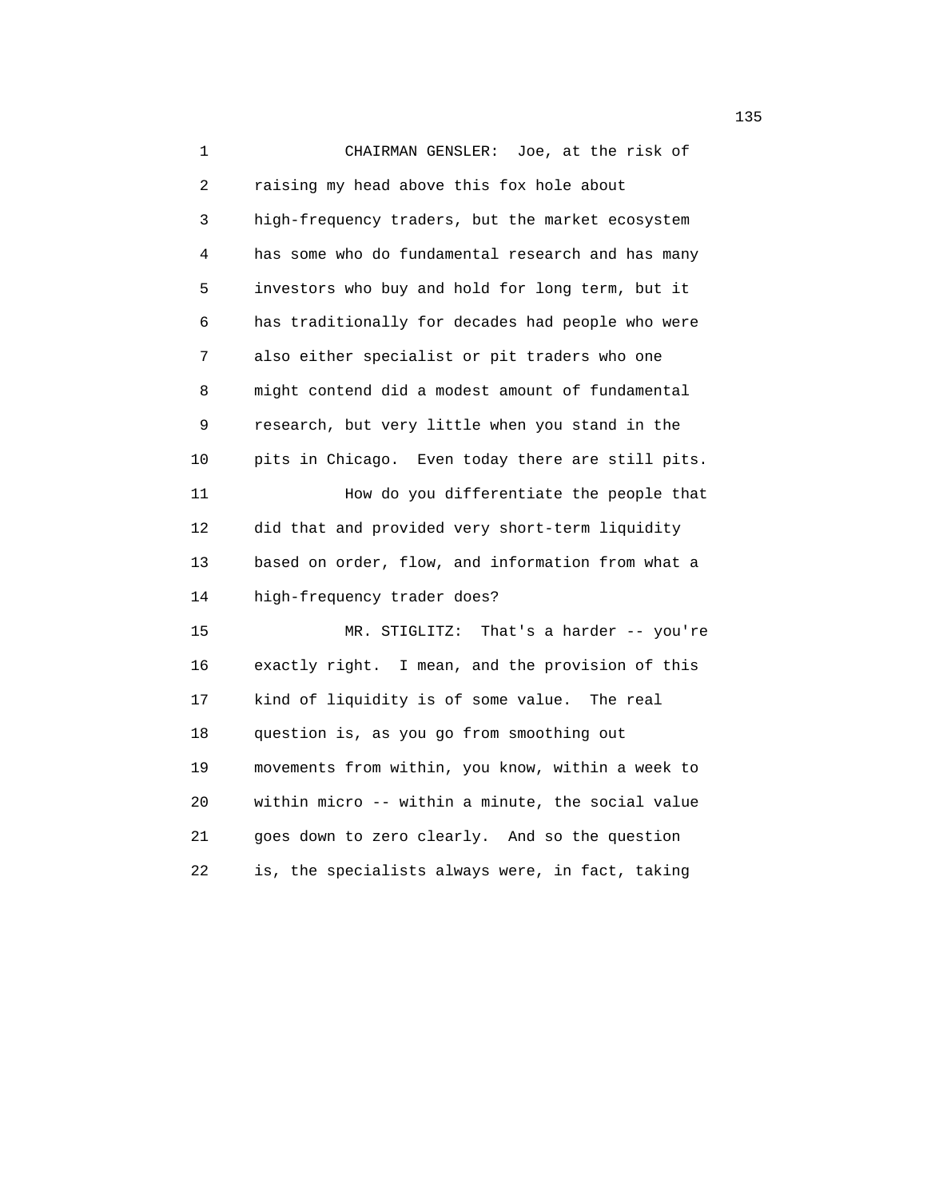1 CHAIRMAN GENSLER: Joe, at the risk of 2 raising my head above this fox hole about 3 high-frequency traders, but the market ecosystem 4 has some who do fundamental research and has many 5 investors who buy and hold for long term, but it 6 has traditionally for decades had people who were 7 also either specialist or pit traders who one 8 might contend did a modest amount of fundamental 9 research, but very little when you stand in the 10 pits in Chicago. Even today there are still pits. 11 How do you differentiate the people that 12 did that and provided very short-term liquidity 13 based on order, flow, and information from what a 14 high-frequency trader does? 15 MR. STIGLITZ: That's a harder -- you're 16 exactly right. I mean, and the provision of this 17 kind of liquidity is of some value. The real 18 question is, as you go from smoothing out 19 movements from within, you know, within a week to 20 within micro -- within a minute, the social value 21 goes down to zero clearly. And so the question 22 is, the specialists always were, in fact, taking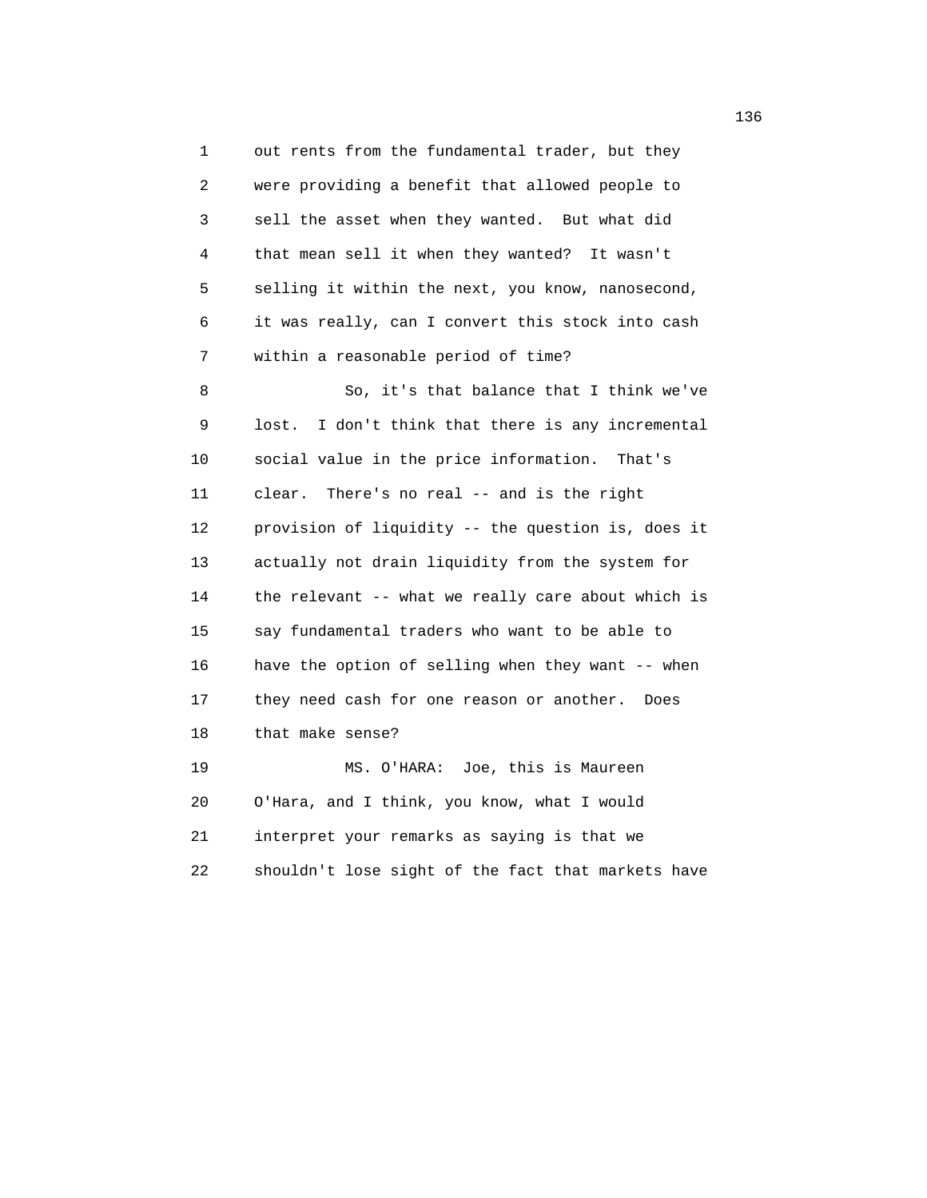1 out rents from the fundamental trader, but they 2 were providing a benefit that allowed people to 3 sell the asset when they wanted. But what did 4 that mean sell it when they wanted? It wasn't 5 selling it within the next, you know, nanosecond, 6 it was really, can I convert this stock into cash 7 within a reasonable period of time? 8 So, it's that balance that I think we've 9 lost. I don't think that there is any incremental 10 social value in the price information. That's 11 clear. There's no real -- and is the right 12 provision of liquidity -- the question is, does it 13 actually not drain liquidity from the system for 14 the relevant -- what we really care about which is 15 say fundamental traders who want to be able to 16 have the option of selling when they want -- when 17 they need cash for one reason or another. Does 18 that make sense? 19 MS. O'HARA: Joe, this is Maureen 20 O'Hara, and I think, you know, what I would 21 interpret your remarks as saying is that we

22 shouldn't lose sight of the fact that markets have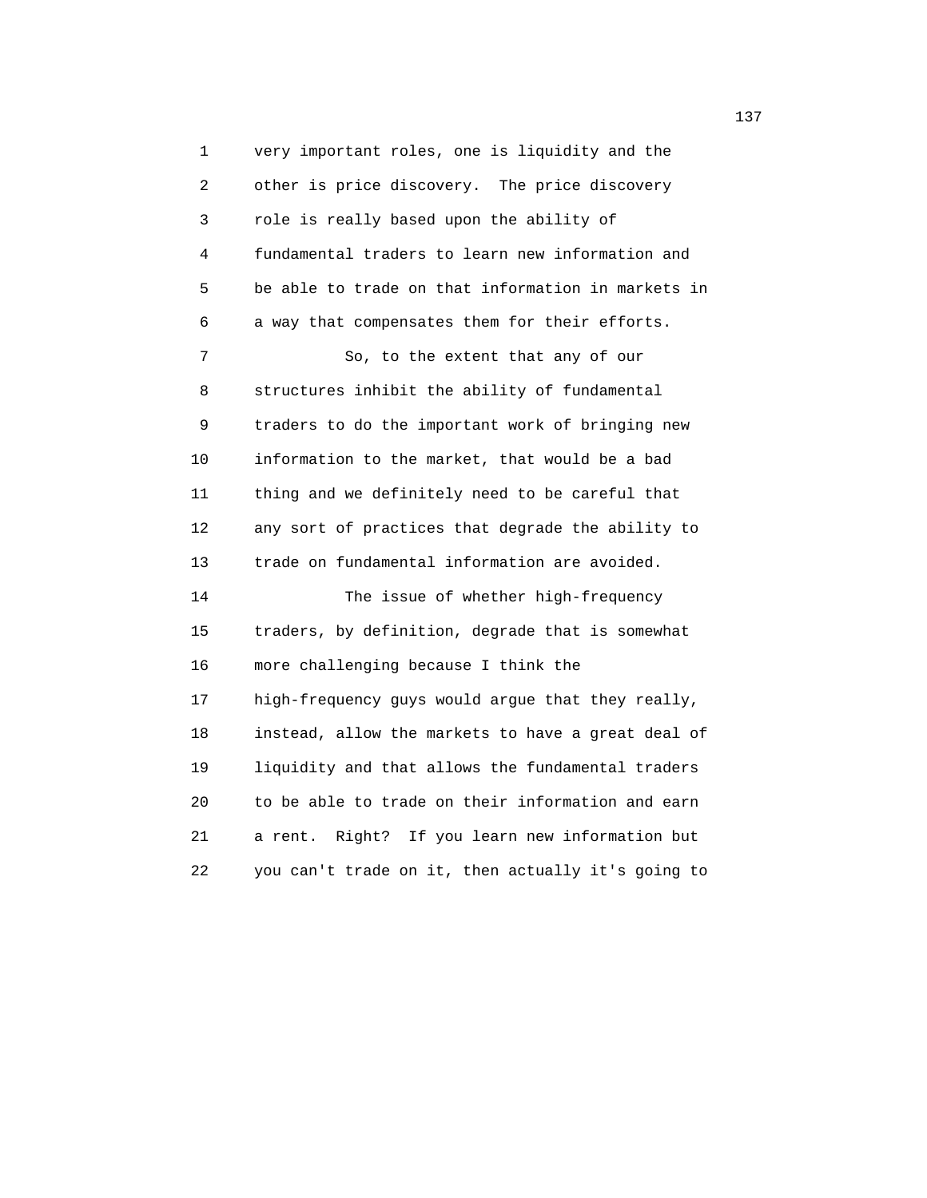1 very important roles, one is liquidity and the 2 other is price discovery. The price discovery 3 role is really based upon the ability of 4 fundamental traders to learn new information and 5 be able to trade on that information in markets in 6 a way that compensates them for their efforts. 7 So, to the extent that any of our 8 structures inhibit the ability of fundamental 9 traders to do the important work of bringing new 10 information to the market, that would be a bad 11 thing and we definitely need to be careful that 12 any sort of practices that degrade the ability to 13 trade on fundamental information are avoided. 14 The issue of whether high-frequency 15 traders, by definition, degrade that is somewhat 16 more challenging because I think the 17 high-frequency guys would argue that they really, 18 instead, allow the markets to have a great deal of 19 liquidity and that allows the fundamental traders 20 to be able to trade on their information and earn 21 a rent. Right? If you learn new information but 22 you can't trade on it, then actually it's going to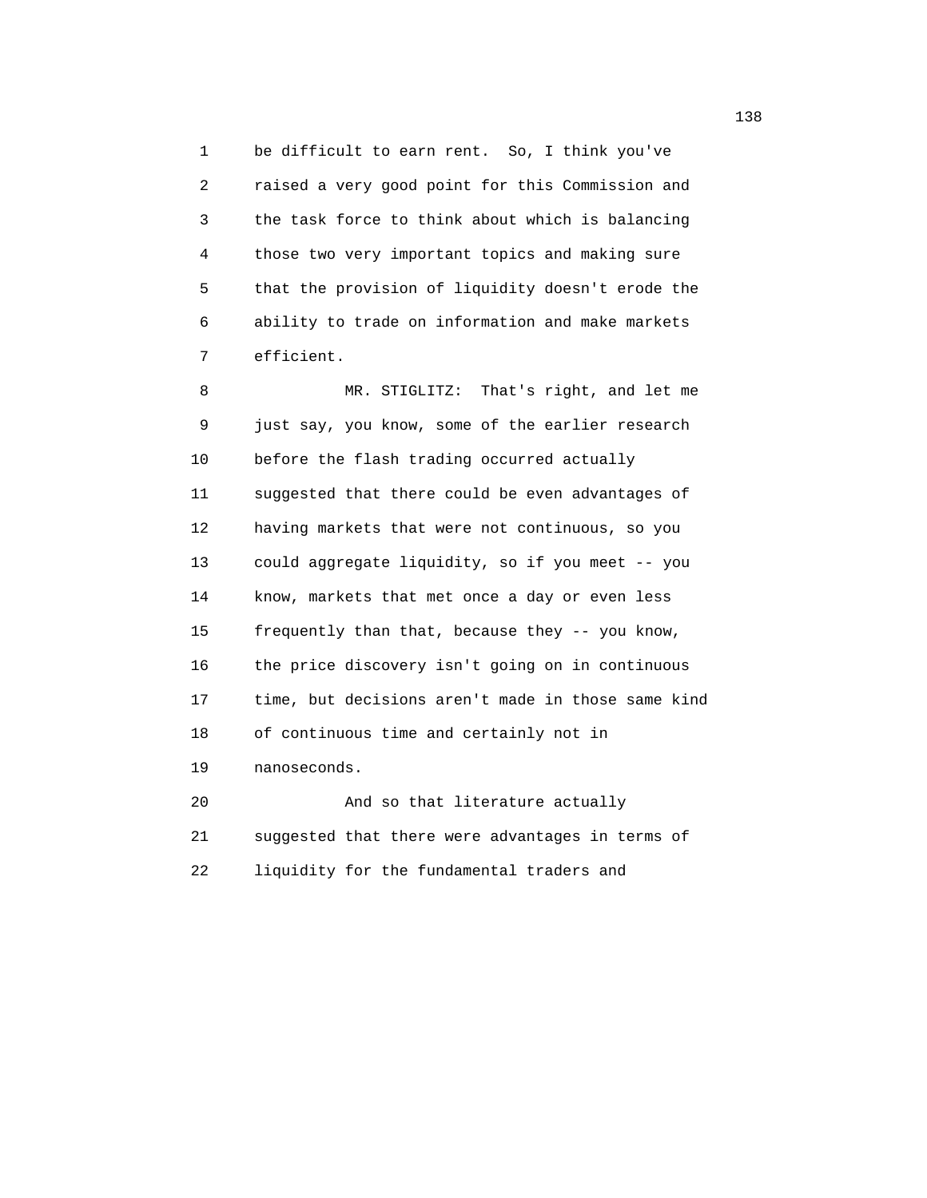1 be difficult to earn rent. So, I think you've 2 raised a very good point for this Commission and 3 the task force to think about which is balancing 4 those two very important topics and making sure 5 that the provision of liquidity doesn't erode the 6 ability to trade on information and make markets 7 efficient.

 8 MR. STIGLITZ: That's right, and let me 9 just say, you know, some of the earlier research 10 before the flash trading occurred actually 11 suggested that there could be even advantages of 12 having markets that were not continuous, so you 13 could aggregate liquidity, so if you meet -- you 14 know, markets that met once a day or even less 15 frequently than that, because they -- you know, 16 the price discovery isn't going on in continuous 17 time, but decisions aren't made in those same kind 18 of continuous time and certainly not in 19 nanoseconds. 20 And so that literature actually

 21 suggested that there were advantages in terms of 22 liquidity for the fundamental traders and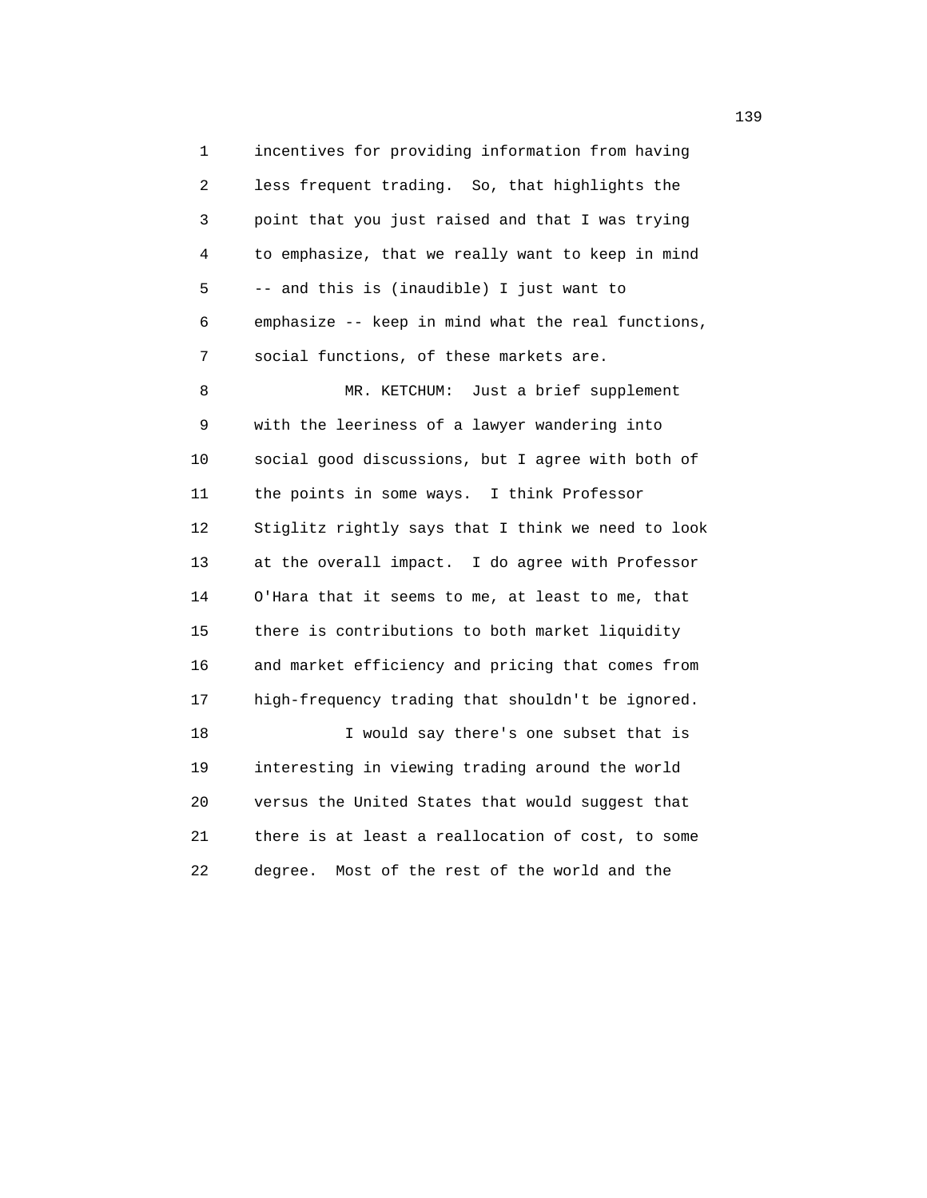1 incentives for providing information from having 2 less frequent trading. So, that highlights the 3 point that you just raised and that I was trying 4 to emphasize, that we really want to keep in mind 5 -- and this is (inaudible) I just want to 6 emphasize -- keep in mind what the real functions, 7 social functions, of these markets are.

 8 MR. KETCHUM: Just a brief supplement 9 with the leeriness of a lawyer wandering into 10 social good discussions, but I agree with both of 11 the points in some ways. I think Professor 12 Stiglitz rightly says that I think we need to look 13 at the overall impact. I do agree with Professor 14 O'Hara that it seems to me, at least to me, that 15 there is contributions to both market liquidity 16 and market efficiency and pricing that comes from 17 high-frequency trading that shouldn't be ignored. 18 I would say there's one subset that is 19 interesting in viewing trading around the world 20 versus the United States that would suggest that 21 there is at least a reallocation of cost, to some 22 degree. Most of the rest of the world and the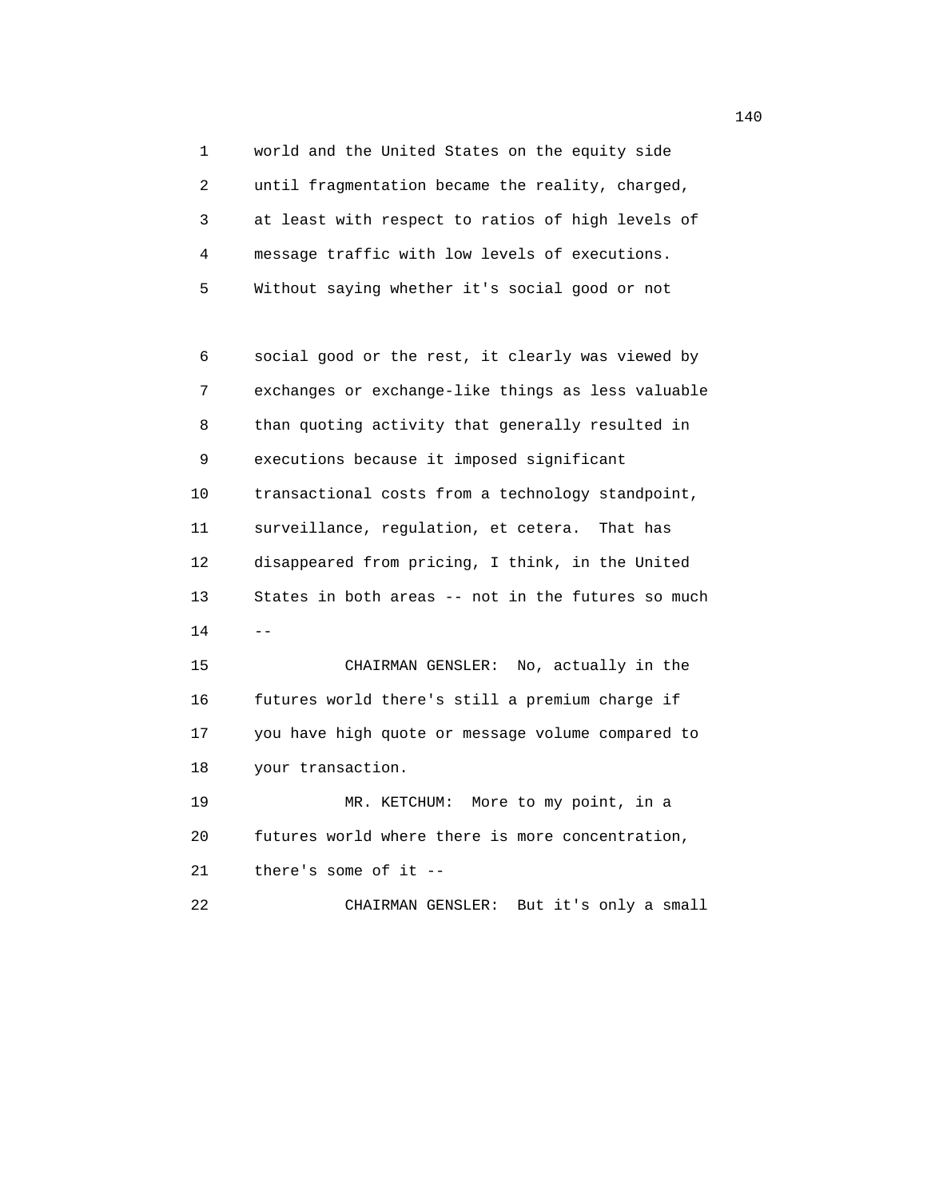1 world and the United States on the equity side 2 until fragmentation became the reality, charged, 3 at least with respect to ratios of high levels of 4 message traffic with low levels of executions. 5 Without saying whether it's social good or not

 6 social good or the rest, it clearly was viewed by 7 exchanges or exchange-like things as less valuable 8 than quoting activity that generally resulted in 9 executions because it imposed significant 10 transactional costs from a technology standpoint, 11 surveillance, regulation, et cetera. That has 12 disappeared from pricing, I think, in the United 13 States in both areas -- not in the futures so much  $14$  --

> 15 CHAIRMAN GENSLER: No, actually in the 16 futures world there's still a premium charge if 17 you have high quote or message volume compared to 18 your transaction.

> 19 MR. KETCHUM: More to my point, in a 20 futures world where there is more concentration, 21 there's some of it --

22 CHAIRMAN GENSLER: But it's only a small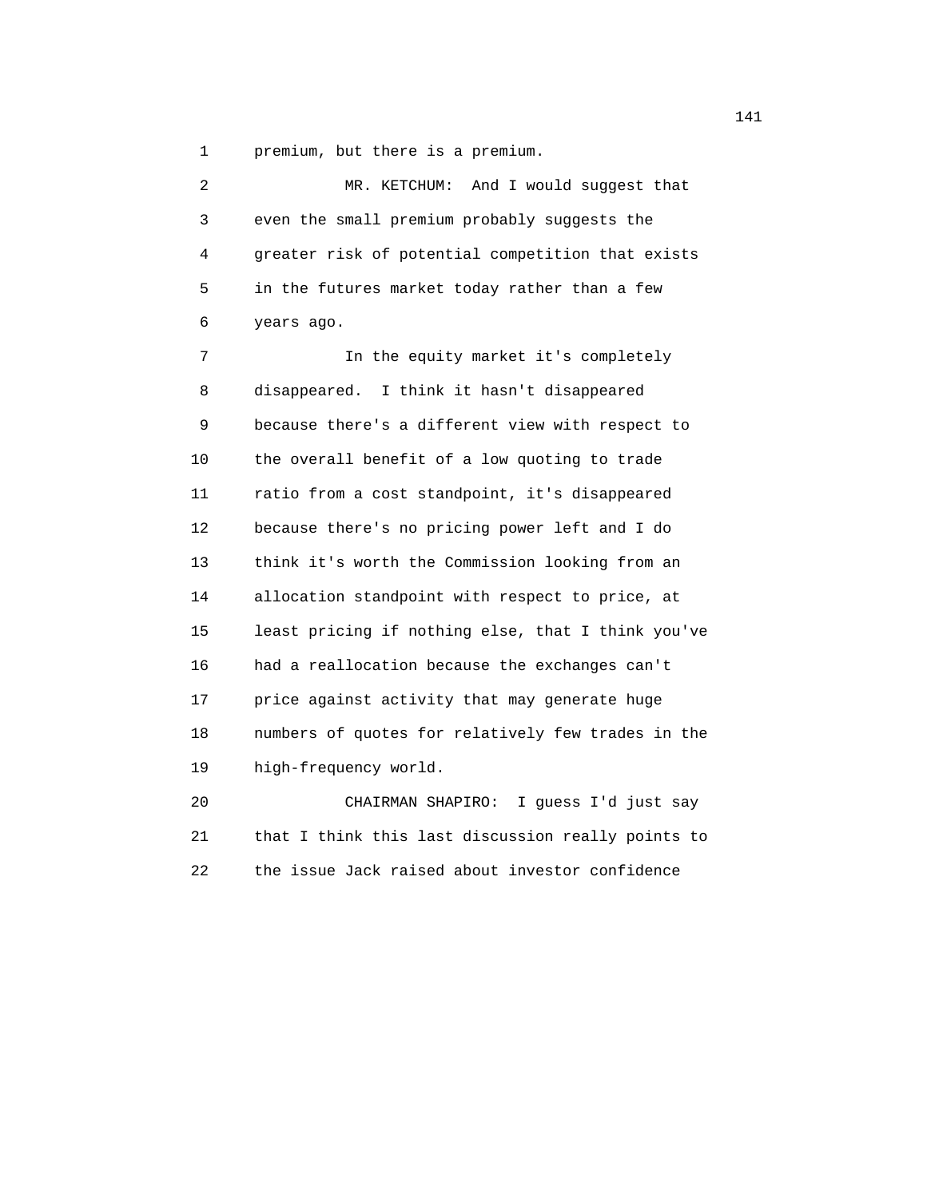1 premium, but there is a premium.

| $\overline{a}$ | And I would suggest that<br>MR. KETCHUM:           |
|----------------|----------------------------------------------------|
| 3              | even the small premium probably suggests the       |
| 4              | greater risk of potential competition that exists  |
| 5              | in the futures market today rather than a few      |
| 6              | years ago.                                         |
| 7              | In the equity market it's completely               |
| 8              | disappeared. I think it hasn't disappeared         |
| 9              | because there's a different view with respect to   |
| 10             | the overall benefit of a low quoting to trade      |
| 11             | ratio from a cost standpoint, it's disappeared     |
| 12             | because there's no pricing power left and I do     |
| 13             | think it's worth the Commission looking from an    |
| 14             | allocation standpoint with respect to price, at    |
| 15             | least pricing if nothing else, that I think you've |
| 16             | had a reallocation because the exchanges can't     |
| 17             | price against activity that may generate huge      |
| 18             | numbers of quotes for relatively few trades in the |
| 19             | high-frequency world.                              |
| 20             | CHAIRMAN SHAPIRO:<br>I quess I'd just say          |
| 21             | that I think this last discussion really points to |

22 the issue Jack raised about investor confidence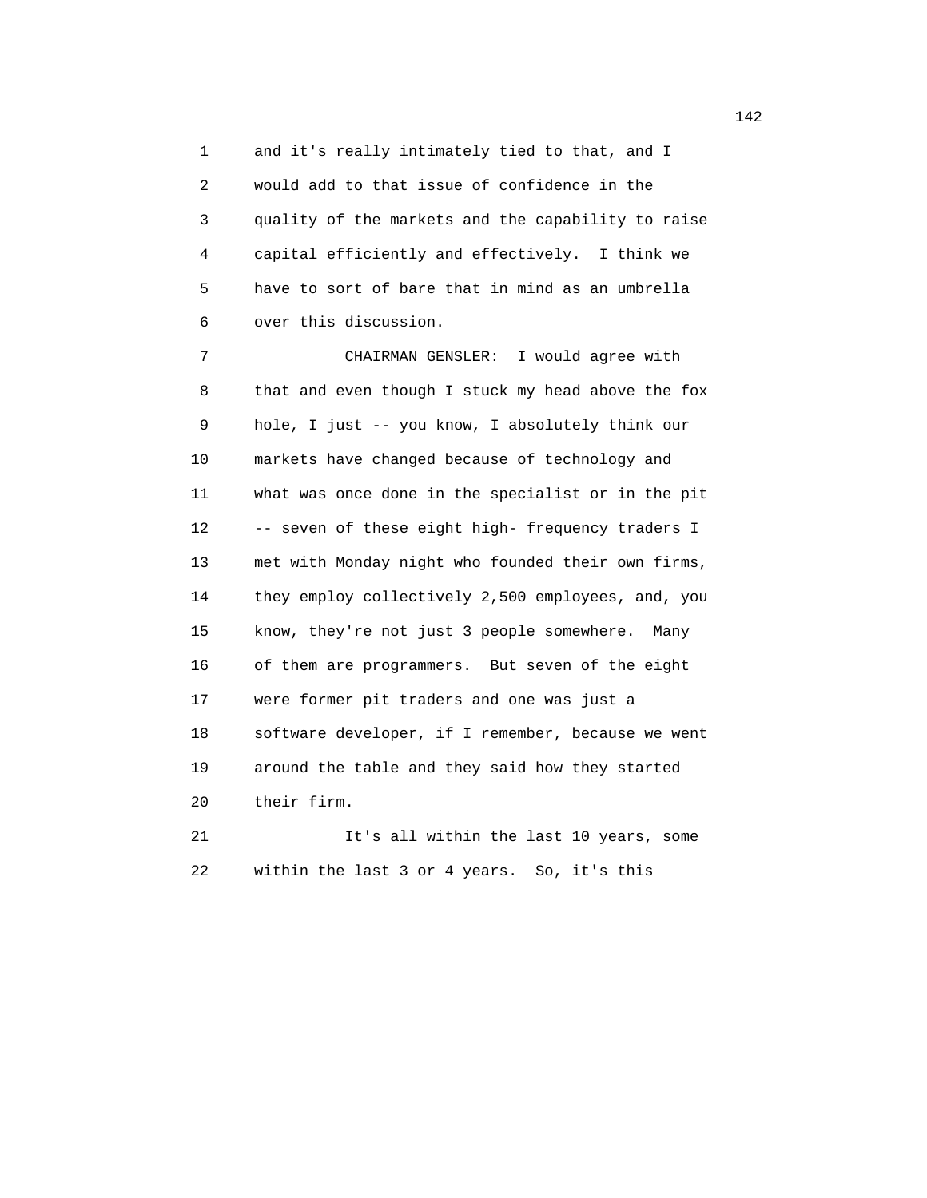1 and it's really intimately tied to that, and I 2 would add to that issue of confidence in the 3 quality of the markets and the capability to raise 4 capital efficiently and effectively. I think we 5 have to sort of bare that in mind as an umbrella 6 over this discussion.

 7 CHAIRMAN GENSLER: I would agree with 8 that and even though I stuck my head above the fox 9 hole, I just -- you know, I absolutely think our 10 markets have changed because of technology and 11 what was once done in the specialist or in the pit 12 -- seven of these eight high- frequency traders I 13 met with Monday night who founded their own firms, 14 they employ collectively 2,500 employees, and, you 15 know, they're not just 3 people somewhere. Many 16 of them are programmers. But seven of the eight 17 were former pit traders and one was just a 18 software developer, if I remember, because we went 19 around the table and they said how they started 20 their firm.

 21 It's all within the last 10 years, some 22 within the last 3 or 4 years. So, it's this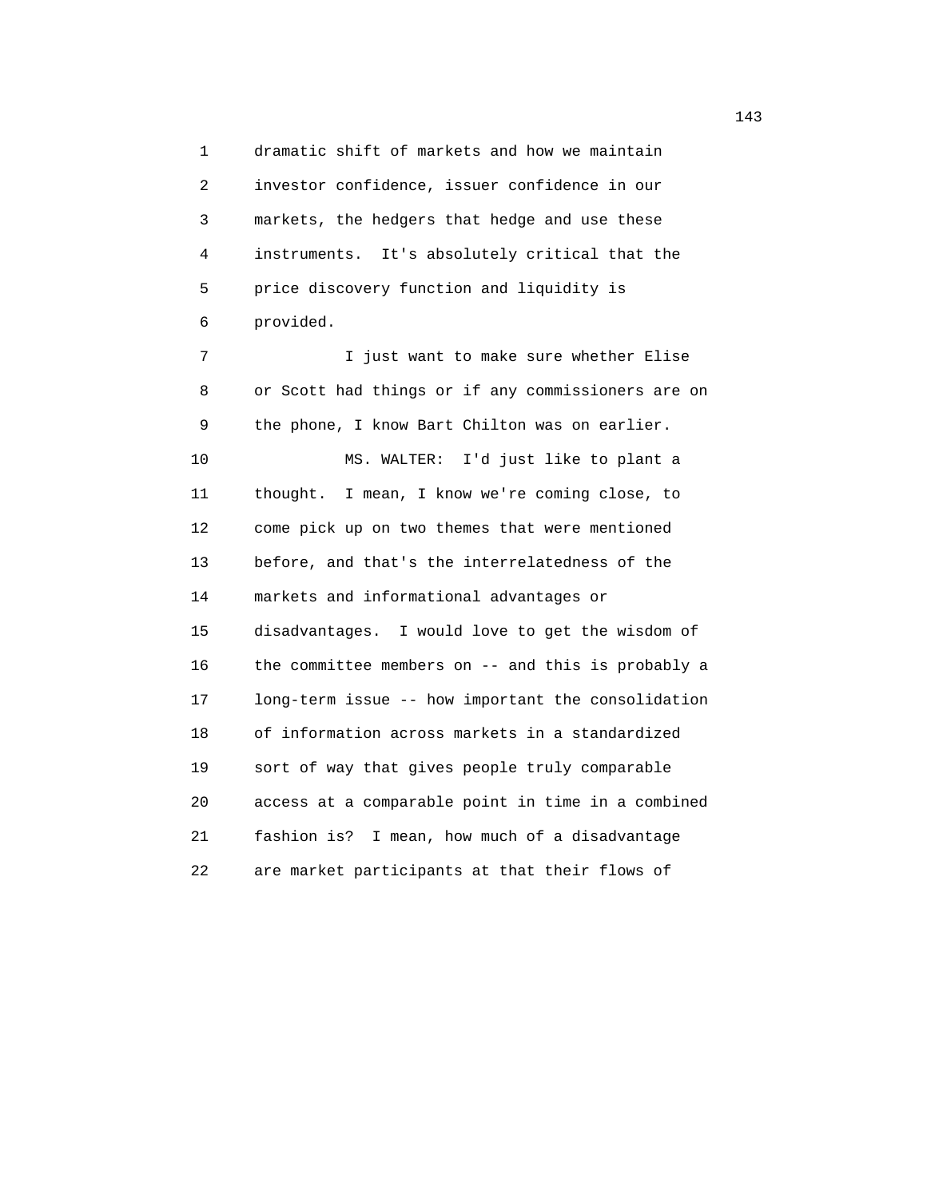1 dramatic shift of markets and how we maintain 2 investor confidence, issuer confidence in our 3 markets, the hedgers that hedge and use these 4 instruments. It's absolutely critical that the 5 price discovery function and liquidity is 6 provided.

7 1 Just want to make sure whether Elise 8 or Scott had things or if any commissioners are on 9 the phone, I know Bart Chilton was on earlier. 10 MS. WALTER: I'd just like to plant a 11 thought. I mean, I know we're coming close, to 12 come pick up on two themes that were mentioned 13 before, and that's the interrelatedness of the 14 markets and informational advantages or 15 disadvantages. I would love to get the wisdom of 16 the committee members on -- and this is probably a 17 long-term issue -- how important the consolidation 18 of information across markets in a standardized 19 sort of way that gives people truly comparable 20 access at a comparable point in time in a combined 21 fashion is? I mean, how much of a disadvantage 22 are market participants at that their flows of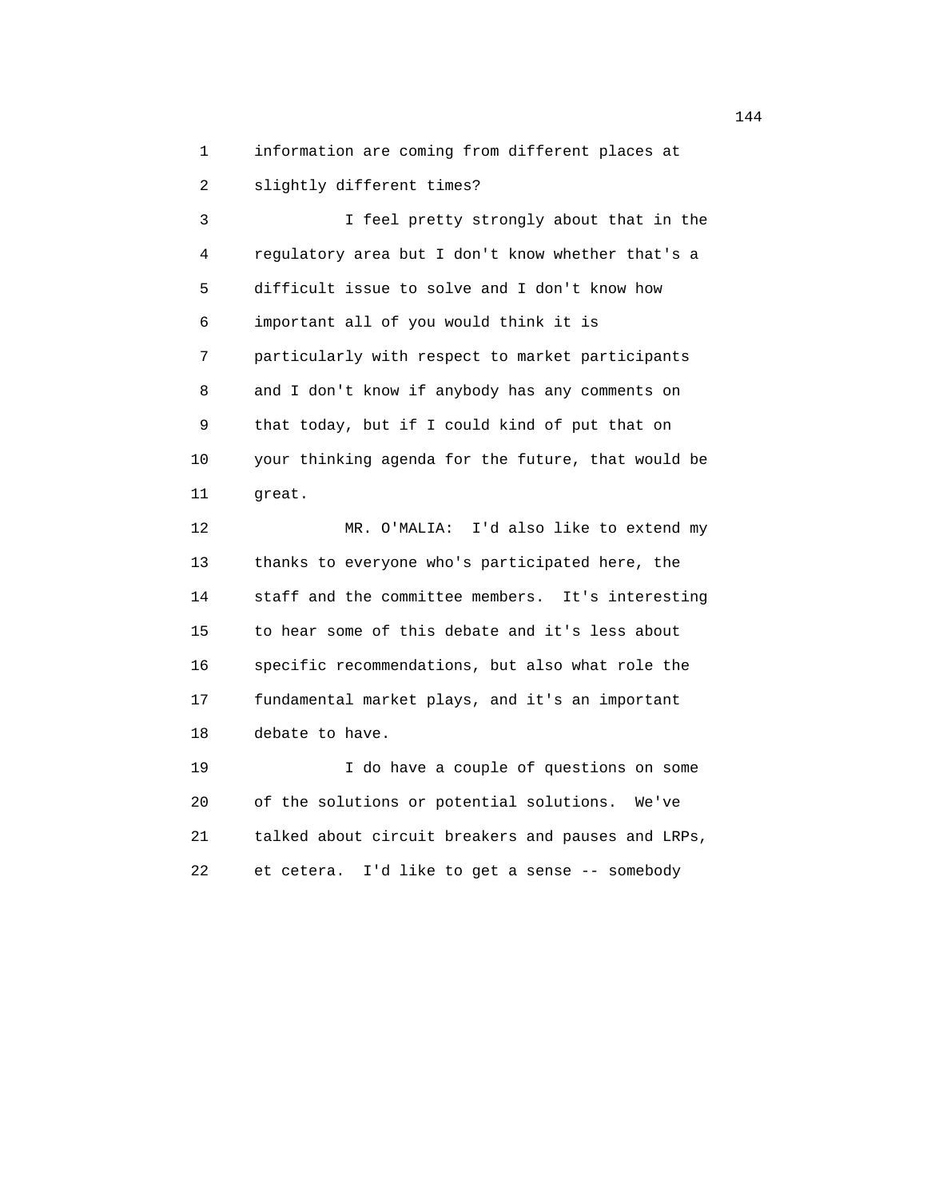1 information are coming from different places at

2 slightly different times?

 3 I feel pretty strongly about that in the 4 regulatory area but I don't know whether that's a 5 difficult issue to solve and I don't know how 6 important all of you would think it is 7 particularly with respect to market participants 8 and I don't know if anybody has any comments on 9 that today, but if I could kind of put that on 10 your thinking agenda for the future, that would be 11 great. 12 MR. O'MALIA: I'd also like to extend my

 13 thanks to everyone who's participated here, the 14 staff and the committee members. It's interesting 15 to hear some of this debate and it's less about 16 specific recommendations, but also what role the 17 fundamental market plays, and it's an important 18 debate to have.

 19 I do have a couple of questions on some 20 of the solutions or potential solutions. We've 21 talked about circuit breakers and pauses and LRPs, 22 et cetera. I'd like to get a sense -- somebody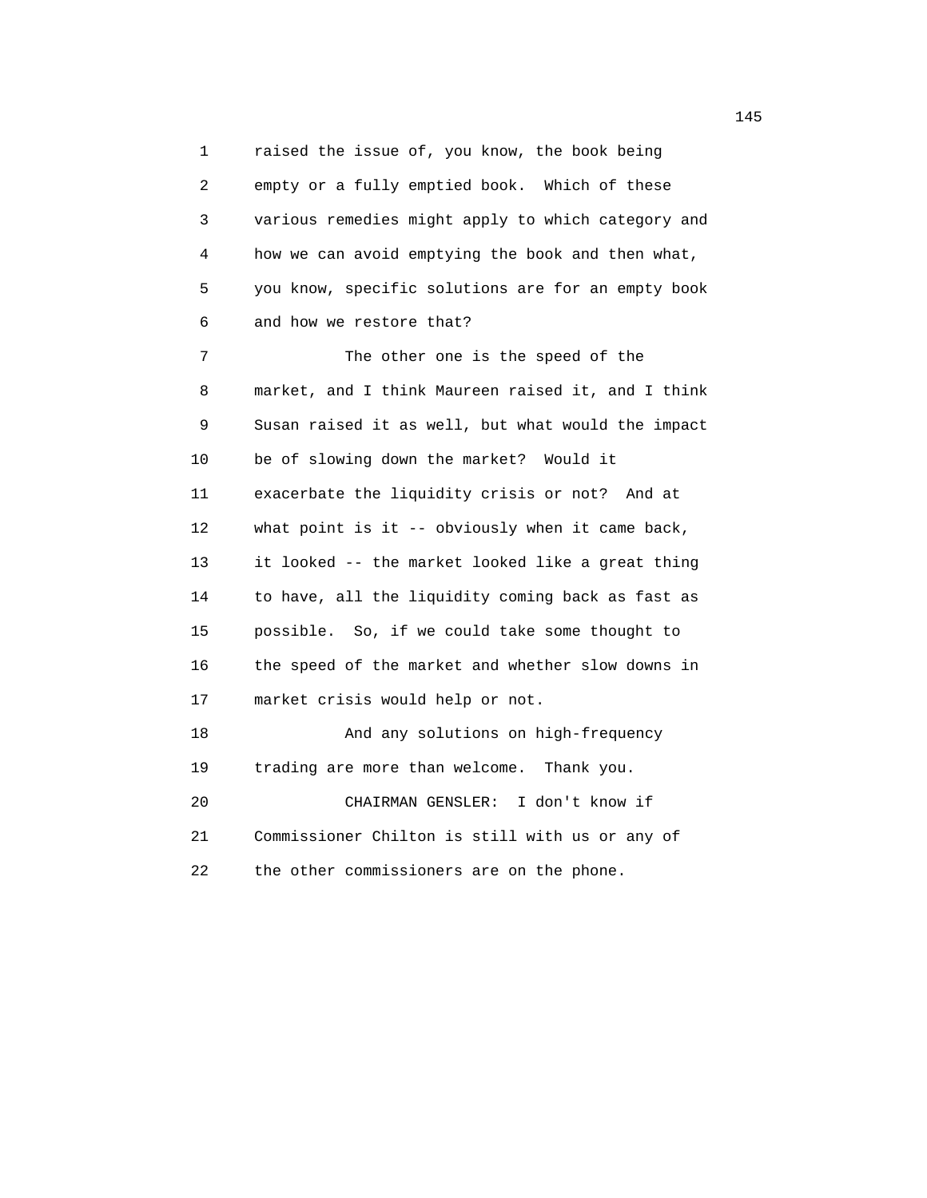1 raised the issue of, you know, the book being 2 empty or a fully emptied book. Which of these 3 various remedies might apply to which category and 4 how we can avoid emptying the book and then what, 5 you know, specific solutions are for an empty book 6 and how we restore that? 7 The other one is the speed of the 8 market, and I think Maureen raised it, and I think 9 Susan raised it as well, but what would the impact

 10 be of slowing down the market? Would it 11 exacerbate the liquidity crisis or not? And at 12 what point is it -- obviously when it came back, 13 it looked -- the market looked like a great thing 14 to have, all the liquidity coming back as fast as 15 possible. So, if we could take some thought to 16 the speed of the market and whether slow downs in 17 market crisis would help or not. 18 And any solutions on high-frequency

 19 trading are more than welcome. Thank you. 20 CHAIRMAN GENSLER: I don't know if 21 Commissioner Chilton is still with us or any of 22 the other commissioners are on the phone.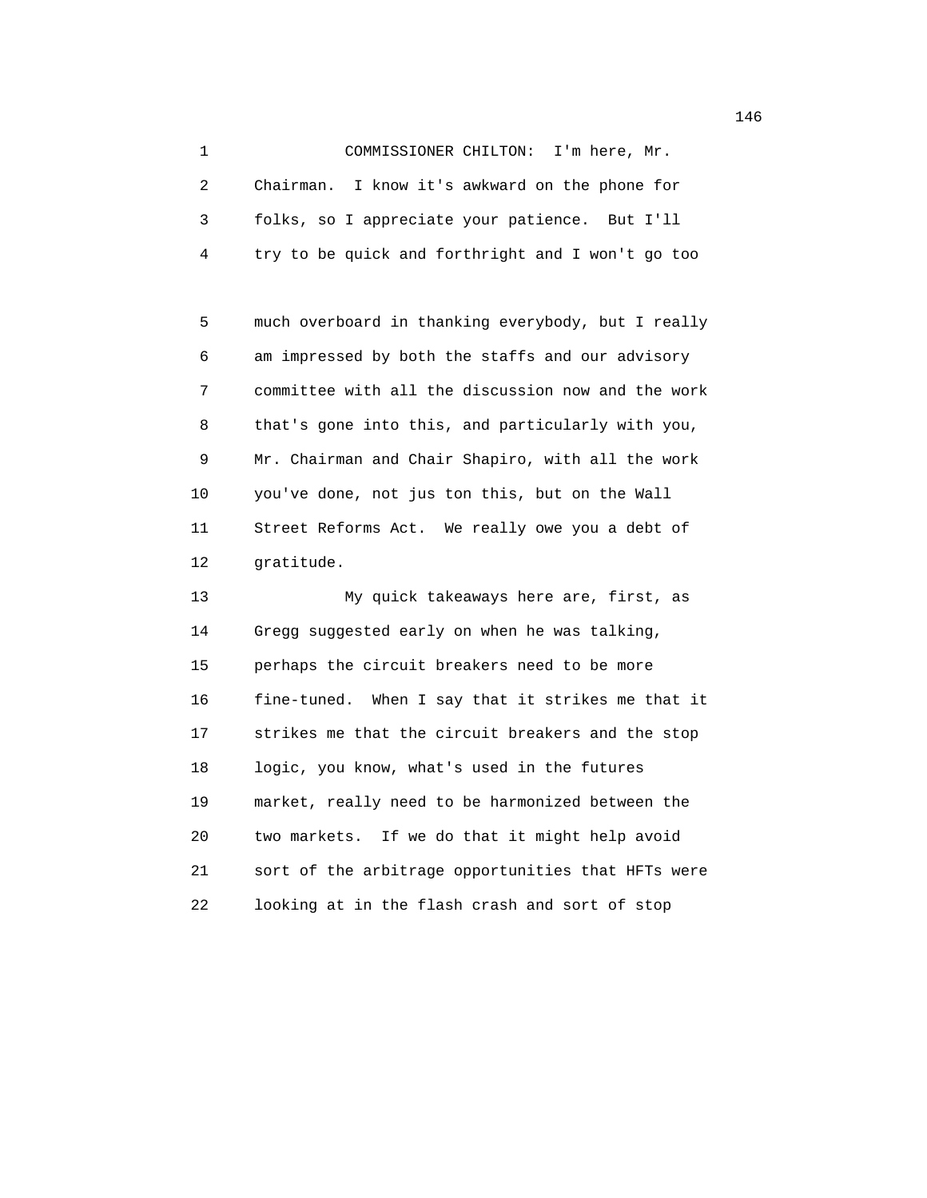1 COMMISSIONER CHILTON: I'm here, Mr. 2 Chairman. I know it's awkward on the phone for 3 folks, so I appreciate your patience. But I'll 4 try to be quick and forthright and I won't go too

 5 much overboard in thanking everybody, but I really 6 am impressed by both the staffs and our advisory 7 committee with all the discussion now and the work 8 that's gone into this, and particularly with you, 9 Mr. Chairman and Chair Shapiro, with all the work 10 you've done, not jus ton this, but on the Wall 11 Street Reforms Act. We really owe you a debt of 12 gratitude.

 13 My quick takeaways here are, first, as 14 Gregg suggested early on when he was talking, 15 perhaps the circuit breakers need to be more 16 fine-tuned. When I say that it strikes me that it 17 strikes me that the circuit breakers and the stop 18 logic, you know, what's used in the futures 19 market, really need to be harmonized between the 20 two markets. If we do that it might help avoid 21 sort of the arbitrage opportunities that HFTs were 22 looking at in the flash crash and sort of stop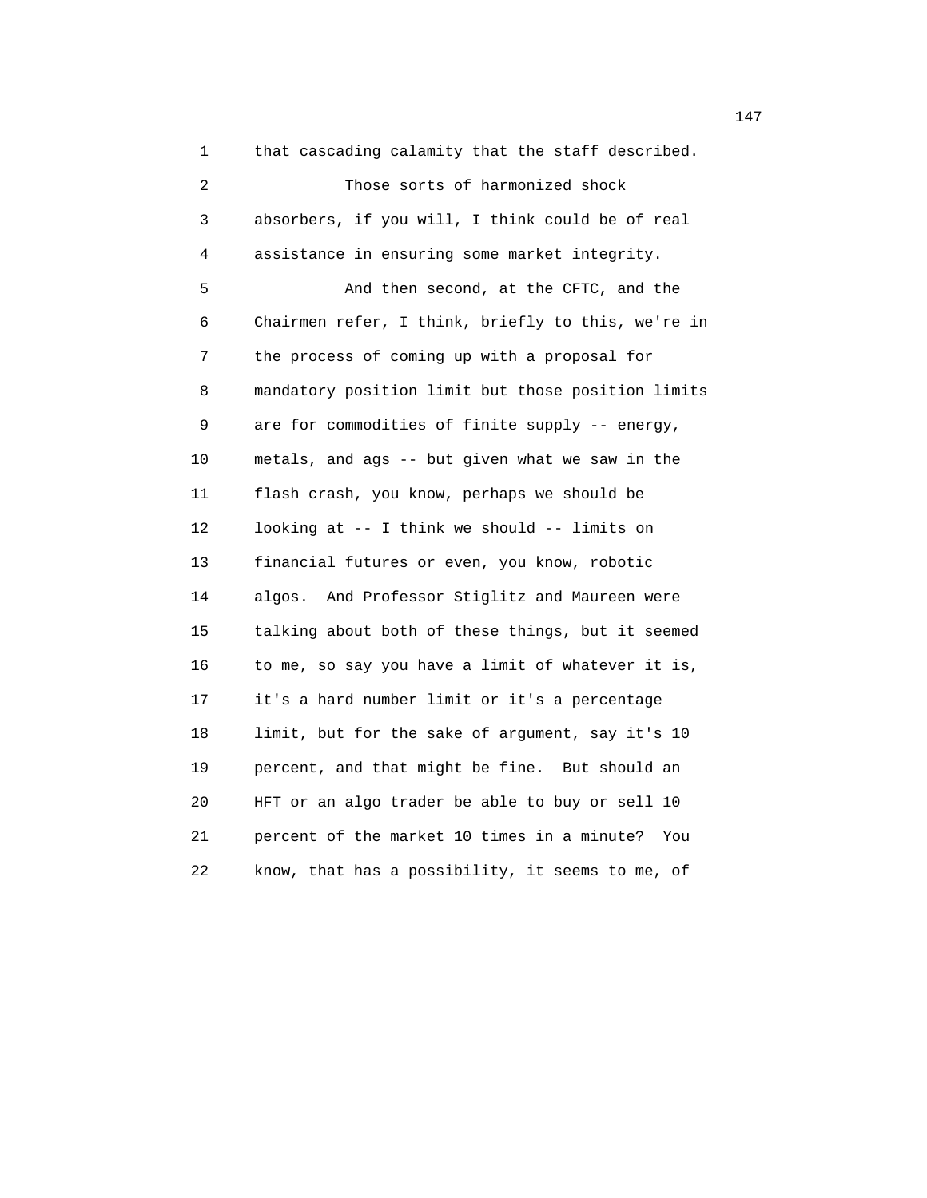1 that cascading calamity that the staff described. 2 Those sorts of harmonized shock 3 absorbers, if you will, I think could be of real 4 assistance in ensuring some market integrity. 5 And then second, at the CFTC, and the 6 Chairmen refer, I think, briefly to this, we're in 7 the process of coming up with a proposal for 8 mandatory position limit but those position limits 9 are for commodities of finite supply -- energy, 10 metals, and ags -- but given what we saw in the 11 flash crash, you know, perhaps we should be 12 looking at -- I think we should -- limits on 13 financial futures or even, you know, robotic 14 algos. And Professor Stiglitz and Maureen were 15 talking about both of these things, but it seemed 16 to me, so say you have a limit of whatever it is, 17 it's a hard number limit or it's a percentage 18 limit, but for the sake of argument, say it's 10 19 percent, and that might be fine. But should an 20 HFT or an algo trader be able to buy or sell 10 21 percent of the market 10 times in a minute? You 22 know, that has a possibility, it seems to me, of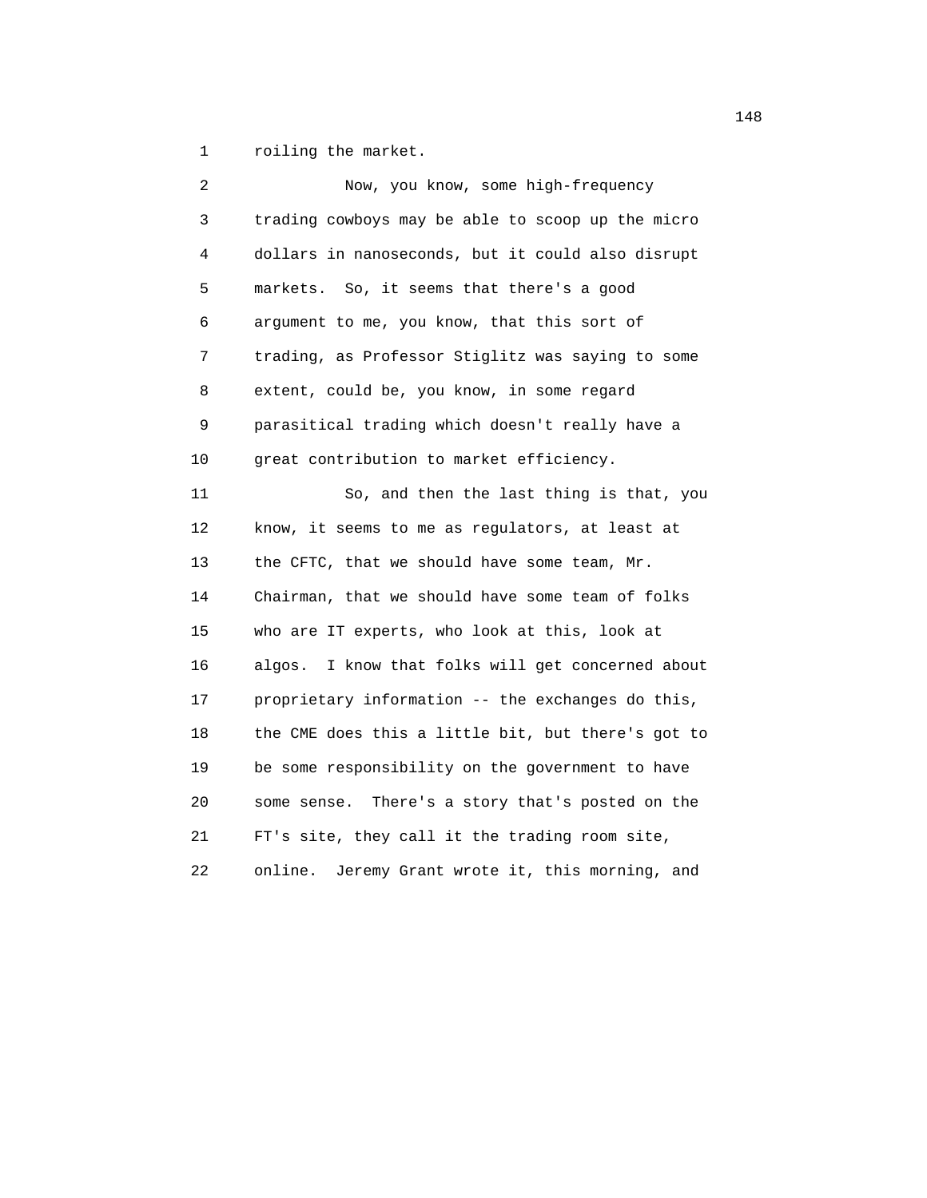1 roiling the market.

| 2  | Now, you know, some high-frequency                   |
|----|------------------------------------------------------|
| 3  | trading cowboys may be able to scoop up the micro    |
| 4  | dollars in nanoseconds, but it could also disrupt    |
| 5  | markets. So, it seems that there's a good            |
| 6  | argument to me, you know, that this sort of          |
| 7  | trading, as Professor Stiglitz was saying to some    |
| 8  | extent, could be, you know, in some regard           |
| 9  | parasitical trading which doesn't really have a      |
| 10 | great contribution to market efficiency.             |
| 11 | So, and then the last thing is that, you             |
| 12 | know, it seems to me as regulators, at least at      |
| 13 | the CFTC, that we should have some team, Mr.         |
| 14 | Chairman, that we should have some team of folks     |
| 15 | who are IT experts, who look at this, look at        |
| 16 | I know that folks will get concerned about<br>algos. |
| 17 | proprietary information -- the exchanges do this,    |
| 18 | the CME does this a little bit, but there's got to   |
| 19 | be some responsibility on the government to have     |
| 20 | There's a story that's posted on the<br>some sense.  |
| 21 | FT's site, they call it the trading room site,       |
| 22 | Jeremy Grant wrote it, this morning, and<br>online.  |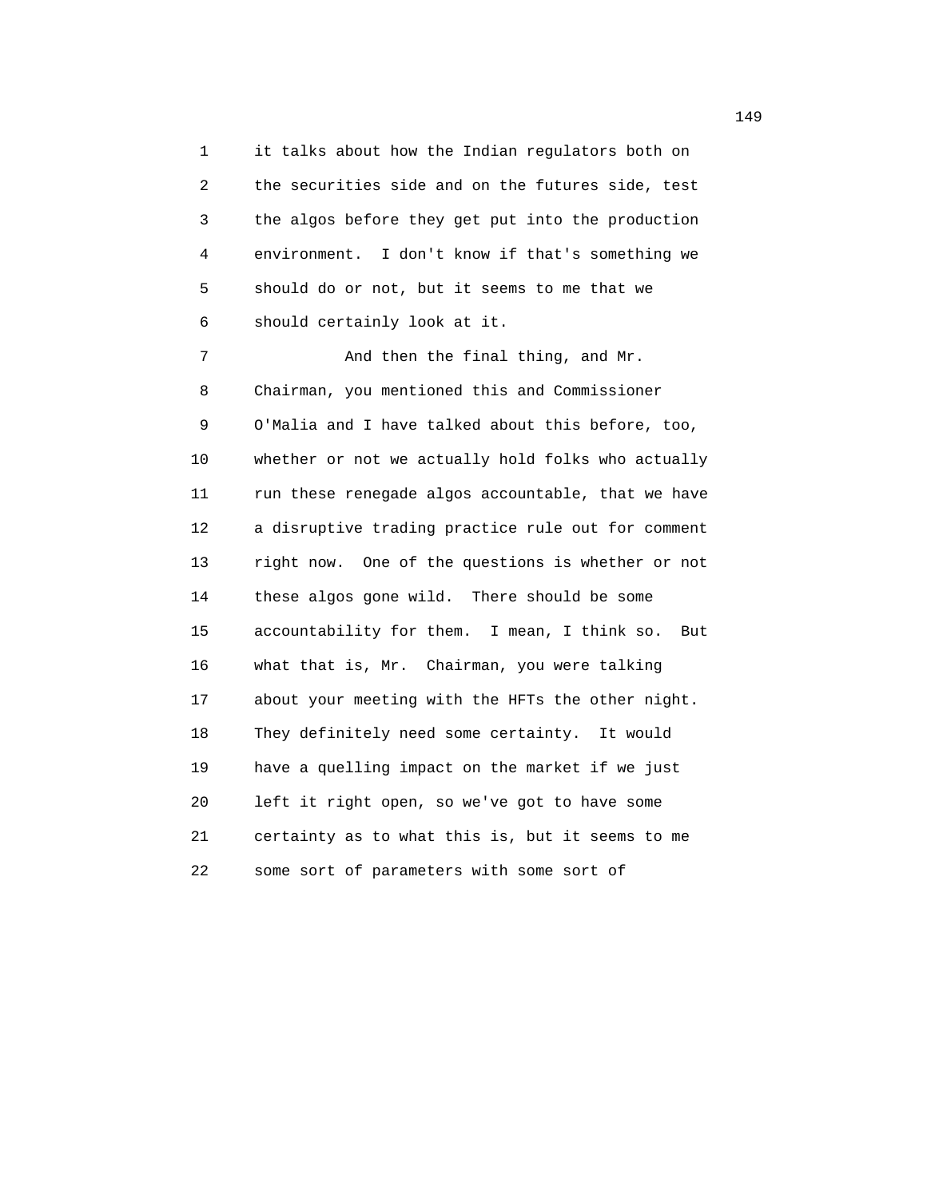1 it talks about how the Indian regulators both on 2 the securities side and on the futures side, test 3 the algos before they get put into the production 4 environment. I don't know if that's something we 5 should do or not, but it seems to me that we 6 should certainly look at it.

7 And then the final thing, and Mr. 8 Chairman, you mentioned this and Commissioner 9 O'Malia and I have talked about this before, too, 10 whether or not we actually hold folks who actually 11 run these renegade algos accountable, that we have 12 a disruptive trading practice rule out for comment 13 right now. One of the questions is whether or not 14 these algos gone wild. There should be some 15 accountability for them. I mean, I think so. But 16 what that is, Mr. Chairman, you were talking 17 about your meeting with the HFTs the other night. 18 They definitely need some certainty. It would 19 have a quelling impact on the market if we just 20 left it right open, so we've got to have some 21 certainty as to what this is, but it seems to me 22 some sort of parameters with some sort of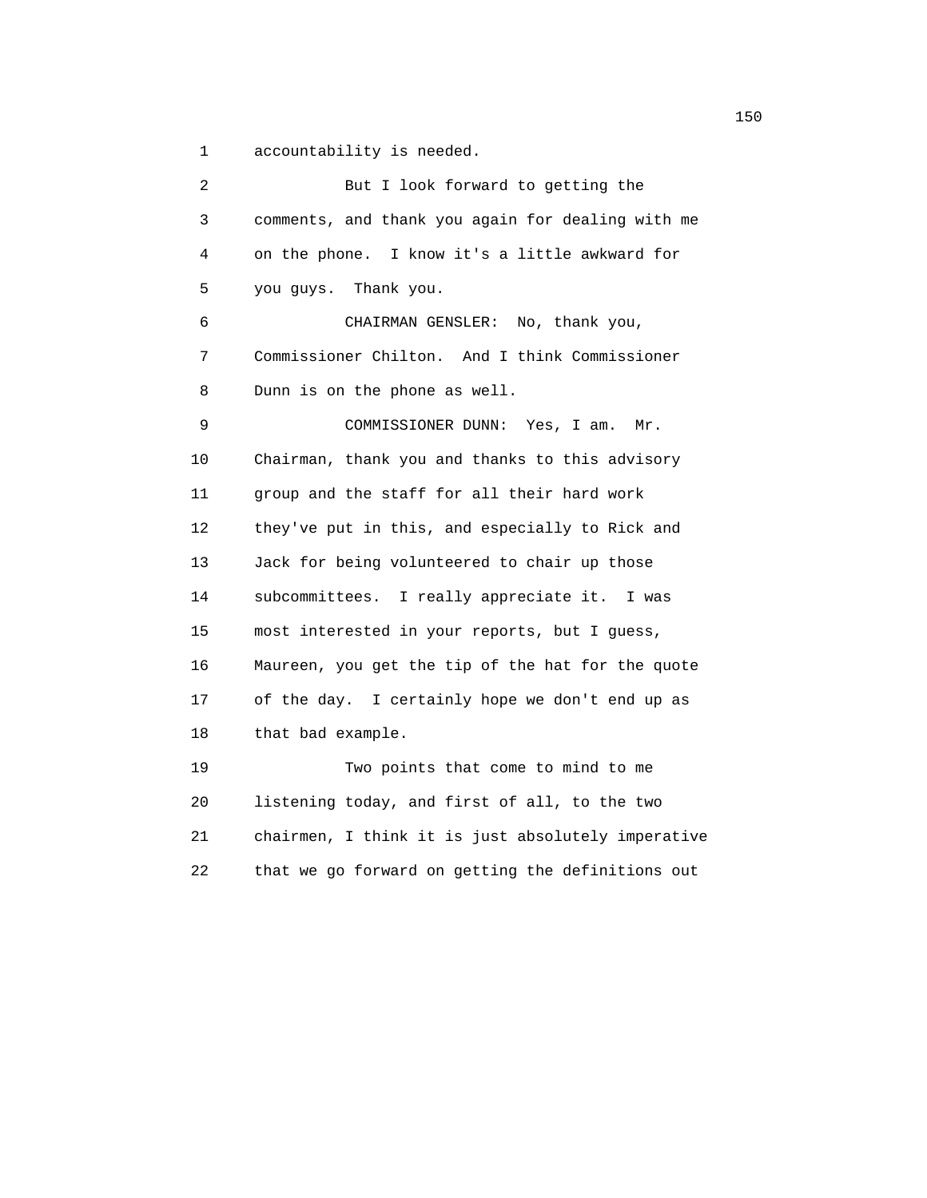1 accountability is needed.

| 2  | But I look forward to getting the                  |
|----|----------------------------------------------------|
| 3  | comments, and thank you again for dealing with me  |
| 4  | on the phone. I know it's a little awkward for     |
| 5  | you guys. Thank you.                               |
| 6  | CHAIRMAN GENSLER: No, thank you,                   |
| 7  | Commissioner Chilton. And I think Commissioner     |
| 8  | Dunn is on the phone as well.                      |
| 9  | COMMISSIONER DUNN:<br>Yes, I am.<br>Mr.            |
| 10 | Chairman, thank you and thanks to this advisory    |
| 11 | group and the staff for all their hard work        |
| 12 | they've put in this, and especially to Rick and    |
| 13 | Jack for being volunteered to chair up those       |
| 14 | subcommittees. I really appreciate it. I was       |
| 15 | most interested in your reports, but I guess,      |
| 16 | Maureen, you get the tip of the hat for the quote  |
| 17 | of the day. I certainly hope we don't end up as    |
| 18 | that bad example.                                  |
| 19 | Two points that come to mind to me                 |
| 20 | listening today, and first of all, to the two      |
| 21 | chairmen, I think it is just absolutely imperative |
| 22 | that we go forward on getting the definitions out  |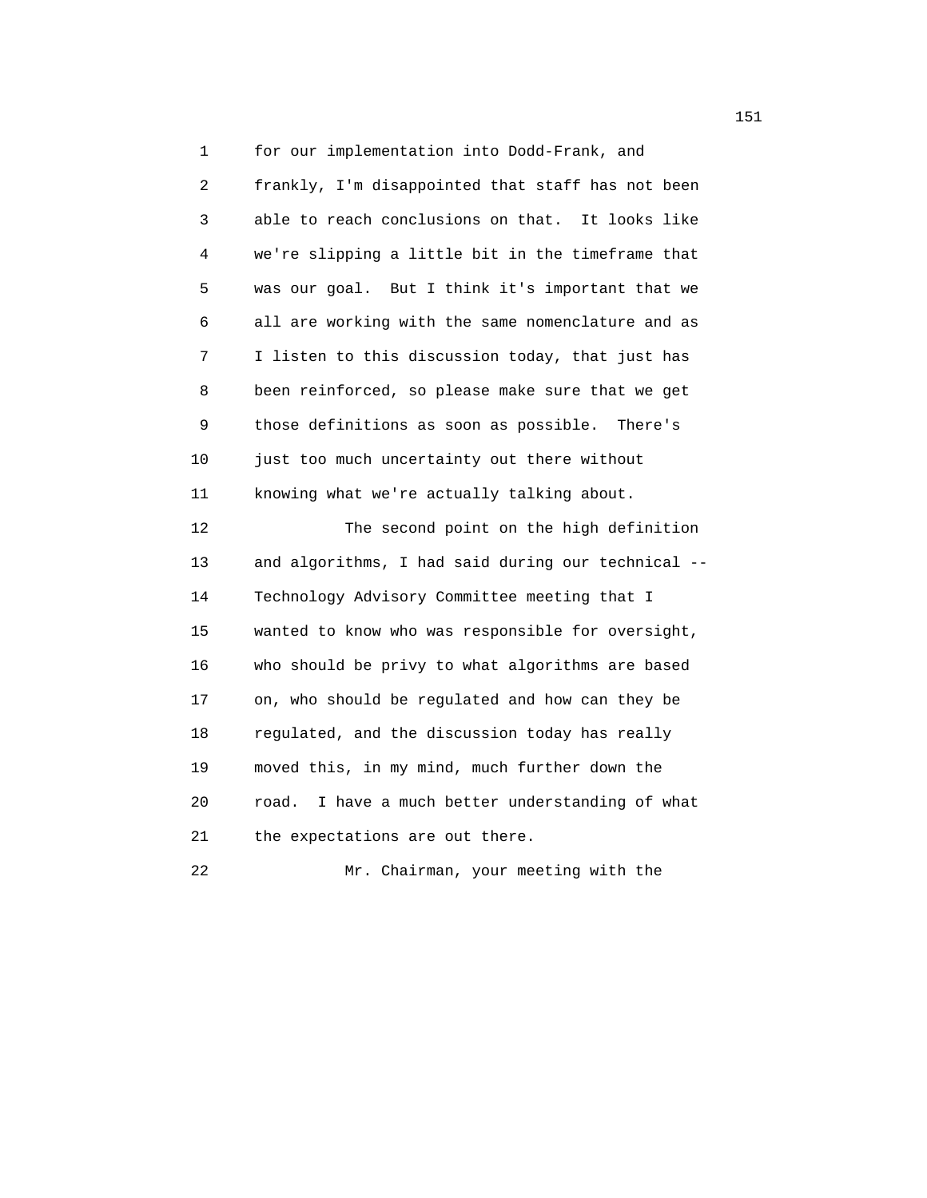1 for our implementation into Dodd-Frank, and 2 frankly, I'm disappointed that staff has not been 3 able to reach conclusions on that. It looks like 4 we're slipping a little bit in the timeframe that 5 was our goal. But I think it's important that we 6 all are working with the same nomenclature and as 7 I listen to this discussion today, that just has 8 been reinforced, so please make sure that we get 9 those definitions as soon as possible. There's 10 just too much uncertainty out there without 11 knowing what we're actually talking about. 12 The second point on the high definition 13 and algorithms, I had said during our technical -- 14 Technology Advisory Committee meeting that I 15 wanted to know who was responsible for oversight, 16 who should be privy to what algorithms are based 17 on, who should be regulated and how can they be 18 regulated, and the discussion today has really 19 moved this, in my mind, much further down the 20 road. I have a much better understanding of what 21 the expectations are out there. 22 Mr. Chairman, your meeting with the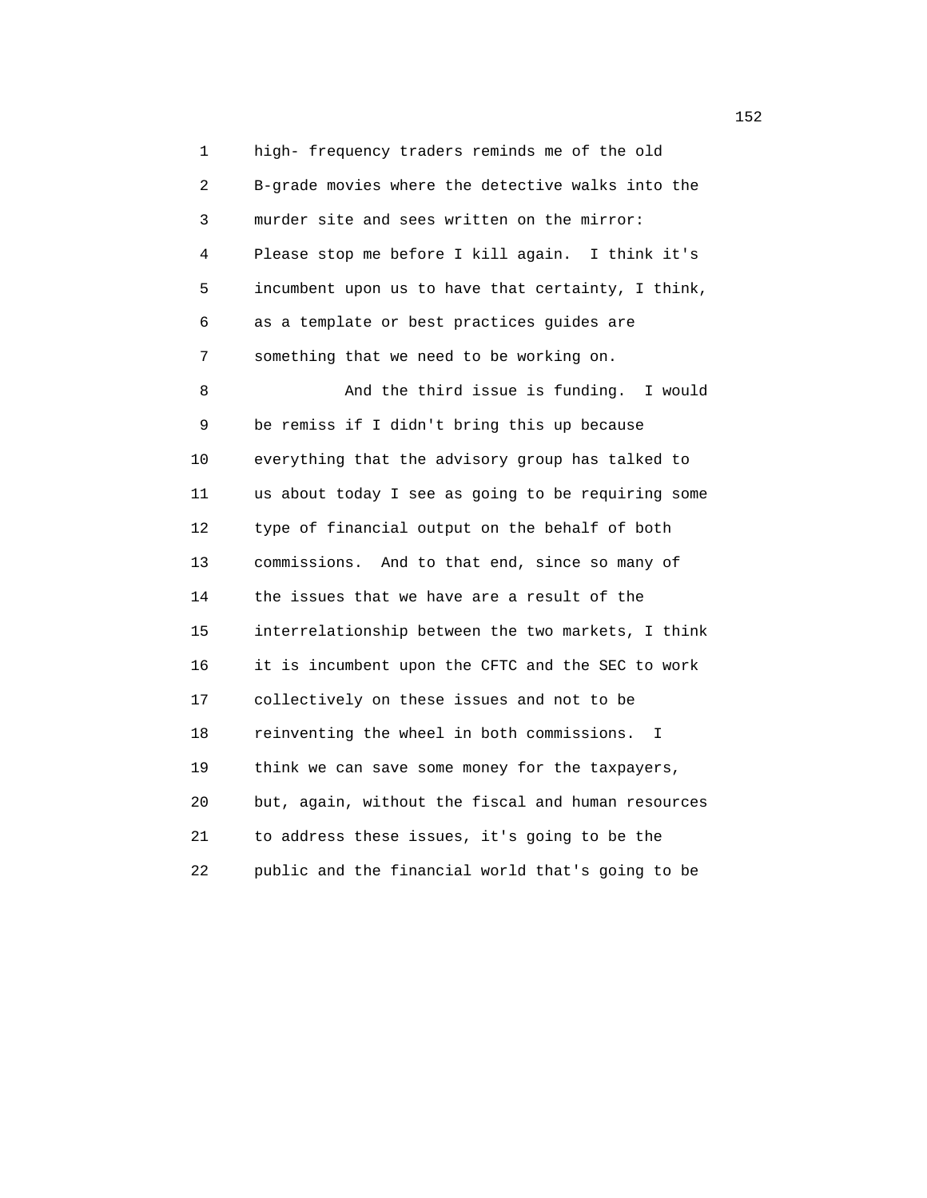1 high- frequency traders reminds me of the old 2 B-grade movies where the detective walks into the 3 murder site and sees written on the mirror: 4 Please stop me before I kill again. I think it's 5 incumbent upon us to have that certainty, I think, 6 as a template or best practices guides are 7 something that we need to be working on.

 8 And the third issue is funding. I would 9 be remiss if I didn't bring this up because 10 everything that the advisory group has talked to 11 us about today I see as going to be requiring some 12 type of financial output on the behalf of both 13 commissions. And to that end, since so many of 14 the issues that we have are a result of the 15 interrelationship between the two markets, I think 16 it is incumbent upon the CFTC and the SEC to work 17 collectively on these issues and not to be 18 reinventing the wheel in both commissions. I 19 think we can save some money for the taxpayers, 20 but, again, without the fiscal and human resources 21 to address these issues, it's going to be the 22 public and the financial world that's going to be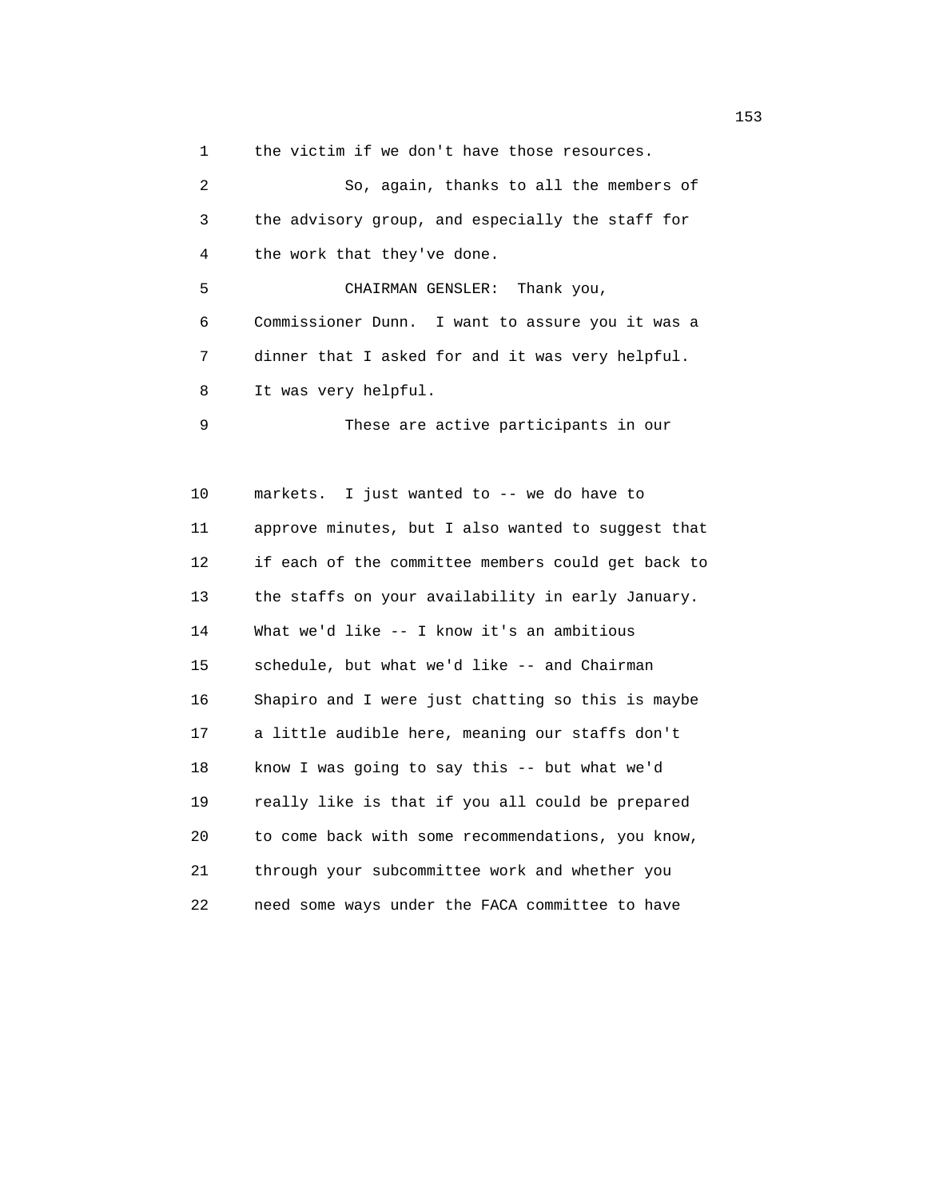1 the victim if we don't have those resources.

| $\overline{2}$ | So, again, thanks to all the members of            |
|----------------|----------------------------------------------------|
| 3              | the advisory group, and especially the staff for   |
| 4              | the work that they've done.                        |
| 5              | CHAIRMAN GENSLER: Thank you,                       |
| 6              | Commissioner Dunn. I want to assure you it was a   |
| 7              | dinner that I asked for and it was very helpful.   |
| 8              | It was very helpful.                               |
| 9              | These are active participants in our               |
|                |                                                    |
| 10             | markets. I just wanted to -- we do have to         |
| 11             | approve minutes, but I also wanted to suggest that |
| 12             | if each of the committee members could get back to |
| 13             | the staffs on your availability in early January.  |
| 14             | What we'd like -- I know it's an ambitious         |
| 15             | schedule, but what we'd like -- and Chairman       |
| 16             | Shapiro and I were just chatting so this is maybe  |
| 17             | a little audible here, meaning our staffs don't    |
| 18             | know I was going to say this -- but what we'd      |
| 19             | really like is that if you all could be prepared   |
| 20             | to come back with some recommendations, you know,  |
| 21             | through your subcommittee work and whether you     |

22 need some ways under the FACA committee to have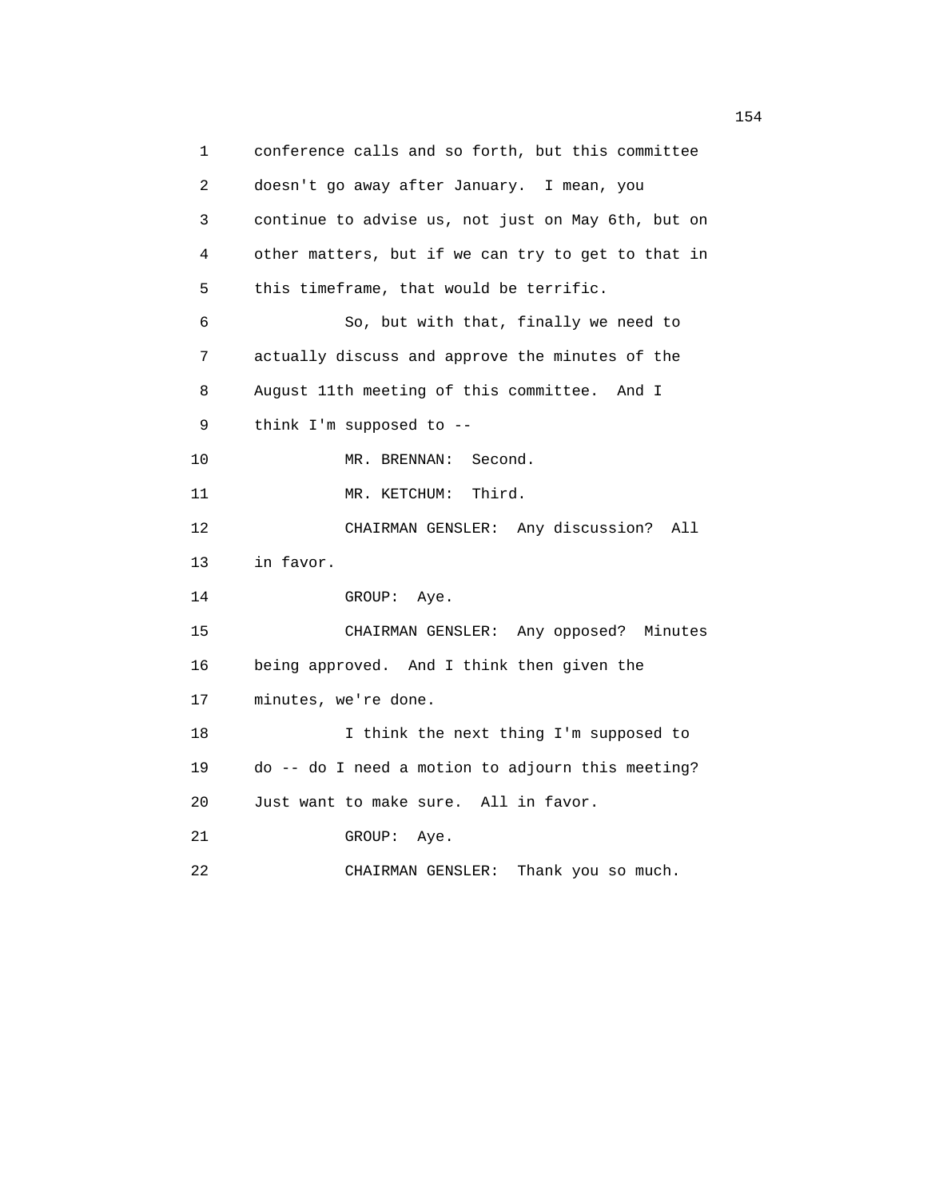1 conference calls and so forth, but this committee 2 doesn't go away after January. I mean, you 3 continue to advise us, not just on May 6th, but on 4 other matters, but if we can try to get to that in 5 this timeframe, that would be terrific. 6 So, but with that, finally we need to 7 actually discuss and approve the minutes of the 8 August 11th meeting of this committee. And I 9 think I'm supposed to -- 10 MR. BRENNAN: Second. 11 MR. KETCHUM: Third. 12 CHAIRMAN GENSLER: Any discussion? All 13 in favor. 14 GROUP: Aye. 15 CHAIRMAN GENSLER: Any opposed? Minutes 16 being approved. And I think then given the 17 minutes, we're done. 18 I think the next thing I'm supposed to 19 do -- do I need a motion to adjourn this meeting? 20 Just want to make sure. All in favor. 21 GROUP: Aye. 22 CHAIRMAN GENSLER: Thank you so much.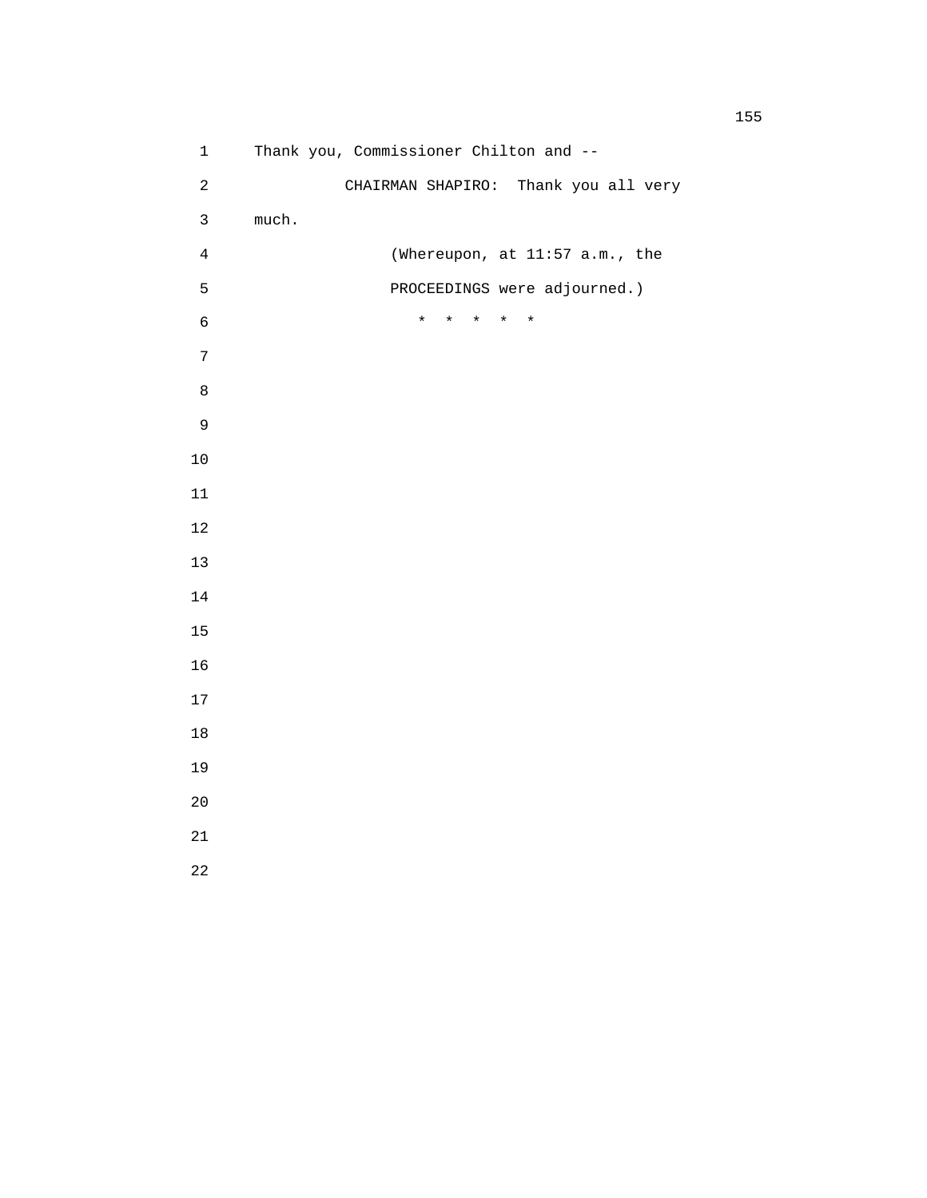1 Thank you, Commissioner Chilton and -- 2 CHAIRMAN SHAPIRO: Thank you all very 3 much. 4 (Whereupon, at 11:57 a.m., the 5 PROCEEDINGS were adjourned.) 6 \* \* \* \* \*